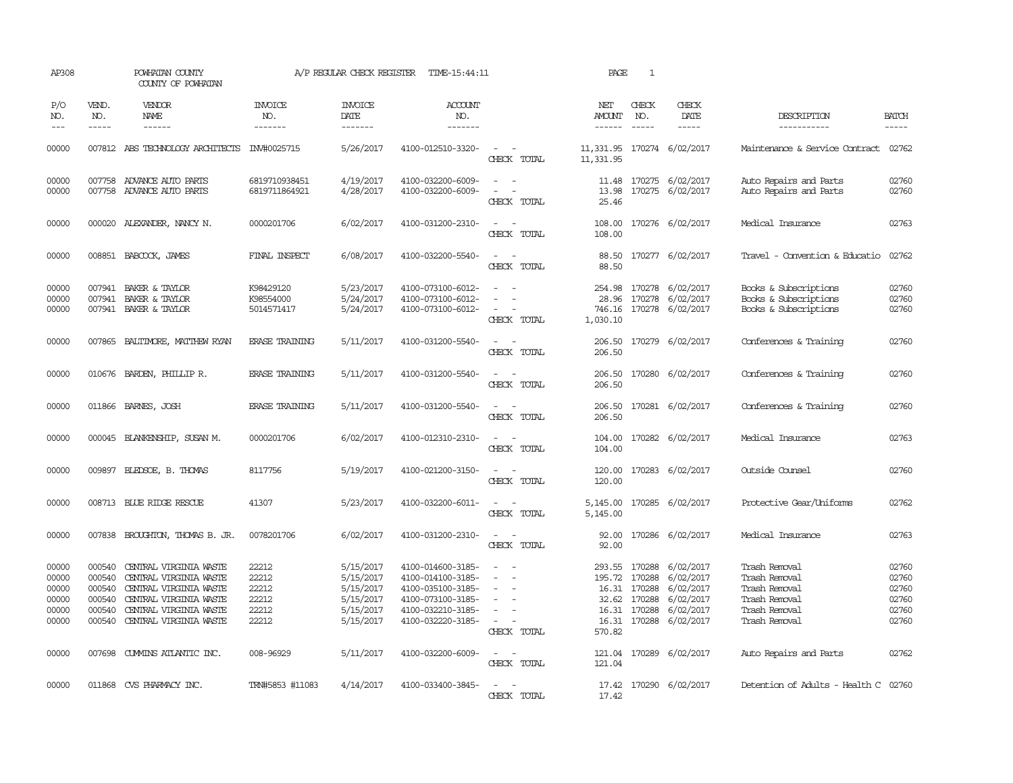| AP308                                              |                                                | POWHATAN COUNTY<br>COUNTY OF POWHATAN                                                                                                                           |                                                    | A/P REGULAR CHECK REGISTER                                                 | TIME-15:44:11                                                                                                              |                                                                                                                             | PAGE                                    | $\mathbf{1}$                                 |                                                                                                       |                                                                                                    |                                                    |
|----------------------------------------------------|------------------------------------------------|-----------------------------------------------------------------------------------------------------------------------------------------------------------------|----------------------------------------------------|----------------------------------------------------------------------------|----------------------------------------------------------------------------------------------------------------------------|-----------------------------------------------------------------------------------------------------------------------------|-----------------------------------------|----------------------------------------------|-------------------------------------------------------------------------------------------------------|----------------------------------------------------------------------------------------------------|----------------------------------------------------|
| P/O<br>NO.<br>$\frac{1}{2}$                        | VEND.<br>NO.<br>$- - - - -$                    | <b>VENDOR</b><br>NAME<br>$- - - - - -$                                                                                                                          | <b>INVOICE</b><br>NO.<br>-------                   | <b>INVOICE</b><br>DATE<br>-------                                          | <b>ACCOUNT</b><br>NO.<br>-------                                                                                           |                                                                                                                             | NET<br>AMOUNT<br>$- - - - - -$          | CHECK<br>NO.<br>$\frac{1}{2}$                | CHECK<br>DATE<br>$- - - - -$                                                                          | DESCRIPTION<br>-----------                                                                         | <b>BATCH</b><br>$- - - - -$                        |
| 00000                                              |                                                | 007812 ABS TECHNOLOGY ARCHITECTS INV#0025715                                                                                                                    |                                                    | 5/26/2017                                                                  | 4100-012510-3320-                                                                                                          | $\sim$ $ -$<br>CHECK TOTAL                                                                                                  | 11,331.95 170274 6/02/2017<br>11,331.95 |                                              |                                                                                                       | Maintenance & Service Contract 02762                                                               |                                                    |
| 00000<br>00000                                     |                                                | 007758 ADVANCE AUTO PARTS<br>007758 ADVANCE AUTO PARTS                                                                                                          | 6819710938451<br>6819711864921                     | 4/19/2017<br>4/28/2017                                                     | 4100-032200-6009-<br>4100-032200-6009-                                                                                     | $\sim$<br>$\sim$<br>$\overline{\phantom{a}}$<br>CHECK TOTAL                                                                 | 11.48<br>13.98<br>25.46                 |                                              | 170275 6/02/2017<br>170275 6/02/2017                                                                  | Auto Repairs and Parts<br>Auto Repairs and Parts                                                   | 02760<br>02760                                     |
| 00000                                              |                                                | 000020 ALEXANDER, NANCY N.                                                                                                                                      | 0000201706                                         | 6/02/2017                                                                  | 4100-031200-2310-                                                                                                          | $\sim$ $ \sim$<br>CHECK TOTAL                                                                                               | 108.00<br>108.00                        |                                              | 170276 6/02/2017                                                                                      | Medical Insurance                                                                                  | 02763                                              |
| 00000                                              |                                                | 008851 BABCOCK, JAMES                                                                                                                                           | FINAL INSPECT                                      | 6/08/2017                                                                  | 4100-032200-5540-                                                                                                          | $\frac{1}{2} \left( \frac{1}{2} \right) \left( \frac{1}{2} \right) = \frac{1}{2} \left( \frac{1}{2} \right)$<br>CHECK TOTAL | 88.50                                   |                                              | 88.50 170277 6/02/2017                                                                                | Travel - Convention & Educatio                                                                     | 02762                                              |
| 00000<br>00000<br>00000                            | 007941<br>007941                               | BAKER & TAYLOR<br>BAKER & TAYLOR<br>007941 BAKER & TAYLOR                                                                                                       | K98429120<br>K98554000<br>5014571417               | 5/23/2017<br>5/24/2017<br>5/24/2017                                        | 4100-073100-6012-<br>4100-073100-6012-<br>4100-073100-6012-                                                                | $\equiv$<br>$\overline{\phantom{a}}$<br>CHECK TOTAL                                                                         | 254.98<br>28.96<br>746.16<br>1,030.10   |                                              | 170278 6/02/2017<br>170278 6/02/2017<br>170278 6/02/2017                                              | Books & Subscriptions<br>Books & Subscriptions<br>Books & Subscriptions                            | 02760<br>02760<br>02760                            |
| 00000                                              |                                                | 007865 BALITIMORE, MATTHEW RYAN                                                                                                                                 | <b>ERASE TRAINING</b>                              | 5/11/2017                                                                  | 4100-031200-5540-                                                                                                          | $\sim$<br>CHECK TOTAL                                                                                                       | 206.50                                  |                                              | 206.50 170279 6/02/2017                                                                               | Conferences & Training                                                                             | 02760                                              |
| 00000                                              |                                                | 010676 BARDEN, PHILLIP R.                                                                                                                                       | <b>ERASE TRAINING</b>                              | 5/11/2017                                                                  | 4100-031200-5540-                                                                                                          | $\frac{1}{2} \left( \frac{1}{2} \right) \left( \frac{1}{2} \right) = \frac{1}{2} \left( \frac{1}{2} \right)$<br>CHECK TOTAL | 206.50<br>206.50                        |                                              | 170280 6/02/2017                                                                                      | Conferences & Training                                                                             | 02760                                              |
| 00000                                              |                                                | 011866 BARNES, JOSH                                                                                                                                             | <b>ERASE TRAINING</b>                              | 5/11/2017                                                                  | 4100-031200-5540-                                                                                                          | $\frac{1}{2} \left( \frac{1}{2} \right) \left( \frac{1}{2} \right) = \frac{1}{2} \left( \frac{1}{2} \right)$<br>CHECK TOTAL | 206.50<br>206.50                        |                                              | 170281 6/02/2017                                                                                      | Conferences & Training                                                                             | 02760                                              |
| 00000                                              |                                                | 000045 BLANKENSHIP, SUSAN M.                                                                                                                                    | 0000201706                                         | 6/02/2017                                                                  | 4100-012310-2310-                                                                                                          | $\overline{\phantom{a}}$<br>CHECK TOTAL                                                                                     | 104.00<br>104.00                        |                                              | 170282 6/02/2017                                                                                      | Medical Insurance                                                                                  | 02763                                              |
| 00000                                              | 009897                                         | BLEDSOE, B. THOMAS                                                                                                                                              | 8117756                                            | 5/19/2017                                                                  | 4100-021200-3150-                                                                                                          | $\sim$<br>CHECK TOTAL                                                                                                       | 120.00<br>120.00                        |                                              | 170283 6/02/2017                                                                                      | Outside Counsel                                                                                    | 02760                                              |
| 00000                                              |                                                | 008713 BLUE RIDGE RESCUE                                                                                                                                        | 41307                                              | 5/23/2017                                                                  | 4100-032200-6011-                                                                                                          | $\sim$<br>$\overline{\phantom{a}}$<br>CHECK TOTAL                                                                           | 5,145.00<br>5,145.00                    |                                              | 170285 6/02/2017                                                                                      | Protective Gear/Uniforms                                                                           | 02762                                              |
| 00000                                              |                                                | 007838 BROUGHTON, THOMAS B. JR.                                                                                                                                 | 0078201706                                         | 6/02/2017                                                                  | 4100-031200-2310-                                                                                                          | $\sim$ $ \sim$<br>CHECK TOTAL                                                                                               | 92.00<br>92.00                          |                                              | 170286 6/02/2017                                                                                      | Medical Insurance                                                                                  | 02763                                              |
| 00000<br>00000<br>00000<br>00000<br>00000<br>00000 | 000540<br>000540<br>000540<br>000540<br>000540 | CENTRAL VIRGINIA WASTE<br>CENTRAL VIRGINIA WASTE<br>CENTRAL VIRGINIA WASTE<br>CENTRAL VIRGINIA WASTE<br>CENTRAL VIRGINIA WASTE<br>000540 CENTRAL VIRGINIA WASTE | 22212<br>22212<br>22212<br>22212<br>22212<br>22212 | 5/15/2017<br>5/15/2017<br>5/15/2017<br>5/15/2017<br>5/15/2017<br>5/15/2017 | 4100-014600-3185-<br>4100-014100-3185-<br>4100-035100-3185-<br>4100-073100-3185-<br>4100-032210-3185-<br>4100-032220-3185- | $\equiv$<br>$\overline{\phantom{a}}$<br>$\equiv$<br>$\overline{\phantom{a}}$<br>$\sim$<br>CHECK TOTAL                       | 195.72 170288<br>570.82                 | 16.31 170288<br>32.62 170288<br>16.31 170288 | 293.55 170288 6/02/2017<br>6/02/2017<br>6/02/2017<br>6/02/2017<br>6/02/2017<br>16.31 170288 6/02/2017 | Trash Removal<br>Trash Removal<br>Trash Removal<br>Trash Removal<br>Trash Removal<br>Trash Removal | 02760<br>02760<br>02760<br>02760<br>02760<br>02760 |
| 00000                                              |                                                | 007698 CUMUNS ATLANTIC INC.                                                                                                                                     | 008-96929                                          | 5/11/2017                                                                  | 4100-032200-6009-                                                                                                          | $\sim$<br>$\overline{\phantom{a}}$<br>CHECK TOTAL                                                                           | 121.04<br>121.04                        |                                              | 170289 6/02/2017                                                                                      | Auto Repairs and Parts                                                                             | 02762                                              |
| 00000                                              |                                                | 011868 CVS PHARMACY INC.                                                                                                                                        | TRN#5853 #11083                                    | 4/14/2017                                                                  | 4100-033400-3845-                                                                                                          | $\sim$<br>CHECK TOTAL                                                                                                       | 17.42                                   |                                              | 17.42 170290 6/02/2017                                                                                | Detention of Adults - Health C 02760                                                               |                                                    |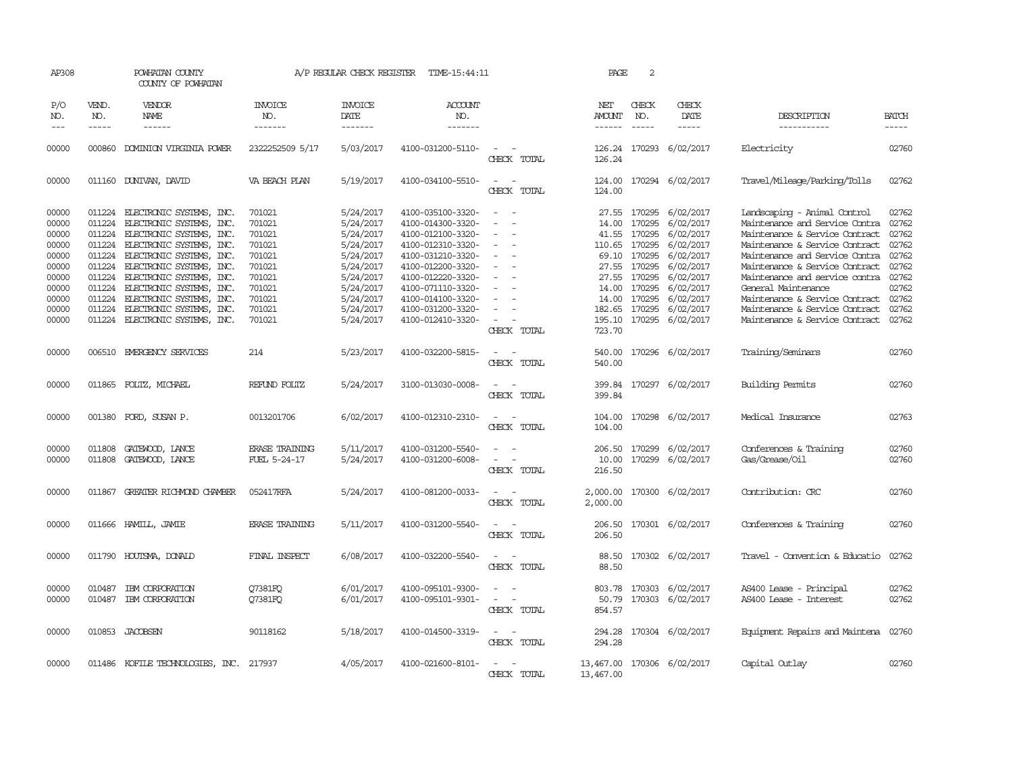| AP308                                                                                           |                               | POWHATAN COUNTY<br>COUNTY OF POWHATAN                                                                                                                                                                                                                                                                                                                                    |                                                                                                            | A/P REGULAR CHECK REGISTER                                                                                                                  | TIME-15:44:11                                                                                                                                                                                                                       |                                                                                                                       | PAGE                                        | 2                                                                                                                                      |                                                                                                                                                          |                                                                                                                                                                                                                                                                                                                                                                                   |                                                                               |
|-------------------------------------------------------------------------------------------------|-------------------------------|--------------------------------------------------------------------------------------------------------------------------------------------------------------------------------------------------------------------------------------------------------------------------------------------------------------------------------------------------------------------------|------------------------------------------------------------------------------------------------------------|---------------------------------------------------------------------------------------------------------------------------------------------|-------------------------------------------------------------------------------------------------------------------------------------------------------------------------------------------------------------------------------------|-----------------------------------------------------------------------------------------------------------------------|---------------------------------------------|----------------------------------------------------------------------------------------------------------------------------------------|----------------------------------------------------------------------------------------------------------------------------------------------------------|-----------------------------------------------------------------------------------------------------------------------------------------------------------------------------------------------------------------------------------------------------------------------------------------------------------------------------------------------------------------------------------|-------------------------------------------------------------------------------|
| P/O<br>NO.<br>$---$                                                                             | VEND.<br>NO.<br>$\frac{1}{2}$ | <b>VENDOR</b><br>NAME<br>$- - - - - -$                                                                                                                                                                                                                                                                                                                                   | INVOICE<br>NO.<br>-------                                                                                  | <b>INVOICE</b><br>DATE<br>-------                                                                                                           | <b>ACCOUNT</b><br>NO.<br>-------                                                                                                                                                                                                    |                                                                                                                       | NET<br><b>AMOUNT</b><br>$- - - - - -$       | CHECK<br>NO.<br>$\frac{1}{2}$                                                                                                          | CHECK<br>DATE<br>$- - - - -$                                                                                                                             | DESCRIPTION<br>-----------                                                                                                                                                                                                                                                                                                                                                        | <b>BATCH</b><br>$- - - - -$                                                   |
| 00000                                                                                           | 000860                        | DOMINION VIRGINIA POWER                                                                                                                                                                                                                                                                                                                                                  | 2322252509 5/17                                                                                            | 5/03/2017                                                                                                                                   | 4100-031200-5110-                                                                                                                                                                                                                   | CHECK TOTAL                                                                                                           | 126.24<br>126.24                            |                                                                                                                                        | 170293 6/02/2017                                                                                                                                         | Electricity                                                                                                                                                                                                                                                                                                                                                                       | 02760                                                                         |
| 00000                                                                                           |                               | 011160 DUNIVAN, DAVID                                                                                                                                                                                                                                                                                                                                                    | VA BEACH PLAN                                                                                              | 5/19/2017                                                                                                                                   | 4100-034100-5510-                                                                                                                                                                                                                   | $\overline{\phantom{a}}$<br>CHECK TOTAL                                                                               | 124.00<br>124.00                            |                                                                                                                                        | 170294 6/02/2017                                                                                                                                         | Travel/Mileage/Parking/Tolls                                                                                                                                                                                                                                                                                                                                                      | 02762                                                                         |
| 00000<br>00000<br>00000<br>00000<br>00000<br>00000<br>00000<br>00000<br>00000<br>00000<br>00000 | 011224<br>011224<br>011224    | 011224 ELECTRONIC SYSTEMS, INC.<br>011224 ELECTRONIC SYSTEMS, INC.<br>ELECTRONIC SYSTEMS, INC.<br>011224 ELECTRONIC SYSTEMS, INC.<br>ELECTRONIC SYSTEMS, INC.<br>011224 ELECTRONIC SYSTEMS, INC.<br>011224 ELECTRONIC SYSTEMS, INC.<br>011224 ELECTRONIC SYSTEMS, INC.<br>011224 ELECTRONIC SYSTEMS, INC.<br>ELECTRONIC SYSTEMS, INC.<br>011224 ELECTRONIC SYSTEMS, INC. | 701021<br>701021<br>701021<br>701021<br>701021<br>701021<br>701021<br>701021<br>701021<br>701021<br>701021 | 5/24/2017<br>5/24/2017<br>5/24/2017<br>5/24/2017<br>5/24/2017<br>5/24/2017<br>5/24/2017<br>5/24/2017<br>5/24/2017<br>5/24/2017<br>5/24/2017 | 4100-035100-3320-<br>4100-014300-3320-<br>4100-012100-3320-<br>4100-012310-3320-<br>4100-031210-3320-<br>4100-012200-3320-<br>4100-012220-3320-<br>4100-071110-3320-<br>4100-014100-3320-<br>4100-031200-3320-<br>4100-012410-3320- | $\equiv$<br>$\overline{a}$<br>$\overline{\phantom{a}}$<br>$\sim$<br>$\overline{\phantom{a}}$<br>$\sim$<br>CHECK TOTAL | 41.55<br>69.10<br>14.00<br>195.10<br>723.70 | 14.00 170295<br>170295<br>110.65 170295<br>170295<br>27.55 170295<br>27.55 170295<br>170295<br>14.00 170295<br>182.65 170295<br>170295 | 27.55 170295 6/02/2017<br>6/02/2017<br>6/02/2017<br>6/02/2017<br>6/02/2017<br>6/02/2017<br>6/02/2017<br>6/02/2017<br>6/02/2017<br>6/02/2017<br>6/02/2017 | Landscaping - Animal Control<br>Maintenance and Service Contra 02762<br>Maintenance & Service Contract<br>Maintenance & Service Contract<br>Maintenance and Service Contra<br>Maintenance & Service Contract<br>Maintenance and service contra 02762<br>General Maintenance<br>Maintenance & Service Contract<br>Maintenance & Service Contract<br>Maintenance & Service Contract | 02762<br>02762<br>02762<br>02762<br>02762<br>02762<br>02762<br>02762<br>02762 |
| 00000                                                                                           |                               | 006510 EMERGENCY SERVICES                                                                                                                                                                                                                                                                                                                                                | 214                                                                                                        | 5/23/2017                                                                                                                                   | 4100-032200-5815-                                                                                                                                                                                                                   | $\overline{\phantom{a}}$<br>$\sim$<br>CHECK TOTAL                                                                     | 540.00<br>540.00                            |                                                                                                                                        | 170296 6/02/2017                                                                                                                                         | Training/Seminars                                                                                                                                                                                                                                                                                                                                                                 | 02760                                                                         |
| 00000                                                                                           |                               | 011865 FOLTZ, MICHAEL                                                                                                                                                                                                                                                                                                                                                    | REFUND FOLTZ                                                                                               | 5/24/2017                                                                                                                                   | 3100-013030-0008-                                                                                                                                                                                                                   | $\sim$<br>$\sim$<br>CHECK TOTAL                                                                                       | 399.84<br>399.84                            |                                                                                                                                        | 170297 6/02/2017                                                                                                                                         | Building Permits                                                                                                                                                                                                                                                                                                                                                                  | 02760                                                                         |
| 00000                                                                                           |                               | 001380 FORD, SUSAN P.                                                                                                                                                                                                                                                                                                                                                    | 0013201706                                                                                                 | 6/02/2017                                                                                                                                   | 4100-012310-2310-                                                                                                                                                                                                                   | CHECK TOTAL                                                                                                           | 104.00                                      |                                                                                                                                        | 104.00 170298 6/02/2017                                                                                                                                  | Medical Insurance                                                                                                                                                                                                                                                                                                                                                                 | 02763                                                                         |
| 00000<br>00000                                                                                  | 011808<br>011808              | GATEWOOD, LANCE<br>GATEWOOD, LANCE                                                                                                                                                                                                                                                                                                                                       | <b>ERASE TRAINING</b><br>FUEL 5-24-17                                                                      | 5/11/2017<br>5/24/2017                                                                                                                      | 4100-031200-5540-<br>4100-031200-6008-                                                                                                                                                                                              | $\sim$<br>CHECK TOTAL                                                                                                 | 206.50<br>10.00<br>216.50                   | 170299<br>170299                                                                                                                       | 6/02/2017<br>6/02/2017                                                                                                                                   | Conferences & Training<br>Gas/Grease/Oil                                                                                                                                                                                                                                                                                                                                          | 02760<br>02760                                                                |
| 00000                                                                                           | 011867                        | GREATER RICHMOND CHAMBER                                                                                                                                                                                                                                                                                                                                                 | 052417RFA                                                                                                  | 5/24/2017                                                                                                                                   | 4100-081200-0033-                                                                                                                                                                                                                   | $\equiv$<br>$\overline{\phantom{a}}$<br>TOTAL<br>CHECK                                                                | 2,000.00<br>2,000.00                        |                                                                                                                                        | 170300 6/02/2017                                                                                                                                         | Contribution: CRC                                                                                                                                                                                                                                                                                                                                                                 | 02760                                                                         |
| 00000                                                                                           |                               | 011666 HAMILL, JAMIE                                                                                                                                                                                                                                                                                                                                                     | <b>ERASE TRAINING</b>                                                                                      | 5/11/2017                                                                                                                                   | 4100-031200-5540-                                                                                                                                                                                                                   | $\sim$<br>CHECK TOTAL                                                                                                 | 206.50<br>206.50                            |                                                                                                                                        | 170301 6/02/2017                                                                                                                                         | Conferences & Training                                                                                                                                                                                                                                                                                                                                                            | 02760                                                                         |
| 00000                                                                                           |                               | 011790 HOUTSMA, DONALD                                                                                                                                                                                                                                                                                                                                                   | FINAL INSPECT                                                                                              | 6/08/2017                                                                                                                                   | 4100-032200-5540-                                                                                                                                                                                                                   | $\sim$<br>$\overline{\phantom{a}}$<br>CHECK TOTAL                                                                     | 88.50<br>88.50                              |                                                                                                                                        | 170302 6/02/2017                                                                                                                                         | Travel - Convention & Educatio                                                                                                                                                                                                                                                                                                                                                    | 02762                                                                         |
| 00000<br>00000                                                                                  | 010487                        | IBM CORPORATION<br>010487 IBM CORPORATION                                                                                                                                                                                                                                                                                                                                | Q7381FQ<br>Q7381FQ                                                                                         | 6/01/2017<br>6/01/2017                                                                                                                      | 4100-095101-9300-<br>4100-095101-9301-                                                                                                                                                                                              | $\overline{\phantom{a}}$<br>$\overline{\phantom{a}}$<br>CHECK TOTAL                                                   | 50.79<br>854.57                             |                                                                                                                                        | 803.78 170303 6/02/2017<br>170303 6/02/2017                                                                                                              | AS400 Lease - Principal<br>AS400 Lease - Interest                                                                                                                                                                                                                                                                                                                                 | 02762<br>02762                                                                |
| 00000                                                                                           |                               | 010853 JACOBSEN                                                                                                                                                                                                                                                                                                                                                          | 90118162                                                                                                   | 5/18/2017                                                                                                                                   | 4100-014500-3319-                                                                                                                                                                                                                   | $\sim$ $-$<br>$\sim$<br>CHECK TOTAL                                                                                   | 294.28<br>294.28                            |                                                                                                                                        | 170304 6/02/2017                                                                                                                                         | Equipment Repairs and Maintena                                                                                                                                                                                                                                                                                                                                                    | 02760                                                                         |
| 00000                                                                                           |                               | 011486 KOFILE TECHNOLOGIES, INC. 217937                                                                                                                                                                                                                                                                                                                                  |                                                                                                            | 4/05/2017                                                                                                                                   | 4100-021600-8101-                                                                                                                                                                                                                   | CHECK TOTAL                                                                                                           | 13,467.00 170306 6/02/2017<br>13,467.00     |                                                                                                                                        |                                                                                                                                                          | Capital Outlay                                                                                                                                                                                                                                                                                                                                                                    | 02760                                                                         |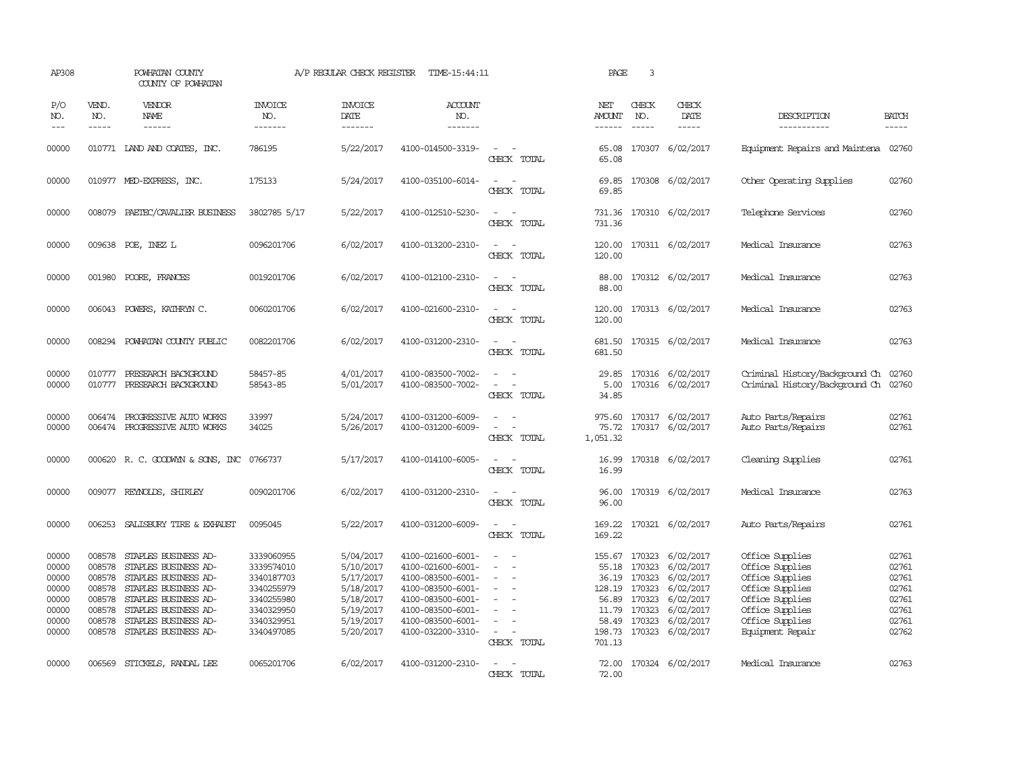| AP308                                                                |                                                                    | POWHATAN COUNTY<br>COUNTY OF POWHATAN                                                                                                                                                               |                                                                                                              | A/P REGULAR CHECK REGISTER                                                                           | TIME-15:44:11                                                                                                                                                        |                                                                                                                             | PAGE                                                                                     | $\overline{3}$                                 |                                                                                                                    |                                                                                                                                                       |                                                                      |
|----------------------------------------------------------------------|--------------------------------------------------------------------|-----------------------------------------------------------------------------------------------------------------------------------------------------------------------------------------------------|--------------------------------------------------------------------------------------------------------------|------------------------------------------------------------------------------------------------------|----------------------------------------------------------------------------------------------------------------------------------------------------------------------|-----------------------------------------------------------------------------------------------------------------------------|------------------------------------------------------------------------------------------|------------------------------------------------|--------------------------------------------------------------------------------------------------------------------|-------------------------------------------------------------------------------------------------------------------------------------------------------|----------------------------------------------------------------------|
| P/O<br>NO.<br>$---$                                                  | VEND.<br>NO.                                                       | VENDOR<br>NAME<br>------                                                                                                                                                                            | <b>INVOICE</b><br>NO.<br>-------                                                                             | <b>INVOICE</b><br>DATE<br>-------                                                                    | <b>ACCOUNT</b><br>NO.<br>-------                                                                                                                                     |                                                                                                                             | NET<br><b>AMOUNT</b><br>------                                                           | CHECK<br>NO.                                   | CHECK<br>DATE<br>-----                                                                                             | DESCRIPTION<br>-----------                                                                                                                            | <b>BATCH</b><br>-----                                                |
| 00000                                                                |                                                                    | 010771 LAND AND COATES, INC.                                                                                                                                                                        | 786195                                                                                                       | 5/22/2017                                                                                            | 4100-014500-3319-                                                                                                                                                    | $\sim$<br>CHECK TOTAL                                                                                                       | 65.08<br>65.08                                                                           |                                                | 170307 6/02/2017                                                                                                   | Equipment Repairs and Maintena                                                                                                                        | 02760                                                                |
| 00000                                                                |                                                                    | 010977 MED-EXPRESS, INC.                                                                                                                                                                            | 175133                                                                                                       | 5/24/2017                                                                                            | 4100-035100-6014-                                                                                                                                                    | $\equiv$<br>CHECK TOTAL                                                                                                     | 69.85<br>69.85                                                                           |                                                | 170308 6/02/2017                                                                                                   | Other Operating Supplies                                                                                                                              | 02760                                                                |
| 00000                                                                |                                                                    | 008079 PAETEC/CAVALIER BUSINESS                                                                                                                                                                     | 3802785 5/17                                                                                                 | 5/22/2017                                                                                            | 4100-012510-5230-                                                                                                                                                    | $\sim$<br>CHECK TOTAL                                                                                                       | 731.36<br>731.36                                                                         |                                                | 170310 6/02/2017                                                                                                   | Telephone Services                                                                                                                                    | 02760                                                                |
| 00000                                                                |                                                                    | 009638 POE, INEZ L                                                                                                                                                                                  | 0096201706                                                                                                   | 6/02/2017                                                                                            | 4100-013200-2310-                                                                                                                                                    | CHECK TOTAL                                                                                                                 | 120.00<br>120.00                                                                         |                                                | 170311 6/02/2017                                                                                                   | Medical Insurance                                                                                                                                     | 02763                                                                |
| 00000                                                                |                                                                    | 001980 POORE, FRANCES                                                                                                                                                                               | 0019201706                                                                                                   | 6/02/2017                                                                                            | 4100-012100-2310-                                                                                                                                                    | $\equiv$<br>$\sim$<br>CHECK TOTAL                                                                                           | 88.00<br>88.00                                                                           |                                                | 170312 6/02/2017                                                                                                   | Medical Insurance                                                                                                                                     | 02763                                                                |
| 00000                                                                |                                                                    | 006043 POWERS, KATHRYN C.                                                                                                                                                                           | 0060201706                                                                                                   | 6/02/2017                                                                                            | 4100-021600-2310-                                                                                                                                                    | $\sim$ $ \sim$<br>CHECK TOTAL                                                                                               | 120.00<br>120.00                                                                         |                                                | 170313 6/02/2017                                                                                                   | Medical Insurance                                                                                                                                     | 02763                                                                |
| 00000                                                                | 008294                                                             | POWHATAN COUNTY PUBLIC                                                                                                                                                                              | 0082201706                                                                                                   | 6/02/2017                                                                                            | 4100-031200-2310-                                                                                                                                                    | $\overline{\phantom{a}}$<br>$\sim$<br>CHECK TOTAL                                                                           | 681.50<br>681.50                                                                         |                                                | 170315 6/02/2017                                                                                                   | Medical Insurance                                                                                                                                     | 02763                                                                |
| 00000<br>00000                                                       | 010777<br>010777                                                   | PRESEARCH BACKGROUND<br>PRESEARCH BACKGROUND                                                                                                                                                        | 58457-85<br>58543-85                                                                                         | 4/01/2017<br>5/01/2017                                                                               | 4100-083500-7002-<br>4100-083500-7002-                                                                                                                               | $\equiv$<br>CHECK TOTAL                                                                                                     | 29.85<br>5.00<br>34.85                                                                   |                                                | 170316 6/02/2017<br>170316 6/02/2017                                                                               | Criminal History/Background Ch<br>Criminal History/Background Ch                                                                                      | 02760<br>02760                                                       |
| 00000<br>00000                                                       | 006474                                                             | PROGRESSIVE AUTO WORKS<br>006474 PROGRESSIVE AUTO WORKS                                                                                                                                             | 33997<br>34025                                                                                               | 5/24/2017<br>5/26/2017                                                                               | 4100-031200-6009-<br>4100-031200-6009-                                                                                                                               | $\sim$<br>CHECK TOTAL                                                                                                       | 975.60<br>75.72<br>1,051.32                                                              |                                                | 170317 6/02/2017<br>170317 6/02/2017                                                                               | Auto Parts/Repairs<br>Auto Parts/Repairs                                                                                                              | 02761<br>02761                                                       |
| 00000                                                                |                                                                    | 000620 R. C. GOODWYN & SONS, INC 0766737                                                                                                                                                            |                                                                                                              | 5/17/2017                                                                                            | 4100-014100-6005-                                                                                                                                                    | CHECK TOTAL                                                                                                                 | 16.99<br>16.99                                                                           |                                                | 170318 6/02/2017                                                                                                   | Cleaning Supplies                                                                                                                                     | 02761                                                                |
| 00000                                                                |                                                                    | 009077 REYNOLDS, SHIRLEY                                                                                                                                                                            | 0090201706                                                                                                   | 6/02/2017                                                                                            | 4100-031200-2310-                                                                                                                                                    | $\equiv$<br>CHECK TOTAL                                                                                                     | 96.00<br>96.00                                                                           |                                                | 170319 6/02/2017                                                                                                   | Medical Insurance                                                                                                                                     | 02763                                                                |
| 00000                                                                |                                                                    | 006253 SALISBURY TIRE & EXHAUST                                                                                                                                                                     | 0095045                                                                                                      | 5/22/2017                                                                                            | 4100-031200-6009-                                                                                                                                                    | $\frac{1}{2} \left( \frac{1}{2} \right) \left( \frac{1}{2} \right) = \frac{1}{2} \left( \frac{1}{2} \right)$<br>CHECK TOTAL | 169.22<br>169.22                                                                         |                                                | 170321 6/02/2017                                                                                                   | Auto Parts/Repairs                                                                                                                                    | 02761                                                                |
| 00000<br>00000<br>00000<br>00000<br>00000<br>00000<br>00000<br>00000 | 008578<br>008578<br>008578<br>008578<br>008578<br>008578<br>008578 | STAPLES BUSINESS AD-<br>STAPLES BUSINESS AD-<br>STAPLES BUSINESS AD-<br>STAPLES BUSINESS AD-<br>STAPLES BUSINESS AD-<br>STAPLES BUSINESS AD-<br>STAPLES BUSINESS AD-<br>008578 STAPLES BUSINESS AD- | 3339060955<br>3339574010<br>3340187703<br>3340255979<br>3340255980<br>3340329950<br>3340329951<br>3340497085 | 5/04/2017<br>5/10/2017<br>5/17/2017<br>5/18/2017<br>5/18/2017<br>5/19/2017<br>5/19/2017<br>5/20/2017 | 4100-021600-6001-<br>4100-021600-6001-<br>4100-083500-6001-<br>4100-083500-6001-<br>4100-083500-6001-<br>4100-083500-6001-<br>4100-083500-6001-<br>4100-032200-3310- | $\equiv$<br>$\sim$<br>CHECK TOTAL                                                                                           | 155.67<br>55.18<br>36.19<br>128.19 170323<br>56.89<br>11.79<br>58.49<br>198.73<br>701.13 | 170323<br>170323<br>170323<br>170323<br>170323 | 170323 6/02/2017<br>6/02/2017<br>6/02/2017<br>6/02/2017<br>6/02/2017<br>6/02/2017<br>6/02/2017<br>170323 6/02/2017 | Office Supplies<br>Office Supplies<br>Office Supplies<br>Office Supplies<br>Office Supplies<br>Office Supplies<br>Office Supplies<br>Equipment Repair | 02761<br>02761<br>02761<br>02761<br>02761<br>02761<br>02761<br>02762 |
| 00000                                                                | 006569                                                             | STICKELS, RANDAL LEE                                                                                                                                                                                | 0065201706                                                                                                   | 6/02/2017                                                                                            | 4100-031200-2310-                                                                                                                                                    | CHECK TOTAL                                                                                                                 | 72.00<br>72.00                                                                           |                                                | 170324 6/02/2017                                                                                                   | Medical Insurance                                                                                                                                     | 02763                                                                |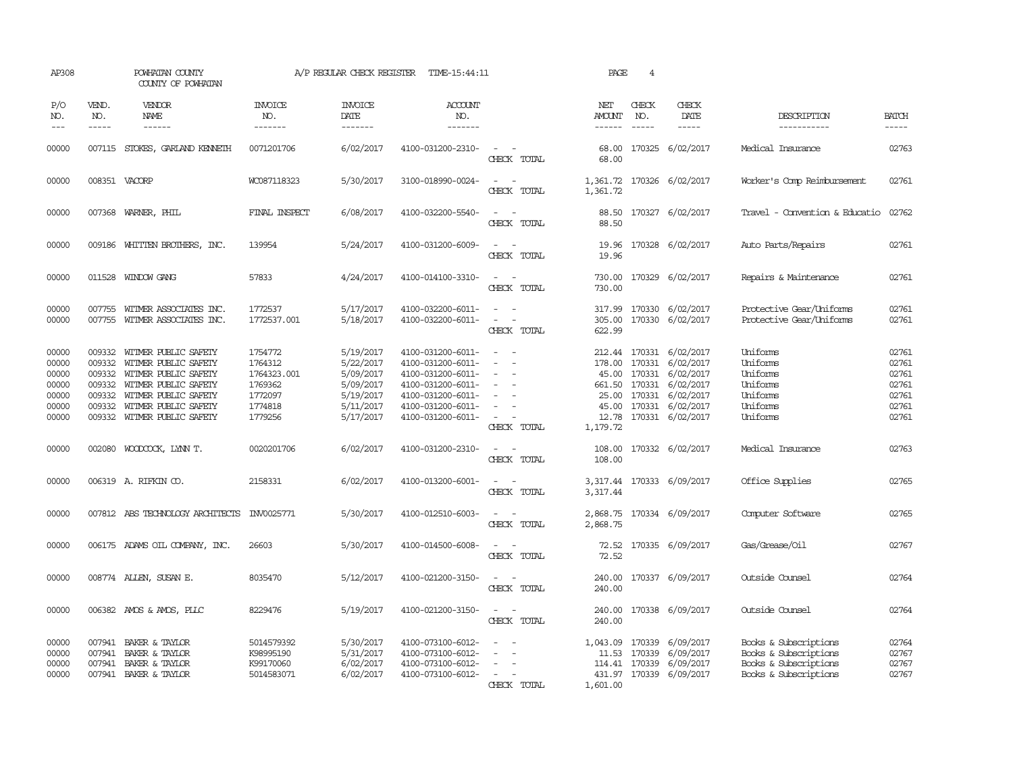| AP308                                                       |                                      | POWHATAN COUNTY<br>COUNTY OF POWHATAN                                                                                                                                                     |                                                                               | A/P REGULAR CHECK REGISTER                                                              | TIME-15:44:11                                                                                                                                   |                                                                                                                                          | PAGE                                         | $\overline{4}$                |                                                                                                                                        |                                                                                                  |                                                             |
|-------------------------------------------------------------|--------------------------------------|-------------------------------------------------------------------------------------------------------------------------------------------------------------------------------------------|-------------------------------------------------------------------------------|-----------------------------------------------------------------------------------------|-------------------------------------------------------------------------------------------------------------------------------------------------|------------------------------------------------------------------------------------------------------------------------------------------|----------------------------------------------|-------------------------------|----------------------------------------------------------------------------------------------------------------------------------------|--------------------------------------------------------------------------------------------------|-------------------------------------------------------------|
| P/O<br>NO.<br>$---$                                         | VEND.<br>NO.<br>$- - - - -$          | <b>VENDOR</b><br>NAME                                                                                                                                                                     | <b>INVOICE</b><br>NO.<br>-------                                              | <b>INVOICE</b><br>DATE<br>-------                                                       | <b>ACCOUNT</b><br>NO.<br>-------                                                                                                                |                                                                                                                                          | NET<br>AMOUNT<br>------                      | CHECK<br>NO.<br>$\frac{1}{2}$ | CHECK<br>DATE<br>$- - - - -$                                                                                                           | DESCRIPTION<br>-----------                                                                       | <b>BATCH</b><br>-----                                       |
| 00000                                                       |                                      | 007115 STOKES, GARLAND KENNETH                                                                                                                                                            | 0071201706                                                                    | 6/02/2017                                                                               | 4100-031200-2310-                                                                                                                               | $\sim$<br>CHECK TOTAL                                                                                                                    | 68.00<br>68.00                               |                               | 170325 6/02/2017                                                                                                                       | Medical Insurance                                                                                | 02763                                                       |
| 00000                                                       | 008351 VACORP                        |                                                                                                                                                                                           | WC087118323                                                                   | 5/30/2017                                                                               | 3100-018990-0024-                                                                                                                               | CHECK TOTAL                                                                                                                              | 1,361.72                                     |                               | 1,361.72 170326 6/02/2017                                                                                                              | Worker's Comp Reimbursement                                                                      | 02761                                                       |
| 00000                                                       |                                      | 007368 WARNER, PHIL                                                                                                                                                                       | FINAL INSPECT                                                                 | 6/08/2017                                                                               | 4100-032200-5540-                                                                                                                               | $\equiv$<br>$\sim$<br>CHECK TOTAL                                                                                                        | 88.50<br>88.50                               |                               | 170327 6/02/2017                                                                                                                       | Travel - Convention & Educatio                                                                   | 02762                                                       |
| 00000                                                       |                                      | 009186 WHITTEN BROTHERS, INC.                                                                                                                                                             | 139954                                                                        | 5/24/2017                                                                               | 4100-031200-6009-                                                                                                                               | $ -$<br>CHECK TOTAL                                                                                                                      | 19.96                                        |                               | 19.96 170328 6/02/2017                                                                                                                 | Auto Parts/Repairs                                                                               | 02761                                                       |
| 00000                                                       |                                      | 011528 WINDOW GANG                                                                                                                                                                        | 57833                                                                         | 4/24/2017                                                                               | 4100-014100-3310-                                                                                                                               | $\sim$ $ -$<br>CHECK TOTAL                                                                                                               | 730.00                                       |                               | 730.00 170329 6/02/2017                                                                                                                | Repairs & Maintenance                                                                            | 02761                                                       |
| 00000<br>00000                                              | 007755                               | WITMER ASSOCIATES INC.<br>007755 WITMER ASSOCIATES INC.                                                                                                                                   | 1772537<br>1772537.001                                                        | 5/17/2017<br>5/18/2017                                                                  | 4100-032200-6011-<br>4100-032200-6011-                                                                                                          | CHECK TOTAL                                                                                                                              | 317.99<br>305.00<br>622.99                   |                               | 170330 6/02/2017<br>170330 6/02/2017                                                                                                   | Protective Gear/Uniforms<br>Protective Gear/Uniforms                                             | 02761<br>02761                                              |
| 00000<br>00000<br>00000<br>00000<br>00000<br>00000<br>00000 | 009332<br>009332<br>009332<br>009332 | 009332 WITMER PUBLIC SAFETY<br>WITMER PUBLIC SAFETY<br>009332 WITMER PUBLIC SAFETY<br>WITMER PUBLIC SAFETY<br>WITMER PUBLIC SAFETY<br>WITMER PUBLIC SAFETY<br>009332 WITMER PUBLIC SAFETY | 1754772<br>1764312<br>1764323.001<br>1769362<br>1772097<br>1774818<br>1779256 | 5/19/2017<br>5/22/2017<br>5/09/2017<br>5/09/2017<br>5/19/2017<br>5/11/2017<br>5/17/2017 | 4100-031200-6011-<br>4100-031200-6011-<br>4100-031200-6011-<br>4100-031200-6011-<br>4100-031200-6011-<br>4100-031200-6011-<br>4100-031200-6011- | $\sim$<br>$\equiv$<br>$\equiv$<br>CHECK TOTAL                                                                                            | 178.00 170331<br>661.50<br>12.78<br>1,179.72 | 170331<br>25.00 170331        | 212.44 170331 6/02/2017<br>6/02/2017<br>45.00 170331 6/02/2017<br>6/02/2017<br>6/02/2017<br>45.00 170331 6/02/2017<br>170331 6/02/2017 | Uniforms<br>Uniforms<br>Uniforms<br>Uniforms<br>Uniforms<br>Uniforms<br>Uniforms                 | 02761<br>02761<br>02761<br>02761<br>02761<br>02761<br>02761 |
| 00000                                                       |                                      | 002080 WOODCOCK, LYNN T.                                                                                                                                                                  | 0020201706                                                                    | 6/02/2017                                                                               | 4100-031200-2310-                                                                                                                               | $\sim 100$<br>$\sim$<br>CHECK TOTAL                                                                                                      | 108.00<br>108.00                             |                               | 170332 6/02/2017                                                                                                                       | Medical Insurance                                                                                | 02763                                                       |
| 00000                                                       |                                      | 006319 A. RIFKIN CO.                                                                                                                                                                      | 2158331                                                                       | 6/02/2017                                                                               | 4100-013200-6001-                                                                                                                               | $\frac{1}{2} \left( \frac{1}{2} \right) \left( \frac{1}{2} \right) \left( \frac{1}{2} \right) \left( \frac{1}{2} \right)$<br>CHECK TOTAL | 3,317.44                                     |                               | 3,317.44 170333 6/09/2017                                                                                                              | Office Supplies                                                                                  | 02765                                                       |
| 00000                                                       |                                      | 007812 ABS TECHNOLOGY ARCHITECTS                                                                                                                                                          | INV0025771                                                                    | 5/30/2017                                                                               | 4100-012510-6003-                                                                                                                               | $\sim$<br>CHECK TOTAL                                                                                                                    | 2,868.75                                     |                               | 2,868.75 170334 6/09/2017                                                                                                              | Computer Software                                                                                | 02765                                                       |
| 00000                                                       |                                      | 006175 ADAMS OIL COMPANY, INC.                                                                                                                                                            | 26603                                                                         | 5/30/2017                                                                               | 4100-014500-6008-                                                                                                                               | $\sim$<br>$\sim$<br>CHECK TOTAL                                                                                                          | 72.52                                        |                               | 72.52 170335 6/09/2017                                                                                                                 | Gas/Grease/Oil                                                                                   | 02767                                                       |
| 00000                                                       |                                      | 008774 ALLEN, SUSAN E.                                                                                                                                                                    | 8035470                                                                       | 5/12/2017                                                                               | 4100-021200-3150-                                                                                                                               | $\overline{\phantom{a}}$<br>$\sim$<br>CHECK TOTAL                                                                                        | 240.00<br>240.00                             |                               | 170337 6/09/2017                                                                                                                       | Outside Counsel                                                                                  | 02764                                                       |
| 00000                                                       |                                      | 006382 AMOS & AMOS, PLLC                                                                                                                                                                  | 8229476                                                                       | 5/19/2017                                                                               | 4100-021200-3150-                                                                                                                               | $\sim$<br>CHECK TOTAL                                                                                                                    | 240.00<br>240.00                             |                               | 170338 6/09/2017                                                                                                                       | Outside Counsel                                                                                  | 02764                                                       |
| 00000<br>00000<br>00000<br>00000                            | 007941<br>007941<br>007941           | BAKER & TAYLOR<br>BAKER & TAYLOR<br>BAKER & TAYLOR<br>007941 BAKER & TAYLOR                                                                                                               | 5014579392<br>K98995190<br>K99170060<br>5014583071                            | 5/30/2017<br>5/31/2017<br>6/02/2017<br>6/02/2017                                        | 4100-073100-6012-<br>4100-073100-6012-<br>4100-073100-6012-<br>4100-073100-6012-                                                                | $\equiv$<br>$\overline{\phantom{a}}$<br>CHECK TOTAL                                                                                      | 11.53<br>1,601.00                            |                               | 1,043.09 170339 6/09/2017<br>170339 6/09/2017<br>114.41 170339 6/09/2017<br>431.97 170339 6/09/2017                                    | Books & Subscriptions<br>Books & Subscriptions<br>Books & Subscriptions<br>Books & Subscriptions | 02764<br>02767<br>02767<br>02767                            |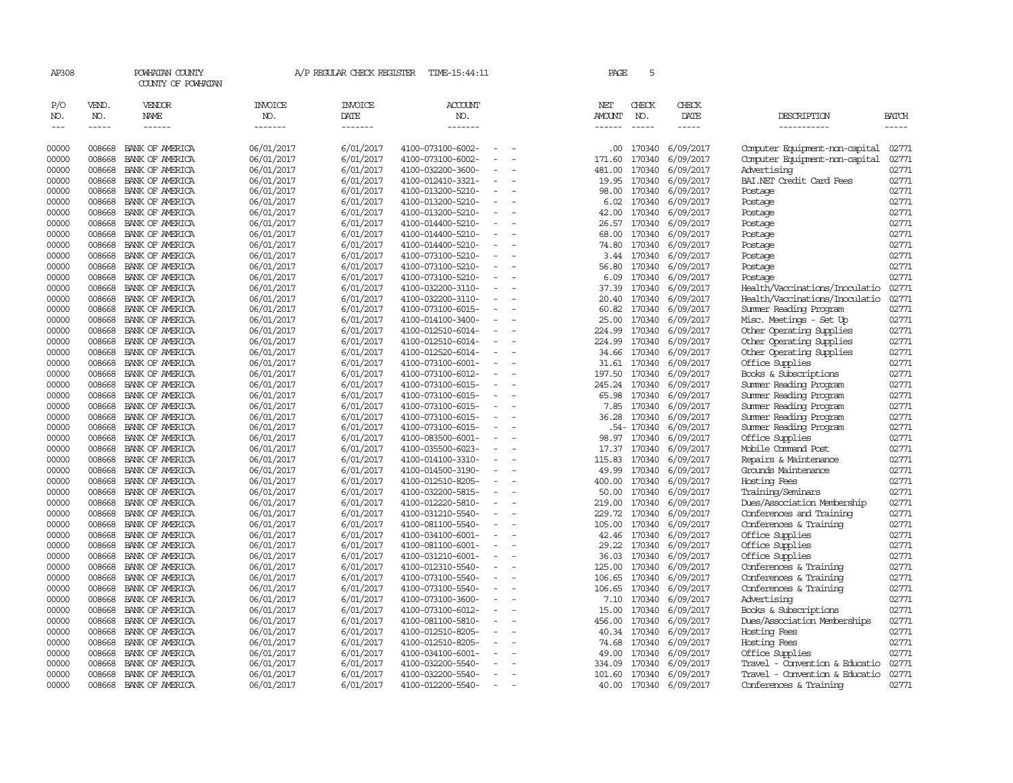| AP308                              |                               | POWHATAN COUNTY<br>COUNTY OF POWHATAN  |                                   | A/P REGULAR CHECK REGISTER                | TIME-15:44:11                          |                                      | PAGE                    | 5                           |                                         |                                          |                      |
|------------------------------------|-------------------------------|----------------------------------------|-----------------------------------|-------------------------------------------|----------------------------------------|--------------------------------------|-------------------------|-----------------------------|-----------------------------------------|------------------------------------------|----------------------|
| P/O<br>NO.<br>$\sim$ $\sim$ $\sim$ | VEND.<br>NO.<br>$\frac{1}{2}$ | VENDOR<br><b>NAME</b><br>$- - - - - -$ | <b>INVOICE</b><br>NO.<br>-------- | <b>INVOICE</b><br>DATE<br>$- - - - - - -$ | <b>ACCOUNT</b><br>NO.<br>-------       |                                      | NET<br>AMOUNT<br>------ | CHECK<br>NO.<br>$- - - - -$ | CHECK<br>DATE<br>$\cdots \cdots \cdots$ | DESCRIPTION<br>-----------               | BATCH<br>$- - - - -$ |
| 00000                              | 008668                        | BANK OF AMERICA                        | 06/01/2017                        | 6/01/2017                                 | 4100-073100-6002-                      |                                      | $.00 \cdot$             |                             | 170340 6/09/2017                        | Computer Equipment-non-capital           | 02771                |
| 00000                              | 008668                        | BANK OF AMERICA                        | 06/01/2017                        | 6/01/2017                                 | 4100-073100-6002-                      |                                      | 171.60                  | 170340                      | 6/09/2017                               | Computer Equipment-non-capital           | 02771                |
| 00000                              | 008668                        | BANK OF AMERICA                        | 06/01/2017                        | 6/01/2017                                 | 4100-032200-3600-                      | $\overline{\phantom{a}}$             | 481.00                  | 170340                      | 6/09/2017                               | Advertising                              | 02771                |
| 00000                              | 008668                        | BANK OF AMERICA                        | 06/01/2017                        | 6/01/2017                                 | 4100-012410-3321-                      | $\equiv$                             | 19.95                   | 170340                      | 6/09/2017                               | BAI.NET Credit Card Fees                 | 02771                |
| 00000                              | 008668                        | BANK OF AMERICA                        | 06/01/2017                        | 6/01/2017                                 | 4100-013200-5210-                      | $\equiv$                             | 98.00                   | 170340                      | 6/09/2017                               | Postage                                  | 02771                |
| 00000                              | 008668                        | BANK OF AMERICA                        | 06/01/2017                        | 6/01/2017                                 | 4100-013200-5210-                      |                                      | 6.02                    | 170340                      | 6/09/2017                               | Postage                                  | 02771                |
| 00000                              | 008668                        | BANK OF AMERICA                        | 06/01/2017                        | 6/01/2017                                 | 4100-013200-5210-                      | $\equiv$                             | 42.00                   | 170340                      | 6/09/2017                               | Postage                                  | 02771                |
| 00000                              | 008668                        | BANK OF AMERICA                        | 06/01/2017                        | 6/01/2017                                 | 4100-014400-5210-                      | $\overline{\phantom{a}}$             | 26.57                   | 170340                      | 6/09/2017                               | Postage                                  | 02771                |
| 00000                              | 008668                        | BANK OF AMERICA                        | 06/01/2017                        | 6/01/2017                                 | 4100-014400-5210-                      |                                      | 68.00                   | 170340                      | 6/09/2017                               | Postage                                  | 02771                |
| 00000                              | 008668                        | BANK OF AMERICA                        | 06/01/2017                        | 6/01/2017                                 | 4100-014400-5210-                      | $\equiv$                             | 74.80                   |                             | 170340 6/09/2017                        | Postage                                  | 02771                |
| 00000                              | 008668                        | BANK OF AMERICA                        | 06/01/2017                        | 6/01/2017                                 | 4100-073100-5210-                      |                                      | 3.44                    | 170340                      | 6/09/2017                               | Postage                                  | 02771                |
| 00000                              | 008668                        | BANK OF AMERICA                        | 06/01/2017                        | 6/01/2017                                 | 4100-073100-5210-                      | $\equiv$                             | 56.80                   | 170340                      | 6/09/2017                               | Postage                                  | 02771                |
| 00000                              | 008668                        | BANK OF AMERICA                        | 06/01/2017                        | 6/01/2017                                 | 4100-073100-5210-                      |                                      | 6.09                    | 170340                      | 6/09/2017                               | Postage                                  | 02771                |
| 00000                              | 008668                        | BANK OF AMERICA                        | 06/01/2017                        | 6/01/2017                                 | 4100-032200-3110-                      | $\equiv$                             | 37.39                   | 170340                      | 6/09/2017                               | Health/Vaccinations/Inoculatio           | 02771                |
| 00000                              | 008668                        | BANK OF AMERICA                        | 06/01/2017                        | 6/01/2017                                 | 4100-032200-3110-                      | $\equiv$                             | 20.40                   | 170340                      | 6/09/2017                               | Health/Vaccinations/Inoculatio           | 02771                |
| 00000                              | 008668                        | BANK OF AMERICA                        | 06/01/2017                        | 6/01/2017                                 | 4100-073100-6015-                      |                                      | 60.82                   | 170340                      | 6/09/2017                               | Summer Reading Program                   | 02771                |
| 00000                              | 008668                        | BANK OF AMERICA                        | 06/01/2017                        | 6/01/2017                                 | 4100-014100-3400-                      | $\overline{\phantom{a}}$             | 25.00                   |                             | 170340 6/09/2017                        | Misc. Meetings - Set Up                  | 02771                |
| 00000                              | 008668                        | BANK OF AMERICA                        | 06/01/2017                        | 6/01/2017                                 | 4100-012510-6014-                      | $\equiv$                             | 224.99                  | 170340                      | 6/09/2017                               | Other Operating Supplies                 | 02771                |
| 00000                              | 008668                        | BANK OF AMERICA                        | 06/01/2017                        | 6/01/2017                                 | 4100-012510-6014-                      | $\overline{\phantom{a}}$             | 224.99                  | 170340                      | 6/09/2017                               | Other Operating Supplies                 | 02771                |
| 00000<br>00000                     | 008668<br>008668              | BANK OF AMERICA                        | 06/01/2017                        | 6/01/2017                                 | 4100-012520-6014-                      | $\overline{\phantom{a}}$<br>$\equiv$ | 34.66<br>31.61          | 170340<br>170340            | 6/09/2017                               | Other Operating Supplies                 | 02771                |
| 00000                              | 008668                        | BANK OF AMERICA<br>BANK OF AMERICA     | 06/01/2017<br>06/01/2017          | 6/01/2017<br>6/01/2017                    | 4100-073100-6001-<br>4100-073100-6012- | $\equiv$                             | 197.50                  | 170340                      | 6/09/2017<br>6/09/2017                  | Office Supplies<br>Books & Subscriptions | 02771<br>02771       |
| 00000                              | 008668                        | BANK OF AMERICA                        | 06/01/2017                        | 6/01/2017                                 | 4100-073100-6015-                      |                                      | 245.24                  | 170340                      | 6/09/2017                               | Summer Reading Program                   | 02771                |
| 00000                              | 008668                        | BANK OF AMERICA                        | 06/01/2017                        | 6/01/2017                                 | 4100-073100-6015-                      | $\overline{\phantom{a}}$             | 65.98                   | 170340                      | 6/09/2017                               | Summer Reading Program                   | 02771                |
| 00000                              | 008668                        | BANK OF AMERICA                        | 06/01/2017                        | 6/01/2017                                 | 4100-073100-6015-                      | $\equiv$                             | 7.85                    | 170340                      | 6/09/2017                               | Summer Reading Program                   | 02771                |
| 00000                              | 008668                        | BANK OF AMERICA                        | 06/01/2017                        | 6/01/2017                                 | 4100-073100-6015-                      | $\sim$                               | 36.28                   | 170340                      | 6/09/2017                               | Summer Reading Program                   | 02771                |
| 00000                              | 008668                        | BANK OF AMERICA                        | 06/01/2017                        | 6/01/2017                                 | 4100-073100-6015-                      |                                      |                         | .54- 170340                 | 6/09/2017                               | Summer Reading Program                   | 02771                |
| 00000                              | 008668                        | BANK OF AMERICA                        | 06/01/2017                        | 6/01/2017                                 | 4100-083500-6001-                      | $\equiv$                             | 98.97                   | 170340                      | 6/09/2017                               | Office Supplies                          | 02771                |
| 00000                              | 008668                        | BANK OF AMERICA                        | 06/01/2017                        | 6/01/2017                                 | 4100-035500-6023-                      | $\overline{\phantom{a}}$             | 17.37                   | 170340                      | 6/09/2017                               | Mobile Command Post                      | 02771                |
| 00000                              | 008668                        | BANK OF AMERICA                        | 06/01/2017                        | 6/01/2017                                 | 4100-014100-3310-                      | $\equiv$                             | 115.83                  | 170340                      | 6/09/2017                               | Repairs & Maintenance                    | 02771                |
| 00000                              | 008668                        | BANK OF AMERICA                        | 06/01/2017                        | 6/01/2017                                 | 4100-014500-3190-                      | $\equiv$                             | 49.99                   | 170340                      | 6/09/2017                               | Grounds Maintenance                      | 02771                |
| 00000                              | 008668                        | BANK OF AMERICA                        | 06/01/2017                        | 6/01/2017                                 | 4100-012510-8205-                      |                                      | 400.00                  | 170340                      | 6/09/2017                               | Hosting Fees                             | 02771                |
| 00000                              | 008668                        | BANK OF AMERICA                        | 06/01/2017                        | 6/01/2017                                 | 4100-032200-5815-                      | $\sim$                               | 50.00                   | 170340                      | 6/09/2017                               | Training/Seminars                        | 02771                |
| 00000                              | 008668                        | BANK OF AMERICA                        | 06/01/2017                        | 6/01/2017                                 | 4100-012220-5810-                      |                                      | 219.00                  | 170340                      | 6/09/2017                               | Dues/Association Membership              | 02771                |
| 00000                              | 008668                        | BANK OF AMERICA                        | 06/01/2017                        | 6/01/2017                                 | 4100-031210-5540-                      | $\equiv$                             | 229.72                  |                             | 170340 6/09/2017                        | Conferences and Training                 | 02771                |
| 00000                              | 008668                        | BANK OF AMERICA                        | 06/01/2017                        | 6/01/2017                                 | 4100-081100-5540-                      | $\equiv$                             | 105.00                  | 170340                      | 6/09/2017                               | Conferences & Training                   | 02771                |
| 00000                              | 008668                        | BANK OF AMERICA                        | 06/01/2017                        | 6/01/2017                                 | 4100-034100-6001-                      | $\equiv$                             | 42.46                   | 170340                      | 6/09/2017                               | Office Supplies                          | 02771                |
| 00000                              | 008668                        | BANK OF AMERICA                        | 06/01/2017                        | 6/01/2017                                 | 4100-081100-6001-                      | $\overline{\phantom{a}}$             | 29.22                   | 170340                      | 6/09/2017                               | Office Supplies                          | 02771                |
| 00000                              | 008668                        | BANK OF AMERICA                        | 06/01/2017                        | 6/01/2017                                 | 4100-031210-6001-                      |                                      | 36.03                   | 170340                      | 6/09/2017                               | Office Supplies                          | 02771                |
| 00000                              | 008668                        | BANK OF AMERICA                        | 06/01/2017                        | 6/01/2017                                 | 4100-012310-5540-                      | $\equiv$                             | 125.00                  | 170340                      | 6/09/2017                               | Conferences & Training                   | 02771                |
| 00000                              | 008668                        | BANK OF AMERICA                        | 06/01/2017                        | 6/01/2017                                 | 4100-073100-5540-                      |                                      | 106.65                  | 170340                      | 6/09/2017                               | Conferences & Training                   | 02771                |
| 00000                              | 008668                        | BANK OF AMERICA                        | 06/01/2017                        | 6/01/2017                                 | 4100-073100-5540-                      | $\equiv$                             | 106.65                  | 170340                      | 6/09/2017                               | Conferences & Training                   | 02771                |
| 00000                              | 008668                        | BANK OF AMERICA                        | 06/01/2017                        | 6/01/2017                                 | 4100-073100-3600-                      | $\overline{\phantom{a}}$             | 7.10                    | 170340                      | 6/09/2017                               | Advertising                              | 02771                |
| 00000                              | 008668                        | BANK OF AMERICA                        | 06/01/2017                        | 6/01/2017                                 | 4100-073100-6012-                      |                                      | 15.00                   | 170340                      | 6/09/2017                               | Books & Subscriptions                    | 02771                |
| 00000                              | 008668                        | BANK OF AMERICA                        | 06/01/2017                        | 6/01/2017                                 | 4100-081100-5810-                      | $\overline{\phantom{a}}$             | 456.00                  | 170340                      | 6/09/2017                               | Dues/Association Memberships             | 02771                |
| 00000                              | 008668                        | BANK OF AMERICA                        | 06/01/2017                        | 6/01/2017                                 | 4100-012510-8205-                      |                                      | 40.34                   | 170340                      | 6/09/2017                               | Hosting Fees                             | 02771                |
| 00000                              | 008668                        | BANK OF AMERICA                        | 06/01/2017                        | 6/01/2017                                 | 4100-012510-8205-                      | $\overline{\phantom{a}}$             | 74.68                   | 170340                      | 6/09/2017                               | Hosting Fees                             | 02771                |
| 00000                              | 008668                        | BANK OF AMERICA                        | 06/01/2017                        | 6/01/2017                                 | 4100-034100-6001-                      |                                      | 49.00                   | 170340                      | 6/09/2017                               | Office Supplies                          | 02771                |
| 00000                              | 008668                        | BANK OF AMERICA                        | 06/01/2017                        | 6/01/2017                                 | 4100-032200-5540-                      | $\equiv$                             | 334.09                  | 170340                      | 6/09/2017                               | Travel - Convention & Educatio           | 02771                |
| 00000                              | 008668                        | BANK OF AMERICA                        | 06/01/2017                        | 6/01/2017                                 | 4100-032200-5540-                      | $\overline{\phantom{a}}$             | 101.60                  | 170340                      | 6/09/2017                               | Travel - Convention & Educatio           | 02771                |
| 00000                              | 008668                        | BANK OF AMERICA                        | 06/01/2017                        | 6/01/2017                                 | 4100-012200-5540-                      | $\sim$                               | 40.00                   |                             | 170340 6/09/2017                        | Conferences & Training                   | 02771                |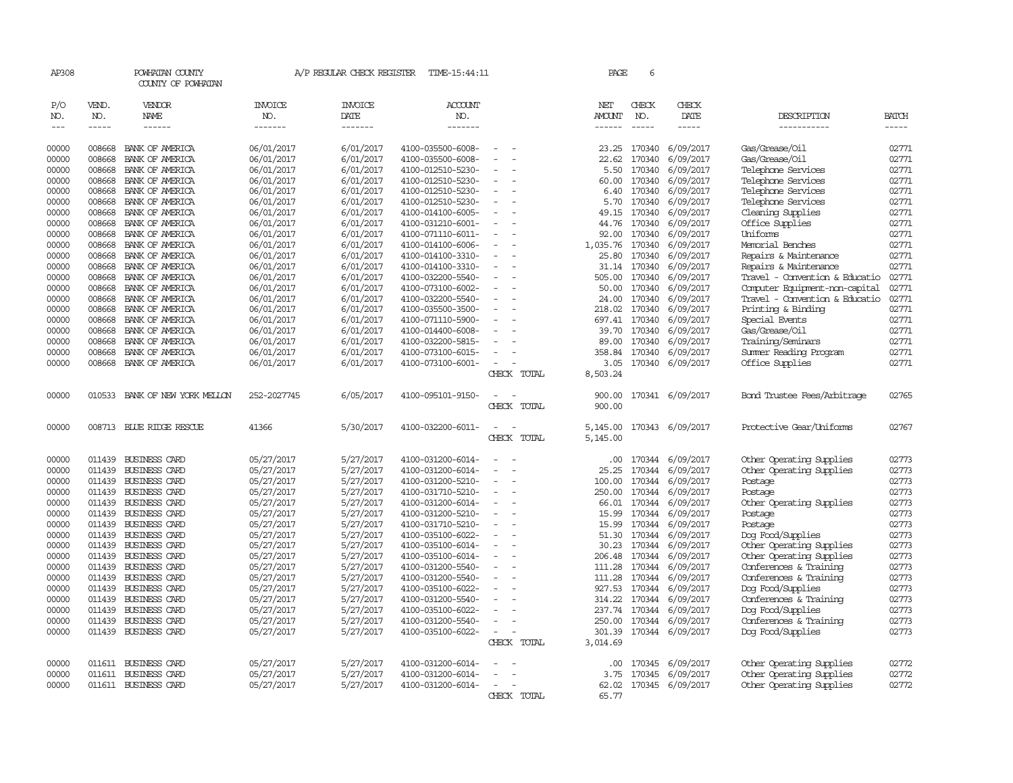| AP308               |                                                                                                                                                                                                                                                                                                                                                                                                                                                         | POWHATAN COUNTY<br>COUNTY OF POWHATAN |                       | A/P REGULAR CHECK REGISTER | TIME-15:44:11         |                          |        |             | PAGE                 | 6             |                  |                                |              |
|---------------------|---------------------------------------------------------------------------------------------------------------------------------------------------------------------------------------------------------------------------------------------------------------------------------------------------------------------------------------------------------------------------------------------------------------------------------------------------------|---------------------------------------|-----------------------|----------------------------|-----------------------|--------------------------|--------|-------------|----------------------|---------------|------------------|--------------------------------|--------------|
| P/O<br>NO.          | VEND.<br>NO.                                                                                                                                                                                                                                                                                                                                                                                                                                            | VENDOR<br>NAME                        | <b>INVOICE</b><br>NO. | <b>INVOICE</b><br>DATE     | <b>ACCOUNT</b><br>NO. |                          |        |             | NET<br><b>AMOUNT</b> | CHECK<br>NO.  | CHECK<br>DATE    | DESCRIPTION                    | <b>BATCH</b> |
| $\qquad \qquad - -$ | $\begin{tabular}{ccccc} \multicolumn{2}{c }{\multicolumn{2}{c }{\multicolumn{2}{c }{\multicolumn{2}{c}}{\hspace{-2.2cm}}}} \multicolumn{2}{c }{\multicolumn{2}{c }{\hspace{-2.2cm}}\hline} \multicolumn{2}{c }{\hspace{-2.2cm}}\hline \multicolumn{2}{c }{\hspace{-2.2cm}}\hline \multicolumn{2}{c }{\hspace{-2.2cm}}\hline \multicolumn{2}{c }{\hspace{-2.2cm}}\hline \multicolumn{2}{c }{\hspace{-2.2cm}}\hline \multicolumn{2}{c }{\hspace{-2.2cm}}$ |                                       | -------               | -------                    | -------               |                          |        |             | $- - - - - -$        | $\frac{1}{2}$ |                  | -----------                    | -----        |
| 00000               | 008668                                                                                                                                                                                                                                                                                                                                                                                                                                                  | BANK OF AMERICA                       | 06/01/2017            | 6/01/2017                  | 4100-035500-6008-     |                          |        |             | 23.25                | 170340        | 6/09/2017        | Gas/Grease/Oil                 | 02771        |
| 00000               | 008668                                                                                                                                                                                                                                                                                                                                                                                                                                                  | BANK OF AMERICA                       | 06/01/2017            | 6/01/2017                  | 4100-035500-6008-     | $\sim$                   | $\sim$ |             | 22.62                | 170340        | 6/09/2017        | Gas/Grease/Oil                 | 02771        |
| 00000               | 008668                                                                                                                                                                                                                                                                                                                                                                                                                                                  | BANK OF AMERICA                       | 06/01/2017            | 6/01/2017                  | 4100-012510-5230-     |                          |        |             | 5.50                 | 170340        | 6/09/2017        | Telephone Services             | 02771        |
| 00000               | 008668                                                                                                                                                                                                                                                                                                                                                                                                                                                  | BANK OF AMERICA                       | 06/01/2017            | 6/01/2017                  | 4100-012510-5230-     |                          |        |             | 60.00                | 170340        | 6/09/2017        | Telephone Services             | 02771        |
| 00000               | 008668                                                                                                                                                                                                                                                                                                                                                                                                                                                  | BANK OF AMERICA                       | 06/01/2017            | 6/01/2017                  | 4100-012510-5230-     |                          |        |             | 6.40                 | 170340        | 6/09/2017        | Telephone Services             | 02771        |
| 00000               | 008668                                                                                                                                                                                                                                                                                                                                                                                                                                                  | BANK OF AMERICA                       | 06/01/2017            | 6/01/2017                  | 4100-012510-5230-     | $\equiv$                 | $\sim$ |             | 5.70                 | 170340        | 6/09/2017        | Telephone Services             | 02771        |
| 00000               | 008668                                                                                                                                                                                                                                                                                                                                                                                                                                                  | BANK OF AMERICA                       | 06/01/2017            | 6/01/2017                  | 4100-014100-6005-     |                          |        |             | 49.15                | 170340        | 6/09/2017        | Cleaning Supplies              | 02771        |
| 00000               | 008668                                                                                                                                                                                                                                                                                                                                                                                                                                                  | BANK OF AMERICA                       | 06/01/2017            | 6/01/2017                  | 4100-031210-6001-     |                          |        |             | 44.76                | 170340        | 6/09/2017        | Office Supplies                | 02771        |
| 00000               | 008668                                                                                                                                                                                                                                                                                                                                                                                                                                                  | BANK OF AMERICA                       | 06/01/2017            | 6/01/2017                  | 4100-071110-6011-     |                          |        |             | 92.00                | 170340        | 6/09/2017        | Uniforms                       | 02771        |
| 00000               | 008668                                                                                                                                                                                                                                                                                                                                                                                                                                                  | BANK OF AMERICA                       | 06/01/2017            | 6/01/2017                  | 4100-014100-6006-     |                          |        |             | 1,035.76             | 170340        | 6/09/2017        | Memorial Benches               | 02771        |
| 00000               | 008668                                                                                                                                                                                                                                                                                                                                                                                                                                                  | BANK OF AMERICA                       | 06/01/2017            | 6/01/2017                  | 4100-014100-3310-     |                          |        |             | 25.80                | 170340        | 6/09/2017        | Repairs & Maintenance          | 02771        |
| 00000               | 008668                                                                                                                                                                                                                                                                                                                                                                                                                                                  | BANK OF AMERICA                       | 06/01/2017            | 6/01/2017                  | 4100-014100-3310-     |                          |        |             | 31.14                | 170340        | 6/09/2017        | Repairs & Maintenance          | 02771        |
| 00000               | 008668                                                                                                                                                                                                                                                                                                                                                                                                                                                  | BANK OF AMERICA                       | 06/01/2017            | 6/01/2017                  | 4100-032200-5540-     |                          |        |             | 505.00               | 170340        | 6/09/2017        | Travel - Convention & Educatio | 02771        |
| 00000               | 008668                                                                                                                                                                                                                                                                                                                                                                                                                                                  | BANK OF AMERICA                       | 06/01/2017            | 6/01/2017                  | 4100-073100-6002-     |                          |        |             | 50.00                | 170340        | 6/09/2017        | Computer Equipment-non-capital | 02771        |
| 00000               | 008668                                                                                                                                                                                                                                                                                                                                                                                                                                                  | BANK OF AMERICA                       | 06/01/2017            | 6/01/2017                  | 4100-032200-5540-     |                          |        |             | 24.00                | 170340        | 6/09/2017        | Travel - Convention & Educatio | 02771        |
| 00000               | 008668                                                                                                                                                                                                                                                                                                                                                                                                                                                  | BANK OF AMERICA                       | 06/01/2017            | 6/01/2017                  | 4100-035500-3500-     |                          |        |             | 218.02               | 170340        | 6/09/2017        | Printing & Binding             | 02771        |
| 00000               | 008668                                                                                                                                                                                                                                                                                                                                                                                                                                                  | BANK OF AMERICA                       | 06/01/2017            | 6/01/2017                  | 4100-071110-5900-     |                          |        |             | 697.41               | 170340        | 6/09/2017        | Special Events                 | 02771        |
| 00000               | 008668                                                                                                                                                                                                                                                                                                                                                                                                                                                  | BANK OF AMERICA                       | 06/01/2017            | 6/01/2017                  | 4100-014400-6008-     |                          |        |             | 39.70                | 170340        | 6/09/2017        | Gas/Grease/Oil                 | 02771        |
| 00000               | 008668                                                                                                                                                                                                                                                                                                                                                                                                                                                  | BANK OF AMERICA                       | 06/01/2017            | 6/01/2017                  | 4100-032200-5815-     |                          |        |             | 89.00                | 170340        | 6/09/2017        | Training/Seminars              | 02771        |
| 00000               | 008668                                                                                                                                                                                                                                                                                                                                                                                                                                                  | BANK OF AMERICA                       | 06/01/2017            | 6/01/2017                  | 4100-073100-6015-     | $\sim$                   |        |             | 358.84               | 170340        | 6/09/2017        | Summer Reading Program         | 02771        |
| 00000               |                                                                                                                                                                                                                                                                                                                                                                                                                                                         | 008668 BANK OF AMERICA                | 06/01/2017            | 6/01/2017                  | 4100-073100-6001-     | $\equiv$                 |        |             | 3.05                 | 170340        | 6/09/2017        | Office Supplies                | 02771        |
|                     |                                                                                                                                                                                                                                                                                                                                                                                                                                                         |                                       |                       |                            |                       |                          |        | CHECK TOTAL | 8,503.24             |               |                  |                                |              |
| 00000               | 010533                                                                                                                                                                                                                                                                                                                                                                                                                                                  | BANK OF NEW YORK MELLON               | 252-2027745           | 6/05/2017                  | 4100-095101-9150-     |                          |        |             | 900.00               |               | 170341 6/09/2017 | Bond Trustee Fees/Arbitrage    | 02765        |
|                     |                                                                                                                                                                                                                                                                                                                                                                                                                                                         |                                       |                       |                            |                       |                          |        | CHECK TOTAL | 900.00               |               |                  |                                |              |
| 00000               |                                                                                                                                                                                                                                                                                                                                                                                                                                                         | 008713 BLUE RIDGE RESCUE              | 41366                 | 5/30/2017                  | 4100-032200-6011-     |                          |        |             | 5,145.00             |               | 170343 6/09/2017 | Protective Gear/Uniforms       | 02767        |
|                     |                                                                                                                                                                                                                                                                                                                                                                                                                                                         |                                       |                       |                            |                       |                          |        | CHECK TOTAL | 5,145.00             |               |                  |                                |              |
| 00000               | 011439                                                                                                                                                                                                                                                                                                                                                                                                                                                  | BUSINESS CARD                         | 05/27/2017            | 5/27/2017                  | 4100-031200-6014-     |                          |        |             | $.00 \cdot$          | 170344        | 6/09/2017        | Other Operating Supplies       | 02773        |
| 00000               |                                                                                                                                                                                                                                                                                                                                                                                                                                                         | 011439 BUSINESS CARD                  | 05/27/2017            | 5/27/2017                  | 4100-031200-6014-     | $\sim$                   | $\sim$ |             | 25.25                | 170344        | 6/09/2017        | Other Operating Supplies       | 02773        |
| 00000               |                                                                                                                                                                                                                                                                                                                                                                                                                                                         | 011439 BUSINESS CARD                  | 05/27/2017            | 5/27/2017                  | 4100-031200-5210-     |                          |        |             | 100.00               | 170344        | 6/09/2017        | Postage                        | 02773        |
| 00000               |                                                                                                                                                                                                                                                                                                                                                                                                                                                         | 011439 BUSINESS CARD                  | 05/27/2017            | 5/27/2017                  | 4100-031710-5210-     |                          |        |             | 250.00               | 170344        | 6/09/2017        | Postage                        | 02773        |
| 00000               |                                                                                                                                                                                                                                                                                                                                                                                                                                                         | 011439 BUSINESS CARD                  | 05/27/2017            | 5/27/2017                  | 4100-031200-6014-     |                          |        |             | 66.01                | 170344        | 6/09/2017        | Other Operating Supplies       | 02773        |
| 00000               |                                                                                                                                                                                                                                                                                                                                                                                                                                                         | 011439 BUSINESS CARD                  | 05/27/2017            | 5/27/2017                  | 4100-031200-5210-     | $\sim$                   |        |             |                      | 15.99 170344  | 6/09/2017        | Postage                        | 02773        |
| 00000               |                                                                                                                                                                                                                                                                                                                                                                                                                                                         | 011439 BUSINESS CARD                  | 05/27/2017            | 5/27/2017                  | 4100-031710-5210-     |                          |        |             | 15.99                | 170344        | 6/09/2017        | Postage                        | 02773        |
| 00000               |                                                                                                                                                                                                                                                                                                                                                                                                                                                         | 011439 BUSINESS CARD                  | 05/27/2017            | 5/27/2017                  | 4100-035100-6022-     |                          |        |             | 51.30                | 170344        | 6/09/2017        | Dog Food/Supplies              | 02773        |
| 00000               | 011439                                                                                                                                                                                                                                                                                                                                                                                                                                                  | <b>BUSINESS CARD</b>                  | 05/27/2017            | 5/27/2017                  | 4100-035100-6014-     |                          |        |             | 30.23                | 170344        | 6/09/2017        | Other Operating Supplies       | 02773        |
| 00000               |                                                                                                                                                                                                                                                                                                                                                                                                                                                         | 011439 BUSINESS CARD                  | 05/27/2017            | 5/27/2017                  | 4100-035100-6014-     | $\sim$                   |        |             | 206.48               | 170344        | 6/09/2017        | Other Operating Supplies       | 02773        |
| 00000               |                                                                                                                                                                                                                                                                                                                                                                                                                                                         | 011439 BUSINESS CARD                  | 05/27/2017            | 5/27/2017                  | 4100-031200-5540-     |                          |        |             | 111.28               | 170344        | 6/09/2017        | Conferences & Training         | 02773        |
| 00000               |                                                                                                                                                                                                                                                                                                                                                                                                                                                         | 011439 BUSINESS CARD                  | 05/27/2017            | 5/27/2017                  | 4100-031200-5540-     |                          |        |             | 111.28               | 170344        | 6/09/2017        | Conferences & Training         | 02773        |
| 00000               |                                                                                                                                                                                                                                                                                                                                                                                                                                                         | 011439 BUSINESS CARD                  | 05/27/2017            | 5/27/2017                  | 4100-035100-6022-     |                          |        |             | 927.53               | 170344        | 6/09/2017        | Dog Food/Supplies              | 02773        |
| 00000               |                                                                                                                                                                                                                                                                                                                                                                                                                                                         | 011439 BUSINESS CARD                  | 05/27/2017            | 5/27/2017                  | 4100-031200-5540-     | $\overline{\phantom{a}}$ |        |             | 314.22               | 170344        | 6/09/2017        | Conferences & Training         | 02773        |
| 00000               |                                                                                                                                                                                                                                                                                                                                                                                                                                                         | 011439 BUSINESS CARD                  | 05/27/2017            | 5/27/2017                  | 4100-035100-6022-     |                          |        |             | 237.74               | 170344        | 6/09/2017        | Dog Food/Supplies              | 02773        |
| 00000               | 011439                                                                                                                                                                                                                                                                                                                                                                                                                                                  | BUSINESS CARD                         | 05/27/2017            | 5/27/2017                  | 4100-031200-5540-     |                          |        |             | 250.00               | 170344        | 6/09/2017        | Conferences & Training         | 02773        |
| 00000               |                                                                                                                                                                                                                                                                                                                                                                                                                                                         | 011439 BUSINESS CARD                  | 05/27/2017            | 5/27/2017                  | 4100-035100-6022-     |                          |        |             | 301.39               |               | 170344 6/09/2017 | Dog Food/Supplies              | 02773        |
|                     |                                                                                                                                                                                                                                                                                                                                                                                                                                                         |                                       |                       |                            |                       |                          |        | CHECK TOTAL | 3,014.69             |               |                  |                                |              |
| 00000               |                                                                                                                                                                                                                                                                                                                                                                                                                                                         | 011611 BUSINESS CARD                  | 05/27/2017            | 5/27/2017                  | 4100-031200-6014-     |                          |        |             | .00                  | 170345        | 6/09/2017        | Other Operating Supplies       | 02772        |
| 00000               |                                                                                                                                                                                                                                                                                                                                                                                                                                                         | 011611 BUSINESS CARD                  | 05/27/2017            | 5/27/2017                  | 4100-031200-6014-     |                          |        |             | 3.75                 | 170345        | 6/09/2017        | Other Operating Supplies       | 02772        |
| 00000               |                                                                                                                                                                                                                                                                                                                                                                                                                                                         | 011611 BUSINESS CARD                  | 05/27/2017            | 5/27/2017                  | 4100-031200-6014-     | $\sim$                   |        |             | 62.02                |               | 170345 6/09/2017 | Other Operating Supplies       | 02772        |
|                     |                                                                                                                                                                                                                                                                                                                                                                                                                                                         |                                       |                       |                            |                       |                          |        | CHECK TOTAL | 65.77                |               |                  |                                |              |
|                     |                                                                                                                                                                                                                                                                                                                                                                                                                                                         |                                       |                       |                            |                       |                          |        |             |                      |               |                  |                                |              |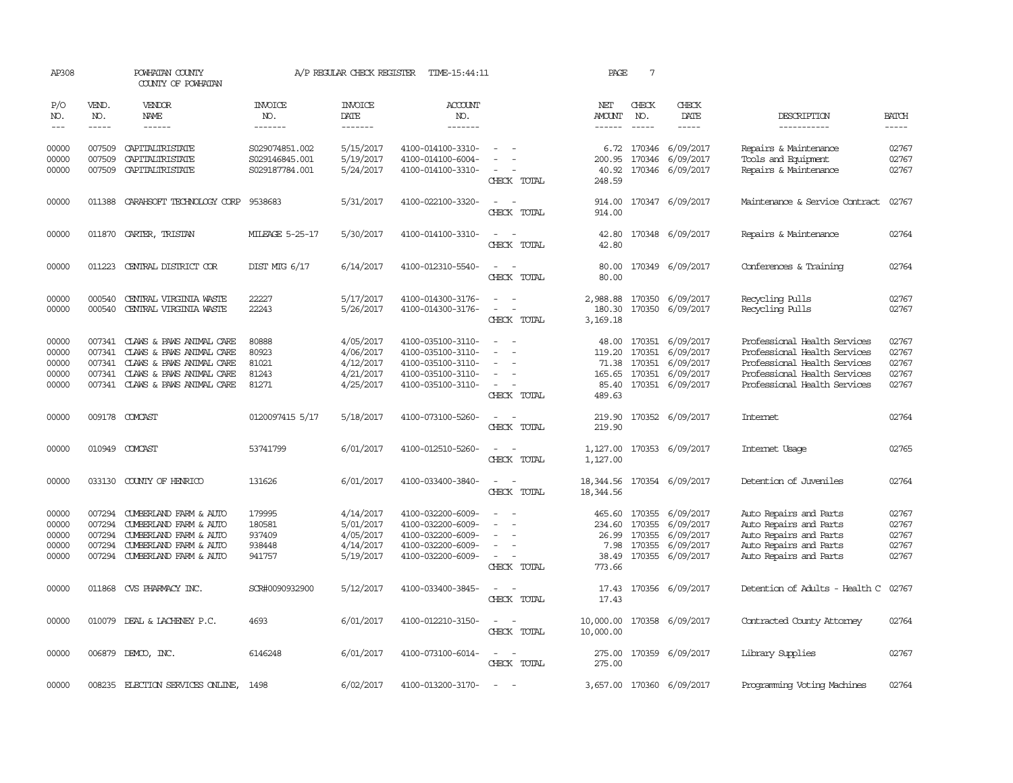| AP308                                     |                                                | POWHATAN COUNTY<br>COUNTY OF POWHATAN                                                                                                           |                                                    | A/P REGULAR CHECK REGISTER                                    | TIME-15:44:11                                                                                         |                                                                                                                             | PAGE                                        | $7\phantom{.0}$             |                                                                                                                    |                                                                                                                                                              |                                           |
|-------------------------------------------|------------------------------------------------|-------------------------------------------------------------------------------------------------------------------------------------------------|----------------------------------------------------|---------------------------------------------------------------|-------------------------------------------------------------------------------------------------------|-----------------------------------------------------------------------------------------------------------------------------|---------------------------------------------|-----------------------------|--------------------------------------------------------------------------------------------------------------------|--------------------------------------------------------------------------------------------------------------------------------------------------------------|-------------------------------------------|
| P/O<br>NO.<br>$---$                       | VEND.<br>NO.<br>$- - - - -$                    | VENDOR<br><b>NAME</b><br>$- - - - - -$                                                                                                          | <b>INVOICE</b><br>NO.<br>-------                   | <b>INVOICE</b><br>DATE<br>-------                             | <b>ACCOUNT</b><br>NO.<br>-------                                                                      |                                                                                                                             | NET<br><b>AMOUNT</b><br>$- - - - - -$       | CHECK<br>NO.<br>$- - - - -$ | CHECK<br>DATE<br>$- - - - -$                                                                                       | DESCRIPTION<br>-----------                                                                                                                                   | <b>BATCH</b><br>-----                     |
| 00000<br>00000<br>00000                   | 007509<br>007509<br>007509                     | CAPITALIRISTATE<br>CAPITALIRISTATE<br>CAPITALIRISTATE                                                                                           | S029074851.002<br>S029146845.001<br>S029187784.001 | 5/15/2017<br>5/19/2017<br>5/24/2017                           | 4100-014100-3310-<br>4100-014100-6004-<br>4100-014100-3310-                                           | $\overline{\phantom{a}}$<br>CHECK TOTAL                                                                                     | 6.72<br>200.95<br>40.92<br>248.59           |                             | 170346 6/09/2017<br>170346 6/09/2017<br>170346 6/09/2017                                                           | Repairs & Maintenance<br>Tools and Equipment<br>Repairs & Maintenance                                                                                        | 02767<br>02767<br>02767                   |
| 00000                                     | 011388                                         | CARAHSOFT TECHNOLOGY CORP                                                                                                                       | 9538683                                            | 5/31/2017                                                     | 4100-022100-3320-                                                                                     | $\sim$ $\sim$<br>CHECK TOTAL                                                                                                | 914.00<br>914.00                            |                             | 170347 6/09/2017                                                                                                   | Maintenance & Service Contract                                                                                                                               | 02767                                     |
| 00000                                     | 011870                                         | CARTER, TRISTAN                                                                                                                                 | <b>MILEAGE 5-25-17</b>                             | 5/30/2017                                                     | 4100-014100-3310-                                                                                     | $\sim$<br>CHECK TOTAL                                                                                                       | 42.80<br>42.80                              |                             | 170348 6/09/2017                                                                                                   | Repairs & Maintenance                                                                                                                                        | 02764                                     |
| 00000                                     | 011223                                         | CENTRAL DISTRICT COR                                                                                                                            | DIST MIG 6/17                                      | 6/14/2017                                                     | 4100-012310-5540-                                                                                     | CHECK TOTAL                                                                                                                 | 80.00<br>80.00                              |                             | 170349 6/09/2017                                                                                                   | Conferences & Training                                                                                                                                       | 02764                                     |
| 00000<br>00000                            | 000540<br>000540                               | CENTRAL VIRGINIA WASTE<br>CENTRAL VIRGINIA WASTE                                                                                                | 22227<br>22243                                     | 5/17/2017<br>5/26/2017                                        | 4100-014300-3176-<br>4100-014300-3176-                                                                | $\overline{\phantom{a}}$<br>$\overline{\phantom{a}}$<br>CHECK TOTAL                                                         | 2,988.88<br>180.30<br>3,169.18              |                             | 170350 6/09/2017<br>170350 6/09/2017                                                                               | Recycling Pulls<br>Recycling Pulls                                                                                                                           | 02767<br>02767                            |
| 00000<br>00000<br>00000<br>00000<br>00000 | 007341<br>007341<br>007341<br>007341           | CLAWS & PAWS ANIMAL CARE<br>CLAWS & PAWS ANIMAL CARE<br>CLAWS & PAWS ANIMAL CARE<br>CLAWS & PAWS ANIMAL CARE<br>007341 CLAWS & PAWS ANIMAL CARE | 80888<br>80923<br>81021<br>81243<br>81271          | 4/05/2017<br>4/06/2017<br>4/12/2017<br>4/21/2017<br>4/25/2017 | 4100-035100-3110-<br>4100-035100-3110-<br>4100-035100-3110-<br>4100-035100-3110-<br>4100-035100-3110- | $\equiv$<br>$\overline{\phantom{a}}$<br>CHECK TOTAL                                                                         | 119.20<br>489.63                            | 170351                      | 48.00 170351 6/09/2017<br>6/09/2017<br>71.38 170351 6/09/2017<br>165.65 170351 6/09/2017<br>85.40 170351 6/09/2017 | Professional Health Services<br>Professional Health Services<br>Professional Health Services<br>Professional Health Services<br>Professional Health Services | 02767<br>02767<br>02767<br>02767<br>02767 |
| 00000                                     |                                                | 009178 COMCAST                                                                                                                                  | 0120097415 5/17                                    | 5/18/2017                                                     | 4100-073100-5260-                                                                                     | CHECK TOTAL                                                                                                                 | 219.90<br>219.90                            |                             | 170352 6/09/2017                                                                                                   | <b>Internet</b>                                                                                                                                              | 02764                                     |
| 00000                                     | 010949                                         | COMCAST                                                                                                                                         | 53741799                                           | 6/01/2017                                                     | 4100-012510-5260-                                                                                     | CHECK TOTAL                                                                                                                 | 1,127.00<br>1,127.00                        |                             | 170353 6/09/2017                                                                                                   | Internet Usage                                                                                                                                               | 02765                                     |
| 00000                                     | 033130                                         | COUNTY OF HENRICO                                                                                                                               | 131626                                             | 6/01/2017                                                     | 4100-033400-3840-                                                                                     | $\sim$<br>CHECK TOTAL                                                                                                       | 18, 344.56<br>18,344.56                     |                             | 170354 6/09/2017                                                                                                   | Detention of Juveniles                                                                                                                                       | 02764                                     |
| 00000<br>00000<br>00000<br>00000<br>00000 | 007294<br>007294<br>007294<br>007294<br>007294 | CUMBERLAND FARM & AUTO<br>CUMBERLAND FARM & AUTO<br>CUMBERLAND FARM & AUTO<br>CUMBERLAND FARM & AUTO<br>CUMBERLAND FARM & AUTO                  | 179995<br>180581<br>937409<br>938448<br>941757     | 4/14/2017<br>5/01/2017<br>4/05/2017<br>4/14/2017<br>5/19/2017 | 4100-032200-6009-<br>4100-032200-6009-<br>4100-032200-6009-<br>4100-032200-6009-<br>4100-032200-6009- | $\overline{\phantom{a}}$<br>$\overline{\phantom{a}}$<br>$\sim$<br>CHECK TOTAL                                               | 465.60<br>234.60<br>7.98<br>38.49<br>773.66 | 26.99 170355                | 170355 6/09/2017<br>170355 6/09/2017<br>6/09/2017<br>170355 6/09/2017<br>170355 6/09/2017                          | Auto Repairs and Parts<br>Auto Repairs and Parts<br>Auto Repairs and Parts<br>Auto Repairs and Parts<br>Auto Repairs and Parts                               | 02767<br>02767<br>02767<br>02767<br>02767 |
| 00000                                     |                                                | 011868 CVS PHARMACY INC.                                                                                                                        | SCR#0090932900                                     | 5/12/2017                                                     | 4100-033400-3845-                                                                                     | $\frac{1}{2} \left( \frac{1}{2} \right) \left( \frac{1}{2} \right) = \frac{1}{2} \left( \frac{1}{2} \right)$<br>CHECK TOTAL | 17.43<br>17.43                              |                             | 170356 6/09/2017                                                                                                   | Detention of Adults - Health C 02767                                                                                                                         |                                           |
| 00000                                     |                                                | 010079 DEAL & LACHENEY P.C.                                                                                                                     | 4693                                               | 6/01/2017                                                     | 4100-012210-3150-                                                                                     | $\omega_{\rm{max}}$ and $\omega_{\rm{max}}$<br>CHECK TOTAL                                                                  | 10,000.00                                   |                             | 10,000.00 170358 6/09/2017                                                                                         | Contracted County Attorney                                                                                                                                   | 02764                                     |
| 00000                                     |                                                | 006879 DEMCO, INC.                                                                                                                              | 6146248                                            | 6/01/2017                                                     | 4100-073100-6014-                                                                                     | $\sim$<br>CHECK TOTAL                                                                                                       | 275.00                                      |                             | 275.00 170359 6/09/2017                                                                                            | Library Supplies                                                                                                                                             | 02767                                     |
| 00000                                     |                                                | 008235 ELECTION SERVICES ONLINE.                                                                                                                | 1498                                               | 6/02/2017                                                     | 4100-013200-3170-                                                                                     | $\sim$                                                                                                                      |                                             |                             | 3,657.00 170360 6/09/2017                                                                                          | Programming Voting Machines                                                                                                                                  | 02764                                     |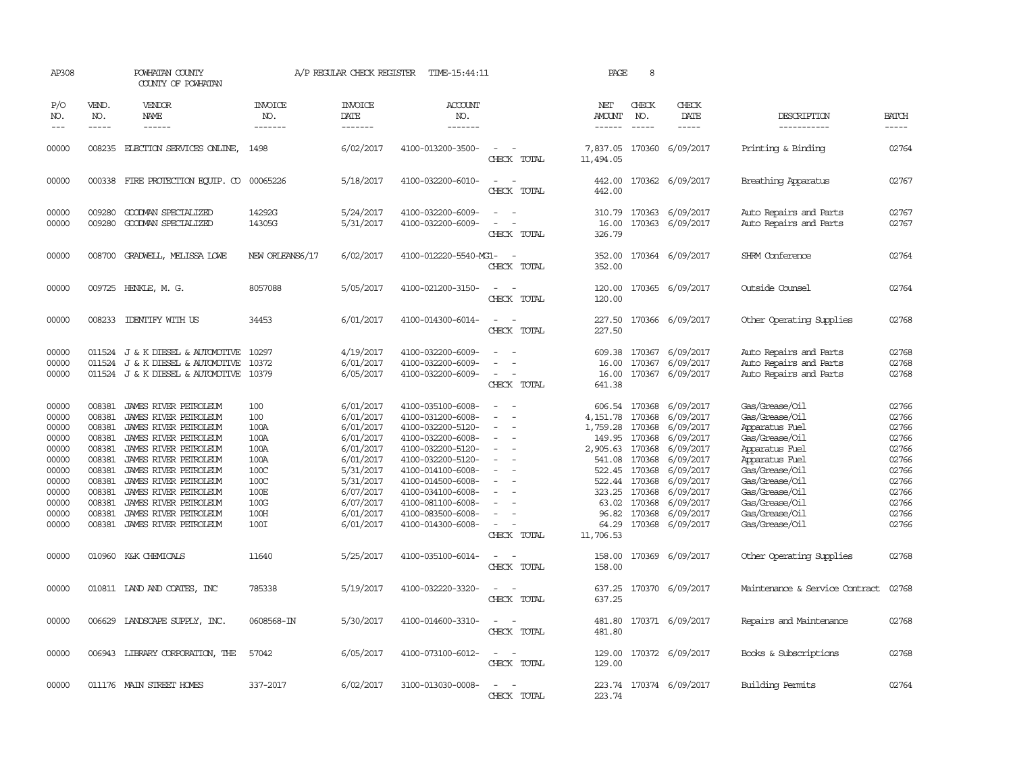| AP308                                                                                                    |                                                                                                                      | POWHATAN COUNTY<br>COUNTY OF POWHATAN                                                                                                                                                                                                                                                                    |                                                                                            | A/P REGULAR CHECK REGISTER                                                                                                                               | TIME-15:44:11                                                                                                                                                                                                                                            |                                                                       | PAGE                                                                                                             | 8                                                                                                                        |                                                                                                                                                                 |                                                                                                                                                                                                                      |                                                                                                          |
|----------------------------------------------------------------------------------------------------------|----------------------------------------------------------------------------------------------------------------------|----------------------------------------------------------------------------------------------------------------------------------------------------------------------------------------------------------------------------------------------------------------------------------------------------------|--------------------------------------------------------------------------------------------|----------------------------------------------------------------------------------------------------------------------------------------------------------|----------------------------------------------------------------------------------------------------------------------------------------------------------------------------------------------------------------------------------------------------------|-----------------------------------------------------------------------|------------------------------------------------------------------------------------------------------------------|--------------------------------------------------------------------------------------------------------------------------|-----------------------------------------------------------------------------------------------------------------------------------------------------------------|----------------------------------------------------------------------------------------------------------------------------------------------------------------------------------------------------------------------|----------------------------------------------------------------------------------------------------------|
| P/O<br>NO.<br>$---$                                                                                      | VEND.<br>NO.<br>$- - - - -$                                                                                          | VENDOR<br>NAME<br>$- - - - - -$                                                                                                                                                                                                                                                                          | <b>INVOICE</b><br>NO.<br>-------                                                           | <b>INVOICE</b><br>DATE<br>$- - - - - - -$                                                                                                                | ACCOUNT<br>NO.<br>-------                                                                                                                                                                                                                                |                                                                       | NET<br>AMOUNT<br>$- - - - - -$                                                                                   | CHECK<br>NO.<br>$- - - - -$                                                                                              | CHECK<br>DATE<br>$- - - - -$                                                                                                                                    | DESCRIPTION<br>-----------                                                                                                                                                                                           | <b>BATCH</b><br>$- - - - -$                                                                              |
| 00000                                                                                                    | 008235                                                                                                               | ELECTION SERVICES ONLINE,                                                                                                                                                                                                                                                                                | 1498                                                                                       | 6/02/2017                                                                                                                                                | 4100-013200-3500-                                                                                                                                                                                                                                        | $\equiv$<br>CHECK TOTAL                                               | 7,837.05<br>11,494.05                                                                                            |                                                                                                                          | 170360 6/09/2017                                                                                                                                                | Printing & Binding                                                                                                                                                                                                   | 02764                                                                                                    |
| 00000                                                                                                    |                                                                                                                      | 000338 FIRE PROTECTION EQUIP. CO 00065226                                                                                                                                                                                                                                                                |                                                                                            | 5/18/2017                                                                                                                                                | 4100-032200-6010-                                                                                                                                                                                                                                        | $\equiv$<br>CHECK TOTAL                                               | 442.00<br>442.00                                                                                                 |                                                                                                                          | 170362 6/09/2017                                                                                                                                                | Breathing Apparatus                                                                                                                                                                                                  | 02767                                                                                                    |
| 00000<br>00000                                                                                           | 009280<br>009280                                                                                                     | GOODMAN SPECIALIZED<br>GOODMAN SPECIALIZED                                                                                                                                                                                                                                                               | 14292G<br>14305G                                                                           | 5/24/2017<br>5/31/2017                                                                                                                                   | 4100-032200-6009-<br>4100-032200-6009-                                                                                                                                                                                                                   | $\sim$<br>$\equiv$<br>CHECK TOTAL                                     | 310.79<br>16.00<br>326.79                                                                                        |                                                                                                                          | 170363 6/09/2017<br>170363 6/09/2017                                                                                                                            | Auto Repairs and Parts<br>Auto Repairs and Parts                                                                                                                                                                     | 02767<br>02767                                                                                           |
| 00000                                                                                                    | 008700                                                                                                               | GRADWEIL, MELISSA LOWE                                                                                                                                                                                                                                                                                   | NEW ORLEANS6/17                                                                            | 6/02/2017                                                                                                                                                | 4100-012220-5540-MG1-                                                                                                                                                                                                                                    | CHECK TOTAL                                                           | 352.00<br>352.00                                                                                                 |                                                                                                                          | 170364 6/09/2017                                                                                                                                                | SHRM Conference                                                                                                                                                                                                      | 02764                                                                                                    |
| 00000                                                                                                    |                                                                                                                      | 009725 HENKLE, M. G.                                                                                                                                                                                                                                                                                     | 8057088                                                                                    | 5/05/2017                                                                                                                                                | 4100-021200-3150-                                                                                                                                                                                                                                        | CHECK TOTAL                                                           | 120.00<br>120.00                                                                                                 |                                                                                                                          | 170365 6/09/2017                                                                                                                                                | Outside Counsel                                                                                                                                                                                                      | 02764                                                                                                    |
| 00000                                                                                                    |                                                                                                                      | 008233 IDENTIFY WITH US                                                                                                                                                                                                                                                                                  | 34453                                                                                      | 6/01/2017                                                                                                                                                | 4100-014300-6014-                                                                                                                                                                                                                                        | $\sim$<br>CHECK TOTAL                                                 | 227.50<br>227.50                                                                                                 |                                                                                                                          | 170366 6/09/2017                                                                                                                                                | Other Operating Supplies                                                                                                                                                                                             | 02768                                                                                                    |
| 00000<br>00000<br>00000                                                                                  |                                                                                                                      | 011524 J & K DIESEL & AUTOMOTIVE<br>011524 J & K DIESEL & AUTOMOTIVE<br>011524 J & K DIESEL & AUTOMOTIVE                                                                                                                                                                                                 | 10297<br>10372<br>10379                                                                    | 4/19/2017<br>6/01/2017<br>6/05/2017                                                                                                                      | 4100-032200-6009-<br>4100-032200-6009-<br>4100-032200-6009-                                                                                                                                                                                              | $\equiv$<br>CHECK TOTAL                                               | 609.38<br>16.00<br>16.00<br>641.38                                                                               | 170367                                                                                                                   | 170367 6/09/2017<br>6/09/2017<br>170367 6/09/2017                                                                                                               | Auto Repairs and Parts<br>Auto Repairs and Parts<br>Auto Repairs and Parts                                                                                                                                           | 02768<br>02768<br>02768                                                                                  |
| 00000<br>00000<br>00000<br>00000<br>00000<br>00000<br>00000<br>00000<br>00000<br>00000<br>00000<br>00000 | 008381<br>008381<br>008381<br>008381<br>008381<br>008381<br>008381<br>008381<br>008381<br>008381<br>008381<br>008381 | JAMES RIVER PETROLEUM<br>JAMES RIVER PETROLEUM<br>JAMES RIVER PETROLEUM<br>JAMES RIVER PETROLEUM<br>JAMES RIVER PETROLEUM<br>JAMES RIVER PETROLEUM<br>JAMES RIVER PETROLEUM<br>JAMES RIVER PETROLEUM<br>JAMES RIVER PETROLEUM<br>JAMES RIVER PETROLEUM<br>JAMES RIVER PETROLEUM<br>JAMES RIVER PETROLEUM | 100<br>100<br>100A<br>100A<br>100A<br>100A<br>100C<br>100C<br>100E<br>100G<br>100H<br>100I | 6/01/2017<br>6/01/2017<br>6/01/2017<br>6/01/2017<br>6/01/2017<br>6/01/2017<br>5/31/2017<br>5/31/2017<br>6/07/2017<br>6/07/2017<br>6/01/2017<br>6/01/2017 | 4100-035100-6008-<br>4100-031200-6008-<br>4100-032200-5120-<br>4100-032200-6008-<br>4100-032200-5120-<br>4100-032200-5120-<br>4100-014100-6008-<br>4100-014500-6008-<br>4100-034100-6008-<br>4100-081100-6008-<br>4100-083500-6008-<br>4100-014300-6008- | $\equiv$<br>$\equiv$<br>$\equiv$<br>$\equiv$<br>$\sim$<br>CHECK TOTAL | 4,151.78<br>1,759.28<br>149.95<br>2,905.63<br>522.45<br>522.44<br>323.25<br>63.02<br>96.82<br>64.29<br>11,706.53 | 606.54 170368<br>170368<br>170368<br>170368<br>170368<br>541.08 170368<br>170368<br>170368<br>170368<br>170368<br>170368 | 6/09/2017<br>6/09/2017<br>6/09/2017<br>6/09/2017<br>6/09/2017<br>6/09/2017<br>6/09/2017<br>6/09/2017<br>6/09/2017<br>6/09/2017<br>6/09/2017<br>170368 6/09/2017 | Gas/Grease/Oil<br>Gas/Grease/Oil<br>Apparatus Fuel<br>Gas/Grease/Oil<br>Apparatus Fuel<br>Apparatus Fuel<br>Gas/Grease/Oil<br>Gas/Grease/Oil<br>Gas/Grease/Oil<br>Gas/Grease/Oil<br>Gas/Grease/Oil<br>Gas/Grease/Oil | 02766<br>02766<br>02766<br>02766<br>02766<br>02766<br>02766<br>02766<br>02766<br>02766<br>02766<br>02766 |
| 00000                                                                                                    | 010960                                                                                                               | K&K CHEMICALS                                                                                                                                                                                                                                                                                            | 11640                                                                                      | 5/25/2017                                                                                                                                                | 4100-035100-6014-                                                                                                                                                                                                                                        | CHECK TOTAL                                                           | 158.00<br>158.00                                                                                                 |                                                                                                                          | 170369 6/09/2017                                                                                                                                                | Other Operating Supplies                                                                                                                                                                                             | 02768                                                                                                    |
| 00000                                                                                                    |                                                                                                                      | 010811 IAND AND COATES, INC                                                                                                                                                                                                                                                                              | 785338                                                                                     | 5/19/2017                                                                                                                                                | 4100-032220-3320-                                                                                                                                                                                                                                        | $\overline{\phantom{a}}$<br>CHECK TOTAL                               | 637.25<br>637.25                                                                                                 |                                                                                                                          | 170370 6/09/2017                                                                                                                                                | Maintenance & Service Contract                                                                                                                                                                                       | 02768                                                                                                    |
| 00000                                                                                                    |                                                                                                                      | 006629 LANDSCAPE SUPPLY, INC.                                                                                                                                                                                                                                                                            | 0608568-IN                                                                                 | 5/30/2017                                                                                                                                                | 4100-014600-3310-                                                                                                                                                                                                                                        | $\equiv$<br>CHECK TOTAL                                               | 481.80<br>481.80                                                                                                 |                                                                                                                          | 170371 6/09/2017                                                                                                                                                | Repairs and Maintenance                                                                                                                                                                                              | 02768                                                                                                    |
| 00000                                                                                                    |                                                                                                                      | 006943 LIBRARY CORPORATION, THE                                                                                                                                                                                                                                                                          | 57042                                                                                      | 6/05/2017                                                                                                                                                | 4100-073100-6012-                                                                                                                                                                                                                                        | CHECK TOTAL                                                           | 129.00<br>129.00                                                                                                 |                                                                                                                          | 170372 6/09/2017                                                                                                                                                | Books & Subscriptions                                                                                                                                                                                                | 02768                                                                                                    |
| 00000                                                                                                    |                                                                                                                      | 011176 MAIN STREET HOMES                                                                                                                                                                                                                                                                                 | 337-2017                                                                                   | 6/02/2017                                                                                                                                                | 3100-013030-0008-                                                                                                                                                                                                                                        | $\sim$<br><b>CHECK</b><br><b>TOTAL</b>                                | 223.74                                                                                                           |                                                                                                                          | 223.74 170374 6/09/2017                                                                                                                                         | Building Permits                                                                                                                                                                                                     | 02764                                                                                                    |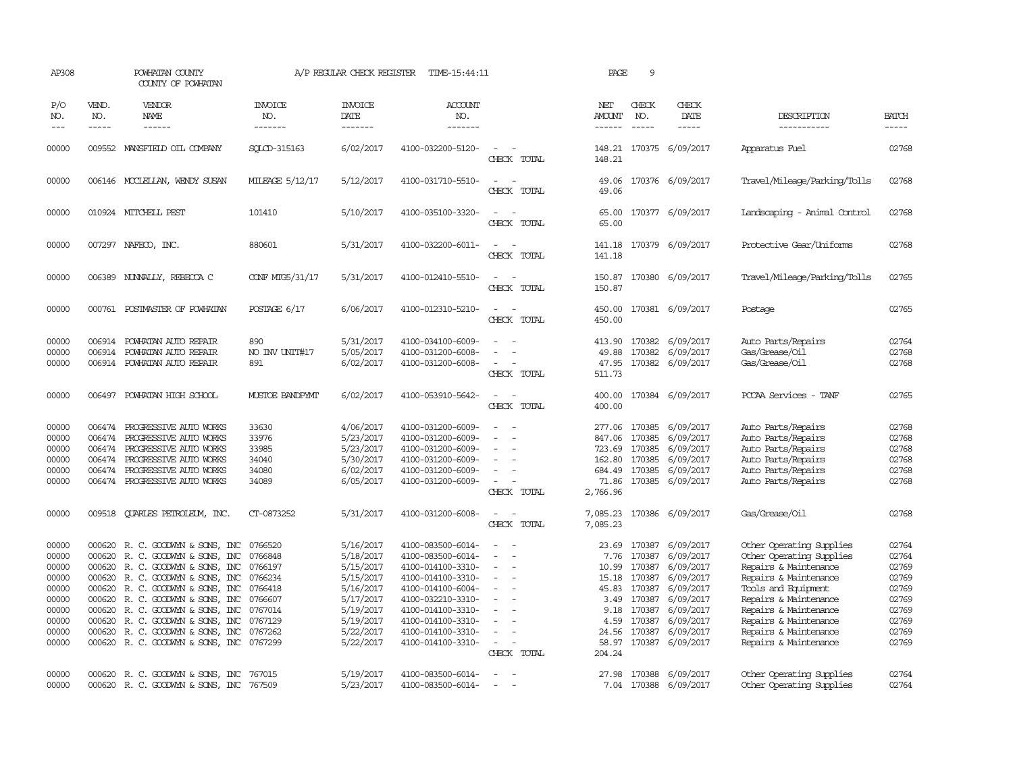| AP308                                                                                  |                                                          | POWHATAN COUNTY<br>COUNTY OF POWHATAN                                                                                                                                                                                                                                                                                              |                                                                                                 | A/P REGULAR CHECK REGISTER                                                                                                     | TIME-15:44:11                                                                                                                                                                                                  |                                                                                                                         | PAGE                                                      | 9                                                    |                                                                                                                                                                                    |                                                                                                                                                                                                                                                            |                                                                                        |
|----------------------------------------------------------------------------------------|----------------------------------------------------------|------------------------------------------------------------------------------------------------------------------------------------------------------------------------------------------------------------------------------------------------------------------------------------------------------------------------------------|-------------------------------------------------------------------------------------------------|--------------------------------------------------------------------------------------------------------------------------------|----------------------------------------------------------------------------------------------------------------------------------------------------------------------------------------------------------------|-------------------------------------------------------------------------------------------------------------------------|-----------------------------------------------------------|------------------------------------------------------|------------------------------------------------------------------------------------------------------------------------------------------------------------------------------------|------------------------------------------------------------------------------------------------------------------------------------------------------------------------------------------------------------------------------------------------------------|----------------------------------------------------------------------------------------|
| P/O<br>NO.<br>$---$                                                                    | VEND.<br>NO.<br>$- - - - -$                              | VENDOR<br>NAME<br>$- - - - - -$                                                                                                                                                                                                                                                                                                    | <b>INVOICE</b><br>NO.<br>-------                                                                | <b>INVOICE</b><br>DATE<br>-------                                                                                              | <b>ACCOUNT</b><br>NO.<br>-------                                                                                                                                                                               |                                                                                                                         | NET<br>AMOUNT<br>------                                   | CHECK<br>NO.                                         | CHECK<br>DATE<br>$- - - - -$                                                                                                                                                       | DESCRIPTION<br>-----------                                                                                                                                                                                                                                 | <b>BATCH</b><br>-----                                                                  |
| 00000                                                                                  |                                                          | 009552 MANSFIELD OIL COMPANY                                                                                                                                                                                                                                                                                                       | SOLCD-315163                                                                                    | 6/02/2017                                                                                                                      | 4100-032200-5120-                                                                                                                                                                                              | $\equiv$<br>CHECK TOTAL                                                                                                 | 148.21                                                    |                                                      | 148.21 170375 6/09/2017                                                                                                                                                            | Apparatus Fuel                                                                                                                                                                                                                                             | 02768                                                                                  |
| 00000                                                                                  |                                                          | 006146 MCCLELLAN, WENDY SUSAN                                                                                                                                                                                                                                                                                                      | MILEAGE 5/12/17                                                                                 | 5/12/2017                                                                                                                      | 4100-031710-5510-                                                                                                                                                                                              | $\sim$<br>CHECK TOTAL                                                                                                   | 49.06<br>49.06                                            |                                                      | 170376 6/09/2017                                                                                                                                                                   | Travel/Mileage/Parking/Tolls                                                                                                                                                                                                                               | 02768                                                                                  |
| 00000                                                                                  |                                                          | 010924 MITCHELL PEST                                                                                                                                                                                                                                                                                                               | 101410                                                                                          | 5/10/2017                                                                                                                      | 4100-035100-3320-                                                                                                                                                                                              | $\equiv$<br>CHECK TOTAL                                                                                                 | 65.00<br>65.00                                            |                                                      | 170377 6/09/2017                                                                                                                                                                   | Landscaping - Animal Control                                                                                                                                                                                                                               | 02768                                                                                  |
| 00000                                                                                  |                                                          | 007297 NAFECO, INC.                                                                                                                                                                                                                                                                                                                | 880601                                                                                          | 5/31/2017                                                                                                                      | 4100-032200-6011-                                                                                                                                                                                              | $\sim$<br>$\overline{\phantom{a}}$<br>CHECK TOTAL                                                                       | 141.18<br>141.18                                          |                                                      | 170379 6/09/2017                                                                                                                                                                   | Protective Gear/Uniforms                                                                                                                                                                                                                                   | 02768                                                                                  |
| 00000                                                                                  |                                                          | 006389 NUNNALLY, REBECCA C                                                                                                                                                                                                                                                                                                         | CONF MIG5/31/17                                                                                 | 5/31/2017                                                                                                                      | 4100-012410-5510-                                                                                                                                                                                              | $ -$<br>CHECK TOTAL                                                                                                     | 150.87                                                    |                                                      | 150.87 170380 6/09/2017                                                                                                                                                            | Travel/Mileage/Parking/Tolls                                                                                                                                                                                                                               | 02765                                                                                  |
| 00000                                                                                  |                                                          | 000761 POSTMASTER OF POWHATAN                                                                                                                                                                                                                                                                                                      | POSTAGE 6/17                                                                                    | 6/06/2017                                                                                                                      | 4100-012310-5210-                                                                                                                                                                                              | $\equiv$<br>$\sim$<br>CHECK TOTAL                                                                                       | 450.00<br>450.00                                          |                                                      | 170381 6/09/2017                                                                                                                                                                   | Postage                                                                                                                                                                                                                                                    | 02765                                                                                  |
| 00000<br>00000<br>00000                                                                | 006914<br>006914                                         | POWHATAN AUTO REPAIR<br>POWHATAN AUTO REPAIR<br>006914 POWHATAN AUTO REPAIR                                                                                                                                                                                                                                                        | 890<br>NO INV UNIT#17<br>891                                                                    | 5/31/2017<br>5/05/2017<br>6/02/2017                                                                                            | 4100-034100-6009-<br>4100-031200-6008-<br>4100-031200-6008-                                                                                                                                                    | $\overline{\phantom{a}}$<br>CHECK TOTAL                                                                                 | 413.90<br>49.88<br>47.95<br>511.73                        | 170382                                               | 170382 6/09/2017<br>6/09/2017<br>170382 6/09/2017                                                                                                                                  | Auto Parts/Repairs<br>Gas/Grease/Oil<br>Gas/Grease/Oil                                                                                                                                                                                                     | 02764<br>02768<br>02768                                                                |
| 00000                                                                                  |                                                          | 006497 POWHATAN HIGH SCHOOL                                                                                                                                                                                                                                                                                                        | <b>MUSTOE BANDPYMT</b>                                                                          | 6/02/2017                                                                                                                      | 4100-053910-5642-                                                                                                                                                                                              | CHECK TOTAL                                                                                                             | 400.00<br>400.00                                          |                                                      | 170384 6/09/2017                                                                                                                                                                   | PCCAA Services - TANF                                                                                                                                                                                                                                      | 02765                                                                                  |
| 00000<br>00000<br>00000<br>00000<br>00000<br>00000                                     | 006474<br>006474<br>006474<br>006474                     | PROGRESSIVE AUTO WORKS<br>PROGRESSIVE AUTO WORKS<br>PROGRESSIVE AUTO WORKS<br>PROGRESSIVE AUTO WORKS<br>006474 PROGRESSIVE AUTO WORKS<br>006474 PROGRESSIVE AUTO WORKS                                                                                                                                                             | 33630<br>33976<br>33985<br>34040<br>34080<br>34089                                              | 4/06/2017<br>5/23/2017<br>5/23/2017<br>5/30/2017<br>6/02/2017<br>6/05/2017                                                     | 4100-031200-6009-<br>4100-031200-6009-<br>4100-031200-6009-<br>4100-031200-6009-<br>4100-031200-6009-<br>4100-031200-6009-                                                                                     | $\sim$<br>$\overline{\phantom{a}}$<br>$\equiv$<br>$\sim$<br>CHECK TOTAL                                                 | 847.06<br>723.69<br>162.80 170385<br>71.86<br>2,766.96    | 170385<br>170385<br>684.49 170385<br>170385          | 277.06 170385 6/09/2017<br>6/09/2017<br>6/09/2017<br>6/09/2017<br>6/09/2017<br>6/09/2017                                                                                           | Auto Parts/Repairs<br>Auto Parts/Repairs<br>Auto Parts/Repairs<br>Auto Parts/Repairs<br>Auto Parts/Repairs<br>Auto Parts/Repairs                                                                                                                           | 02768<br>02768<br>02768<br>02768<br>02768<br>02768                                     |
| 00000                                                                                  | 009518                                                   | <b>OUARLES PETROLEUM, INC.</b>                                                                                                                                                                                                                                                                                                     | CT-0873252                                                                                      | 5/31/2017                                                                                                                      | 4100-031200-6008-                                                                                                                                                                                              | $\overline{\phantom{a}}$<br>CHECK TOTAL                                                                                 | 7,085.23<br>7,085.23                                      |                                                      | 170386 6/09/2017                                                                                                                                                                   | Gas/Grease/Oil                                                                                                                                                                                                                                             | 02768                                                                                  |
| 00000<br>00000<br>00000<br>00000<br>00000<br>00000<br>00000<br>00000<br>00000<br>00000 | 000620<br>000620<br>000620<br>000620<br>000620<br>000620 | 000620 R. C. GOODWYN & SONS, INC<br>R. C. GOODWIN & SONS, INC<br>000620 R. C. GOODWYN & SONS, INC<br>R. C. GOODWYN & SONS, INC<br>R. C. GOODWYN & SONS, INC<br>000620 R. C. GOODWYN & SONS, INC<br>R. C. GOODWYN & SONS, INC<br>R. C. GOODWYN & SONS, INC<br>R. C. GOODWYN & SONS, INC<br>000620 R. C. GOODWYN & SONS, INC 0767299 | 0766520<br>0766848<br>0766197<br>0766234<br>0766418<br>0766607<br>0767014<br>0767129<br>0767262 | 5/16/2017<br>5/18/2017<br>5/15/2017<br>5/15/2017<br>5/16/2017<br>5/17/2017<br>5/19/2017<br>5/19/2017<br>5/22/2017<br>5/22/2017 | 4100-083500-6014-<br>4100-083500-6014-<br>4100-014100-3310-<br>4100-014100-3310-<br>4100-014100-6004-<br>4100-032210-3310-<br>4100-014100-3310-<br>4100-014100-3310-<br>4100-014100-3310-<br>4100-014100-3310- | $\sim$<br>$\equiv$<br>$\equiv$<br>$\equiv$<br>$\sim$<br>$\overline{\phantom{a}}$<br>$\equiv$<br>$\equiv$<br>CHECK TOTAL | 7.76<br>10.99<br>45.83<br>9.18<br>4.59<br>24.56<br>204.24 | 170387<br>15.18 170387<br>170387<br>170387<br>170387 | 23.69 170387 6/09/2017<br>6/09/2017<br>170387 6/09/2017<br>6/09/2017<br>170387 6/09/2017<br>3.49 170387 6/09/2017<br>6/09/2017<br>6/09/2017<br>6/09/2017<br>58.97 170387 6/09/2017 | Other Operating Supplies<br>Other Operating Supplies<br>Repairs & Maintenance<br>Repairs & Maintenance<br>Tools and Equipment<br>Repairs & Maintenance<br>Repairs & Maintenance<br>Repairs & Maintenance<br>Repairs & Maintenance<br>Repairs & Maintenance | 02764<br>02764<br>02769<br>02769<br>02769<br>02769<br>02769<br>02769<br>02769<br>02769 |
| 00000<br>00000                                                                         | 000620                                                   | 000620 R.C. GOODWYN & SONS, INC<br>R. C. GOODWYN & SONS, INC                                                                                                                                                                                                                                                                       | 767015<br>767509                                                                                | 5/19/2017<br>5/23/2017                                                                                                         | 4100-083500-6014-<br>4100-083500-6014-                                                                                                                                                                         | $\sim$                                                                                                                  |                                                           |                                                      | 27.98 170388 6/09/2017<br>7.04 170388 6/09/2017                                                                                                                                    | Other Operating Supplies<br>Other Operating Supplies                                                                                                                                                                                                       | 02764<br>02764                                                                         |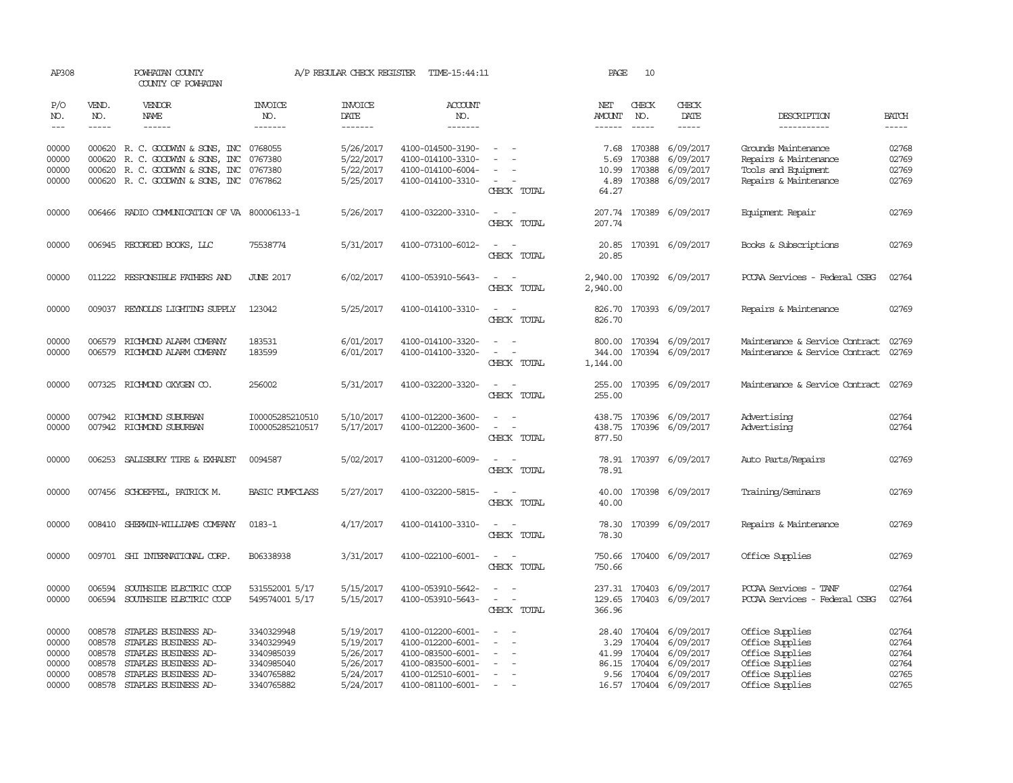| AP308                                              |                                                          | POWHATAN COUNTY<br>COUNTY OF POWHATAN                                                                                                        |                                                                                  | A/P REGULAR CHECK REGISTER                                                 | TIME-15:44:11                                                                                                              |                                                                       | PAGE                                   | 10                                                         |                                                                                         |                                                                                                                |                                                    |
|----------------------------------------------------|----------------------------------------------------------|----------------------------------------------------------------------------------------------------------------------------------------------|----------------------------------------------------------------------------------|----------------------------------------------------------------------------|----------------------------------------------------------------------------------------------------------------------------|-----------------------------------------------------------------------|----------------------------------------|------------------------------------------------------------|-----------------------------------------------------------------------------------------|----------------------------------------------------------------------------------------------------------------|----------------------------------------------------|
| P/O<br>NO.<br>$---$                                | VEND.<br>NO.<br>$- - - - -$                              | <b>VENDOR</b><br>NAME<br>$- - - - - -$                                                                                                       | <b>INVOICE</b><br>NO.<br>-------                                                 | <b>INVOICE</b><br>DATE<br>-------                                          | ACCOUNT<br>NO.<br>-------                                                                                                  |                                                                       | NET<br><b>AMOUNT</b><br>$- - - - - -$  | CHECK<br>NO.<br>$\frac{1}{2}$                              | CHECK<br>DATE<br>-----                                                                  | DESCRIPTION<br>-----------                                                                                     | <b>BATCH</b><br>$- - - - -$                        |
| 00000<br>00000<br>00000<br>00000                   | 000620<br>000620                                         | 000620 R. C. GOODWYN & SONS, INC<br>R. C. GOODWYN & SONS, INC<br>R. C. GOODWYN & SONS, INC<br>000620 R. C. GOODWYN & SONS, INC 0767862       | 0768055<br>0767380<br>0767380                                                    | 5/26/2017<br>5/22/2017<br>5/22/2017<br>5/25/2017                           | 4100-014500-3190-<br>4100-014100-3310-<br>4100-014100-6004-<br>4100-014100-3310-                                           | $\sim$<br>CHECK TOTAL                                                 | 7.68<br>5.69<br>10.99<br>4.89<br>64.27 | 170388<br>170388<br>170388                                 | 6/09/2017<br>6/09/2017<br>6/09/2017<br>170388 6/09/2017                                 | Grounds Maintenance<br>Repairs & Maintenance<br>Tools and Equipment<br>Repairs & Maintenance                   | 02768<br>02769<br>02769<br>02769                   |
| 00000                                              |                                                          | 006466 RADIO COMMUNICATION OF VA 800006133-1                                                                                                 |                                                                                  | 5/26/2017                                                                  | 4100-032200-3310-                                                                                                          | $\sim$<br>$\sim$<br>CHECK TOTAL                                       | 207.74                                 |                                                            | 207.74 170389 6/09/2017                                                                 | Equipment Repair                                                                                               | 02769                                              |
| 00000                                              |                                                          | 006945 RECORDED BOOKS, LLC                                                                                                                   | 75538774                                                                         | 5/31/2017                                                                  | 4100-073100-6012-                                                                                                          | CHECK TOTAL                                                           | 20.85<br>20.85                         |                                                            | 170391 6/09/2017                                                                        | Books & Subscriptions                                                                                          | 02769                                              |
| 00000                                              |                                                          | 011222 RESPONSIBLE FAIHERS AND                                                                                                               | <b>JUNE 2017</b>                                                                 | 6/02/2017                                                                  | 4100-053910-5643-                                                                                                          | $\sim$ $-$<br>$\sim$<br>CHECK TOTAL                                   | 2,940.00<br>2,940.00                   |                                                            | 170392 6/09/2017                                                                        | PCCAA Services - Federal CSBG                                                                                  | 02764                                              |
| 00000                                              |                                                          | 009037 REYNOLDS LIGHTING SUPPLY                                                                                                              | 123042                                                                           | 5/25/2017                                                                  | 4100-014100-3310-                                                                                                          | CHECK TOTAL                                                           | 826.70<br>826.70                       |                                                            | 170393 6/09/2017                                                                        | Repairs & Maintenance                                                                                          | 02769                                              |
| 00000<br>00000                                     | 006579<br>006579                                         | RICHMOND ALARM COMPANY<br>RICHMOND ALARM COMPANY                                                                                             | 183531<br>183599                                                                 | 6/01/2017<br>6/01/2017                                                     | 4100-014100-3320-<br>4100-014100-3320-                                                                                     | CHECK TOTAL                                                           | 800.00<br>344.00<br>1,144.00           |                                                            | 170394 6/09/2017<br>170394 6/09/2017                                                    | Maintenance & Service Contract<br>Maintenance & Service Contract                                               | 02769<br>02769                                     |
| 00000                                              |                                                          | 007325 RICHMOND OXYGEN CO.                                                                                                                   | 256002                                                                           | 5/31/2017                                                                  | 4100-032200-3320-                                                                                                          | CHECK TOTAL                                                           | 255.00                                 |                                                            | 255.00 170395 6/09/2017                                                                 | Maintenance & Service Contract                                                                                 | 02769                                              |
| 00000<br>00000                                     |                                                          | 007942 RICHMOND SUBURBAN<br>007942 RICHMOND SUBURBAN                                                                                         | I00005285210510<br>I00005285210517                                               | 5/10/2017<br>5/17/2017                                                     | 4100-012200-3600-<br>4100-012200-3600-                                                                                     | $\equiv$<br>$\sim$<br>CHECK TOTAL                                     | 438.75<br>438.75<br>877.50             |                                                            | 170396 6/09/2017<br>170396 6/09/2017                                                    | Advertising<br>Advertising                                                                                     | 02764<br>02764                                     |
| 00000                                              |                                                          | 006253 SALISBURY TIRE & EXHAUST                                                                                                              | 0094587                                                                          | 5/02/2017                                                                  | 4100-031200-6009-                                                                                                          | CHECK TOTAL                                                           | 78.91                                  |                                                            | 78.91 170397 6/09/2017                                                                  | Auto Parts/Repairs                                                                                             | 02769                                              |
| 00000                                              |                                                          | 007456 SCHOEFFEL, PATRICK M.                                                                                                                 | <b>BASIC PUMPCLASS</b>                                                           | 5/27/2017                                                                  | 4100-032200-5815-                                                                                                          | CHECK TOTAL                                                           | 40.00<br>40.00                         |                                                            | 170398 6/09/2017                                                                        | Training/Seminars                                                                                              | 02769                                              |
| 00000                                              | 008410                                                   | SHERWIN-WILLIAMS COMPANY                                                                                                                     | $0183 - 1$                                                                       | 4/17/2017                                                                  | 4100-014100-3310-                                                                                                          | $\sim$<br>CHECK TOTAL                                                 | 78.30<br>78.30                         |                                                            | 170399 6/09/2017                                                                        | Repairs & Maintenance                                                                                          | 02769                                              |
| 00000                                              |                                                          | 009701 SHI INTERNATIONAL CORP.                                                                                                               | B06338938                                                                        | 3/31/2017                                                                  | 4100-022100-6001-                                                                                                          | $\sim$<br>- -<br>CHECK TOTAL                                          | 750.66<br>750.66                       |                                                            | 170400 6/09/2017                                                                        | Office Supplies                                                                                                | 02769                                              |
| 00000<br>00000                                     | 006594<br>006594                                         | SOUTHSIDE ELECTRIC COOP<br>SOUTHSIDE ELECTRIC COOP                                                                                           | 531552001 5/17<br>549574001 5/17                                                 | 5/15/2017<br>5/15/2017                                                     | 4100-053910-5642-<br>4100-053910-5643-                                                                                     | $\sim$<br>$\sim$<br>$\sim$<br>$\overline{\phantom{a}}$<br>CHECK TOTAL | 237.31<br>129.65<br>366.96             | 170403<br>170403                                           | 6/09/2017<br>6/09/2017                                                                  | PCCAA Services - TANF<br>PCCAA Services - Federal CSBG                                                         | 02764<br>02764                                     |
| 00000<br>00000<br>00000<br>00000<br>00000<br>00000 | 008578<br>008578<br>008578<br>008578<br>008578<br>008578 | STAPLES BUSINESS AD-<br>STAPLES BUSINESS AD-<br>STAPLES BUSINESS AD-<br>STAPLES BUSINESS AD-<br>STAPLES BUSINESS AD-<br>STAPLES BUSINESS AD- | 3340329948<br>3340329949<br>3340985039<br>3340985040<br>3340765882<br>3340765882 | 5/19/2017<br>5/19/2017<br>5/26/2017<br>5/26/2017<br>5/24/2017<br>5/24/2017 | 4100-012200-6001-<br>4100-012200-6001-<br>4100-083500-6001-<br>4100-083500-6001-<br>4100-012510-6001-<br>4100-081100-6001- | $\overline{\phantom{a}}$                                              | 3.29<br>41.99<br>9.56                  | 28.40 170404<br>170404<br>170404<br>86.15 170404<br>170404 | 6/09/2017<br>6/09/2017<br>6/09/2017<br>6/09/2017<br>6/09/2017<br>16.57 170404 6/09/2017 | Office Supplies<br>Office Supplies<br>Office Supplies<br>Office Supplies<br>Office Supplies<br>Office Supplies | 02764<br>02764<br>02764<br>02764<br>02765<br>02765 |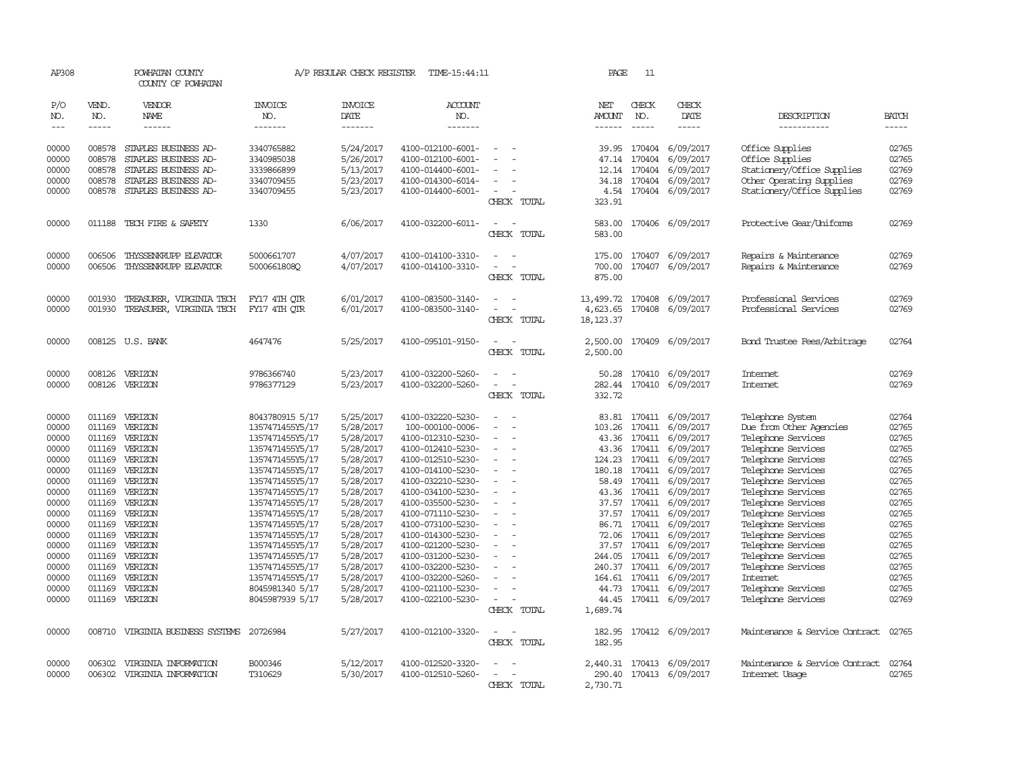| AP308               |                             | POWHATAN COUNTY<br>COUNTY OF POWHATAN  |                                    | A/P REGULAR CHECK REGISTER        | TIME-15:44:11                          |                                         | PAGE                 | 11                            |                           |                                          |                             |
|---------------------|-----------------------------|----------------------------------------|------------------------------------|-----------------------------------|----------------------------------------|-----------------------------------------|----------------------|-------------------------------|---------------------------|------------------------------------------|-----------------------------|
| P/O<br>NO.<br>$---$ | VEND.<br>NO.<br>$- - - - -$ | <b>VENDOR</b><br>NAME<br>$- - - - - -$ | <b>INVOICE</b><br>NO.<br>-------   | <b>INVOICE</b><br>DATE<br>------- | ACCOUNT<br>NO.<br>-------              |                                         | NET<br><b>AMOUNT</b> | CHECK<br>NO.<br>$\frac{1}{2}$ | CHECK<br>DATE<br>-----    | DESCRIPTION<br>-----------               | <b>BATCH</b><br>$- - - - -$ |
|                     |                             |                                        |                                    |                                   |                                        |                                         |                      |                               |                           |                                          |                             |
| 00000               | 008578                      | STAPLES BUSINESS AD-                   | 3340765882                         | 5/24/2017                         | 4100-012100-6001-                      |                                         | 39.95                | 170404                        | 6/09/2017                 | Office Supplies                          | 02765                       |
| 00000               | 008578                      | STAPLES BUSINESS AD-                   | 3340985038                         | 5/26/2017                         | 4100-012100-6001-                      |                                         | 47.14                | 170404                        | 6/09/2017                 | Office Supplies                          | 02765                       |
| 00000               | 008578                      | STAPLES BUSINESS AD-                   | 3339866899                         | 5/13/2017                         | 4100-014400-6001-                      |                                         | 12.14                | 170404                        | 6/09/2017                 | Stationery/Office Supplies               | 02769                       |
| 00000               | 008578                      | STAPLES BUSINESS AD-                   | 3340709455                         | 5/23/2017                         | 4100-014300-6014-                      | $\equiv$                                |                      | 34.18 170404                  | 6/09/2017                 | Other Operating Supplies                 | 02769                       |
| 00000               | 008578                      | STAPLES BUSINESS AD-                   | 3340709455                         | 5/23/2017                         | 4100-014400-6001-                      | $\overline{\phantom{a}}$<br>CHECK TOTAL | 4.54<br>323.91       | 170404                        | 6/09/2017                 | Stationery/Office Supplies               | 02769                       |
| 00000               | 011188                      | TECH FIRE & SAFETY                     | 1330                               | 6/06/2017                         | 4100-032200-6011-                      |                                         | 583.00               |                               | 170406 6/09/2017          | Protective Gear/Uniforms                 | 02769                       |
|                     |                             |                                        |                                    |                                   |                                        | CHECK TOTAL                             | 583.00               |                               |                           |                                          |                             |
| 00000               | 006506                      | THYSSENKRUPP ELEVATOR                  | 5000661707                         | 4/07/2017                         | 4100-014100-3310-                      |                                         | 175.00               | 170407                        | 6/09/2017                 | Repairs & Maintenance                    | 02769                       |
| 00000               | 006506                      | THYSSENKRUPP ELEVATOR                  | 5000661808Q                        | 4/07/2017                         | 4100-014100-3310-                      | CHECK TOTAL                             | 700.00<br>875.00     | 170407                        | 6/09/2017                 | Repairs & Maintenance                    | 02769                       |
| 00000               | 001930                      | TREASURER, VIRGINIA TECH               | FY17 4TH OTR                       | 6/01/2017                         | 4100-083500-3140-                      | $\equiv$<br>$\sim$                      | 13,499.72            | 170408                        | 6/09/2017                 | Professional Services                    | 02769                       |
| 00000               | 001930                      | TREASURER, VIRGINIA TECH               | FY17 4TH OTR                       | 6/01/2017                         | 4100-083500-3140-                      |                                         | 4,623.65             | 170408                        | 6/09/2017                 | Professional Services                    | 02769                       |
|                     |                             |                                        |                                    |                                   |                                        | CHECK TOTAL                             | 18, 123.37           |                               |                           |                                          |                             |
| 00000               |                             | 008125 U.S. BANK                       | 4647476                            | 5/25/2017                         | 4100-095101-9150-                      | CHECK TOTAL                             | 2,500.00<br>2,500.00 |                               | 170409 6/09/2017          | Bond Trustee Fees/Arbitrage              | 02764                       |
| 00000               | 008126                      | VERIZON                                | 9786366740                         | 5/23/2017                         | 4100-032200-5260-                      |                                         | 50.28                | 170410                        | 6/09/2017                 | Internet                                 | 02769                       |
| 00000               | 008126                      | VERIZON                                | 9786377129                         | 5/23/2017                         | 4100-032200-5260-                      | CHECK TOTAL                             | 282.44<br>332.72     | 170410                        | 6/09/2017                 | <b>Internet</b>                          | 02769                       |
| 00000               | 011169                      | VERIZON                                | 8043780915 5/17                    | 5/25/2017                         | 4100-032220-5230-                      |                                         | 83.81                | 170411                        | 6/09/2017                 | Telephone System                         | 02764                       |
| 00000               | 011169                      | VERIZON                                | 1357471455Y5/17                    | 5/28/2017                         | 100-000100-0006-                       |                                         | 103.26               | 170411                        | 6/09/2017                 | Due from Other Agencies                  | 02765                       |
| 00000               |                             | 011169 VERIZON                         | 1357471455Y5/17                    | 5/28/2017                         | 4100-012310-5230-                      | $\equiv$                                |                      | 43.36 170411                  | 6/09/2017                 | Telephone Services                       | 02765                       |
| 00000               |                             | 011169 VERIZON                         | 1357471455Y5/17                    | 5/28/2017                         | 4100-012410-5230-                      |                                         | 43.36                | 170411                        | 6/09/2017                 | Telephone Services                       | 02765                       |
| 00000               |                             | 011169 VERIZON                         | 1357471455Y5/17                    | 5/28/2017                         | 4100-012510-5230-                      |                                         | 124.23               | 170411                        | 6/09/2017                 | Telephone Services                       | 02765                       |
| 00000               | 011169                      | VERIZON                                | 1357471455Y5/17                    | 5/28/2017                         | 4100-014100-5230-                      |                                         | 180.18               | 170411                        | 6/09/2017                 | Telephone Services                       | 02765                       |
| 00000<br>00000      | 011169                      | 011169 VERIZON<br>VERIZON              | 1357471455Y5/17                    | 5/28/2017<br>5/28/2017            | 4100-032210-5230-                      |                                         | 58.49                | 170411                        | 6/09/2017                 | Telephone Services                       | 02765<br>02765              |
| 00000               | 011169                      | VERIZON                                | 1357471455Y5/17                    | 5/28/2017                         | 4100-034100-5230-<br>4100-035500-5230- |                                         | 43.36<br>37.57       | 170411<br>170411              | 6/09/2017<br>6/09/2017    | Telephone Services<br>Telephone Services | 02765                       |
| 00000               |                             | 011169 VERIZON                         | 1357471455Y5/17<br>1357471455Y5/17 | 5/28/2017                         | 4100-071110-5230-                      | $\equiv$                                |                      |                               | 37.57 170411 6/09/2017    | Telephone Services                       | 02765                       |
| 00000               |                             | 011169 VERIZON                         | 1357471455Y5/17                    | 5/28/2017                         | 4100-073100-5230-                      |                                         |                      | 86.71 170411                  | 6/09/2017                 | Telephone Services                       | 02765                       |
| 00000               | 011169                      | VERIZON                                | 1357471455Y5/17                    | 5/28/2017                         | 4100-014300-5230-                      |                                         |                      | 72.06 170411                  | 6/09/2017                 | Telephone Services                       | 02765                       |
| 00000               | 011169                      | VERIZON                                | 1357471455Y5/17                    | 5/28/2017                         | 4100-021200-5230-                      |                                         | 37.57                | 170411                        | 6/09/2017                 | Telephone Services                       | 02765                       |
| 00000               | 011169                      | VERIZON                                | 1357471455Y5/17                    | 5/28/2017                         | 4100-031200-5230-                      |                                         | 244.05               | 170411                        | 6/09/2017                 | Telephone Services                       | 02765                       |
| 00000               | 011169                      | VERIZON                                | 1357471455Y5/17                    | 5/28/2017                         | 4100-032200-5230-                      |                                         | 240.37               | 170411                        | 6/09/2017                 | Telephone Services                       | 02765                       |
| 00000               | 011169                      | VERIZON                                | 1357471455Y5/17                    | 5/28/2017                         | 4100-032200-5260-                      |                                         | 164.61               | 170411                        | 6/09/2017                 | <b>Internet</b>                          | 02765                       |
| 00000               | 011169                      | VERIZON                                | 8045981340 5/17                    | 5/28/2017                         | 4100-021100-5230-                      | $\equiv$                                | 44.73                |                               | 170411 6/09/2017          | Telephone Services                       | 02765                       |
| 00000               | 011169                      | VERIZON                                | 8045987939 5/17                    | 5/28/2017                         | 4100-022100-5230-                      | $\sim$                                  | 44.45                |                               | 170411 6/09/2017          | Telephone Services                       | 02769                       |
|                     |                             |                                        |                                    |                                   |                                        | CHECK TOTAL                             | 1,689.74             |                               |                           |                                          |                             |
| 00000               |                             | 008710 VIRGINIA BUSINESS SYSTEMS       | 20726984                           | 5/27/2017                         | 4100-012100-3320-                      | CHECK TOTAL                             | 182.95<br>182.95     |                               | 170412 6/09/2017          | Maintenance & Service Contract           | 02765                       |
| 00000               |                             | 006302 VIRGINIA INFORMATION            | B000346                            | 5/12/2017                         | 4100-012520-3320-                      |                                         |                      |                               | 2,440.31 170413 6/09/2017 | Maintenance & Service Contract           | 02764                       |
| 00000               |                             | 006302 VIRGINIA INFORMATION            | T310629                            | 5/30/2017                         | 4100-012510-5260-                      | $\equiv$                                | 290.40               |                               | 170413 6/09/2017          | Internet Usage                           | 02765                       |
|                     |                             |                                        |                                    |                                   |                                        | CHECK TOTAL                             | 2,730.71             |                               |                           |                                          |                             |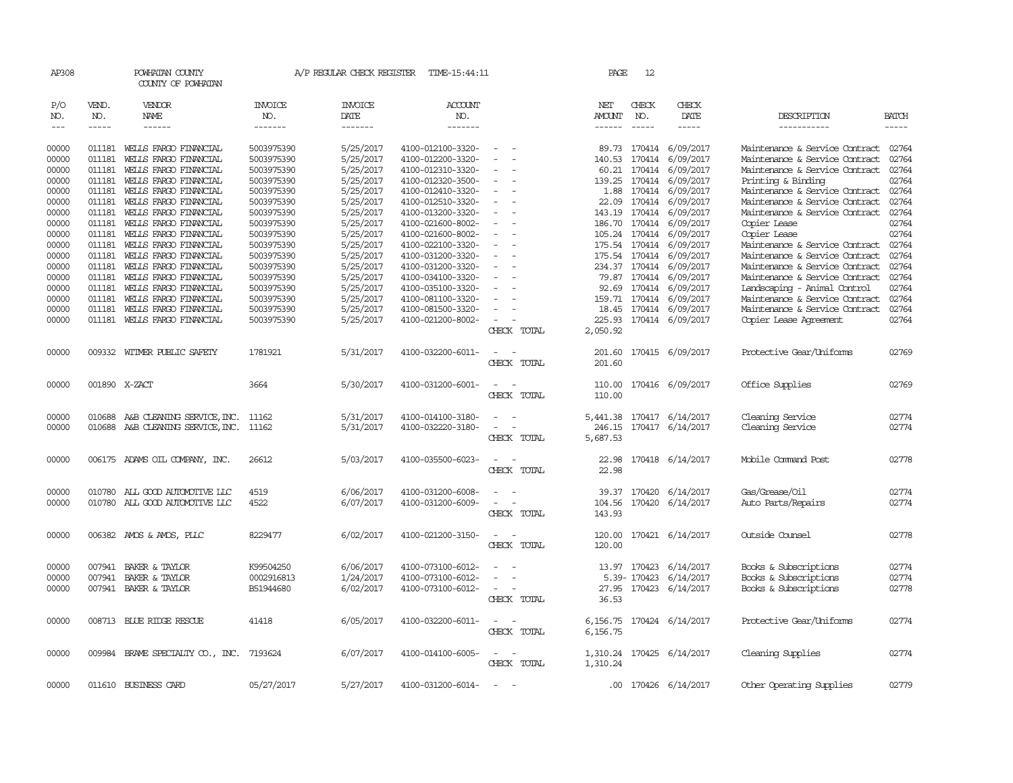| AP308          |                  | POWHATAN COUNTY<br>COUNTY OF POWHATAN                                  |                          |                        | A/P REGULAR CHECK REGISTER TIME-15:44:11 |                                                   | PAGE                      | 12            |                                                   |                                                                  |                |
|----------------|------------------|------------------------------------------------------------------------|--------------------------|------------------------|------------------------------------------|---------------------------------------------------|---------------------------|---------------|---------------------------------------------------|------------------------------------------------------------------|----------------|
| P/O<br>NO.     | VEND.<br>NO.     | VENDOR<br>NAME                                                         | INVOICE<br>NO.           | <b>INVOICE</b><br>DATE | <b>ACCOUNT</b><br>NO.                    |                                                   | NET<br>AMOUNT             | CHECK<br>NO.  | CHECK<br>DATE                                     | DESCRIPTION                                                      | <b>BATCH</b>   |
| $---$          | $- - - - -$      | ------                                                                 | -------                  | -------                | -------                                  |                                                   | ------                    | $- - - - -$   | -----                                             | -----------                                                      | -----          |
| 00000<br>00000 | 011181<br>011181 | WELLS FARGO FINANCIAL<br>WELLS FARGO FINANCIAL                         | 5003975390<br>5003975390 | 5/25/2017<br>5/25/2017 | 4100-012100-3320-<br>4100-012200-3320-   | $\equiv$                                          | 140.53                    | 170414        | 89.73 170414 6/09/2017<br>6/09/2017               | Maintenance & Service Contract<br>Maintenance & Service Contract | 02764<br>02764 |
| 00000          | 011181           | WELLS FARGO FINANCIAL                                                  | 5003975390               | 5/25/2017              | 4100-012310-3320-                        |                                                   | 60.21                     | 170414        | 6/09/2017                                         | Maintenance & Service Contract                                   | 02764          |
| 00000          | 011181           | WELLS FARGO FINANCIAL                                                  | 5003975390               | 5/25/2017              | 4100-012320-3500-                        | $\equiv$                                          | 139.25                    | 170414        | 6/09/2017                                         | Printing & Binding                                               | 02764          |
| 00000          | 011181           | WELLS FARGO FINANCIAL                                                  | 5003975390               | 5/25/2017              | 4100-012410-3320-                        | $\overline{\phantom{a}}$                          | 1.88                      | 170414        | 6/09/2017                                         | Maintenance & Service Contract                                   | 02764          |
| 00000          | 011181           | WELLS FARGO FINANCIAL                                                  | 5003975390               | 5/25/2017              | 4100-012510-3320-                        |                                                   | 22.09                     | 170414        | 6/09/2017                                         | Maintenance & Service Contract                                   | 02764          |
| 00000          | 011181           | WELLS FARGO FINANCIAL                                                  | 5003975390               | 5/25/2017              | 4100-013200-3320-                        |                                                   |                           | 143.19 170414 | 6/09/2017                                         | Maintenance & Service Contract                                   | 02764          |
| 00000          | 011181           | WELLS FARGO FINANCIAL                                                  | 5003975390               | 5/25/2017              | 4100-021600-8002-                        | $\equiv$                                          |                           |               | 186.70 170414 6/09/2017                           | Copier Lease                                                     | 02764          |
| 00000          | 011181           | WELLS FARGO FINANCIAL                                                  | 5003975390               | 5/25/2017              | 4100-021600-8002-                        |                                                   |                           | 105.24 170414 | 6/09/2017                                         | Copier Lease                                                     | 02764          |
| 00000          | 011181           | WELLS FARGO FINANCIAL                                                  | 5003975390               | 5/25/2017              | 4100-022100-3320-                        |                                                   |                           | 175.54 170414 | 6/09/2017                                         | Maintenance & Service Contract                                   | 02764          |
| 00000          | 011181           | WELLS FARGO FINANCIAL                                                  | 5003975390               | 5/25/2017              | 4100-031200-3320-                        |                                                   |                           |               | 175.54 170414 6/09/2017                           | Maintenance & Service Contract                                   | 02764          |
| 00000          | 011181           | WELLS FARGO FINANCIAL                                                  | 5003975390               | 5/25/2017              | 4100-031200-3320-                        |                                                   |                           |               | 234.37 170414 6/09/2017                           | Maintenance & Service Contract                                   | 02764          |
| 00000          | 011181           | WELLS FARGO FINANCIAL                                                  | 5003975390               | 5/25/2017              | 4100-034100-3320-                        |                                                   |                           |               | 79.87 170414 6/09/2017                            | Maintenance & Service Contract                                   | 02764          |
| 00000          | 011181           | WELLS FARGO FINANCIAL                                                  | 5003975390               | 5/25/2017              | 4100-035100-3320-                        |                                                   |                           |               | 92.69 170414 6/09/2017                            | Landscaping - Animal Control                                     | 02764          |
| 00000<br>00000 | 011181           | WELLS FARGO FINANCIAL                                                  | 5003975390               | 5/25/2017<br>5/25/2017 | 4100-081100-3320-                        |                                                   |                           |               | 159.71 170414 6/09/2017<br>18.45 170414 6/09/2017 | Maintenance & Service Contract<br>Maintenance & Service Contract | 02764<br>02764 |
| 00000          | 011181<br>011181 | WELLS FARGO FINANCIAL<br>WELLS FARGO FINANCIAL                         | 5003975390<br>5003975390 | 5/25/2017              | 4100-081500-3320-<br>4100-021200-8002-   |                                                   |                           |               | 225.93 170414 6/09/2017                           | Copier Lease Agreement                                           | 02764          |
|                |                  |                                                                        |                          |                        |                                          | CHECK TOTAL                                       | 2,050.92                  |               |                                                   |                                                                  |                |
| 00000          |                  | 009332 WITMER PUBLIC SAFETY                                            | 1781921                  | 5/31/2017              | 4100-032200-6011-                        | $\overline{\phantom{a}}$<br>CHECK TOTAL           | 201.60                    |               | 201.60 170415 6/09/2017                           | Protective Gear/Uniforms                                         | 02769          |
| 00000          |                  | 001890 X-ZACT                                                          | 3664                     | 5/30/2017              | 4100-031200-6001-                        | CHECK TOTAL                                       | 110.00<br>110.00          |               | 170416 6/09/2017                                  | Office Supplies                                                  | 02769          |
| 00000<br>00000 |                  | 010688 A&B CLEANING SERVICE, INC.<br>010688 A&B CLEANING SERVICE, INC. | 11162<br>11162           | 5/31/2017<br>5/31/2017 | 4100-014100-3180-<br>4100-032220-3180-   | $\sim$<br>$\overline{\phantom{a}}$<br>CHECK TOTAL | 5,441.38<br>5,687.53      |               | 170417 6/14/2017<br>246.15 170417 6/14/2017       | Cleaning Service<br>Cleaning Service                             | 02774<br>02774 |
| 00000          |                  | 006175 ADAMS OIL COMPANY, INC.                                         | 26612                    | 5/03/2017              | 4100-035500-6023-                        | CHECK TOTAL                                       | 22.98<br>22.98            |               | 170418 6/14/2017                                  | Mobile Command Post                                              | 02778          |
| 00000<br>00000 | 010780           | ALL GOOD AUTOMOTIVE LLC<br>010780 ALL GOOD AUTOMOTTVE LLC              | 4519<br>4522             | 6/06/2017<br>6/07/2017 | 4100-031200-6008-<br>4100-031200-6009-   | CHECK TOTAL                                       | 39.37<br>104.56<br>143.93 | 170420        | 6/14/2017<br>170420 6/14/2017                     | Gas/Grease/Oil<br>Auto Parts/Repairs                             | 02774<br>02774 |
| 00000          |                  | 006382 AMOS & AMOS, PLLC                                               | 8229477                  | 6/02/2017              | 4100-021200-3150-                        | $\overline{\phantom{a}}$<br>CHECK TOTAL           | 120.00<br>120.00          |               | 170421 6/14/2017                                  | Outside Counsel                                                  | 02778          |
| 00000          |                  | 007941 BAKER & TAYLOR                                                  | K99504250                | 6/06/2017              | 4100-073100-6012-                        |                                                   | 13.97                     |               | 170423 6/14/2017                                  | Books & Subscriptions                                            | 02774          |
| 00000          | 007941           | BAKER & TAYLOR                                                         | 0002916813               | 1/24/2017              | 4100-073100-6012-                        |                                                   |                           | 5.39-170423   | 6/14/2017                                         | Books & Subscriptions                                            | 02774          |
| 00000          |                  | 007941 BAKER & TAYLOR                                                  | B51944680                | 6/02/2017              | 4100-073100-6012-                        | $\sim$<br>CHECK TOTAL                             | 36.53                     |               | 27.95 170423 6/14/2017                            | Books & Subscriptions                                            | 02778          |
| 00000          |                  | 008713 BLUE RIDGE RESCUE                                               | 41418                    | 6/05/2017              | 4100-032200-6011-                        | $\sim$<br><b>.</b><br>CHECK TOTAL                 | 6,156.75<br>6,156.75      |               | 170424 6/14/2017                                  | Protective Gear/Uniforms                                         | 02774          |
| 00000          |                  | 009984 BRAME SPECIALTY CO., INC. 7193624                               |                          | 6/07/2017              | 4100-014100-6005-                        | CHECK TOTAL                                       | 1,310.24<br>1,310.24      |               | 170425 6/14/2017                                  | Cleaning Supplies                                                | 02774          |
| 00000          |                  | 011610 BUSINESS CARD                                                   | 05/27/2017               | 5/27/2017              | 4100-031200-6014-                        | $\sim$<br>$\overline{\phantom{a}}$                |                           |               | .00 170426 6/14/2017                              | Other Operating Supplies                                         | 02779          |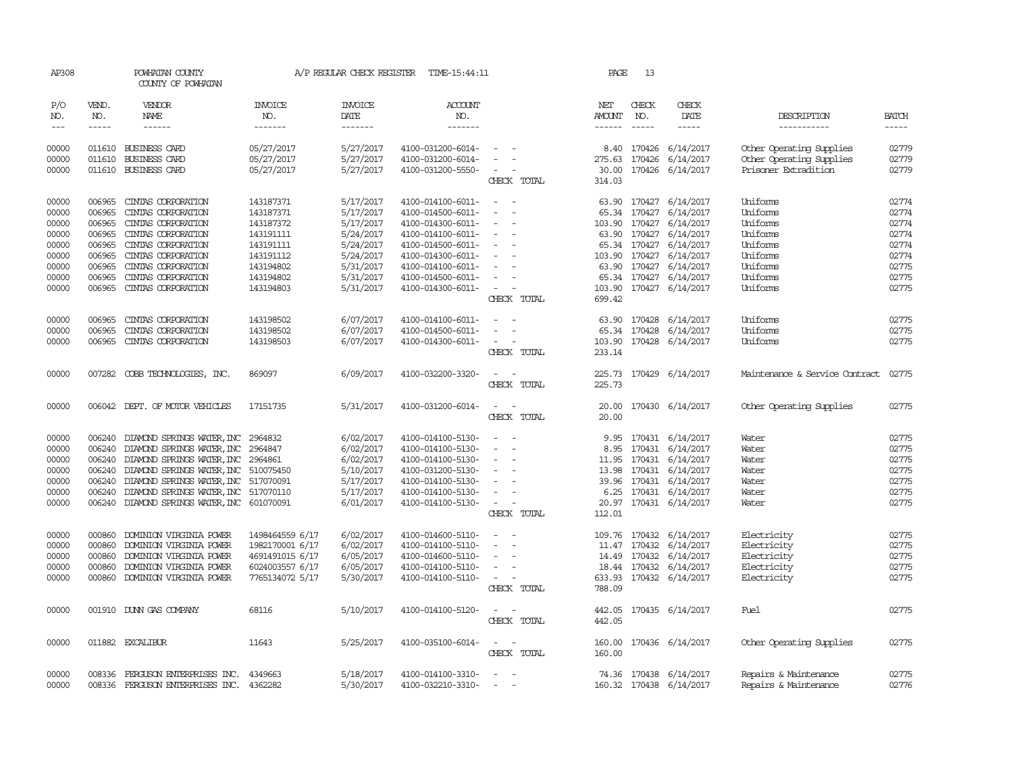| AP308          |                  | POWHATAN COUNTY<br>COUNTY OF POWHATAN        |                          | A/P REGULAR CHECK REGISTER | TIME-15:44:11                          |                                                      | PAGE            | 13           |                               |                                                      |                |
|----------------|------------------|----------------------------------------------|--------------------------|----------------------------|----------------------------------------|------------------------------------------------------|-----------------|--------------|-------------------------------|------------------------------------------------------|----------------|
| P/O<br>NO.     | VEND.<br>NO.     | VENDOR<br><b>NAME</b>                        | <b>INVOICE</b><br>NO.    | <b>INVOICE</b><br>DATE     | <b>ACCOUNT</b><br>NO.                  |                                                      | NET<br>AMOUNT   | CHECK<br>NO. | CHECK<br>DATE                 | DESCRIPTION                                          | <b>BATCH</b>   |
| $---$          | $- - - - -$      | $- - - - - -$                                | -------                  | -------                    | -------                                |                                                      | $- - - - - -$   | $- - - - -$  |                               | -----------                                          | $- - - - -$    |
| 00000<br>00000 | 011610<br>011610 | <b>BUSINESS CARD</b><br><b>BUSINESS CARD</b> | 05/27/2017<br>05/27/2017 | 5/27/2017<br>5/27/2017     | 4100-031200-6014-<br>4100-031200-6014- |                                                      | 8.40<br>275.63  | 170426       | 170426 6/14/2017<br>6/14/2017 | Other Operating Supplies<br>Other Operating Supplies | 02779<br>02779 |
| 00000          | 011610           | <b>BUSINESS CARD</b>                         | 05/27/2017               | 5/27/2017                  | 4100-031200-5550-                      | $\overline{\phantom{a}}$<br>CHECK TOTAL              | 30.00<br>314.03 | 170426       | 6/14/2017                     | Prisoner Extradition                                 | 02779          |
| 00000<br>00000 | 006965<br>006965 | CINIAS CORPORATION<br>CINIAS CORPORATION     | 143187371<br>143187371   | 5/17/2017<br>5/17/2017     | 4100-014100-6011-<br>4100-014500-6011- | $\sim$<br>$\sim$                                     | 63.90           | 65.34 170427 | 170427 6/14/2017<br>6/14/2017 | Uniforms<br>Uniforms                                 | 02774<br>02774 |
| 00000          | 006965           | CINIAS CORPORATION                           | 143187372                | 5/17/2017                  | 4100-014300-6011-                      |                                                      | 103.90          |              | 170427 6/14/2017              | Uniforms                                             | 02774          |
| 00000          | 006965           | CINIAS CORPORATION                           | 143191111                | 5/24/2017                  | 4100-014100-6011-                      | $\overline{a}$<br>$\sim$                             |                 | 63.90 170427 | 6/14/2017                     | Uniforms                                             | 02774          |
| 00000          | 006965           | CINIAS CORPORATION                           | 143191111                | 5/24/2017                  | 4100-014500-6011-                      |                                                      | 65.34           | 170427       | 6/14/2017                     | Uniforms                                             | 02774          |
| 00000          | 006965           | CINIAS CORPORATION                           | 143191112                | 5/24/2017                  | 4100-014300-6011-                      |                                                      | 103.90          | 170427       | 6/14/2017                     | Uniforms                                             | 02774          |
| 00000          | 006965           | CINIAS CORPORATION                           | 143194802                | 5/31/2017                  | 4100-014100-6011-                      | $\overline{a}$<br>$\overline{\phantom{a}}$           | 63.90           |              | 170427 6/14/2017              | Uniforms                                             | 02775          |
| 00000          | 006965           | CINIAS CORPORATION                           | 143194802                | 5/31/2017                  | 4100-014500-6011-                      |                                                      |                 |              | 65.34 170427 6/14/2017        | Uniforms                                             | 02775          |
| 00000          | 006965           | CINIAS CORPORATION                           | 143194803                | 5/31/2017                  | 4100-014300-6011-                      | $\sim$<br>$\overline{\phantom{a}}$                   | 103.90          |              | 170427 6/14/2017              | Uniforms                                             | 02775          |
|                |                  |                                              |                          |                            |                                        | CHECK TOTAL                                          | 699.42          |              |                               |                                                      |                |
| 00000          | 006965           | CINIAS CORPORATION                           | 143198502                | 6/07/2017                  | 4100-014100-6011-                      | $\sim$                                               |                 |              | 63.90 170428 6/14/2017        | Uniforms                                             | 02775          |
| 00000          | 006965           | CINIAS CORPORATION                           | 143198502                | 6/07/2017                  | 4100-014500-6011-                      |                                                      |                 |              | 65.34 170428 6/14/2017        | Uniforms                                             | 02775          |
| 00000          | 006965           | CINIAS CORPORATION                           | 143198503                | 6/07/2017                  | 4100-014300-6011-                      | $\overline{\phantom{a}}$<br>$\overline{\phantom{a}}$ | 103.90          |              | 170428 6/14/2017              | Uniforms                                             | 02775          |
|                |                  |                                              |                          |                            |                                        | CHECK TOTAL                                          | 233.14          |              |                               |                                                      |                |
| 00000          | 007282           | COBB TECHNOLOGIES, INC.                      | 869097                   | 6/09/2017                  | 4100-032200-3320-                      | $\sim$                                               |                 |              | 225.73 170429 6/14/2017       | Maintenance & Service Contract                       | 02775          |
|                |                  |                                              |                          |                            |                                        | CHECK TOTAL                                          | 225.73          |              |                               |                                                      |                |
| 00000          | 006042           | DEPT. OF MOTOR VEHICLES                      | 17151735                 | 5/31/2017                  | 4100-031200-6014-                      |                                                      | 20.00           |              | 170430 6/14/2017              | Other Operating Supplies                             | 02775          |
|                |                  |                                              |                          |                            |                                        | CHECK TOTAL                                          | 20.00           |              |                               |                                                      |                |
| 00000          | 006240           | DIAMOND SPRINGS WATER, INC                   | 2964832                  | 6/02/2017                  | 4100-014100-5130-                      |                                                      | 9.95            |              | 170431 6/14/2017              | Water                                                | 02775          |
| 00000          | 006240           | DIAMOND SPRINGS WATER, INC                   | 2964847                  | 6/02/2017                  | 4100-014100-5130-                      |                                                      | 8.95            |              | 170431 6/14/2017              | Water                                                | 02775          |
| 00000          | 006240           | DIAMOND SPRINGS WATER, INC                   | 2964861                  | 6/02/2017                  | 4100-014100-5130-                      | $\overline{\phantom{a}}$                             | 11.95           |              | 170431 6/14/2017              | Water                                                | 02775          |
| 00000          | 006240           | DIAMOND SPRINGS WATER, INC 510075450         |                          | 5/10/2017                  | 4100-031200-5130-                      |                                                      | 13.98           |              | 170431 6/14/2017              | Water                                                | 02775          |
| 00000          | 006240           | DIAMOND SPRINGS WATER, INC 517070091         |                          | 5/17/2017                  | 4100-014100-5130-                      |                                                      | 39.96           |              | 170431 6/14/2017              | Water                                                | 02775          |
| 00000          | 006240           | DIAMOND SPRINGS WATER, INC 517070110         |                          | 5/17/2017                  | 4100-014100-5130-                      |                                                      | 6.25            |              | 170431 6/14/2017              | Water                                                | 02775          |
| 00000          |                  | 006240 DIAMOND SPRINGS WATER, INC 601070091  |                          | 6/01/2017                  | 4100-014100-5130-                      | $\sim$<br>$\overline{\phantom{a}}$                   |                 |              | 20.97 170431 6/14/2017        | Water                                                | 02775          |
|                |                  |                                              |                          |                            |                                        | CHECK TOTAL                                          | 112.01          |              |                               |                                                      |                |
| 00000          | 000860           | DOMINION VIRGINIA POWER                      | 1498464559 6/17          | 6/02/2017                  | 4100-014600-5110-                      | $\sim$                                               |                 |              | 109.76 170432 6/14/2017       | Electricity                                          | 02775          |
| 00000          | 000860           | DOMINION VIRGINIA POWER                      | 1982170001 6/17          | 6/02/2017                  | 4100-014100-5110-                      | $\overline{\phantom{a}}$                             | 11.47           | 170432       | 6/14/2017                     | Electricity                                          | 02775          |
| 00000          | 000860           | DOMINION VIRGINIA POWER                      | 4691491015 6/17          | 6/05/2017                  | 4100-014600-5110-                      | $\overline{\phantom{a}}$                             | 14.49           | 170432       | 6/14/2017                     | Electricity                                          | 02775          |
| 00000          | 000860           | DOMINION VIRGINIA POWER                      | 6024003557 6/17          | 6/05/2017                  | 4100-014100-5110-                      |                                                      |                 |              | 18.44 170432 6/14/2017        | Electricity                                          | 02775          |
| 00000          | 000860           | DOMINION VIRGINIA POWER                      | 7765134072 5/17          | 5/30/2017                  | 4100-014100-5110-                      | $\sim$<br>CHECK TOTAL                                | 788.09          |              | 633.93 170432 6/14/2017       | Electricity                                          | 02775          |
| 00000          |                  | 001910 DUNN GAS COMPANY                      | 68116                    | 5/10/2017                  | 4100-014100-5120-                      | $\sim$<br>$\sim$                                     | 442.05          |              | 170435 6/14/2017              | Fuel                                                 | 02775          |
|                |                  |                                              |                          |                            |                                        | CHECK TOTAL                                          | 442.05          |              |                               |                                                      |                |
| 00000          |                  | 011882 EXCALIBUR                             | 11643                    | 5/25/2017                  | 4100-035100-6014-                      | $\sim$                                               |                 |              | 160.00 170436 6/14/2017       | Other Operating Supplies                             | 02775          |
|                |                  |                                              |                          |                            |                                        | CHECK TOTAL                                          | 160.00          |              |                               |                                                      |                |
| 00000          | 008336           | FERGUSON ENTERPRISES INC.                    | 4349663                  | 5/18/2017                  | 4100-014100-3310-                      |                                                      |                 |              | 74.36 170438 6/14/2017        | Repairs & Maintenance                                | 02775          |
| 00000          |                  | 008336 FERGUSON ENTERPRISES INC.             | 4362282                  | 5/30/2017                  | 4100-032210-3310-                      |                                                      |                 |              | 160.32 170438 6/14/2017       | Repairs & Maintenance                                | 02776          |
|                |                  |                                              |                          |                            |                                        |                                                      |                 |              |                               |                                                      |                |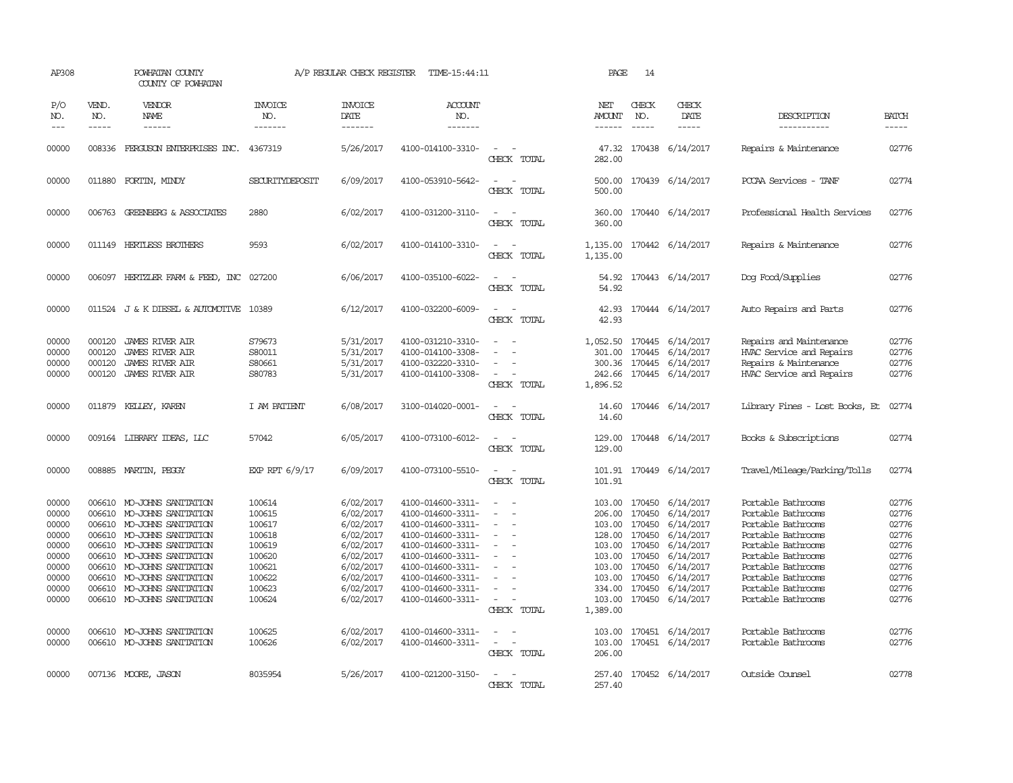| AP308                                                                                                    |                                      | POWHATAN COUNTY<br>COUNTY OF POWHATAN                                                                                                                                                                                                                                                                                                                         |                                                                                                                      | A/P REGULAR CHECK REGISTER                                                                                                                               | TIME-15:44:11                                                                                                                                                                                                                                            |                                                                                                                                                    | PAGE                                                                 | 14                                                                                                                     |                                                                                                                                                                                             |                                                                                                                                                                                                                                                                      |                                                                                                          |
|----------------------------------------------------------------------------------------------------------|--------------------------------------|---------------------------------------------------------------------------------------------------------------------------------------------------------------------------------------------------------------------------------------------------------------------------------------------------------------------------------------------------------------|----------------------------------------------------------------------------------------------------------------------|----------------------------------------------------------------------------------------------------------------------------------------------------------|----------------------------------------------------------------------------------------------------------------------------------------------------------------------------------------------------------------------------------------------------------|----------------------------------------------------------------------------------------------------------------------------------------------------|----------------------------------------------------------------------|------------------------------------------------------------------------------------------------------------------------|---------------------------------------------------------------------------------------------------------------------------------------------------------------------------------------------|----------------------------------------------------------------------------------------------------------------------------------------------------------------------------------------------------------------------------------------------------------------------|----------------------------------------------------------------------------------------------------------|
| P/O<br>NO.<br>$---$                                                                                      | VEND.<br>NO.<br>$- - - - -$          | VENDOR<br>NAME<br>------                                                                                                                                                                                                                                                                                                                                      | <b>INVOICE</b><br>NO.<br>-------                                                                                     | <b>INVOICE</b><br>DATE<br>-------                                                                                                                        | <b>ACCOUNT</b><br>NO.<br>-------                                                                                                                                                                                                                         |                                                                                                                                                    | NET<br>AMOUNT<br>------                                              | CHECK<br>NO.<br>$\frac{1}{2}$                                                                                          | CHECK<br>DATE<br>$- - - - -$                                                                                                                                                                | DESCRIPTION<br>-----------                                                                                                                                                                                                                                           | <b>BATCH</b><br>$- - - - -$                                                                              |
| 00000                                                                                                    |                                      | 008336 FERGUSON ENTERPRISES INC. 4367319                                                                                                                                                                                                                                                                                                                      |                                                                                                                      | 5/26/2017                                                                                                                                                | 4100-014100-3310-                                                                                                                                                                                                                                        | $\equiv$<br>CHECK TOTAL                                                                                                                            | 282.00                                                               |                                                                                                                        | 47.32 170438 6/14/2017                                                                                                                                                                      | Repairs & Maintenance                                                                                                                                                                                                                                                | 02776                                                                                                    |
| 00000                                                                                                    |                                      | 011880 FORTIN, MINDY                                                                                                                                                                                                                                                                                                                                          | SECURITYDEPOSIT                                                                                                      | 6/09/2017                                                                                                                                                | 4100-053910-5642-                                                                                                                                                                                                                                        | $\sim$<br>$\overline{\phantom{a}}$<br>CHECK TOTAL                                                                                                  | 500.00<br>500.00                                                     |                                                                                                                        | 170439 6/14/2017                                                                                                                                                                            | PCCAA Services - TANF                                                                                                                                                                                                                                                | 02774                                                                                                    |
| 00000                                                                                                    |                                      | 006763 GREENBERG & ASSOCIATES                                                                                                                                                                                                                                                                                                                                 | 2880                                                                                                                 | 6/02/2017                                                                                                                                                | 4100-031200-3110-                                                                                                                                                                                                                                        | $\sim$<br>$\sim$<br>CHECK TOTAL                                                                                                                    | 360.00<br>360.00                                                     |                                                                                                                        | 170440 6/14/2017                                                                                                                                                                            | Professional Health Services                                                                                                                                                                                                                                         | 02776                                                                                                    |
| 00000                                                                                                    |                                      | 011149 HERTLESS BROTHERS                                                                                                                                                                                                                                                                                                                                      | 9593                                                                                                                 | 6/02/2017                                                                                                                                                | 4100-014100-3310-                                                                                                                                                                                                                                        | $\sim$<br>$\overline{\phantom{a}}$<br>CHECK TOTAL                                                                                                  | 1,135.00<br>1,135.00                                                 |                                                                                                                        | 170442 6/14/2017                                                                                                                                                                            | Repairs & Maintenance                                                                                                                                                                                                                                                | 02776                                                                                                    |
| 00000                                                                                                    | 006097                               | HERTZLER FARM & FEED, INC                                                                                                                                                                                                                                                                                                                                     | 027200                                                                                                               | 6/06/2017                                                                                                                                                | 4100-035100-6022-                                                                                                                                                                                                                                        | $\sim$<br>CHECK TOTAL                                                                                                                              | 54.92<br>54.92                                                       |                                                                                                                        | 170443 6/14/2017                                                                                                                                                                            | Dog Food/Supplies                                                                                                                                                                                                                                                    | 02776                                                                                                    |
| 00000                                                                                                    |                                      | 011524 J & K DIESEL & AUTOMOTIVE 10389                                                                                                                                                                                                                                                                                                                        |                                                                                                                      | 6/12/2017                                                                                                                                                | 4100-032200-6009-                                                                                                                                                                                                                                        | $\equiv$<br>CHECK TOTAL                                                                                                                            | 42.93<br>42.93                                                       |                                                                                                                        | 170444 6/14/2017                                                                                                                                                                            | Auto Repairs and Parts                                                                                                                                                                                                                                               | 02776                                                                                                    |
| 00000<br>00000<br>00000<br>00000                                                                         | 000120<br>000120<br>000120<br>000120 | <b>JAMES RIVER AIR</b><br><b>JAMES RIVER AIR</b><br><b>JAMES RIVER AIR</b><br><b>JAMES RIVER AIR</b>                                                                                                                                                                                                                                                          | S79673<br>S80011<br>S80661<br>S80783                                                                                 | 5/31/2017<br>5/31/2017<br>5/31/2017<br>5/31/2017                                                                                                         | 4100-031210-3310-<br>4100-014100-3308-<br>4100-032220-3310-<br>4100-014100-3308-                                                                                                                                                                         | $\sim$<br>$\overline{\phantom{a}}$<br>CHECK TOTAL                                                                                                  | 1,052.50<br>301.00<br>1,896.52                                       |                                                                                                                        | 170445 6/14/2017<br>170445 6/14/2017<br>300.36 170445 6/14/2017<br>242.66 170445 6/14/2017                                                                                                  | Repairs and Maintenance<br>HVAC Service and Repairs<br>Repairs & Maintenance<br>HVAC Service and Repairs                                                                                                                                                             | 02776<br>02776<br>02776<br>02776                                                                         |
| 00000                                                                                                    |                                      | 011879 KELLEY, KAREN                                                                                                                                                                                                                                                                                                                                          | I AM PATIENT                                                                                                         | 6/08/2017                                                                                                                                                | 3100-014020-0001-                                                                                                                                                                                                                                        | $\sim$ 100 $\mu$<br>CHECK TOTAL                                                                                                                    | 14.60<br>14.60                                                       |                                                                                                                        | 170446 6/14/2017                                                                                                                                                                            | Library Fines - Lost Books, Et                                                                                                                                                                                                                                       | 02774                                                                                                    |
| 00000                                                                                                    |                                      | 009164 LIBRARY IDEAS, LLC                                                                                                                                                                                                                                                                                                                                     | 57042                                                                                                                | 6/05/2017                                                                                                                                                | 4100-073100-6012-                                                                                                                                                                                                                                        | CHECK TOTAL                                                                                                                                        | 129.00<br>129.00                                                     |                                                                                                                        | 170448 6/14/2017                                                                                                                                                                            | Books & Subscriptions                                                                                                                                                                                                                                                | 02774                                                                                                    |
| 00000                                                                                                    |                                      | 008885 MARTIN, PEGGY                                                                                                                                                                                                                                                                                                                                          | EXP RPT 6/9/17                                                                                                       | 6/09/2017                                                                                                                                                | 4100-073100-5510-                                                                                                                                                                                                                                        | $\sim$<br>CHECK TOTAL                                                                                                                              | 101.91                                                               |                                                                                                                        | 101.91 170449 6/14/2017                                                                                                                                                                     | Travel/Mileage/Parking/Tolls                                                                                                                                                                                                                                         | 02774                                                                                                    |
| 00000<br>00000<br>00000<br>00000<br>00000<br>00000<br>00000<br>00000<br>00000<br>00000<br>00000<br>00000 | 006610                               | 006610 MO-JOHNS SANITATION<br>006610 MO-JOHNS SANITATION<br>006610 MO-JOHNS SANITATION<br>006610 MO-JOHNS SANITATION<br>MO-JOHNS SANITATION<br>006610 MO-JOHNS SANITATION<br>006610 MO-JOHNS SANITATION<br>006610 MO-JOHNS SANITATION<br>006610 MO-JOHNS SANITATION<br>006610 MO-JOHNS SANITATION<br>006610 MO-JOHNS SANITATION<br>006610 MO-JOHNS SANITATION | 100614<br>100615<br>100617<br>100618<br>100619<br>100620<br>100621<br>100622<br>100623<br>100624<br>100625<br>100626 | 6/02/2017<br>6/02/2017<br>6/02/2017<br>6/02/2017<br>6/02/2017<br>6/02/2017<br>6/02/2017<br>6/02/2017<br>6/02/2017<br>6/02/2017<br>6/02/2017<br>6/02/2017 | 4100-014600-3311-<br>4100-014600-3311-<br>4100-014600-3311-<br>4100-014600-3311-<br>4100-014600-3311-<br>4100-014600-3311-<br>4100-014600-3311-<br>4100-014600-3311-<br>4100-014600-3311-<br>4100-014600-3311-<br>4100-014600-3311-<br>4100-014600-3311- | $\sim$<br>$\overline{\phantom{a}}$<br>$\sim$<br>$\equiv$<br>$\equiv$<br>$\overline{\phantom{a}}$<br>CHECK TOTAL<br>$\sim$<br>$\sim$<br>CHECK TOTAL | 103.00<br>206.00<br>103.00<br>103.00<br>1,389.00<br>103.00<br>206.00 | 170450<br>103.00 170450<br>128.00 170450<br>103.00 170450<br>103.00 170450<br>103.00 170450<br>170450<br>334.00 170450 | 170450 6/14/2017<br>6/14/2017<br>6/14/2017<br>6/14/2017<br>6/14/2017<br>6/14/2017<br>6/14/2017<br>6/14/2017<br>6/14/2017<br>170450 6/14/2017<br>170451 6/14/2017<br>103.00 170451 6/14/2017 | Portable Bathrooms<br>Portable Bathrooms<br>Portable Bathrooms<br>Portable Bathrooms<br>Portable Bathrooms<br>Portable Bathrooms<br>Portable Bathrooms<br>Portable Bathrooms<br>Portable Bathrooms<br>Portable Bathrooms<br>Portable Bathrooms<br>Portable Bathrooms | 02776<br>02776<br>02776<br>02776<br>02776<br>02776<br>02776<br>02776<br>02776<br>02776<br>02776<br>02776 |
| 00000                                                                                                    |                                      | 007136 MOORE, JASON                                                                                                                                                                                                                                                                                                                                           | 8035954                                                                                                              | 5/26/2017                                                                                                                                                | 4100-021200-3150-                                                                                                                                                                                                                                        | $\sim$<br>CHECK TOTAL                                                                                                                              | 257.40<br>257.40                                                     |                                                                                                                        | 170452 6/14/2017                                                                                                                                                                            | Outside Counsel                                                                                                                                                                                                                                                      | 02778                                                                                                    |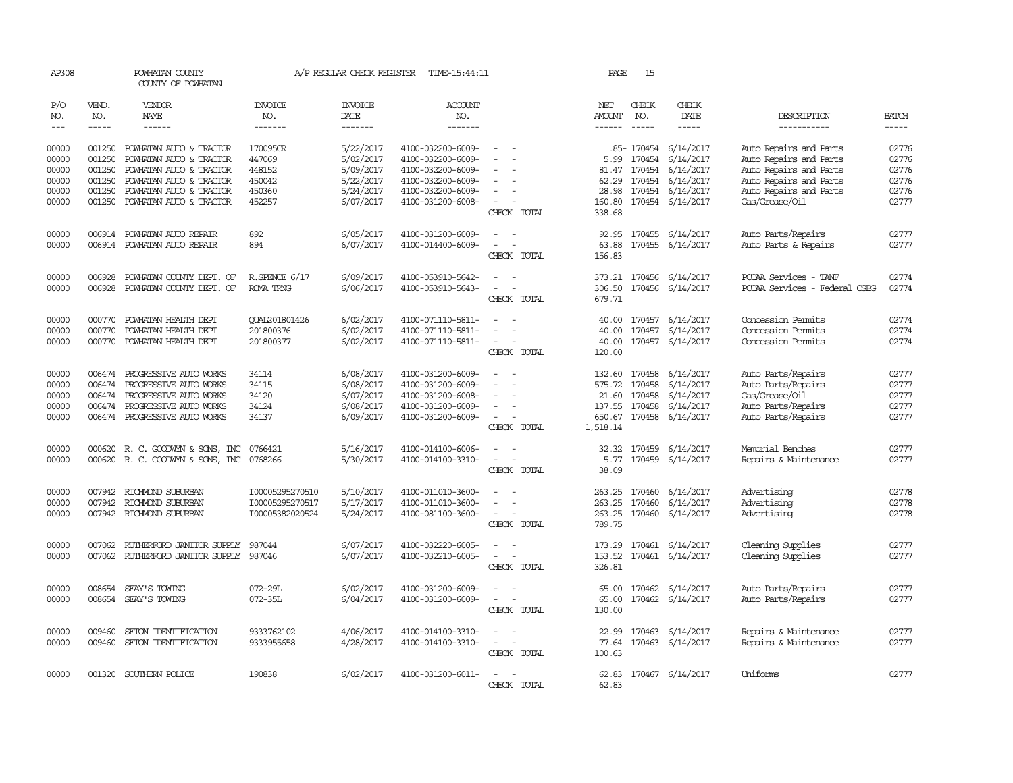| P/O<br>NO.     | VEND.<br>NO.     | VENDOR<br>NAME                                          | INVOICE<br>NO.                     | <b>INVOICE</b><br>DATE | ACCOUNT<br>NO.                         |                                                          | NET<br>AMOUNT                       | CHECK<br>NO.           | CHECK<br>DATE                                    | DESCRIPTION                                      | <b>BATCH</b>   |
|----------------|------------------|---------------------------------------------------------|------------------------------------|------------------------|----------------------------------------|----------------------------------------------------------|-------------------------------------|------------------------|--------------------------------------------------|--------------------------------------------------|----------------|
| $\frac{1}{2}$  | -----            | ------                                                  | --------                           | -------                | -------                                |                                                          |                                     | $\frac{1}{2}$          | -----                                            | -----------                                      | $- - - - -$    |
| 00000<br>00000 | 001250<br>001250 | POWHATAN AUTO & TRACTOR<br>POWHATAN AUTO & TRACTOR      | 170095CR<br>447069                 | 5/22/2017<br>5/02/2017 | 4100-032200-6009-<br>4100-032200-6009- | $\sim$                                                   | 5.99                                | 170454                 | .85- 170454 6/14/2017<br>6/14/2017               | Auto Repairs and Parts<br>Auto Repairs and Parts | 02776<br>02776 |
| 00000<br>00000 | 001250<br>001250 | POWHATAN AUTO & TRACTOR<br>POWHATAN AUTO & TRACTOR      | 448152<br>450042                   | 5/09/2017<br>5/22/2017 | 4100-032200-6009-<br>4100-032200-6009- | $\overline{\phantom{a}}$                                 | 62.29                               | 81.47 170454<br>170454 | 6/14/2017<br>6/14/2017                           | Auto Repairs and Parts<br>Auto Repairs and Parts | 02776<br>02776 |
| 00000          | 001250           | POWHATAN AUTO & TRACTOR                                 | 450360                             | 5/24/2017              | 4100-032200-6009-                      |                                                          | 28.98                               |                        | 170454 6/14/2017                                 | Auto Repairs and Parts                           | 02776          |
| 00000          | 001250           | POWHATAN AUTO & TRACTOR                                 | 452257                             | 6/07/2017              | 4100-031200-6008-                      | $\overline{\phantom{a}}$<br>CHECK TOTAL                  | 160.80<br>338.68                    |                        | 170454 6/14/2017                                 | Gas/Grease/Oil                                   | 02777          |
| 00000<br>00000 | 006914           | POWHATAN AUTO REPAIR<br>006914 POWHATAN AUTO REPAIR     | 892<br>894                         | 6/05/2017<br>6/07/2017 | 4100-031200-6009-<br>4100-014400-6009- | $\sim$<br>$\sim$<br>$\sim$<br>$\overline{\phantom{a}}$   |                                     |                        | 92.95 170455 6/14/2017<br>63.88 170455 6/14/2017 | Auto Parts/Repairs<br>Auto Parts & Repairs       | 02777<br>02777 |
| 00000          | 006928           | POWHATAN COUNTY DEPT. OF                                | $R$ . SPENCE $6/17$                | 6/09/2017              | 4100-053910-5642-                      | CHECK TOTAL                                              | 156.83                              |                        | 373.21 170456 6/14/2017                          | PCCAA Services - TANF                            | 02774          |
| 00000          | 006928           | POWHATAN COUNTY DEPT. OF                                | ROMA TRNG                          | 6/06/2017              | 4100-053910-5643-                      | $\sim$<br>$\overline{\phantom{a}}$<br>CHECK TOTAL        | 679.71                              |                        | 306.50 170456 6/14/2017                          | PCCAA Services - Federal CSBG                    | 02774          |
| 00000<br>00000 | 000770<br>000770 | POWHATAN HEALTH DEPT<br>POWHATAN HEALTH DEPT            | QUAL201801426<br>201800376         | 6/02/2017<br>6/02/2017 | 4100-071110-5811-<br>4100-071110-5811- | $\overline{\phantom{a}}$                                 | 40.00                               | 170457                 | 40.00 170457 6/14/2017<br>6/14/2017              | Concession Permits<br>Concession Permits         | 02774<br>02774 |
| 00000          | 000770           | POWHATAN HEALTH DEPT                                    | 201800377                          | 6/02/2017              | 4100-071110-5811-                      | $\overline{\phantom{a}}$<br>CHECK TOTAL                  | 40.00<br>120.00                     |                        | 170457 6/14/2017                                 | Concession Permits                               | 02774          |
| 00000<br>00000 | 006474<br>006474 | PROGRESSIVE AUTO WORKS<br>PROGRESSIVE AUTO WORKS        | 34114<br>34115                     | 6/08/2017<br>6/08/2017 | 4100-031200-6009-<br>4100-031200-6009- | $\overline{\phantom{a}}$<br>$\sim$                       | 132.60 170458<br>575.72             | 170458                 | 6/14/2017<br>6/14/2017                           | Auto Parts/Repairs<br>Auto Parts/Repairs         | 02777<br>02777 |
| 00000          | 006474           | PROGRESSIVE AUTO WORKS                                  | 34120                              | 6/07/2017              | 4100-031200-6008-                      |                                                          |                                     | 21.60 170458           | 6/14/2017                                        | Gas/Grease/Oil                                   | 02777          |
| 00000<br>00000 | 006474           | PROGRESSIVE AUTO WORKS<br>006474 PROGRESSIVE AUTO WORKS | 34124<br>34137                     | 6/08/2017<br>6/09/2017 | 4100-031200-6009-<br>4100-031200-6009- | $\sim$<br>$\sim$<br>CHECK TOTAL                          | 137.55 170458<br>650.67<br>1,518.14 | 170458                 | 6/14/2017<br>6/14/2017                           | Auto Parts/Repairs<br>Auto Parts/Repairs         | 02777<br>02777 |
| 00000          |                  | 000620 R. C. GOODWYN & SONS, INC                        | 0766421                            | 5/16/2017              | 4100-014100-6006-                      | $\equiv$<br>$\sim$                                       |                                     | 32.32 170459           | 6/14/2017                                        | Memorial Benches                                 | 02777          |
| 00000          |                  | 000620 R. C. GOODWYN & SONS, INC                        | 0768266                            | 5/30/2017              | 4100-014100-3310-                      | $\sim$<br>$\overline{\phantom{a}}$                       | 5.77                                | 170459                 | 6/14/2017                                        | Repairs & Maintenance                            | 02777          |
|                |                  |                                                         |                                    |                        |                                        | CHECK TOTAL                                              | 38.09                               |                        |                                                  |                                                  |                |
| 00000<br>00000 | 007942           | 007942 RICHMOND SUBURBAN<br>RICHMOND SUBURBAN           | I00005295270510<br>I00005295270517 | 5/10/2017<br>5/17/2017 | 4100-011010-3600-<br>4100-011010-3600- | $\sim$<br>$\sim$<br>$\overline{\phantom{a}}$             | 263.25<br>263.25                    | 170460<br>170460       | 6/14/2017<br>6/14/2017                           | Advertising<br>Advertising                       | 02778<br>02778 |
| 00000          |                  | 007942 RICHMOND SUBURBAN                                | I00005382020524                    | 5/24/2017              | 4100-081100-3600-                      | $\sim$<br>$\overline{\phantom{a}}$<br>CHECK TOTAL        | 789.75                              | 263.25 170460          | 6/14/2017                                        | Advertising                                      | 02778          |
| 00000          |                  | 007062 RUIHERFORD JANITOR SUPPLY                        | 987044                             | 6/07/2017              | 4100-032220-6005-                      | $\overline{a}$                                           |                                     |                        | 173.29 170461 6/14/2017                          | Cleaning Supplies                                | 02777          |
| 00000          |                  | 007062 RUIHERFORD JANITOR SUPPLY 987046                 |                                    | 6/07/2017              | 4100-032210-6005-                      | $\sim$<br>$\sim$<br>CHECK TOTAL                          | 326.81                              |                        | 153.52 170461 6/14/2017                          | Cleaning Supplies                                | 02777          |
| 00000<br>00000 | 008654           | SEAY'S TOWING<br>008654 SEAY'S TOWING                   | 072-29L<br>072-35L                 | 6/02/2017<br>6/04/2017 | 4100-031200-6009-<br>4100-031200-6009- | $\sim$<br>$\overline{\phantom{a}}$                       | 65.00<br>65.00                      | 170462                 | 6/14/2017<br>170462 6/14/2017                    | Auto Parts/Repairs<br>Auto Parts/Repairs         | 02777<br>02777 |
|                |                  |                                                         |                                    |                        |                                        | CHECK TOTAL                                              | 130.00                              |                        |                                                  |                                                  |                |
| 00000<br>00000 | 009460<br>009460 | SETON IDENTIFICATION<br>SETON IDENTIFICATION            | 9333762102<br>9333955658           | 4/06/2017<br>4/28/2017 | 4100-014100-3310-<br>4100-014100-3310- | $\equiv$<br>$\sim$<br>$\sim$<br>$\overline{\phantom{a}}$ | 22.99                               |                        | 170463 6/14/2017<br>77.64 170463 6/14/2017       | Repairs & Maintenance<br>Repairs & Maintenance   | 02777<br>02777 |
|                |                  |                                                         |                                    |                        |                                        | CHECK TOTAL                                              | 100.63                              |                        |                                                  |                                                  |                |
| 00000          | 001320           | SOUTHERN POLICE                                         | 190838                             | 6/02/2017              | 4100-031200-6011-                      | $\sim$<br>$\sim$<br>CHECK TOTAL                          | 62.83<br>62.83                      |                        | 170467 6/14/2017                                 | Uniforms                                         | 02777          |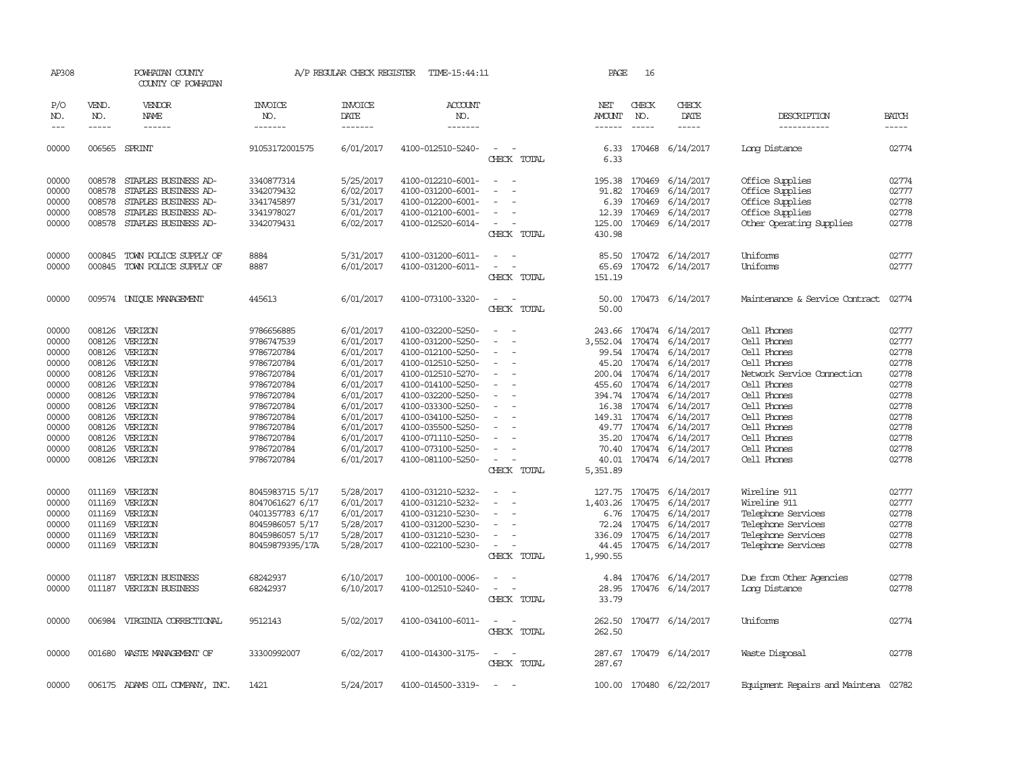| AP308                 |                               | POWHATAN COUNTY<br>COUNTY OF POWHATAN |                                  | A/P REGULAR CHECK REGISTER         | TIME-15:44:11             |                                         | PAGE                           | 16                            |                         |                                |                             |
|-----------------------|-------------------------------|---------------------------------------|----------------------------------|------------------------------------|---------------------------|-----------------------------------------|--------------------------------|-------------------------------|-------------------------|--------------------------------|-----------------------------|
| P/O<br>NO.<br>$- - -$ | VEND.<br>NO.<br>$\frac{1}{2}$ | VENDOR<br>NAME<br>$\frac{1}{2}$       | <b>INVOICE</b><br>NO.<br>------- | <b>INVOICE</b><br>DATE<br>-------- | ACCOUNT<br>NO.<br>------- |                                         | NET<br>AMOUNT<br>$- - - - - -$ | CHECK<br>NO.<br>$\frac{1}{2}$ | CHECK<br>DATE<br>-----  | DESCRIPTION<br>-----------     | <b>BATCH</b><br>$- - - - -$ |
|                       |                               |                                       |                                  |                                    |                           |                                         |                                |                               |                         |                                |                             |
| 00000                 |                               | 006565 SPRINT                         | 91053172001575                   | 6/01/2017                          | 4100-012510-5240-         | $\overline{\phantom{a}}$<br>CHECK TOTAL | 6.33<br>6.33                   |                               | 170468 6/14/2017        | Long Distance                  | 02774                       |
| 00000                 | 008578                        | STAPLES BUSINESS AD-                  | 3340877314                       | 5/25/2017                          | 4100-012210-6001-         | $\sim$<br>$\sim$                        |                                |                               | 195.38 170469 6/14/2017 | Office Supplies                | 02774                       |
| 00000                 | 008578                        | STAPLES BUSINESS AD-                  | 3342079432                       | 6/02/2017                          | 4100-031200-6001-         |                                         | 91.82                          | 170469                        | 6/14/2017               | Office Supplies                | 02777                       |
| 00000                 | 008578                        | STAPLES BUSINESS AD-                  | 3341745897                       | 5/31/2017                          | 4100-012200-6001-         |                                         | 6.39                           | 170469                        | 6/14/2017               | Office Supplies                | 02778                       |
| 00000                 | 008578                        | STAPLES BUSINESS AD-                  | 3341978027                       | 6/01/2017                          | 4100-012100-6001-         | $\overline{\phantom{a}}$                | 12.39                          |                               | 170469 6/14/2017        | Office Supplies                | 02778                       |
| 00000                 | 008578                        | STAPLES BUSINESS AD-                  | 3342079431                       | 6/02/2017                          | 4100-012520-6014-         | $\sim$                                  | 125.00                         |                               | 170469 6/14/2017        | Other Operating Supplies       | 02778                       |
|                       |                               |                                       |                                  |                                    |                           | CHECK TOTAL                             | 430.98                         |                               |                         |                                |                             |
| 00000                 | 000845                        | TOWN POLICE SUPPLY OF                 | 8884                             | 5/31/2017                          | 4100-031200-6011-         | $\sim$                                  | 85.50                          |                               | 170472 6/14/2017        | Uniforms                       | 02777                       |
| 00000                 | 000845                        | TOWN POLICE SUPPLY OF                 | 8887                             | 6/01/2017                          | 4100-031200-6011-         | $\equiv$<br>$\sim$                      | 65.69                          |                               | 170472 6/14/2017        | Uniforms                       | 02777                       |
|                       |                               |                                       |                                  |                                    |                           | CHECK TOTAL                             | 151.19                         |                               |                         |                                |                             |
| 00000                 |                               | 009574 UNIQUE MANAGEMENT              | 445613                           | 6/01/2017                          | 4100-073100-3320-         | $\equiv$                                | 50.00                          |                               | 170473 6/14/2017        | Maintenance & Service Contract | 02774                       |
|                       |                               |                                       |                                  |                                    |                           | CHECK TOTAL                             | 50.00                          |                               |                         |                                |                             |
| 00000                 |                               | 008126 VERIZON                        | 9786656885                       | 6/01/2017                          | 4100-032200-5250-         |                                         | 243.66                         |                               | 170474 6/14/2017        | Cell Phones                    | 02777                       |
| 00000                 | 008126                        | VERIZON                               | 9786747539                       | 6/01/2017                          | 4100-031200-5250-         |                                         | 3,552.04                       | 170474                        | 6/14/2017               | Cell Phones                    | 02777                       |
| 00000                 | 008126                        | VERIZON                               | 9786720784                       | 6/01/2017                          | 4100-012100-5250-         |                                         |                                |                               | 99.54 170474 6/14/2017  | Cell Phones                    | 02778                       |
| 00000                 | 008126                        | VERIZON                               | 9786720784                       | 6/01/2017                          | 4100-012510-5250-         | $\overline{\phantom{a}}$                |                                |                               | 45.20 170474 6/14/2017  | Cell Phones                    | 02778                       |
| 00000                 | 008126                        | VERIZON                               | 9786720784                       | 6/01/2017                          | 4100-012510-5270-         |                                         |                                |                               | 200.04 170474 6/14/2017 | Network Service Connection     | 02778                       |
| 00000                 | 008126                        | VERIZON                               | 9786720784                       | 6/01/2017                          | 4100-014100-5250-         |                                         | 455.60                         |                               | 170474 6/14/2017        | Cell Phones                    | 02778                       |
| 00000                 | 008126                        | VERIZON                               | 9786720784                       | 6/01/2017                          | 4100-032200-5250-         |                                         |                                |                               | 394.74 170474 6/14/2017 | Cell Phones                    | 02778                       |
| 00000                 | 008126                        | VERIZON                               | 9786720784                       | 6/01/2017                          | 4100-033300-5250-         | $\overline{\phantom{a}}$                |                                |                               | 16.38 170474 6/14/2017  | Cell Phones                    | 02778                       |
| 00000                 | 008126                        | VERIZON                               | 9786720784                       | 6/01/2017                          | 4100-034100-5250-         |                                         |                                |                               | 149.31 170474 6/14/2017 | Cell Phones                    | 02778                       |
| 00000                 | 008126                        | VERIZON                               | 9786720784                       | 6/01/2017                          | 4100-035500-5250-         |                                         |                                |                               | 49.77 170474 6/14/2017  | Cell Phones                    | 02778                       |
| 00000                 | 008126                        | VERIZON                               | 9786720784                       | 6/01/2017                          | 4100-071110-5250-         |                                         |                                |                               | 35.20 170474 6/14/2017  | Cell Phones                    | 02778                       |
| 00000                 | 008126                        | VERIZON                               | 9786720784                       | 6/01/2017                          | 4100-073100-5250-         |                                         | 70.40                          |                               | 170474 6/14/2017        | Cell Phones                    | 02778                       |
| 00000                 |                               | 008126 VERIZON                        | 9786720784                       | 6/01/2017                          | 4100-081100-5250-         | $\overline{\phantom{a}}$<br>CHECK TOTAL | 5,351.89                       |                               | 40.01 170474 6/14/2017  | Cell Phones                    | 02778                       |
|                       |                               |                                       |                                  |                                    |                           |                                         |                                |                               |                         |                                |                             |
| 00000                 | 011169                        | VERIZON                               | 8045983715 5/17                  | 5/28/2017                          | 4100-031210-5232-         |                                         |                                |                               | 127.75 170475 6/14/2017 | Wireline 911                   | 02777                       |
| 00000                 | 011169                        | VERIZON                               | 8047061627 6/17                  | 6/01/2017                          | 4100-031210-5232-         |                                         | 1,403.26                       | 170475                        | 6/14/2017               | Wireline 911                   | 02777                       |
| 00000                 |                               | 011169 VERIZON                        | 0401357783 6/17                  | 6/01/2017                          | 4100-031210-5230-         | $\equiv$                                |                                |                               | 6.76 170475 6/14/2017   | Telephone Services             | 02778                       |
| 00000                 | 011169                        | VERIZON                               | 8045986057 5/17                  | 5/28/2017                          | 4100-031200-5230-         |                                         | 72.24                          | 170475                        | 6/14/2017               | Telephone Services             | 02778                       |
| 00000                 | 011169                        | VERIZON                               | 8045986057 5/17                  | 5/28/2017                          | 4100-031210-5230-         |                                         | 336.09                         |                               | 170475 6/14/2017        | Telephone Services             | 02778                       |
| 00000                 |                               | 011169 VERIZON                        | 80459879395/17A                  | 5/28/2017                          | 4100-022100-5230-         | $\sim$                                  |                                |                               | 44.45 170475 6/14/2017  | Telephone Services             | 02778                       |
|                       |                               |                                       |                                  |                                    |                           | CHECK TOTAL                             | 1,990.55                       |                               |                         |                                |                             |
| 00000                 | 011187                        | VERIZON BUSINESS                      | 68242937                         | 6/10/2017                          | 100-000100-0006-          |                                         | 4.84                           |                               | 170476 6/14/2017        | Due from Other Agencies        | 02778                       |
| 00000                 |                               | 011187 VERIZON BUSINESS               | 68242937                         | 6/10/2017                          | 4100-012510-5240-         |                                         | 28.95                          |                               | 170476 6/14/2017        | Long Distance                  | 02778                       |
|                       |                               |                                       |                                  |                                    |                           | CHECK TOTAL                             | 33.79                          |                               |                         |                                |                             |
| 00000                 |                               | 006984 VIRGINIA CORRECTIONAL          | 9512143                          | 5/02/2017                          | 4100-034100-6011-         | $\sim$                                  |                                |                               | 262.50 170477 6/14/2017 | Uniforms                       | 02774                       |
|                       |                               |                                       |                                  |                                    |                           | CHECK TOTAL                             | 262.50                         |                               |                         |                                |                             |
| 00000                 | 001680                        | WASTE MANAGEMENT OF                   | 33300992007                      | 6/02/2017                          | 4100-014300-3175-         | $\sim$                                  |                                |                               | 287.67 170479 6/14/2017 | Waste Disposal                 | 02778                       |
|                       |                               |                                       |                                  |                                    |                           | CHECK TOTAL                             | 287.67                         |                               |                         |                                |                             |
| 00000                 |                               | 006175 ADAMS OIL COMPANY, INC.        | 1421                             | 5/24/2017                          | 4100-014500-3319-         |                                         |                                |                               | 100.00 170480 6/22/2017 | Equipment Repairs and Maintena | 02782                       |
|                       |                               |                                       |                                  |                                    |                           |                                         |                                |                               |                         |                                |                             |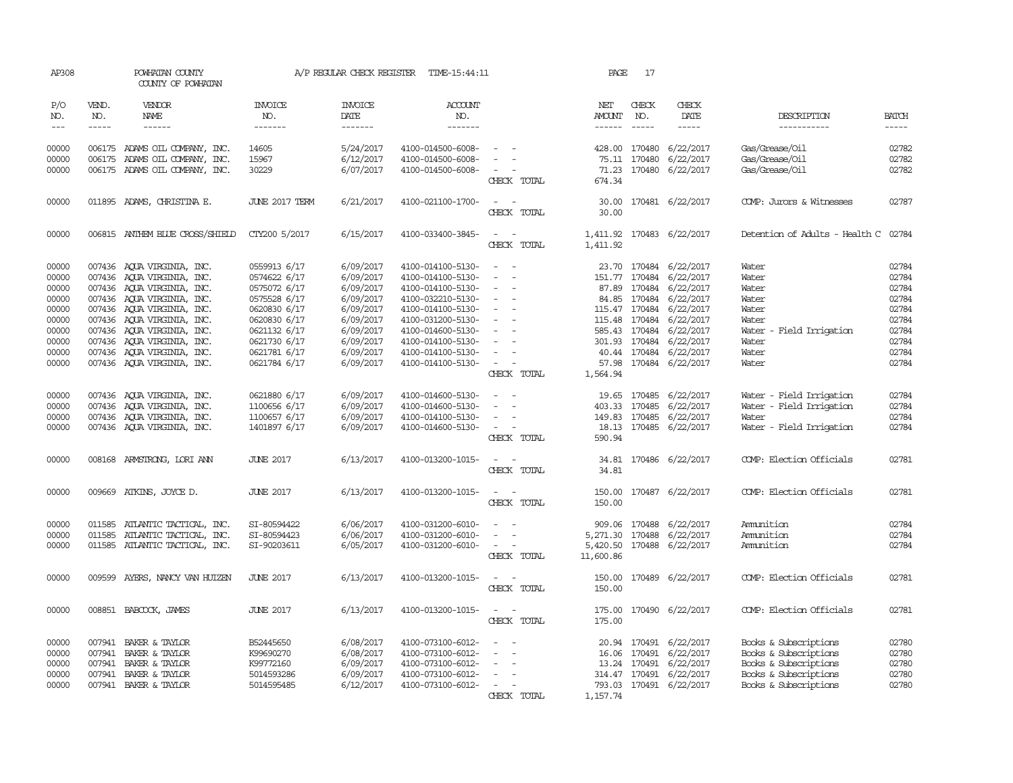| AP308         |              | POWHATAN COUNTY<br>COUNTY OF POWHATAN |                       | A/P REGULAR CHECK REGISTER | TIME-15:44:11     |                                                                                                              | PAGE                 | 17            |                           |                                      |              |
|---------------|--------------|---------------------------------------|-----------------------|----------------------------|-------------------|--------------------------------------------------------------------------------------------------------------|----------------------|---------------|---------------------------|--------------------------------------|--------------|
| P/O<br>NO.    | VEND.<br>NO. | VENDOR<br>NAME                        | <b>INVOICE</b><br>NO. | <b>INVOICE</b><br>DATE     | ACCOUNT<br>NO.    |                                                                                                              | NET<br><b>AMOUNT</b> | CHECK<br>NO.  | CHECK<br>DATE             | DESCRIPTION                          | <b>BATCH</b> |
| $\frac{1}{2}$ | -----        | $- - - - - -$                         | -------               | $- - - - - - -$            | -------           |                                                                                                              | $- - - - - -$        | $\frac{1}{2}$ | -----                     | -----------                          | $- - - - -$  |
| 00000         |              | 006175 ADAMS OIL COMPANY, INC.        | 14605                 | 5/24/2017                  | 4100-014500-6008- | $\sim$ $ \sim$                                                                                               |                      | 428.00 170480 | 6/22/2017                 | Gas/Grease/Oil                       | 02782        |
| 00000         |              | 006175 ADAMS OIL COMPANY, INC.        | 15967                 | 6/12/2017                  | 4100-014500-6008- | $\sim$                                                                                                       |                      | 75.11 170480  | 6/22/2017                 | Gas/Grease/Oil                       | 02782        |
| 00000         |              | 006175 ADAMS OIL COMPANY, INC.        | 30229                 | 6/07/2017                  | 4100-014500-6008- | $\sim$                                                                                                       |                      |               | 71.23 170480 6/22/2017    | Gas/Grease/Oil                       | 02782        |
|               |              |                                       |                       |                            |                   | CHECK TOTAL                                                                                                  | 674.34               |               |                           |                                      |              |
| 00000         |              | 011895 ADAMS, CHRISTINA E.            | <b>JUNE 2017 TERM</b> | 6/21/2017                  | 4100-021100-1700- | $\overline{\phantom{a}}$<br>CHECK TOTAL                                                                      | 30.00<br>30.00       |               | 170481 6/22/2017          | COMP: Jurors & Witnesses             | 02787        |
| 00000         |              | 006815 ANTHEM BLUE CROSS/SHIELD       | CTY200 5/2017         | 6/15/2017                  | 4100-033400-3845- | $\sim$<br>$\sim$ $-$                                                                                         |                      |               | 1,411.92 170483 6/22/2017 | Detention of Adults - Health C 02784 |              |
|               |              |                                       |                       |                            |                   | CHECK TOTAL                                                                                                  | 1,411.92             |               |                           |                                      |              |
| 00000         |              | 007436 AQUA VIRGINIA, INC.            | 0559913 6/17          | 6/09/2017                  | 4100-014100-5130- | $\sim$<br>$\sim$                                                                                             |                      |               | 23.70 170484 6/22/2017    | Water                                | 02784        |
| 00000         |              | 007436 AQUA VIRGINIA, INC.            | 0574622 6/17          | 6/09/2017                  | 4100-014100-5130- | $\overline{\phantom{a}}$<br>$\sim$                                                                           |                      |               | 151.77 170484 6/22/2017   | Water                                | 02784        |
| 00000         |              | 007436 AQUA VIRGINIA, INC.            | 0575072 6/17          | 6/09/2017                  | 4100-014100-5130- | $\sim$                                                                                                       |                      |               | 87.89 170484 6/22/2017    | Water                                | 02784        |
| 00000         |              | 007436 AQUA VIRGINIA, INC.            | 0575528 6/17          | 6/09/2017                  | 4100-032210-5130- |                                                                                                              |                      |               | 84.85 170484 6/22/2017    | Water                                | 02784        |
| 00000         |              | 007436 AQUA VIRGINIA, INC.            | 0620830 6/17          | 6/09/2017                  | 4100-014100-5130- | $\sim$<br>$\sim$                                                                                             |                      |               | 115.47 170484 6/22/2017   | Water                                | 02784        |
| 00000         |              | 007436 AQUA VIRGINIA, INC.            | 0620830 6/17          | 6/09/2017                  | 4100-031200-5130- | $\sim$                                                                                                       |                      | 115.48 170484 | 6/22/2017                 | Water                                | 02784        |
| 00000         |              | 007436 AQUA VIRGINIA, INC.            | 0621132 6/17          | 6/09/2017                  | 4100-014600-5130- | $\sim$                                                                                                       |                      |               | 585.43 170484 6/22/2017   | Water - Field Irrigation             | 02784        |
| 00000         |              | 007436 AQUA VIRGINIA, INC.            | 0621730 6/17          | 6/09/2017                  | 4100-014100-5130- | $\sim$                                                                                                       |                      |               | 301.93 170484 6/22/2017   | Water                                | 02784        |
| 00000         |              | 007436 AQUA VIRGINIA, INC.            | 0621781 6/17          | 6/09/2017                  | 4100-014100-5130- | $\sim$<br>$\overline{\phantom{a}}$                                                                           |                      |               | 40.44 170484 6/22/2017    | Water                                | 02784        |
| 00000         |              | 007436 AQUA VIRGINIA, INC.            | 0621784 6/17          | 6/09/2017                  | 4100-014100-5130- | $\sim$ $ \sim$                                                                                               |                      |               | 57.98 170484 6/22/2017    | Water                                | 02784        |
|               |              |                                       |                       |                            |                   | CHECK TOTAL                                                                                                  | 1,564.94             |               |                           |                                      |              |
| 00000         |              | 007436 AQUA VIRGINIA, INC.            | 0621880 6/17          | 6/09/2017                  | 4100-014600-5130- | $\sim$<br>$\overline{\phantom{a}}$                                                                           |                      | 19.65 170485  | 6/22/2017                 | Water - Field Irrigation             | 02784        |
| 00000         |              | 007436 AQUA VIRGINIA, INC.            | 1100656 6/17          | 6/09/2017                  | 4100-014600-5130- | $\sim$                                                                                                       |                      | 403.33 170485 | 6/22/2017                 | Water - Field Irrigation             | 02784        |
| 00000         |              | 007436 AQUA VIRGINIA, INC.            | 1100657 6/17          | 6/09/2017                  | 4100-014100-5130- | $\equiv$                                                                                                     |                      |               | 149.83 170485 6/22/2017   | Water                                | 02784        |
| 00000         |              | 007436 AQUA VIRGINIA, INC.            | 1401897 6/17          | 6/09/2017                  | 4100-014600-5130- | $\sim$                                                                                                       |                      |               | 18.13 170485 6/22/2017    | Water - Field Irrigation             | 02784        |
|               |              |                                       |                       |                            |                   | CHECK TOTAL                                                                                                  | 590.94               |               |                           |                                      |              |
| 00000         |              | 008168 ARMSTRONG, LORI ANN            | <b>JUNE 2017</b>      | 6/13/2017                  | 4100-013200-1015- | $\frac{1}{2} \left( \frac{1}{2} \right) \left( \frac{1}{2} \right) = \frac{1}{2} \left( \frac{1}{2} \right)$ |                      |               | 34.81 170486 6/22/2017    | COMP: Election Officials             | 02781        |
|               |              |                                       |                       |                            |                   | CHECK TOTAL                                                                                                  | 34.81                |               |                           |                                      |              |
| 00000         |              | 009669 ATKINS, JOYCE D.               | <b>JUNE 2017</b>      | 6/13/2017                  | 4100-013200-1015- |                                                                                                              | 150.00               |               | 170487 6/22/2017          | COMP: Election Officials             | 02781        |
|               |              |                                       |                       |                            |                   | CHECK TOTAL                                                                                                  | 150.00               |               |                           |                                      |              |
| 00000         | 011585       | ATLANTIC TACTICAL, INC.               | SI-80594422           | 6/06/2017                  | 4100-031200-6010- |                                                                                                              | 909.06               | 170488        | 6/22/2017                 | Ammition                             | 02784        |
| 00000         | 011585       | ATLANTIC TACTICAL, INC.               | SI-80594423           | 6/06/2017                  | 4100-031200-6010- |                                                                                                              | 5,271.30 170488      |               | 6/22/2017                 | Ammition                             | 02784        |
| 00000         |              | 011585 ATLANTIC TACTICAL, INC.        | SI-90203611           | 6/05/2017                  | 4100-031200-6010- | $\sim$ $ \sim$                                                                                               |                      |               | 5,420.50 170488 6/22/2017 | Ammition                             | 02784        |
|               |              |                                       |                       |                            |                   | CHECK TOTAL                                                                                                  | 11,600.86            |               |                           |                                      |              |
| 00000         | 009599       | AYERS, NANCY VAN HUIZEN               | <b>JUNE 2017</b>      | 6/13/2017                  | 4100-013200-1015- |                                                                                                              | 150.00               |               | 170489 6/22/2017          | COMP: Election Officials             | 02781        |
|               |              |                                       |                       |                            |                   | CHECK TOTAL                                                                                                  | 150.00               |               |                           |                                      |              |
| 00000         |              | 008851 BABCOCK, JAMES                 | <b>JUNE 2017</b>      | 6/13/2017                  | 4100-013200-1015- | $\overline{\phantom{a}}$<br>$\sim$                                                                           | 175.00               |               | 170490 6/22/2017          | COMP: Election Officials             | 02781        |
|               |              |                                       |                       |                            |                   | CHECK TOTAL                                                                                                  | 175.00               |               |                           |                                      |              |
| 00000         |              | 007941 BAKER & TAYLOR                 | B52445650             | 6/08/2017                  | 4100-073100-6012- | $\sim$<br>$\sim$                                                                                             |                      |               | 20.94 170491 6/22/2017    | Books & Subscriptions                | 02780        |
| 00000         | 007941       | BAKER & TAYLOR                        | K99690270             | 6/08/2017                  | 4100-073100-6012- | $\sim$                                                                                                       |                      | 16.06 170491  | 6/22/2017                 | Books & Subscriptions                | 02780        |
| 00000         |              | 007941 BAKER & TAYLOR                 | K99772160             | 6/09/2017                  | 4100-073100-6012- | $\sim$                                                                                                       |                      |               | 13.24 170491 6/22/2017    | Books & Subscriptions                | 02780        |
| 00000         | 007941       | BAKER & TAYLOR                        | 5014593286            | 6/09/2017                  | 4100-073100-6012- | $\overline{\phantom{a}}$                                                                                     |                      |               | 314.47 170491 6/22/2017   | Books & Subscriptions                | 02780        |
| 00000         |              | 007941 BAKER & TAYLOR                 | 5014595485            | 6/12/2017                  | 4100-073100-6012- | $\sim$                                                                                                       |                      |               | 793.03 170491 6/22/2017   | Books & Subscriptions                | 02780        |
|               |              |                                       |                       |                            |                   | CHECK TOTAL                                                                                                  | 1,157.74             |               |                           |                                      |              |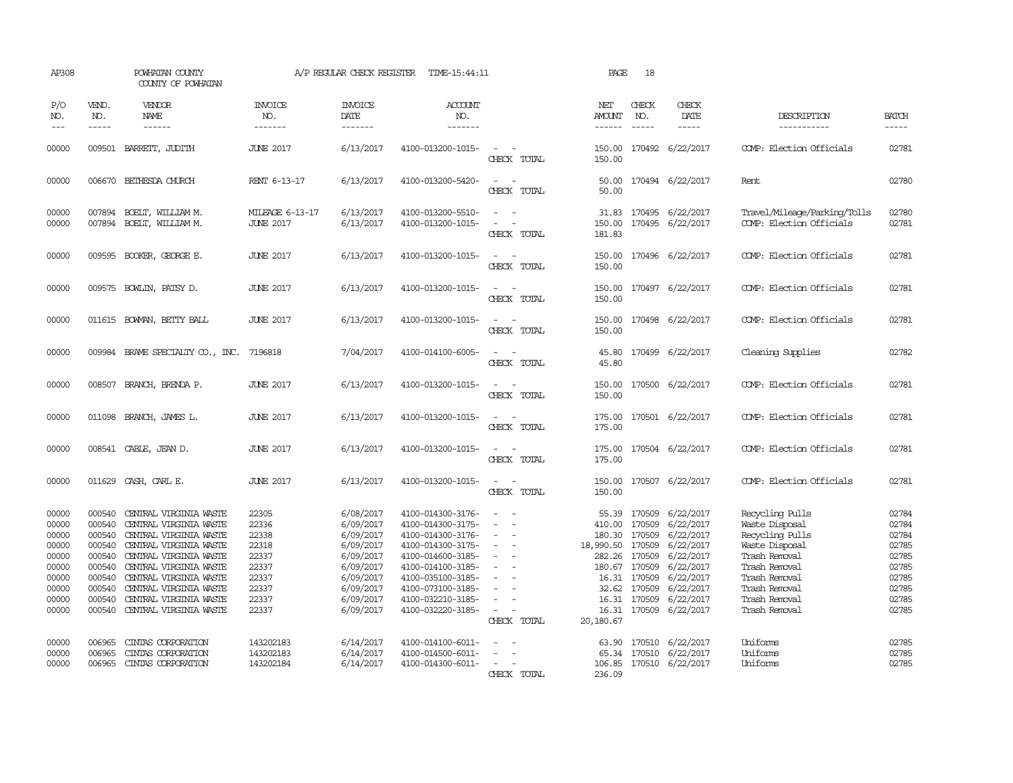| AP308                                                                                  |                                                                                                  | POWHATAN COUNTY<br>COUNTY OF POWHATAN                                                                                                                                                                                                                            |                                                                                        | A/P REGULAR CHECK REGISTER                                                                                                     | TIME-15:44:11                                                                                                                                                                                                  |                                                             | PAGE                                                                                             | 18                                                                                                 |                                                                                                                                |                                                                                                                                                                              |                                                                                        |
|----------------------------------------------------------------------------------------|--------------------------------------------------------------------------------------------------|------------------------------------------------------------------------------------------------------------------------------------------------------------------------------------------------------------------------------------------------------------------|----------------------------------------------------------------------------------------|--------------------------------------------------------------------------------------------------------------------------------|----------------------------------------------------------------------------------------------------------------------------------------------------------------------------------------------------------------|-------------------------------------------------------------|--------------------------------------------------------------------------------------------------|----------------------------------------------------------------------------------------------------|--------------------------------------------------------------------------------------------------------------------------------|------------------------------------------------------------------------------------------------------------------------------------------------------------------------------|----------------------------------------------------------------------------------------|
| P/O<br>NO.<br>$ -$                                                                     | VEND.<br>NO.<br>$\frac{1}{2}$                                                                    | VENDOR<br><b>NAME</b><br>$\frac{1}{2}$                                                                                                                                                                                                                           | INVOICE<br>NO.<br>-------                                                              | <b>INVOICE</b><br>DATE<br>-------                                                                                              | <b>ACCOUNT</b><br>NO.<br>-------                                                                                                                                                                               |                                                             | NET<br>AMOUNT<br>$- - - - - -$                                                                   | CHECK<br>NO.                                                                                       | CHECK<br>DATE<br>$- - - - -$                                                                                                   | DESCRIPTION<br>-----------                                                                                                                                                   | <b>BATCH</b><br>-----                                                                  |
| 00000                                                                                  | 009501                                                                                           | BARRETT, JUDITH                                                                                                                                                                                                                                                  | <b>JUNE 2017</b>                                                                       | 6/13/2017                                                                                                                      | 4100-013200-1015-                                                                                                                                                                                              | CHECK TOTAL                                                 | 150.00<br>150.00                                                                                 |                                                                                                    | 170492 6/22/2017                                                                                                               | COMP: Election Officials                                                                                                                                                     | 02781                                                                                  |
| 00000                                                                                  | 006670                                                                                           | BETHESDA CHURCH                                                                                                                                                                                                                                                  | RENT 6-13-17                                                                           | 6/13/2017                                                                                                                      | 4100-013200-5420-                                                                                                                                                                                              | $\sim$<br>CHECK TOTAL                                       | 50.00<br>50.00                                                                                   |                                                                                                    | 170494 6/22/2017                                                                                                               | Rent                                                                                                                                                                         | 02780                                                                                  |
| 00000<br>00000                                                                         |                                                                                                  | 007894 BOELT, WILLIAM M.<br>007894 BOELT, WILLIAM M.                                                                                                                                                                                                             | MILEAGE 6-13-17<br><b>JUNE 2017</b>                                                    | 6/13/2017<br>6/13/2017                                                                                                         | 4100-013200-5510-<br>4100-013200-1015-                                                                                                                                                                         | $\overline{\phantom{a}}$<br>$\sim$<br>$\sim$<br>CHECK TOTAL | 150.00<br>181.83                                                                                 |                                                                                                    | 31.83 170495 6/22/2017<br>170495 6/22/2017                                                                                     | Travel/Mileage/Parking/Tolls<br>COMP: Election Officials                                                                                                                     | 02780<br>02781                                                                         |
| 00000                                                                                  | 009595                                                                                           | BOOKER, GEORGE E.                                                                                                                                                                                                                                                | <b>JUNE 2017</b>                                                                       | 6/13/2017                                                                                                                      | 4100-013200-1015-                                                                                                                                                                                              | $\overline{\phantom{a}}$<br>CHECK TOTAL                     | 150.00<br>150.00                                                                                 |                                                                                                    | 170496 6/22/2017                                                                                                               | COMP: Election Officials                                                                                                                                                     | 02781                                                                                  |
| 00000                                                                                  | 009575                                                                                           | BOWLIN, PATSY D.                                                                                                                                                                                                                                                 | <b>JUNE 2017</b>                                                                       | 6/13/2017                                                                                                                      | 4100-013200-1015-                                                                                                                                                                                              | $\overline{\phantom{a}}$<br>CHECK TOTAL                     | 150.00<br>150.00                                                                                 |                                                                                                    | 170497 6/22/2017                                                                                                               | COMP: Election Officials                                                                                                                                                     | 02781                                                                                  |
| 00000                                                                                  |                                                                                                  | 011615 BOWMAN, BETTY BALL                                                                                                                                                                                                                                        | <b>JUNE 2017</b>                                                                       | 6/13/2017                                                                                                                      | 4100-013200-1015-                                                                                                                                                                                              | CHECK TOTAL                                                 | 150.00<br>150.00                                                                                 |                                                                                                    | 170498 6/22/2017                                                                                                               | COMP: Election Officials                                                                                                                                                     | 02781                                                                                  |
| 00000                                                                                  | 009984                                                                                           | BRAME SPECIALITY CO., INC.                                                                                                                                                                                                                                       | 7196818                                                                                | 7/04/2017                                                                                                                      | 4100-014100-6005-                                                                                                                                                                                              | $\sim$<br>CHECK TOTAL                                       | 45.80<br>45.80                                                                                   |                                                                                                    | 170499 6/22/2017                                                                                                               | Cleaning Supplies                                                                                                                                                            | 02782                                                                                  |
| 00000                                                                                  | 008507                                                                                           | BRANCH, BRENDA P.                                                                                                                                                                                                                                                | <b>JUNE 2017</b>                                                                       | 6/13/2017                                                                                                                      | 4100-013200-1015-                                                                                                                                                                                              | $\sim$<br>CHECK TOTAL                                       | 150.00<br>150.00                                                                                 |                                                                                                    | 170500 6/22/2017                                                                                                               | COMP: Election Officials                                                                                                                                                     | 02781                                                                                  |
| 00000                                                                                  |                                                                                                  | 011098 BRANCH, JAMES L.                                                                                                                                                                                                                                          | <b>JUNE 2017</b>                                                                       | 6/13/2017                                                                                                                      | 4100-013200-1015-                                                                                                                                                                                              | CHECK TOTAL                                                 | 175.00<br>175.00                                                                                 |                                                                                                    | 170501 6/22/2017                                                                                                               | COMP: Election Officials                                                                                                                                                     | 02781                                                                                  |
| 00000                                                                                  |                                                                                                  | 008541 CABLE, JEAN D.                                                                                                                                                                                                                                            | <b>JUNE 2017</b>                                                                       | 6/13/2017                                                                                                                      | 4100-013200-1015-                                                                                                                                                                                              | CHECK TOTAL                                                 | 175.00<br>175.00                                                                                 |                                                                                                    | 170504 6/22/2017                                                                                                               | COMP: Election Officials                                                                                                                                                     | 02781                                                                                  |
| 00000                                                                                  | 011629                                                                                           | CASH, CARL E.                                                                                                                                                                                                                                                    | <b>JUNE 2017</b>                                                                       | 6/13/2017                                                                                                                      | 4100-013200-1015-                                                                                                                                                                                              | CHECK TOTAL                                                 | 150.00<br>150.00                                                                                 |                                                                                                    | 170507 6/22/2017                                                                                                               | COMP: Election Officials                                                                                                                                                     | 02781                                                                                  |
| 00000<br>00000<br>00000<br>00000<br>00000<br>00000<br>00000<br>00000<br>00000<br>00000 | 000540<br>000540<br>000540<br>000540<br>000540<br>000540<br>000540<br>000540<br>000540<br>000540 | CENTRAL VIRGINIA WASTE<br>CENTRAL VIRGINIA WASTE<br>CENIRAL VIRGINIA WASTE<br>CENTRAL VIRGINIA WASTE<br>CENTRAL VIRGINIA WASTE<br>CENTRAL VIRGINIA WASTE<br>CENTRAL VIRGINIA WASTE<br>CENTRAL VIRGINIA WASTE<br>CENTRAL VIRGINIA WASTE<br>CENTRAL VIRGINIA WASTE | 22305<br>22336<br>22338<br>22318<br>22337<br>22337<br>22337<br>22337<br>22337<br>22337 | 6/08/2017<br>6/09/2017<br>6/09/2017<br>6/09/2017<br>6/09/2017<br>6/09/2017<br>6/09/2017<br>6/09/2017<br>6/09/2017<br>6/09/2017 | 4100-014300-3176-<br>4100-014300-3175-<br>4100-014300-3176-<br>4100-014300-3175-<br>4100-014600-3185-<br>4100-014100-3185-<br>4100-035100-3185-<br>4100-073100-3185-<br>4100-032210-3185-<br>4100-032220-3185- | $\equiv$<br>$\equiv$<br>CHECK TOTAL                         | 55.39<br>410.00<br>180.30<br>18,990.50<br>282.26<br>180.67 170509<br>32.62<br>16.31<br>20,180.67 | 170509<br>170509<br>170509<br>170509<br>170509<br>16.31 170509<br>170509<br>16.31 170509<br>170509 | 6/22/2017<br>6/22/2017<br>6/22/2017<br>6/22/2017<br>6/22/2017<br>6/22/2017<br>6/22/2017<br>6/22/2017<br>6/22/2017<br>6/22/2017 | Recycling Pulls<br>Waste Disposal<br>Recycling Pulls<br>Waste Disposal<br>Trash Removal<br>Trash Removal<br>Trash Removal<br>Trash Removal<br>Trash Removal<br>Trash Removal | 02784<br>02784<br>02784<br>02785<br>02785<br>02785<br>02785<br>02785<br>02785<br>02785 |
| 00000<br>00000<br>00000                                                                | 006965<br>006965<br>006965                                                                       | CINIAS CORPORATION<br>CINIAS CORPORATION<br>CINIAS CORPORATION                                                                                                                                                                                                   | 143202183<br>143202183<br>143202184                                                    | 6/14/2017<br>6/14/2017<br>6/14/2017                                                                                            | 4100-014100-6011-<br>4100-014500-6011-<br>4100-014300-6011-                                                                                                                                                    | CHECK TOTAL                                                 | 63.90<br>236.09                                                                                  |                                                                                                    | 170510 6/22/2017<br>65.34 170510 6/22/2017<br>106.85 170510 6/22/2017                                                          | Uniforms<br>Uniforms<br>Uniforms                                                                                                                                             | 02785<br>02785<br>02785                                                                |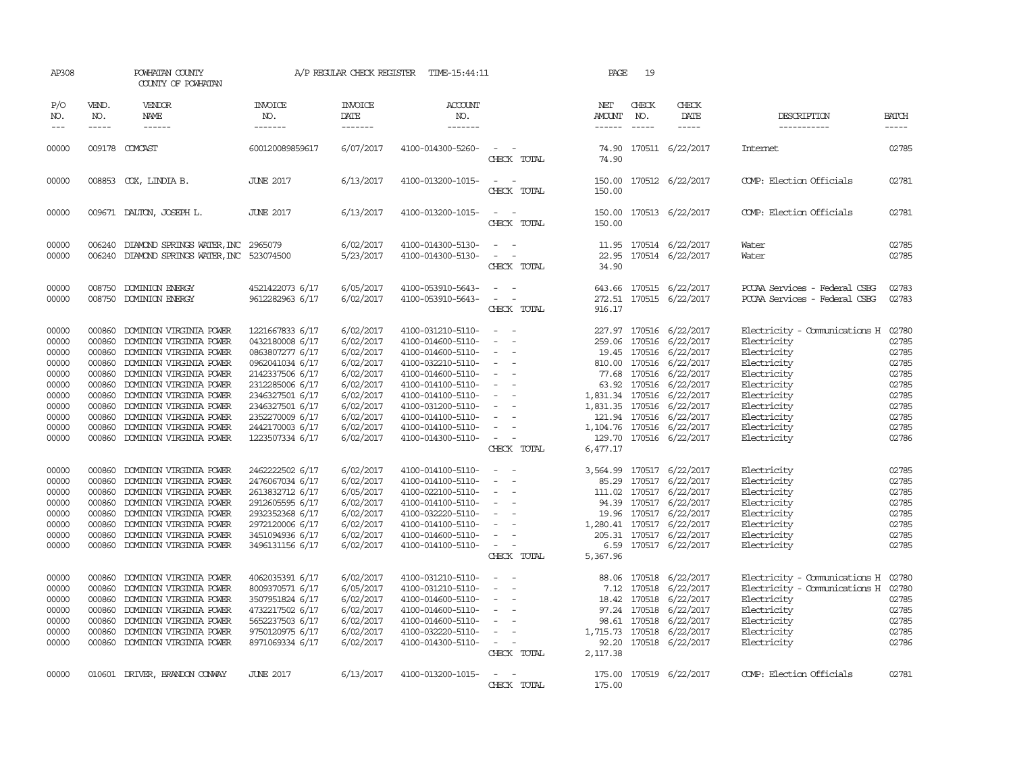| AP308                                                                                                                                                                   |                                                                                                                                                                        | POWHATAN COUNTY<br>COUNTY OF POWHATAN                                                                                                                                                                                                                                                                                                                                                                                                                                                                                                       |                                                                                                                                                                                                                                                                                                                                                                       | A/P REGULAR CHECK REGISTER                                                                                                                                                                                                                          | TIME-15:44:11                                                                                                                                                                                                                                                                                                                                                                                               |                                                                                                                                                                                                                                                                                                                                  | PAGE                           | 19                            |                                                                                                                                                                                                                                                                                                                                                                                                                                                                                                                           |                                                                                                                                                                                                                                                                                                             |                                                                                                                                                                         |
|-------------------------------------------------------------------------------------------------------------------------------------------------------------------------|------------------------------------------------------------------------------------------------------------------------------------------------------------------------|---------------------------------------------------------------------------------------------------------------------------------------------------------------------------------------------------------------------------------------------------------------------------------------------------------------------------------------------------------------------------------------------------------------------------------------------------------------------------------------------------------------------------------------------|-----------------------------------------------------------------------------------------------------------------------------------------------------------------------------------------------------------------------------------------------------------------------------------------------------------------------------------------------------------------------|-----------------------------------------------------------------------------------------------------------------------------------------------------------------------------------------------------------------------------------------------------|-------------------------------------------------------------------------------------------------------------------------------------------------------------------------------------------------------------------------------------------------------------------------------------------------------------------------------------------------------------------------------------------------------------|----------------------------------------------------------------------------------------------------------------------------------------------------------------------------------------------------------------------------------------------------------------------------------------------------------------------------------|--------------------------------|-------------------------------|---------------------------------------------------------------------------------------------------------------------------------------------------------------------------------------------------------------------------------------------------------------------------------------------------------------------------------------------------------------------------------------------------------------------------------------------------------------------------------------------------------------------------|-------------------------------------------------------------------------------------------------------------------------------------------------------------------------------------------------------------------------------------------------------------------------------------------------------------|-------------------------------------------------------------------------------------------------------------------------------------------------------------------------|
| P/O<br>NO.<br>$---$                                                                                                                                                     | VEND.<br>NO.<br>$- - - - -$                                                                                                                                            | VENDOR<br><b>NAME</b><br>$- - - - - -$                                                                                                                                                                                                                                                                                                                                                                                                                                                                                                      | <b>INVOICE</b><br>NO.<br>-------                                                                                                                                                                                                                                                                                                                                      | <b>INVOICE</b><br>DATE<br>-------                                                                                                                                                                                                                   | <b>ACCOUNT</b><br>NO.<br>-------                                                                                                                                                                                                                                                                                                                                                                            |                                                                                                                                                                                                                                                                                                                                  | NET<br>AMOUNT<br>------        | CHECK<br>NO.<br>$\frac{1}{2}$ | CHECK<br>DATE<br>$\cdots \cdots \cdots$                                                                                                                                                                                                                                                                                                                                                                                                                                                                                   | DESCRIPTION<br>-----------                                                                                                                                                                                                                                                                                  | <b>BATCH</b><br>-----                                                                                                                                                   |
| 00000                                                                                                                                                                   |                                                                                                                                                                        | 009178 COMCAST                                                                                                                                                                                                                                                                                                                                                                                                                                                                                                                              | 600120089859617                                                                                                                                                                                                                                                                                                                                                       | 6/07/2017                                                                                                                                                                                                                                           | 4100-014300-5260-                                                                                                                                                                                                                                                                                                                                                                                           | $\sim$ $\sim$<br>CHECK TOTAL                                                                                                                                                                                                                                                                                                     | 74.90                          |                               | 74.90 170511 6/22/2017                                                                                                                                                                                                                                                                                                                                                                                                                                                                                                    | Internet                                                                                                                                                                                                                                                                                                    | 02785                                                                                                                                                                   |
| 00000                                                                                                                                                                   |                                                                                                                                                                        | 008853 COX, LINDIA B.                                                                                                                                                                                                                                                                                                                                                                                                                                                                                                                       | <b>JUNE 2017</b>                                                                                                                                                                                                                                                                                                                                                      | 6/13/2017                                                                                                                                                                                                                                           | 4100-013200-1015-                                                                                                                                                                                                                                                                                                                                                                                           | $\overline{\phantom{a}}$<br>CHECK TOTAL                                                                                                                                                                                                                                                                                          | 150.00                         |                               | 150.00 170512 6/22/2017                                                                                                                                                                                                                                                                                                                                                                                                                                                                                                   | COMP: Election Officials                                                                                                                                                                                                                                                                                    | 02781                                                                                                                                                                   |
| 00000                                                                                                                                                                   |                                                                                                                                                                        | 009671 DALTON, JOSEPH L.                                                                                                                                                                                                                                                                                                                                                                                                                                                                                                                    | <b>JUNE 2017</b>                                                                                                                                                                                                                                                                                                                                                      | 6/13/2017                                                                                                                                                                                                                                           | 4100-013200-1015-                                                                                                                                                                                                                                                                                                                                                                                           | $ -$<br>CHECK TOTAL                                                                                                                                                                                                                                                                                                              | 150.00<br>150.00               |                               | 170513 6/22/2017                                                                                                                                                                                                                                                                                                                                                                                                                                                                                                          | COMP: Election Officials                                                                                                                                                                                                                                                                                    | 02781                                                                                                                                                                   |
| 00000<br>00000                                                                                                                                                          |                                                                                                                                                                        | 006240 DIAMOND SPRINGS WATER, INC 2965079<br>006240 DIAMOND SPRINGS WATER, INC 523074500                                                                                                                                                                                                                                                                                                                                                                                                                                                    |                                                                                                                                                                                                                                                                                                                                                                       | 6/02/2017<br>5/23/2017                                                                                                                                                                                                                              | 4100-014300-5130-<br>4100-014300-5130-                                                                                                                                                                                                                                                                                                                                                                      | $\equiv$<br>$\overline{\phantom{a}}$<br>CHECK TOTAL                                                                                                                                                                                                                                                                              | 34.90                          |                               | 11.95 170514 6/22/2017<br>22.95 170514 6/22/2017                                                                                                                                                                                                                                                                                                                                                                                                                                                                          | Water<br>Water                                                                                                                                                                                                                                                                                              | 02785<br>02785                                                                                                                                                          |
| 00000<br>00000                                                                                                                                                          |                                                                                                                                                                        | 008750 DOMINION ENERGY<br>008750 DOMINION ENERGY                                                                                                                                                                                                                                                                                                                                                                                                                                                                                            | 4521422073 6/17<br>9612282963 6/17                                                                                                                                                                                                                                                                                                                                    | 6/05/2017<br>6/02/2017                                                                                                                                                                                                                              | 4100-053910-5643-<br>4100-053910-5643-                                                                                                                                                                                                                                                                                                                                                                      | $\sim$<br>CHECK TOTAL                                                                                                                                                                                                                                                                                                            | 272.51<br>916.17               |                               | 643.66 170515 6/22/2017<br>170515 6/22/2017                                                                                                                                                                                                                                                                                                                                                                                                                                                                               | PCCAA Services - Federal CSBG<br>PCCAA Services - Federal CSBG                                                                                                                                                                                                                                              | 02783<br>02783                                                                                                                                                          |
| 00000<br>00000<br>00000<br>00000<br>00000<br>00000<br>00000<br>00000<br>00000<br>00000<br>00000<br>00000<br>00000<br>00000<br>00000<br>00000<br>00000<br>00000<br>00000 | 000860<br>000860<br>000860<br>000860<br>000860<br>000860<br>000860<br>000860<br>000860<br>000860<br>000860<br>000860<br>000860<br>000860<br>000860<br>000860<br>000860 | DOMINION VIRGINIA POWER<br>DOMINION VIRGINIA POWER<br>DOMINION VIRGINIA POWER<br>DOMINION VIRGINIA POWER<br>DOMINION VIRGINIA POWER<br>DOMINION VIRGINIA POWER<br>DOMINION VIRGINIA POWER<br>DOMINION VIRGINIA POWER<br>DOMINION VIRGINIA POWER<br>DOMINION VIRGINIA POWER<br>000860 DOMINION VIRGINIA POWER<br>DOMINION VIRGINIA POWER<br>DOMINION VIRGINIA POWER<br>DOMINION VIRGINIA POWER<br>DOMINION VIRGINIA POWER<br>DOMINION VIRGINIA POWER<br>DOMINION VIRGINIA POWER<br>DOMINION VIRGINIA POWER<br>000860 DOMINION VIRGINIA POWER | 1221667833 6/17<br>0432180008 6/17<br>0863807277 6/17<br>0962041034 6/17<br>2142337506 6/17<br>2312285006 6/17<br>2346327501 6/17<br>2346327501 6/17<br>2352270009 6/17<br>2442170003 6/17<br>1223507334 6/17<br>2462222502 6/17<br>2476067034 6/17<br>2613832712 6/17<br>2912605595 6/17<br>2932352368 6/17<br>2972120006 6/17<br>3451094936 6/17<br>3496131156 6/17 | 6/02/2017<br>6/02/2017<br>6/02/2017<br>6/02/2017<br>6/02/2017<br>6/02/2017<br>6/02/2017<br>6/02/2017<br>6/02/2017<br>6/02/2017<br>6/02/2017<br>6/02/2017<br>6/02/2017<br>6/05/2017<br>6/02/2017<br>6/02/2017<br>6/02/2017<br>6/02/2017<br>6/02/2017 | 4100-031210-5110-<br>4100-014600-5110-<br>4100-014600-5110-<br>4100-032210-5110-<br>4100-014600-5110-<br>4100-014100-5110-<br>4100-014100-5110-<br>4100-031200-5110-<br>4100-014100-5110-<br>4100-014100-5110-<br>4100-014300-5110-<br>4100-014100-5110-<br>4100-014100-5110-<br>4100-022100-5110-<br>4100-014100-5110-<br>4100-032220-5110-<br>4100-014100-5110-<br>4100-014600-5110-<br>4100-014100-5110- | $\sim$ $ \sim$<br>$\sim$<br>$\overline{\phantom{a}}$<br>$\sim$<br>$\sim$<br>$\overline{\phantom{a}}$<br>$\overline{\phantom{a}}$<br>$\sim$<br>$\equiv$<br>$\sim$<br>$\sim$<br>CHECK TOTAL<br>$\sim$<br>$\sim$<br>$\sim$<br>$\sim$<br>$\sim$<br>$\overline{\phantom{a}}$<br>$\overline{\phantom{a}}$<br>$\sim$ $-$<br>CHECK TOTAL | 259.06<br>6,477.17<br>5,367.96 |                               | 227.97 170516 6/22/2017<br>170516 6/22/2017<br>19.45 170516 6/22/2017<br>810.00 170516 6/22/2017<br>77.68 170516 6/22/2017<br>63.92 170516 6/22/2017<br>1,831.34 170516 6/22/2017<br>1,831.35 170516 6/22/2017<br>121.94 170516 6/22/2017<br>1, 104.76 170516 6/22/2017<br>129.70 170516 6/22/2017<br>3,564.99 170517 6/22/2017<br>85.29 170517 6/22/2017<br>111.02 170517 6/22/2017<br>94.39 170517 6/22/2017<br>19.96 170517 6/22/2017<br>1,280.41 170517 6/22/2017<br>205.31 170517 6/22/2017<br>6.59 170517 6/22/2017 | Electricity - Comunications H<br>Electricity<br>Electricity<br>Electricity<br>Electricity<br>Electricity<br>Electricity<br>Electricity<br>Electricity<br>Electricity<br>Electricity<br>Electricity<br>Electricity<br>Electricity<br>Electricity<br>Electricity<br>Electricity<br>Electricity<br>Electricity | 02780<br>02785<br>02785<br>02785<br>02785<br>02785<br>02785<br>02785<br>02785<br>02785<br>02786<br>02785<br>02785<br>02785<br>02785<br>02785<br>02785<br>02785<br>02785 |
| 00000<br>00000<br>00000<br>00000<br>00000<br>00000<br>00000                                                                                                             | 000860<br>000860<br>000860<br>000860<br>000860<br>000860                                                                                                               | DOMINION VIRGINIA POWER<br>DOMINION VIRGINIA POWER<br>DOMINION VIRGINIA POWER<br>DOMINION VIRGINIA POWER<br>DOMINION VIRGINIA POWER<br>DOMINION VIRGINIA POWER<br>000860 DOMINION VIRGINIA POWER                                                                                                                                                                                                                                                                                                                                            | 4062035391 6/17<br>8009370571 6/17<br>3507951824 6/17<br>4732217502 6/17<br>5652237503 6/17<br>9750120975 6/17<br>8971069334 6/17                                                                                                                                                                                                                                     | 6/02/2017<br>6/05/2017<br>6/02/2017<br>6/02/2017<br>6/02/2017<br>6/02/2017<br>6/02/2017                                                                                                                                                             | 4100-031210-5110-<br>4100-031210-5110-<br>4100-014600-5110-<br>4100-014600-5110-<br>4100-014600-5110-<br>4100-032220-5110-<br>4100-014300-5110-                                                                                                                                                                                                                                                             | $\sim$<br>$\overline{\phantom{a}}$<br>$\sim$<br>$\sim$<br>$\sim$<br>$\overline{\phantom{a}}$<br>$\sim$ $-$<br>CHECK TOTAL                                                                                                                                                                                                        | 7.12<br>1,715.73<br>2,117.38   | 97.24 170518                  | 88.06 170518 6/22/2017<br>170518 6/22/2017<br>18.42 170518 6/22/2017<br>6/22/2017<br>98.61 170518 6/22/2017<br>170518 6/22/2017<br>92.20 170518 6/22/2017                                                                                                                                                                                                                                                                                                                                                                 | Electricity - Comunications H<br>Electricity - Comunications H<br>Electricity<br>Electricity<br>Electricity<br>Electricity<br>Electricity                                                                                                                                                                   | 02780<br>02780<br>02785<br>02785<br>02785<br>02785<br>02786                                                                                                             |
| 00000                                                                                                                                                                   |                                                                                                                                                                        | 010601 DRIVER, BRANDON CONVAY                                                                                                                                                                                                                                                                                                                                                                                                                                                                                                               | <b>JUNE 2017</b>                                                                                                                                                                                                                                                                                                                                                      | 6/13/2017                                                                                                                                                                                                                                           | 4100-013200-1015-                                                                                                                                                                                                                                                                                                                                                                                           | $\overline{\phantom{a}}$<br>CHECK TOTAL                                                                                                                                                                                                                                                                                          | 175.00                         |                               | 175.00 170519 6/22/2017                                                                                                                                                                                                                                                                                                                                                                                                                                                                                                   | COMP: Election Officials                                                                                                                                                                                                                                                                                    | 02781                                                                                                                                                                   |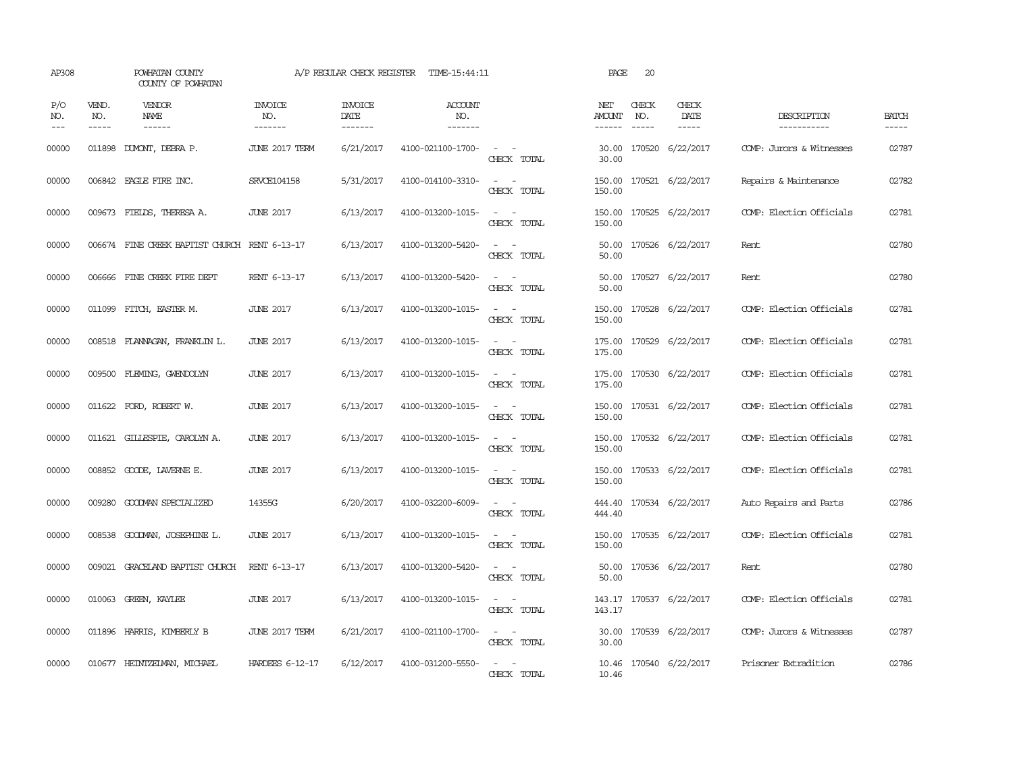| AP308               |                             | POWHATAN COUNTY<br>COUNTY OF POWHATAN         |                                  | A/P REGULAR CHECK REGISTER        | TIME-15:44:11                    |                                                                                                                             | PAGE                    | 20           |                              |                            |                       |
|---------------------|-----------------------------|-----------------------------------------------|----------------------------------|-----------------------------------|----------------------------------|-----------------------------------------------------------------------------------------------------------------------------|-------------------------|--------------|------------------------------|----------------------------|-----------------------|
| P/O<br>NO.<br>$---$ | VEND.<br>NO.<br>$- - - - -$ | VENDOR<br>NAME<br>------                      | <b>INVOICE</b><br>NO.<br>------- | <b>INVOICE</b><br>DATE<br>------- | <b>ACCOUNT</b><br>NO.<br>------- |                                                                                                                             | NET<br>AMOUNT<br>------ | CHECK<br>NO. | CHECK<br>DATE<br>$- - - - -$ | DESCRIPTION<br>----------- | <b>BATCH</b><br>----- |
| 00000               | 011898                      | DUMONT, DEBRA P.                              | JUNE 2017 TERM                   | 6/21/2017                         | 4100-021100-1700-                | $\sim$ $ \sim$<br>CHECK TOTAL                                                                                               | 30.00<br>30.00          |              | 170520 6/22/2017             | COMP: Jurors & Witnesses   | 02787                 |
| 00000               |                             | 006842 EAGLE FIRE INC.                        | SRVCE104158                      | 5/31/2017                         | 4100-014100-3310-                | $\omega_{\rm{max}}$ and $\omega_{\rm{max}}$<br>CHECK TOTAL                                                                  | 150.00<br>150.00        |              | 170521 6/22/2017             | Repairs & Maintenance      | 02782                 |
| 00000               |                             | 009673 FIELDS, THERESA A.                     | <b>JUNE 2017</b>                 | 6/13/2017                         | 4100-013200-1015-                | $\frac{1}{2} \left( \frac{1}{2} \right) \left( \frac{1}{2} \right) = \frac{1}{2} \left( \frac{1}{2} \right)$<br>CHECK TOTAL | 150.00<br>150.00        |              | 170525 6/22/2017             | COMP: Election Officials   | 02781                 |
| 00000               |                             | 006674 FINE CREEK BAPTIST CHURCH RENT 6-13-17 |                                  | 6/13/2017                         | 4100-013200-5420-                | $\sim$ $ \sim$<br>CHECK TOTAL                                                                                               | 50.00<br>50.00          |              | 170526 6/22/2017             | Rent                       | 02780                 |
| 00000               |                             | 006666 FINE CREEK FIRE DEPT                   | RENT 6-13-17                     | 6/13/2017                         | 4100-013200-5420-                | $\sim$ $\sim$<br>CHECK TOTAL                                                                                                | 50.00<br>50.00          |              | 170527 6/22/2017             | Rent                       | 02780                 |
| 00000               |                             | 011099 FITCH, EASTER M.                       | <b>JUNE 2017</b>                 | 6/13/2017                         | 4100-013200-1015-                | $\omega_{\rm{max}}$ and $\omega_{\rm{max}}$<br>CHECK TOTAL                                                                  | 150.00<br>150.00        |              | 170528 6/22/2017             | COMP: Election Officials   | 02781                 |
| 00000               |                             | 008518 FLANNAGAN, FRANKLIN L.                 | <b>JUNE 2017</b>                 | 6/13/2017                         | 4100-013200-1015-                | $\sim$ $ \sim$<br>CHECK TOTAL                                                                                               | 175.00<br>175.00        |              | 170529 6/22/2017             | COMP: Election Officials   | 02781                 |
| 00000               |                             | 009500 FLEMING, GWENDOLYN                     | <b>JUNE 2017</b>                 | 6/13/2017                         | 4100-013200-1015-                | $\sim$ $ \sim$<br>CHECK TOTAL                                                                                               | 175.00<br>175.00        |              | 170530 6/22/2017             | COMP: Election Officials   | 02781                 |
| 00000               |                             | 011622 FORD, ROBERT W.                        | <b>JUNE 2017</b>                 | 6/13/2017                         | 4100-013200-1015-                | $\sim$ $ -$<br>CHECK TOTAL                                                                                                  | 150.00<br>150.00        |              | 170531 6/22/2017             | COMP: Election Officials   | 02781                 |
| 00000               |                             | 011621 GILLESPIE, CAROLYN A.                  | <b>JUNE 2017</b>                 | 6/13/2017                         | 4100-013200-1015-                | $\sim$ $ -$<br>CHECK TOTAL                                                                                                  | 150.00<br>150.00        |              | 170532 6/22/2017             | COMP: Election Officials   | 02781                 |
| 00000               |                             | 008852 GOODE, LAVERNE E.                      | <b>JUNE 2017</b>                 | 6/13/2017                         | 4100-013200-1015-                | $\sim$<br>$\sim$<br>CHECK TOTAL                                                                                             | 150.00<br>150.00        |              | 170533 6/22/2017             | COMP: Election Officials   | 02781                 |
| 00000               | 009280                      | GOODMAN SPECIALIZED                           | 14355G                           | 6/20/2017                         | 4100-032200-6009-                | $\sim$ $ \sim$<br>CHECK TOTAL                                                                                               | 444.40<br>444.40        |              | 170534 6/22/2017             | Auto Repairs and Parts     | 02786                 |
| 00000               |                             | 008538 GOODMAN, JOSEPHINE L.                  | <b>JUNE 2017</b>                 | 6/13/2017                         | 4100-013200-1015-                | $\sim$ $ \sim$<br>CHECK TOTAL                                                                                               | 150.00<br>150.00        |              | 170535 6/22/2017             | COMP: Election Officials   | 02781                 |
| 00000               |                             | 009021 GRACELAND BAPTIST CHURCH               | RENT 6-13-17                     | 6/13/2017                         | 4100-013200-5420-                | $\frac{1}{2} \left( \frac{1}{2} \right) \left( \frac{1}{2} \right) = \frac{1}{2} \left( \frac{1}{2} \right)$<br>CHECK TOTAL | 50.00<br>50.00          |              | 170536 6/22/2017             | Rent                       | 02780                 |
| 00000               |                             | 010063 GREEN, KAYLEE                          | <b>JUNE 2017</b>                 | 6/13/2017                         | 4100-013200-1015-                | $\sim$ $\sim$<br>CHECK TOTAL                                                                                                | 143.17                  |              | 143.17 170537 6/22/2017      | COMP: Election Officials   | 02781                 |
| 00000               |                             | 011896 HARRIS, KIMBERLY B                     | JUNE 2017 TERM                   | 6/21/2017                         | 4100-021100-1700-                | $\omega_{\rm{max}}$ and $\omega_{\rm{max}}$<br>CHECK TOTAL                                                                  | 30.00<br>30.00          |              | 170539 6/22/2017             | COMP: Jurors & Witnesses   | 02787                 |
| 00000               |                             | 010677 HEINTZELMAN, MICHAEL                   | HARDEES 6-12-17                  | 6/12/2017                         | 4100-031200-5550-                | $ -$<br>CHECK TOTAL                                                                                                         | 10.46                   |              | 10.46 170540 6/22/2017       | Prisoner Extradition       | 02786                 |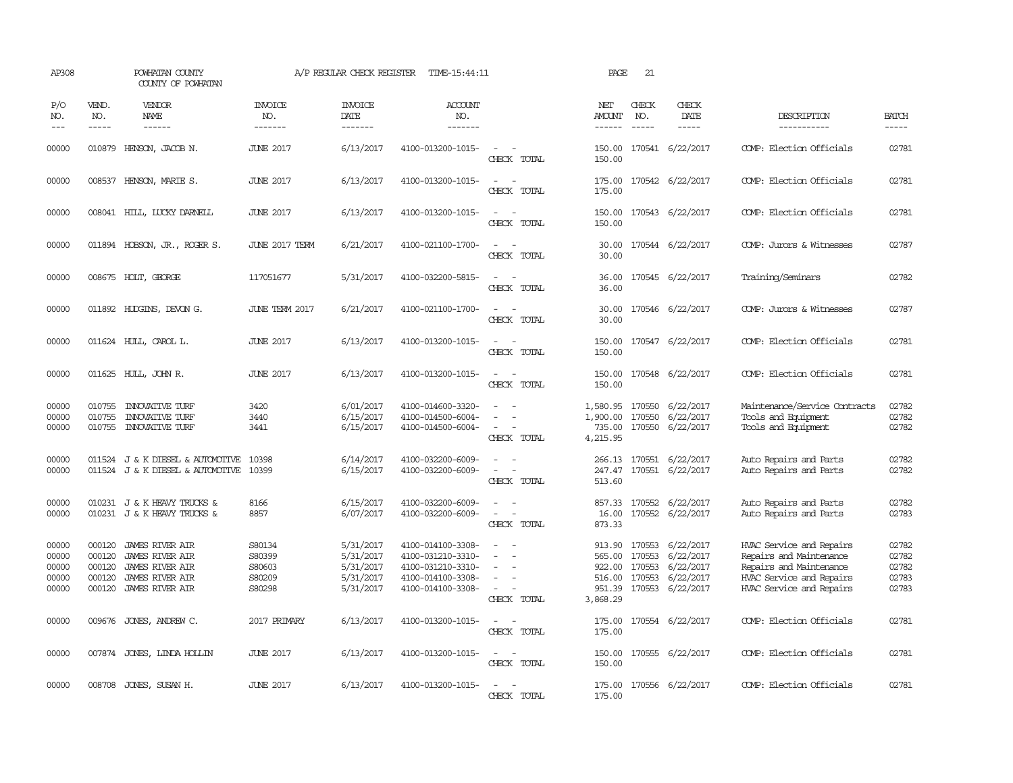| AP308                                     |                                                | POWHATAN COUNTY<br>COUNTY OF POWHATAN                                                                            |                                                | A/P REGULAR CHECK REGISTER                                    | TIME-15:44:11                                                                                         |                                                                                                                             | PAGE                                                       | 21                            |                                                                                           |                                                                                                                                        |                                           |
|-------------------------------------------|------------------------------------------------|------------------------------------------------------------------------------------------------------------------|------------------------------------------------|---------------------------------------------------------------|-------------------------------------------------------------------------------------------------------|-----------------------------------------------------------------------------------------------------------------------------|------------------------------------------------------------|-------------------------------|-------------------------------------------------------------------------------------------|----------------------------------------------------------------------------------------------------------------------------------------|-------------------------------------------|
| P/O<br>NO.<br>$---$                       | VEND.<br>NO.<br>$- - - - -$                    | VENDOR<br>NAME                                                                                                   | <b>INVOICE</b><br>NO.                          | <b>INVOICE</b><br>DATE                                        | <b>ACCOUNT</b><br>NO.                                                                                 |                                                                                                                             | NET<br><b>AMOUNT</b>                                       | CHECK<br>NO.<br>$\frac{1}{2}$ | CHECK<br>DATE                                                                             | DESCRIPTION                                                                                                                            | <b>BATCH</b>                              |
|                                           |                                                | $- - - - - -$                                                                                                    | -------                                        | -------                                                       | -------                                                                                               |                                                                                                                             | ------                                                     |                               | $- - - - -$                                                                               | -----------                                                                                                                            | $- - - - -$                               |
| 00000                                     |                                                | 010879 HENSON, JACOB N.                                                                                          | <b>JUNE 2017</b>                               | 6/13/2017                                                     | 4100-013200-1015-                                                                                     | $\sim$ 100 $\mu$<br>CHECK TOTAL                                                                                             | 150.00                                                     |                               | 150.00 170541 6/22/2017                                                                   | COMP: Election Officials                                                                                                               | 02781                                     |
| 00000                                     |                                                | 008537 HENSON, MARIE S.                                                                                          | <b>JUNE 2017</b>                               | 6/13/2017                                                     | 4100-013200-1015-                                                                                     | $\sim$<br>$\sim$<br>CHECK TOTAL                                                                                             | 175.00<br>175.00                                           |                               | 170542 6/22/2017                                                                          | COMP: Election Officials                                                                                                               | 02781                                     |
| 00000                                     |                                                | 008041 HILL, LUCKY DARNELL                                                                                       | <b>JUNE 2017</b>                               | 6/13/2017                                                     | 4100-013200-1015-                                                                                     | $\sim$<br>$\sim$<br>CHECK TOTAL                                                                                             | 150.00<br>150.00                                           |                               | 170543 6/22/2017                                                                          | COMP: Election Officials                                                                                                               | 02781                                     |
| 00000                                     |                                                | 011894 HOBSON, JR., ROGER S.                                                                                     | <b>JUNE 2017 TERM</b>                          | 6/21/2017                                                     | 4100-021100-1700-                                                                                     | CHECK TOTAL                                                                                                                 | 30.00<br>30.00                                             |                               | 170544 6/22/2017                                                                          | COMP: Jurors & Witnesses                                                                                                               | 02787                                     |
| 00000                                     |                                                | 008675 HOLT, GEORGE                                                                                              | 117051677                                      | 5/31/2017                                                     | 4100-032200-5815-                                                                                     | $\sim$<br>CHECK TOTAL                                                                                                       | 36.00<br>36.00                                             |                               | 170545 6/22/2017                                                                          | Training/Seminars                                                                                                                      | 02782                                     |
| 00000                                     |                                                | 011892 HUDGINS, DEVON G.                                                                                         | JUNE TERM 2017                                 | 6/21/2017                                                     | 4100-021100-1700-                                                                                     | $\overline{\phantom{a}}$<br>CHECK TOTAL                                                                                     | 30.00<br>30.00                                             |                               | 170546 6/22/2017                                                                          | COMP: Jurors & Witnesses                                                                                                               | 02787                                     |
| 00000                                     |                                                | 011624 HULL, CAROL L.                                                                                            | <b>JUNE 2017</b>                               | 6/13/2017                                                     | 4100-013200-1015-                                                                                     | $\overline{\phantom{a}}$<br>CHECK TOTAL                                                                                     | 150.00<br>150.00                                           |                               | 170547 6/22/2017                                                                          | COMP: Election Officials                                                                                                               | 02781                                     |
| 00000                                     |                                                | 011625 HULL, JOHN R.                                                                                             | <b>JUNE 2017</b>                               | 6/13/2017                                                     | 4100-013200-1015-                                                                                     | CHECK TOTAL                                                                                                                 | 150.00<br>150.00                                           |                               | 170548 6/22/2017                                                                          | COMP: Election Officials                                                                                                               | 02781                                     |
| 00000<br>00000<br>00000                   | 010755<br>010755                               | <b>INNOVATIVE TURF</b><br><b>INVATIVE TURF</b><br>010755 INNOVATIVE TURF                                         | 3420<br>3440<br>3441                           | 6/01/2017<br>6/15/2017<br>6/15/2017                           | 4100-014600-3320-<br>4100-014500-6004-<br>4100-014500-6004-                                           | $\overline{\phantom{a}}$<br>CHECK TOTAL                                                                                     | 1,580.95<br>1,900.00<br>735.00<br>4,215.95                 | 170550                        | 170550 6/22/2017<br>6/22/2017<br>170550 6/22/2017                                         | Maintenance/Service Contracts<br>Tools and Equipment<br>Tools and Equipment                                                            | 02782<br>02782<br>02782                   |
| 00000<br>00000                            |                                                | 011524 J & K DIESEL & AUTOMOTIVE<br>011524 J & K DIESEL & AUTOMOTIVE                                             | 10398<br>10399                                 | 6/14/2017<br>6/15/2017                                        | 4100-032200-6009-<br>4100-032200-6009-                                                                | $\equiv$<br>$\overline{\phantom{a}}$<br>CHECK TOTAL                                                                         | 247.47<br>513.60                                           |                               | 266.13 170551 6/22/2017<br>170551 6/22/2017                                               | Auto Repairs and Parts<br>Auto Repairs and Parts                                                                                       | 02782<br>02782                            |
| 00000<br>00000                            |                                                | 010231 J & K HEAVY TRUCKS &<br>010231 J & K HEAVY TRUCKS &                                                       | 8166<br>8857                                   | 6/15/2017<br>6/07/2017                                        | 4100-032200-6009-<br>4100-032200-6009-                                                                | $\equiv$<br>$\sim$<br>CHECK TOTAL                                                                                           | 16.00<br>873.33                                            |                               | 857.33 170552 6/22/2017<br>170552 6/22/2017                                               | Auto Repairs and Parts<br>Auto Repairs and Parts                                                                                       | 02782<br>02783                            |
| 00000<br>00000<br>00000<br>00000<br>00000 | 000120<br>000120<br>000120<br>000120<br>000120 | JAMES RIVER AIR<br><b>JAMES RIVER AIR</b><br>JAMES RIVER AIR<br><b>JAMES RIVER AIR</b><br><b>JAMES RIVER AIR</b> | S80134<br>S80399<br>S80603<br>S80209<br>S80298 | 5/31/2017<br>5/31/2017<br>5/31/2017<br>5/31/2017<br>5/31/2017 | 4100-014100-3308-<br>4100-031210-3310-<br>4100-031210-3310-<br>4100-014100-3308-<br>4100-014100-3308- | $\equiv$<br>$\sim$<br>$\sim$<br>$\sim$<br>CHECK TOTAL                                                                       | 913.90<br>565,00<br>922.00<br>516.00<br>951.39<br>3,868.29 | 170553                        | 6/22/2017<br>170553 6/22/2017<br>170553 6/22/2017<br>170553 6/22/2017<br>170553 6/22/2017 | HVAC Service and Repairs<br>Repairs and Maintenance<br>Repairs and Maintenance<br>HVAC Service and Repairs<br>HVAC Service and Repairs | 02782<br>02782<br>02782<br>02783<br>02783 |
| 00000                                     |                                                | 009676 JONES, ANDREW C.                                                                                          | 2017 PRIMARY                                   | 6/13/2017                                                     | 4100-013200-1015-                                                                                     | CHECK TOTAL                                                                                                                 | 175.00<br>175.00                                           |                               | 170554 6/22/2017                                                                          | COMP: Election Officials                                                                                                               | 02781                                     |
| 00000                                     |                                                | 007874 JONES, LINDA HOLLIN                                                                                       | <b>JUNE 2017</b>                               | 6/13/2017                                                     | 4100-013200-1015-                                                                                     | $\frac{1}{2} \left( \frac{1}{2} \right) \left( \frac{1}{2} \right) = \frac{1}{2} \left( \frac{1}{2} \right)$<br>CHECK TOTAL | 150.00<br>150.00                                           |                               | 170555 6/22/2017                                                                          | COMP: Election Officials                                                                                                               | 02781                                     |
| 00000                                     |                                                | 008708 JONES, SUSAN H.                                                                                           | <b>JUNE 2017</b>                               | 6/13/2017                                                     | 4100-013200-1015-                                                                                     | CHECK TOTAL                                                                                                                 | 175.00                                                     |                               | 175.00 170556 6/22/2017                                                                   | COMP: Election Officials                                                                                                               | 02781                                     |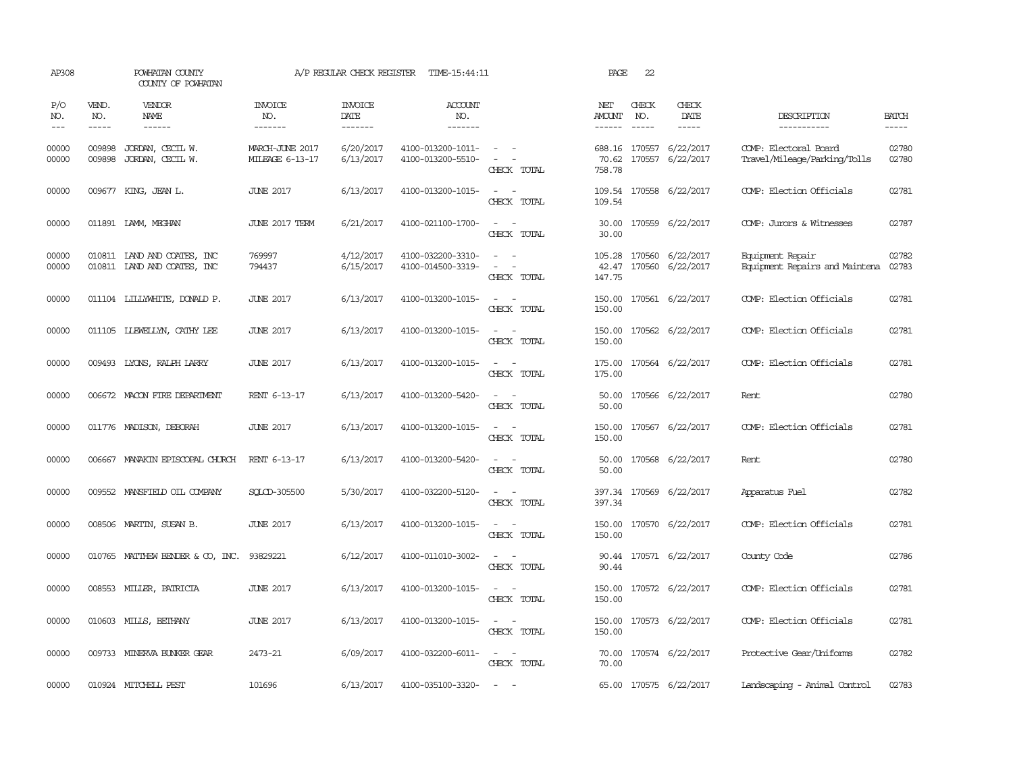| AP308               |                                                                                                                                                                                                                                                                                                                                                                                                                                                                         | POWHATAN COUNTY<br>COUNTY OF POWHATAN                      |                                    | A/P REGULAR CHECK REGISTER        | TIME-15:44:11                          |                                                            | PAGE                      | 22           |                                                   |                                                       |                |
|---------------------|-------------------------------------------------------------------------------------------------------------------------------------------------------------------------------------------------------------------------------------------------------------------------------------------------------------------------------------------------------------------------------------------------------------------------------------------------------------------------|------------------------------------------------------------|------------------------------------|-----------------------------------|----------------------------------------|------------------------------------------------------------|---------------------------|--------------|---------------------------------------------------|-------------------------------------------------------|----------------|
| P/O<br>NO.<br>$---$ | VEND.<br>NO.<br>$\begin{tabular}{ccccc} \multicolumn{2}{c }{\multicolumn{2}{c }{\multicolumn{2}{c }{\multicolumn{2}{c}}{\hspace{-2.2cm}}}} \multicolumn{2}{c }{\multicolumn{2}{c }{\hspace{-2.2cm}}\hline} \multicolumn{2}{c }{\hspace{-2.2cm}}\hline \multicolumn{2}{c }{\hspace{-2.2cm}}\hline \multicolumn{2}{c }{\hspace{-2.2cm}}\hline \multicolumn{2}{c }{\hspace{-2.2cm}}\hline \multicolumn{2}{c }{\hspace{-2.2cm}}\hline \multicolumn{2}{c }{\hspace{-2.2cm}}$ | <b>VENDOR</b><br>NAME                                      | <b>INVOICE</b><br>NO.<br>-------   | <b>INVOICE</b><br>DATE<br>------- | <b>ACCOUNT</b><br>NO.<br>-------       |                                                            | NET<br>AMOUNT<br>------   | CHECK<br>NO. | CHECK<br>DATE<br>$- - - - -$                      | DESCRIPTION<br>-----------                            | <b>BATCH</b>   |
| 00000<br>00000      | 009898<br>009898                                                                                                                                                                                                                                                                                                                                                                                                                                                        | JORDAN, CECIL W.<br>JORDAN, CECIL W.                       | MARCH-JUNE 2017<br>MILEAGE 6-13-17 | 6/20/2017<br>6/13/2017            | 4100-013200-1011-<br>4100-013200-5510- | $\sim$ $  -$<br>$\sim$ $-$<br>CHECK TOTAL                  | 758.78                    |              | 688.16 170557 6/22/2017<br>70.62 170557 6/22/2017 | COMP: Electoral Board<br>Travel/Mileage/Parking/Tolls | 02780<br>02780 |
| 00000               |                                                                                                                                                                                                                                                                                                                                                                                                                                                                         | 009677 KING, JEAN L.                                       | <b>JUNE 2017</b>                   | 6/13/2017                         | 4100-013200-1015-                      | $\overline{\phantom{a}}$<br>CHECK TOTAL                    | 109.54<br>109.54          |              | 170558 6/22/2017                                  | COMP: Election Officials                              | 02781          |
| 00000               |                                                                                                                                                                                                                                                                                                                                                                                                                                                                         | 011891 LAMM, MECHAN                                        | <b>JUNE 2017 TERM</b>              | 6/21/2017                         | 4100-021100-1700-                      | $\sim$<br>$\sim$<br>CHECK TOTAL                            | 30.00<br>30.00            |              | 170559 6/22/2017                                  | COMP: Jurors & Witnesses                              | 02787          |
| 00000<br>00000      |                                                                                                                                                                                                                                                                                                                                                                                                                                                                         | 010811 LAND AND COATES, INC<br>010811 IAND AND COATES, INC | 769997<br>794437                   | 4/12/2017<br>6/15/2017            | 4100-032200-3310-<br>4100-014500-3319- | $\sim$<br>$\sim$<br>$\sim$<br>CHECK TOTAL                  | 105.28<br>42.47<br>147.75 |              | 170560 6/22/2017<br>170560 6/22/2017              | Equipment Repair<br>Equipment Repairs and Maintena    | 02782<br>02783 |
| 00000               |                                                                                                                                                                                                                                                                                                                                                                                                                                                                         | 011104 LILLYWHITE, DONALD P.                               | <b>JUNE 2017</b>                   | 6/13/2017                         | 4100-013200-1015-                      | $\sim$<br>CHECK TOTAL                                      | 150.00<br>150.00          |              | 170561 6/22/2017                                  | COMP: Election Officials                              | 02781          |
| 00000               |                                                                                                                                                                                                                                                                                                                                                                                                                                                                         | 011105 LLEWELLYN, CATHY LEE                                | <b>JUNE 2017</b>                   | 6/13/2017                         | 4100-013200-1015-                      | $\sim$<br>CHECK TOTAL                                      | 150.00<br>150.00          |              | 170562 6/22/2017                                  | COMP: Election Officials                              | 02781          |
| 00000               |                                                                                                                                                                                                                                                                                                                                                                                                                                                                         | 009493 LYONS, RALPH LARRY                                  | <b>JUNE 2017</b>                   | 6/13/2017                         | 4100-013200-1015-                      | $\sim$ $ \sim$<br>CHECK TOTAL                              | 175.00                    |              | 175.00 170564 6/22/2017                           | COMP: Election Officials                              | 02781          |
| 00000               |                                                                                                                                                                                                                                                                                                                                                                                                                                                                         | 006672 MACON FIRE DEPARIMENT                               | RENT 6-13-17                       | 6/13/2017                         | 4100-013200-5420-                      | $\sim$<br>$\sim$<br>CHECK TOTAL                            | 50.00<br>50.00            |              | 170566 6/22/2017                                  | Rent                                                  | 02780          |
| 00000               |                                                                                                                                                                                                                                                                                                                                                                                                                                                                         | 011776 MADISON, DEBORAH                                    | <b>JUNE 2017</b>                   | 6/13/2017                         | 4100-013200-1015-                      | $\omega_{\rm{max}}$ and $\omega_{\rm{max}}$<br>CHECK TOTAL | 150.00                    |              | 150.00 170567 6/22/2017                           | COMP: Election Officials                              | 02781          |
| 00000               |                                                                                                                                                                                                                                                                                                                                                                                                                                                                         | 006667 MANAKIN EPISCOPAL CHURCH                            | RENT 6-13-17                       | 6/13/2017                         | 4100-013200-5420-                      | $\sim$ $ \sim$<br>CHECK TOTAL                              | 50.00                     |              | 50.00 170568 6/22/2017                            | Rent                                                  | 02780          |
| 00000               |                                                                                                                                                                                                                                                                                                                                                                                                                                                                         | 009552 MANSFIELD OIL COMPANY                               | SOLCD-305500                       | 5/30/2017                         | 4100-032200-5120-                      | $\sim$ $ \sim$<br>CHECK TOTAL                              | 397.34                    |              | 397.34 170569 6/22/2017                           | Apparatus Fuel                                        | 02782          |
| 00000               |                                                                                                                                                                                                                                                                                                                                                                                                                                                                         | 008506 MARTIN, SUSAN B.                                    | <b>JUNE 2017</b>                   | 6/13/2017                         | 4100-013200-1015-                      | $\overline{\phantom{a}}$<br>$\sim$<br>CHECK TOTAL          | 150.00<br>150.00          |              | 170570 6/22/2017                                  | COMP: Election Officials                              | 02781          |
| 00000               |                                                                                                                                                                                                                                                                                                                                                                                                                                                                         | 010765 MATTHEW BENDER & CO, INC. 93829221                  |                                    | 6/12/2017                         | 4100-011010-3002-                      | $\sim$<br>$\sim$<br>CHECK TOTAL                            | 90.44                     |              | 90.44 170571 6/22/2017                            | County Code                                           | 02786          |
| 00000               |                                                                                                                                                                                                                                                                                                                                                                                                                                                                         | 008553 MILLER, PATRICIA                                    | <b>JUNE 2017</b>                   | 6/13/2017                         | 4100-013200-1015-                      | $\sim$ $ \sim$<br>CHECK TOTAL                              | 150.00<br>150.00          |              | 170572 6/22/2017                                  | COMP: Election Officials                              | 02781          |
| 00000               |                                                                                                                                                                                                                                                                                                                                                                                                                                                                         | 010603 MILLS, BETHANY                                      | <b>JUNE 2017</b>                   | 6/13/2017                         | 4100-013200-1015-                      | $\sim$ 100 $\sim$<br>CHECK TOTAL                           | 150.00                    |              | 150.00 170573 6/22/2017                           | COMP: Election Officials                              | 02781          |
| 00000               |                                                                                                                                                                                                                                                                                                                                                                                                                                                                         | 009733 MINERVA BUNKER GEAR                                 | 2473-21                            | 6/09/2017                         | 4100-032200-6011-                      | $\sim$ $ -$<br>CHECK TOTAL                                 | 70.00                     |              | 70.00 170574 6/22/2017                            | Protective Gear/Uniforms                              | 02782          |
| 00000               |                                                                                                                                                                                                                                                                                                                                                                                                                                                                         | 010924 MITCHELL PEST                                       | 101696                             | 6/13/2017                         | 4100-035100-3320-                      | <b>Service</b>                                             |                           |              | 65.00 170575 6/22/2017                            | Landscaping - Animal Control                          | 02783          |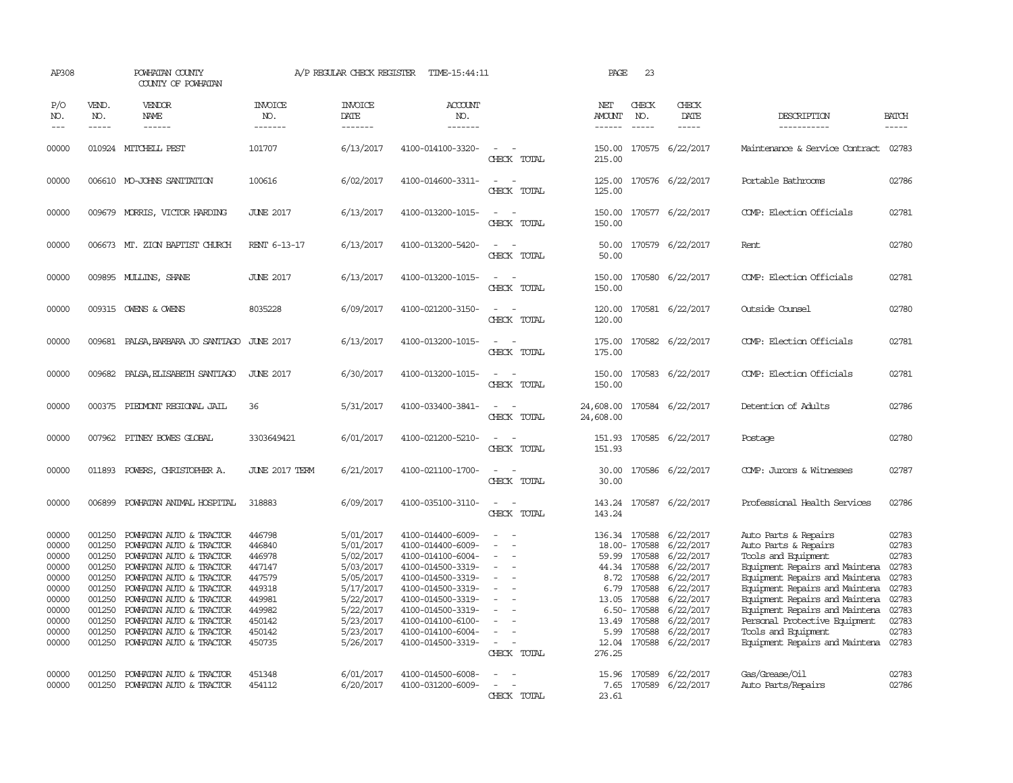| AP308                                                                                           |                                                                                                            | POWHATAN COUNTY<br>COUNTY OF POWHATAN                                                                                                                                                                                                                                                                 |                                                                                                            | A/P REGULAR CHECK REGISTER                                                                                                                  | TIME-15:44:11                                                                                                                                                                                                                       |                                                                                                                             | PAGE                                                               | 23                                                                                                      |                                                                                                                                                                  |                                                                                                                                                                                                                                                                                                                                         |                                                                                                 |
|-------------------------------------------------------------------------------------------------|------------------------------------------------------------------------------------------------------------|-------------------------------------------------------------------------------------------------------------------------------------------------------------------------------------------------------------------------------------------------------------------------------------------------------|------------------------------------------------------------------------------------------------------------|---------------------------------------------------------------------------------------------------------------------------------------------|-------------------------------------------------------------------------------------------------------------------------------------------------------------------------------------------------------------------------------------|-----------------------------------------------------------------------------------------------------------------------------|--------------------------------------------------------------------|---------------------------------------------------------------------------------------------------------|------------------------------------------------------------------------------------------------------------------------------------------------------------------|-----------------------------------------------------------------------------------------------------------------------------------------------------------------------------------------------------------------------------------------------------------------------------------------------------------------------------------------|-------------------------------------------------------------------------------------------------|
| P/O<br>NO.<br>$---$                                                                             | VEND.<br>NO.<br>$- - - - -$                                                                                | VENDOR<br><b>NAME</b><br>------                                                                                                                                                                                                                                                                       | <b>INVOICE</b><br>NO.<br>-------                                                                           | <b>INVOICE</b><br><b>DATE</b><br>-------                                                                                                    | <b>ACCOUNT</b><br>NO.<br>-------                                                                                                                                                                                                    |                                                                                                                             | NET<br>AMOUNT<br>------                                            | CHECK<br>NO.                                                                                            | CHECK<br>DATE<br>-----                                                                                                                                           | DESCRIPTION<br>-----------                                                                                                                                                                                                                                                                                                              | <b>BATCH</b><br>$- - - - -$                                                                     |
| 00000                                                                                           |                                                                                                            | 010924 MITCHELL PEST                                                                                                                                                                                                                                                                                  | 101707                                                                                                     | 6/13/2017                                                                                                                                   | 4100-014100-3320-                                                                                                                                                                                                                   | $\equiv$<br>CHECK TOTAL                                                                                                     | 215.00                                                             |                                                                                                         | 150.00 170575 6/22/2017                                                                                                                                          | Maintenance & Service Contract                                                                                                                                                                                                                                                                                                          | 02783                                                                                           |
| 00000                                                                                           |                                                                                                            | 006610 MO-JOHNS SANITATION                                                                                                                                                                                                                                                                            | 100616                                                                                                     | 6/02/2017                                                                                                                                   | 4100-014600-3311-                                                                                                                                                                                                                   | $\frac{1}{2} \left( \frac{1}{2} \right) \left( \frac{1}{2} \right) = \frac{1}{2} \left( \frac{1}{2} \right)$<br>CHECK TOTAL | 125.00<br>125.00                                                   |                                                                                                         | 170576 6/22/2017                                                                                                                                                 | Portable Bathrooms                                                                                                                                                                                                                                                                                                                      | 02786                                                                                           |
| 00000                                                                                           |                                                                                                            | 009679 MORRIS, VICTOR HARDING                                                                                                                                                                                                                                                                         | <b>JUNE 2017</b>                                                                                           | 6/13/2017                                                                                                                                   | 4100-013200-1015-                                                                                                                                                                                                                   | $\sim$<br>CHECK TOTAL                                                                                                       | 150.00<br>150.00                                                   |                                                                                                         | 170577 6/22/2017                                                                                                                                                 | COMP: Election Officials                                                                                                                                                                                                                                                                                                                | 02781                                                                                           |
| 00000                                                                                           | 006673                                                                                                     | MT. ZION BAPTIST CHURCH                                                                                                                                                                                                                                                                               | RENT 6-13-17                                                                                               | 6/13/2017                                                                                                                                   | 4100-013200-5420-                                                                                                                                                                                                                   | $\equiv$<br>CHECK TOTAL                                                                                                     | 50.00<br>50.00                                                     |                                                                                                         | 170579 6/22/2017                                                                                                                                                 | Rent                                                                                                                                                                                                                                                                                                                                    | 02780                                                                                           |
| 00000                                                                                           |                                                                                                            | 009895 MULLINS, SHANE                                                                                                                                                                                                                                                                                 | <b>JUNE 2017</b>                                                                                           | 6/13/2017                                                                                                                                   | 4100-013200-1015-                                                                                                                                                                                                                   | $\sim$<br>CHECK TOTAL                                                                                                       | 150.00<br>150.00                                                   |                                                                                                         | 170580 6/22/2017                                                                                                                                                 | COMP: Election Officials                                                                                                                                                                                                                                                                                                                | 02781                                                                                           |
| 00000                                                                                           |                                                                                                            | 009315 OWENS & OWENS                                                                                                                                                                                                                                                                                  | 8035228                                                                                                    | 6/09/2017                                                                                                                                   | 4100-021200-3150-                                                                                                                                                                                                                   | $\sim$<br>$\overline{\phantom{a}}$<br>CHECK TOTAL                                                                           | 120.00<br>120.00                                                   |                                                                                                         | 170581 6/22/2017                                                                                                                                                 | Outside Counsel                                                                                                                                                                                                                                                                                                                         | 02780                                                                                           |
| 00000                                                                                           | 009681                                                                                                     | PALSA, BARBARA JO SANTIAGO                                                                                                                                                                                                                                                                            | <b>JUNE 2017</b>                                                                                           | 6/13/2017                                                                                                                                   | 4100-013200-1015-                                                                                                                                                                                                                   | $\sim$<br>CHECK TOTAL                                                                                                       | 175.00<br>175.00                                                   |                                                                                                         | 170582 6/22/2017                                                                                                                                                 | COMP: Election Officials                                                                                                                                                                                                                                                                                                                | 02781                                                                                           |
| 00000                                                                                           | 009682                                                                                                     | PALSA, ELISABETH SANTIAGO                                                                                                                                                                                                                                                                             | <b>JUNE 2017</b>                                                                                           | 6/30/2017                                                                                                                                   | 4100-013200-1015-                                                                                                                                                                                                                   | $\sim$<br>CHECK TOTAL                                                                                                       | 150.00<br>150.00                                                   |                                                                                                         | 170583 6/22/2017                                                                                                                                                 | COMP: Election Officials                                                                                                                                                                                                                                                                                                                | 02781                                                                                           |
| 00000                                                                                           |                                                                                                            | 000375 PIEDMONT REGIONAL JAIL                                                                                                                                                                                                                                                                         | 36                                                                                                         | 5/31/2017                                                                                                                                   | 4100-033400-3841-                                                                                                                                                                                                                   | $\equiv$<br>CHECK TOTAL                                                                                                     | 24,608.00<br>24,608.00                                             |                                                                                                         | 170584 6/22/2017                                                                                                                                                 | Detention of Adults                                                                                                                                                                                                                                                                                                                     | 02786                                                                                           |
| 00000                                                                                           |                                                                                                            | 007962 PITNEY BOWES GLOBAL                                                                                                                                                                                                                                                                            | 3303649421                                                                                                 | 6/01/2017                                                                                                                                   | 4100-021200-5210-                                                                                                                                                                                                                   | CHECK TOTAL                                                                                                                 | 151.93                                                             |                                                                                                         | 151.93 170585 6/22/2017                                                                                                                                          | Postage                                                                                                                                                                                                                                                                                                                                 | 02780                                                                                           |
| 00000                                                                                           |                                                                                                            | 011893 POWERS, CHRISTOPHER A.                                                                                                                                                                                                                                                                         | JUNE 2017 TERM                                                                                             | 6/21/2017                                                                                                                                   | 4100-021100-1700-                                                                                                                                                                                                                   | $ -$<br>CHECK TOTAL                                                                                                         | 30.00<br>30.00                                                     |                                                                                                         | 170586 6/22/2017                                                                                                                                                 | COMP: Jurors & Witnesses                                                                                                                                                                                                                                                                                                                | 02787                                                                                           |
| 00000                                                                                           |                                                                                                            | 006899 POWHATAN ANIMAL HOSPITAL                                                                                                                                                                                                                                                                       | 318883                                                                                                     | 6/09/2017                                                                                                                                   | 4100-035100-3110-                                                                                                                                                                                                                   | $\sim$<br>CHECK TOTAL                                                                                                       | 143.24                                                             |                                                                                                         | 143.24 170587 6/22/2017                                                                                                                                          | Professional Health Services                                                                                                                                                                                                                                                                                                            | 02786                                                                                           |
| 00000<br>00000<br>00000<br>00000<br>00000<br>00000<br>00000<br>00000<br>00000<br>00000<br>00000 | 001250<br>001250<br>001250<br>001250<br>001250<br>001250<br>001250<br>001250<br>001250<br>001250<br>001250 | POWHATAN AUTO & TRACTOR<br>POWHATAN AUTO & TRACTOR<br>POWHATAN AUTO & TRACTOR<br>POWHATAN AUTO & TRACTOR<br>POWHATAN AUTO & TRACTOR<br>POWHATAN AUTO & TRACTOR<br>POWHATAN AUTO & TRACTOR<br>POWHATAN AUTO & TRACTOR<br>POWHATAN AUTO & TRACTOR<br>POWHATAN AUTO & TRACTOR<br>POWHATAN AUTO & TRACTOR | 446798<br>446840<br>446978<br>447147<br>447579<br>449318<br>449981<br>449982<br>450142<br>450142<br>450735 | 5/01/2017<br>5/01/2017<br>5/02/2017<br>5/03/2017<br>5/05/2017<br>5/17/2017<br>5/22/2017<br>5/22/2017<br>5/23/2017<br>5/23/2017<br>5/26/2017 | 4100-014400-6009-<br>4100-014400-6009-<br>4100-014100-6004-<br>4100-014500-3319-<br>4100-014500-3319-<br>4100-014500-3319-<br>4100-014500-3319-<br>4100-014500-3319-<br>4100-014100-6100-<br>4100-014100-6004-<br>4100-014500-3319- | $\equiv$<br>$\overline{\phantom{a}}$<br>$\equiv$<br>$\overline{\phantom{a}}$<br>CHECK TOTAL                                 | 59.99<br>8.72<br>6.79<br>13.05<br>13.49<br>5.99<br>12.04<br>276.25 | 18.00-170588<br>170588<br>44.34 170588<br>170588<br>170588<br>170588<br>6.50-170588<br>170588<br>170588 | 136.34 170588 6/22/2017<br>6/22/2017<br>6/22/2017<br>6/22/2017<br>6/22/2017<br>6/22/2017<br>6/22/2017<br>6/22/2017<br>6/22/2017<br>6/22/2017<br>170588 6/22/2017 | Auto Parts & Repairs<br>Auto Parts & Repairs<br>Tools and Equipment<br>Equipment Repairs and Maintena<br>Equipment Repairs and Maintena<br>Equipment Repairs and Maintena<br>Equipment Repairs and Maintena<br>Equipment Repairs and Maintena<br>Personal Protective Equipment<br>Tools and Equipment<br>Equipment Repairs and Maintena | 02783<br>02783<br>02783<br>02783<br>02783<br>02783<br>02783<br>02783<br>02783<br>02783<br>02783 |
| 00000<br>00000                                                                                  | 001250<br>001250                                                                                           | POWHATAN AUTO & TRACTOR<br>POWHATAN AUTO & TRACTOR                                                                                                                                                                                                                                                    | 451348<br>454112                                                                                           | 6/01/2017<br>6/20/2017                                                                                                                      | 4100-014500-6008-<br>4100-031200-6009-                                                                                                                                                                                              | CHECK TOTAL                                                                                                                 | 15.96<br>7.65<br>23.61                                             |                                                                                                         | 170589 6/22/2017<br>170589 6/22/2017                                                                                                                             | Gas/Grease/Oil<br>Auto Parts/Repairs                                                                                                                                                                                                                                                                                                    | 02783<br>02786                                                                                  |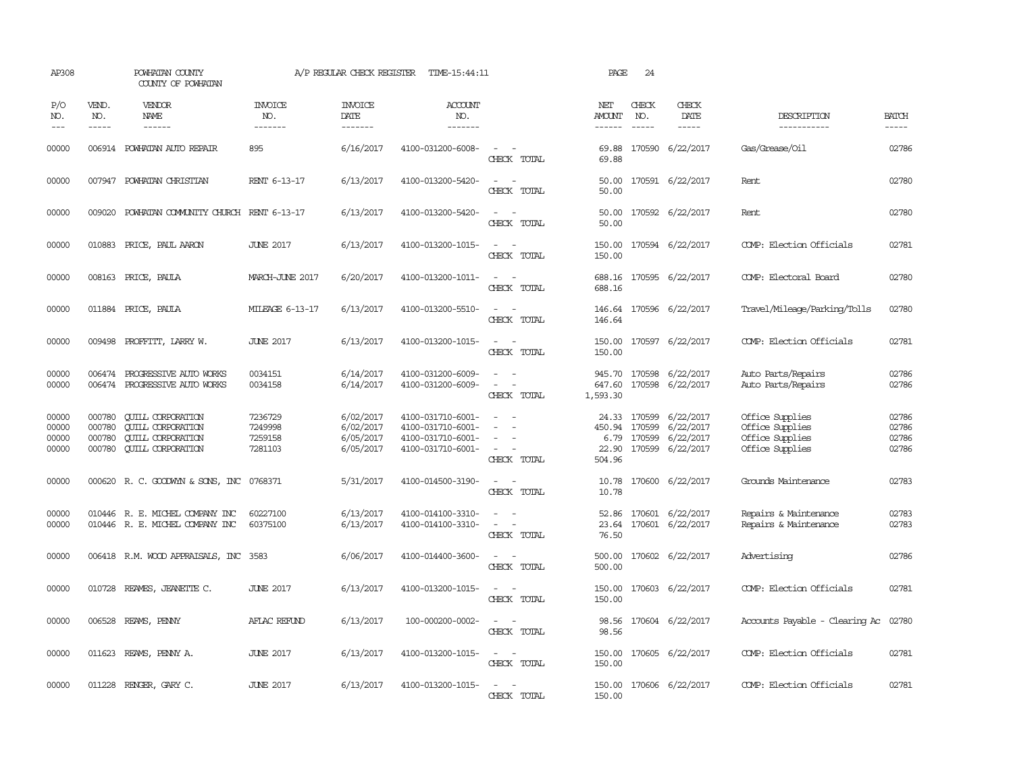| AP308                            |                             | POWHATAN COUNTY<br>COUNTY OF POWHATAN                                                                        |                                          | A/P REGULAR CHECK REGISTER                       | TIME-15:44:11                                                                    |                                                                                                                                       | PAGE                                     | 24                          |                                                                             |                                                                          |                                  |
|----------------------------------|-----------------------------|--------------------------------------------------------------------------------------------------------------|------------------------------------------|--------------------------------------------------|----------------------------------------------------------------------------------|---------------------------------------------------------------------------------------------------------------------------------------|------------------------------------------|-----------------------------|-----------------------------------------------------------------------------|--------------------------------------------------------------------------|----------------------------------|
| P/O<br>NO.<br>$---$              | VEND.<br>NO.<br>$- - - - -$ | VENDOR<br>NAME<br>$- - - - - -$                                                                              | <b>INVOICE</b><br>NO.<br>--------        | <b>INVOICE</b><br>DATE<br>$- - - - - - -$        | <b>ACCOUNT</b><br>NO.<br>$- - - - - - -$                                         |                                                                                                                                       | NET<br>AMOUNT<br>------                  | CHECK<br>NO.<br>$- - - - -$ | CHECK<br>DATE<br>$- - - - -$                                                | DESCRIPTION<br>-----------                                               | <b>BATCH</b><br>$- - - - -$      |
| 00000                            |                             | 006914 POWHATAN AUTO REPAIR                                                                                  | 895                                      | 6/16/2017                                        | 4100-031200-6008-                                                                | $\frac{1}{2} \left( \frac{1}{2} \right) \left( \frac{1}{2} \right) = \frac{1}{2} \left( \frac{1}{2} \right)$<br>CHECK TOTAL           | 69.88<br>69.88                           |                             | 170590 6/22/2017                                                            | Gas/Grease/Oil                                                           | 02786                            |
| 00000                            |                             | 007947 POWHATAN CHRISTIAN                                                                                    | RENT 6-13-17                             | 6/13/2017                                        | 4100-013200-5420-                                                                | $\equiv$<br>$\overline{\phantom{a}}$<br>CHECK TOTAL                                                                                   | 50.00<br>50.00                           |                             | 170591 6/22/2017                                                            | Rent                                                                     | 02780                            |
| 00000                            |                             | 009020 POWHATAN COMMUNITY CHURCH RENT 6-13-17                                                                |                                          | 6/13/2017                                        | 4100-013200-5420-                                                                | $\sim$ $\sim$<br>CHECK TOTAL                                                                                                          | 50.00<br>50.00                           |                             | 170592 6/22/2017                                                            | Rent                                                                     | 02780                            |
| 00000                            |                             | 010883 PRICE, PAUL AARON                                                                                     | <b>JUNE 2017</b>                         | 6/13/2017                                        | 4100-013200-1015-                                                                | $\sim$<br>$\sim$<br>CHECK TOTAL                                                                                                       | 150.00<br>150.00                         |                             | 170594 6/22/2017                                                            | COMP: Election Officials                                                 | 02781                            |
| 00000                            | 008163                      | PRICE, PAULA                                                                                                 | MARCH-JUNE 2017                          | 6/20/2017                                        | 4100-013200-1011-                                                                | CHECK TOTAL                                                                                                                           | 688.16<br>688.16                         |                             | 170595 6/22/2017                                                            | COMP: Electoral Board                                                    | 02780                            |
| 00000                            |                             | 011884 PRICE, PAULA                                                                                          | <b>MILEAGE 6-13-17</b>                   | 6/13/2017                                        | 4100-013200-5510-                                                                | $\overline{\phantom{a}}$<br>CHECK TOTAL                                                                                               | 146.64<br>146.64                         |                             | 170596 6/22/2017                                                            | Travel/Mileage/Parking/Tolls                                             | 02780                            |
| 00000                            |                             | 009498 PROFFITT, LARRY W.                                                                                    | <b>JUNE 2017</b>                         | 6/13/2017                                        | 4100-013200-1015-                                                                | $\sim$<br>CHECK TOTAL                                                                                                                 | 150.00<br>150.00                         |                             | 170597 6/22/2017                                                            | COMP: Election Officials                                                 | 02781                            |
| 00000<br>00000                   | 006474<br>006474            | PROGRESSIVE AUTO WORKS<br>PROGRESSIVE AUTO WORKS                                                             | 0034151<br>0034158                       | 6/14/2017<br>6/14/2017                           | 4100-031200-6009-<br>4100-031200-6009-                                           | $\sim$<br>$\overline{\phantom{0}}$<br>CHECK TOTAL                                                                                     | 945.70<br>647.60<br>1,593.30             |                             | 170598 6/22/2017<br>170598 6/22/2017                                        | Auto Parts/Repairs<br>Auto Parts/Repairs                                 | 02786<br>02786                   |
| 00000<br>00000<br>00000<br>00000 | 000780<br>000780<br>000780  | <b>CUILL CORPORATION</b><br><b>QUILL CORPORATION</b><br><b>CUILL CORPORATION</b><br>000780 QUILL CORPORATION | 7236729<br>7249998<br>7259158<br>7281103 | 6/02/2017<br>6/02/2017<br>6/05/2017<br>6/05/2017 | 4100-031710-6001-<br>4100-031710-6001-<br>4100-031710-6001-<br>4100-031710-6001- | $\sim$<br>$\frac{1}{2} \left( \frac{1}{2} \right) \left( \frac{1}{2} \right) = \frac{1}{2} \left( \frac{1}{2} \right)$<br>CHECK TOTAL | 450.94 170599<br>6.79<br>22.90<br>504.96 |                             | 24.33 170599 6/22/2017<br>6/22/2017<br>170599 6/22/2017<br>170599 6/22/2017 | Office Supplies<br>Office Supplies<br>Office Supplies<br>Office Supplies | 02786<br>02786<br>02786<br>02786 |
| 00000                            |                             | 000620 R. C. GOODWYN & SONS, INC 0768371                                                                     |                                          | 5/31/2017                                        | 4100-014500-3190-                                                                | $\sim$<br>CHECK TOTAL                                                                                                                 | 10.78<br>10.78                           |                             | 170600 6/22/2017                                                            | Grounds Maintenance                                                      | 02783                            |
| 00000<br>00000                   |                             | 010446 R. E. MICHEL COMPANY INC<br>010446 R. E. MICHEL COMPANY INC                                           | 60227100<br>60375100                     | 6/13/2017<br>6/13/2017                           | 4100-014100-3310-<br>4100-014100-3310-                                           | $\equiv$<br>CHECK TOTAL                                                                                                               | 52.86<br>23.64<br>76.50                  |                             | 170601 6/22/2017<br>170601 6/22/2017                                        | Repairs & Maintenance<br>Repairs & Maintenance                           | 02783<br>02783                   |
| 00000                            |                             | 006418 R.M. WOOD APPRAISALS, INC                                                                             | 3583                                     | 6/06/2017                                        | 4100-014400-3600-                                                                | CHECK TOTAL                                                                                                                           | 500.00<br>500.00                         |                             | 170602 6/22/2017                                                            | Advertising                                                              | 02786                            |
| 00000                            |                             | 010728 REAMES, JEANETTE C.                                                                                   | <b>JUNE 2017</b>                         | 6/13/2017                                        | 4100-013200-1015-                                                                | $\equiv$<br>CHECK TOTAL                                                                                                               | 150.00<br>150.00                         |                             | 170603 6/22/2017                                                            | COMP: Election Officials                                                 | 02781                            |
| 00000                            |                             | 006528 REAMS, PENNY                                                                                          | AFLAC REFUND                             | 6/13/2017                                        | 100-000200-0002-                                                                 | CHECK TOTAL                                                                                                                           | 98.56<br>98.56                           |                             | 170604 6/22/2017                                                            | Accounts Payable - Clearing Ac                                           | 02780                            |
| 00000                            |                             | 011623 REAMS, PENNY A.                                                                                       | <b>JUNE 2017</b>                         | 6/13/2017                                        | 4100-013200-1015-                                                                | $\sim$<br>$\sim$<br>CHECK TOTAL                                                                                                       | 150.00<br>150.00                         |                             | 170605 6/22/2017                                                            | COMP: Election Officials                                                 | 02781                            |
| 00000                            |                             | 011228 RENGER, GARY C.                                                                                       | <b>JUNE 2017</b>                         | 6/13/2017                                        | 4100-013200-1015-                                                                | $\sim$<br>CHECK TOTAL                                                                                                                 | 150.00<br>150.00                         |                             | 170606 6/22/2017                                                            | COMP: Election Officials                                                 | 02781                            |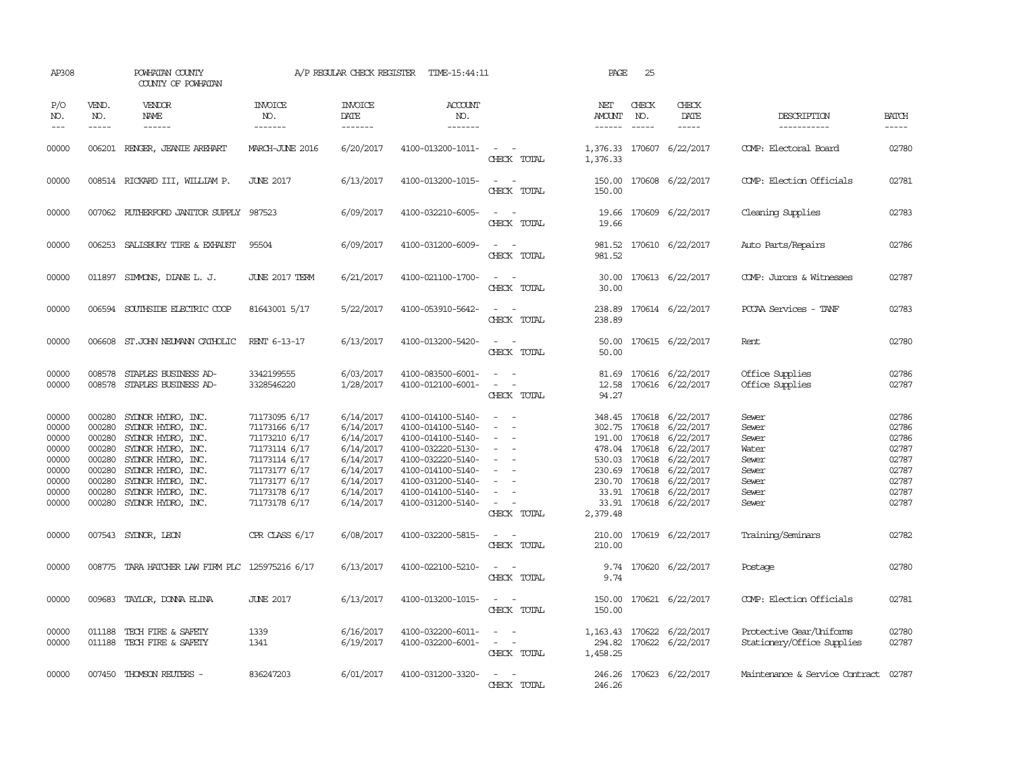| AP308                                                                         |                                                                                        | POWHATAN COUNTY<br>COUNTY OF POWHATAN                                                                                                                                                              |                                                                                                                                                       | A/P REGULAR CHECK REGISTER                                                                                        | TIME-15:44:11                                                                                                                                                                             |                                                                                                                                                                                 | PAGE                           | 25                          |                                                                                                                                                                                                                                               |                                                                               |                                                                                                                                                                                                                                                                                                                                                                                                                                                                                               |
|-------------------------------------------------------------------------------|----------------------------------------------------------------------------------------|----------------------------------------------------------------------------------------------------------------------------------------------------------------------------------------------------|-------------------------------------------------------------------------------------------------------------------------------------------------------|-------------------------------------------------------------------------------------------------------------------|-------------------------------------------------------------------------------------------------------------------------------------------------------------------------------------------|---------------------------------------------------------------------------------------------------------------------------------------------------------------------------------|--------------------------------|-----------------------------|-----------------------------------------------------------------------------------------------------------------------------------------------------------------------------------------------------------------------------------------------|-------------------------------------------------------------------------------|-----------------------------------------------------------------------------------------------------------------------------------------------------------------------------------------------------------------------------------------------------------------------------------------------------------------------------------------------------------------------------------------------------------------------------------------------------------------------------------------------|
| P/O<br>NO.<br>$\frac{1}{2}$                                                   | VEND.<br>NO.<br>$- - - - -$                                                            | <b>VENDOR</b><br><b>NAME</b><br>------                                                                                                                                                             | <b>INVOICE</b><br>NO.<br>-------                                                                                                                      | <b>INVOICE</b><br><b>DATE</b><br>-------                                                                          | <b>ACCOUNT</b><br>NO.<br>-------                                                                                                                                                          |                                                                                                                                                                                 | NET<br>AMOUNT<br>$- - - - - -$ | CHECK<br>NO.<br>$- - - - -$ | CHECK<br>DATE<br>$- - - - -$                                                                                                                                                                                                                  | DESCRIPTION<br>-----------                                                    | <b>BATCH</b><br>$\begin{tabular}{ccccc} \multicolumn{2}{c }{\multicolumn{2}{c }{\multicolumn{2}{c }{\multicolumn{2}{c}}}{\multicolumn{2}{c }{\multicolumn{2}{c}}}\end{tabular} \end{tabular} \begin{tabular}{c c }{\multicolumn{2}{c }{\multicolumn{2}{c }{\multicolumn{2}{c}}}{\multicolumn{2}{c }{\multicolumn{2}{c}}}{\multicolumn{2}{c }{\multicolumn{2}{c}}}{\multicolumn{2}{c }{\multicolumn{2}{c}}}{\end{tabular} \begin{tabular}{c c }{\multicolumn{2}{c }{\multicolumn{2}{c }{\mult$ |
| 00000                                                                         |                                                                                        | 006201 RENGER, JEANIE AREHART                                                                                                                                                                      | MARCH-JUNE 2016                                                                                                                                       | 6/20/2017                                                                                                         | 4100-013200-1011-                                                                                                                                                                         | $\sim$ $ \sim$<br>CHECK TOTAL                                                                                                                                                   | 1,376.33                       |                             | 1,376.33 170607 6/22/2017                                                                                                                                                                                                                     | COMP: Electoral Board                                                         | 02780                                                                                                                                                                                                                                                                                                                                                                                                                                                                                         |
| 00000                                                                         |                                                                                        | 008514 RICKARD III, WILLIAM P.                                                                                                                                                                     | <b>JUNE 2017</b>                                                                                                                                      | 6/13/2017                                                                                                         | 4100-013200-1015-                                                                                                                                                                         | $\sim$ $ \sim$<br>CHECK TOTAL                                                                                                                                                   | 150.00                         |                             | 150.00 170608 6/22/2017                                                                                                                                                                                                                       | COMP: Election Officials                                                      | 02781                                                                                                                                                                                                                                                                                                                                                                                                                                                                                         |
| 00000                                                                         |                                                                                        | 007062 RUIHERFORD JANITOR SUPPLY 987523                                                                                                                                                            |                                                                                                                                                       | 6/09/2017                                                                                                         | 4100-032210-6005-                                                                                                                                                                         | CHECK TOTAL                                                                                                                                                                     | 19.66                          |                             | 19.66 170609 6/22/2017                                                                                                                                                                                                                        | Cleaning Supplies                                                             | 02783                                                                                                                                                                                                                                                                                                                                                                                                                                                                                         |
| 00000                                                                         |                                                                                        | 006253 SALISBURY TIRE & EXHAUST                                                                                                                                                                    | 95504                                                                                                                                                 | 6/09/2017                                                                                                         | 4100-031200-6009-                                                                                                                                                                         | $\sim$ $\sim$<br>CHECK TOTAL                                                                                                                                                    | 981.52                         |                             | 981.52 170610 6/22/2017                                                                                                                                                                                                                       | Auto Parts/Repairs                                                            | 02786                                                                                                                                                                                                                                                                                                                                                                                                                                                                                         |
| 00000                                                                         |                                                                                        | 011897 SIMMONS, DIANE L. J.                                                                                                                                                                        | JUNE 2017 TERM                                                                                                                                        | 6/21/2017                                                                                                         | 4100-021100-1700-                                                                                                                                                                         | $\sim$ $\sim$<br>CHECK TOTAL                                                                                                                                                    | 30.00                          |                             | 30.00 170613 6/22/2017                                                                                                                                                                                                                        | COMP: Jurors & Witnesses                                                      | 02787                                                                                                                                                                                                                                                                                                                                                                                                                                                                                         |
| 00000                                                                         |                                                                                        | 006594 SOUTHSIDE ELECTRIC COOP                                                                                                                                                                     | 81643001 5/17                                                                                                                                         | 5/22/2017                                                                                                         | 4100-053910-5642-                                                                                                                                                                         | $\frac{1}{2} \left( \frac{1}{2} \right) \left( \frac{1}{2} \right) \left( \frac{1}{2} \right) \left( \frac{1}{2} \right)$<br>CHECK TOTAL                                        | 238.89                         |                             | 238.89 170614 6/22/2017                                                                                                                                                                                                                       | PCCAA Services - TANF                                                         | 02783                                                                                                                                                                                                                                                                                                                                                                                                                                                                                         |
| 00000                                                                         | 006608                                                                                 | ST.JOHN NEUMANN CATHOLIC                                                                                                                                                                           | RENT 6-13-17                                                                                                                                          | 6/13/2017                                                                                                         | 4100-013200-5420-                                                                                                                                                                         | $\overline{\phantom{a}}$<br>CHECK TOTAL                                                                                                                                         | 50.00<br>50.00                 |                             | 170615 6/22/2017                                                                                                                                                                                                                              | Rent                                                                          | 02780                                                                                                                                                                                                                                                                                                                                                                                                                                                                                         |
| 00000<br>00000                                                                | 008578<br>008578                                                                       | STAPLES BUSINESS AD-<br>STAPLES BUSINESS AD-                                                                                                                                                       | 3342199555<br>3328546220                                                                                                                              | 6/03/2017<br>1/28/2017                                                                                            | 4100-083500-6001-<br>4100-012100-6001-                                                                                                                                                    | $\sim$ $-$<br>$\sim$ 100 $\mu$<br>CHECK TOTAL                                                                                                                                   | 81.69<br>94.27                 |                             | 170616 6/22/2017<br>12.58 170616 6/22/2017                                                                                                                                                                                                    | Office Supplies<br>Office Supplies                                            | 02786<br>02787                                                                                                                                                                                                                                                                                                                                                                                                                                                                                |
| 00000<br>00000<br>00000<br>00000<br>00000<br>00000<br>00000<br>00000<br>00000 | 000280<br>000280<br>000280<br>000280<br>000280<br>000280<br>000280<br>000280<br>000280 | SYLNOR HYDRO, INC.<br>SYDNOR HYDRO, INC.<br>SYDNOR HYDRO, INC.<br>SYLNOR HYDRO, INC.<br>SYLNOR HYDRO, INC.<br>SYDNOR HYDRO, INC.<br>SYDNOR HYDRO, INC.<br>SYDNOR HYDRO, INC.<br>SYDNOR HYDRO, INC. | 71173095 6/17<br>71173166 6/17<br>71173210 6/17<br>71173114 6/17<br>71173114 6/17<br>71173177 6/17<br>71173177 6/17<br>71173178 6/17<br>71173178 6/17 | 6/14/2017<br>6/14/2017<br>6/14/2017<br>6/14/2017<br>6/14/2017<br>6/14/2017<br>6/14/2017<br>6/14/2017<br>6/14/2017 | 4100-014100-5140-<br>4100-014100-5140-<br>4100-014100-5140-<br>4100-032220-5130-<br>4100-032220-5140-<br>4100-014100-5140-<br>4100-031200-5140-<br>4100-014100-5140-<br>4100-031200-5140- | $\overline{\phantom{a}}$<br>$\sim$<br>$\sim$<br>$\sim$<br>$\overline{\phantom{a}}$<br>$\overline{\phantom{a}}$<br>$\sim$<br>$\sim$<br>$\sim$ 10 $\sim$ 10 $\sim$<br>CHECK TOTAL | 2,379.48                       |                             | 348.45 170618 6/22/2017<br>302.75 170618 6/22/2017<br>191.00 170618 6/22/2017<br>478.04 170618 6/22/2017<br>530.03 170618 6/22/2017<br>230.69 170618 6/22/2017<br>230.70 170618 6/22/2017<br>33.91 170618 6/22/2017<br>33.91 170618 6/22/2017 | Sewer<br>Sewer<br>Sewer<br>Water<br>Sewer<br>Sewer<br>Sewer<br>Sewer<br>Sewer | 02786<br>02786<br>02786<br>02787<br>02787<br>02787<br>02787<br>02787<br>02787                                                                                                                                                                                                                                                                                                                                                                                                                 |
| 00000                                                                         |                                                                                        | 007543 SYDNOR, LEON                                                                                                                                                                                | CPR CLASS 6/17                                                                                                                                        | 6/08/2017                                                                                                         | 4100-032200-5815-                                                                                                                                                                         | $ -$<br>CHECK TOTAL                                                                                                                                                             | 210.00                         |                             | 210.00 170619 6/22/2017                                                                                                                                                                                                                       | Training/Seminars                                                             | 02782                                                                                                                                                                                                                                                                                                                                                                                                                                                                                         |
| 00000                                                                         |                                                                                        | 008775 TARA HATCHER LAW FIRM PLC 125975216 6/17                                                                                                                                                    |                                                                                                                                                       | 6/13/2017                                                                                                         | 4100-022100-5210-                                                                                                                                                                         | CHECK TOTAL                                                                                                                                                                     | 9.74                           |                             | 9.74 170620 6/22/2017                                                                                                                                                                                                                         | Postage                                                                       | 02780                                                                                                                                                                                                                                                                                                                                                                                                                                                                                         |
| 00000                                                                         | 009683                                                                                 | TAYLOR, DONNA ELINA                                                                                                                                                                                | <b>JUNE 2017</b>                                                                                                                                      | 6/13/2017                                                                                                         | 4100-013200-1015-                                                                                                                                                                         | $\overline{\phantom{a}}$<br>CHECK TOTAL                                                                                                                                         | 150.00<br>150.00               |                             | 170621 6/22/2017                                                                                                                                                                                                                              | COMP: Election Officials                                                      | 02781                                                                                                                                                                                                                                                                                                                                                                                                                                                                                         |
| 00000<br>00000                                                                |                                                                                        | 011188 TECH FIRE & SAFETY<br>011188 TECH FIRE & SAFETY                                                                                                                                             | 1339<br>1341                                                                                                                                          | 6/16/2017<br>6/19/2017                                                                                            | 4100-032200-6011-<br>4100-032200-6001-                                                                                                                                                    | $\sim$ $ -$<br>$\sim$ $ -$<br>CHECK TOTAL                                                                                                                                       | 1,458.25                       |                             | 1, 163.43 170622 6/22/2017<br>294.82 170622 6/22/2017                                                                                                                                                                                         | Protective Gear/Uniforms<br>Stationery/Office Supplies                        | 02780<br>02787                                                                                                                                                                                                                                                                                                                                                                                                                                                                                |
| 00000                                                                         |                                                                                        | 007450 THOMSON REUTERS -                                                                                                                                                                           | 836247203                                                                                                                                             | 6/01/2017                                                                                                         | 4100-031200-3320-                                                                                                                                                                         | $\sim$<br>CHECK TOTAL                                                                                                                                                           | 246.26                         |                             | 246.26 170623 6/22/2017                                                                                                                                                                                                                       | Maintenance & Service Contract 02787                                          |                                                                                                                                                                                                                                                                                                                                                                                                                                                                                               |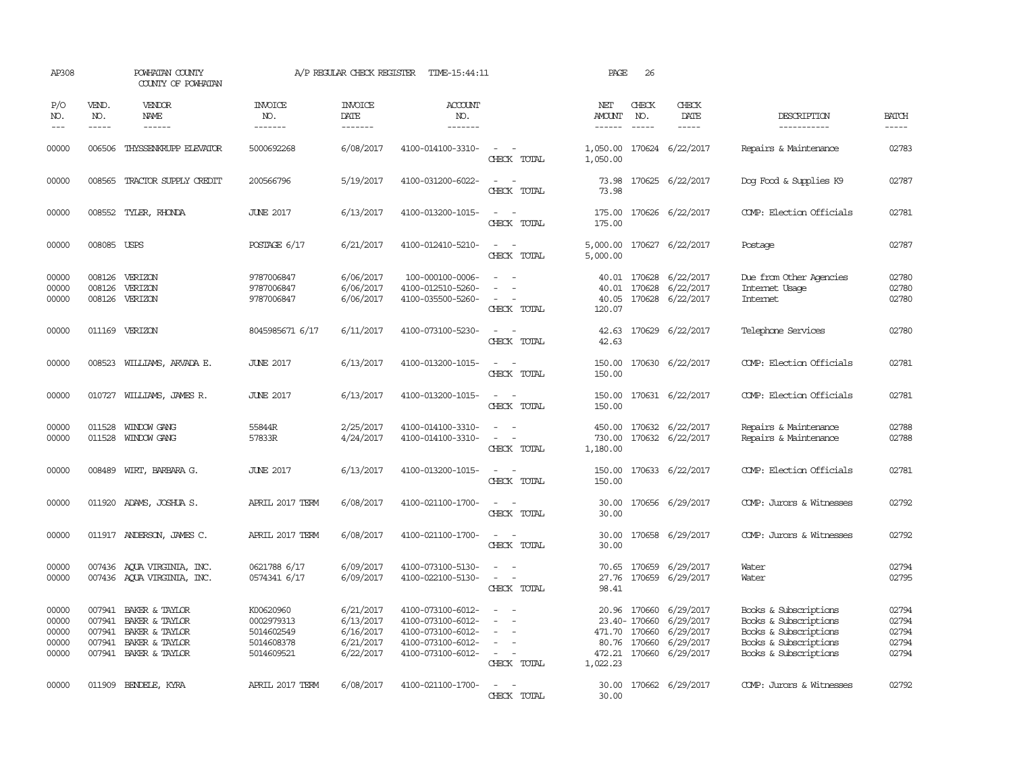| AP308                                     |                             | POWHATAN COUNTY<br>COUNTY OF POWHATAN                                                                |                                                                   | A/P REGULAR CHECK REGISTER                                    | TIME-15:44:11                                                                                         |                                                                                                                             | PAGE                           | 26                             |                                                                                                       |                                                                                                                           |                                           |
|-------------------------------------------|-----------------------------|------------------------------------------------------------------------------------------------------|-------------------------------------------------------------------|---------------------------------------------------------------|-------------------------------------------------------------------------------------------------------|-----------------------------------------------------------------------------------------------------------------------------|--------------------------------|--------------------------------|-------------------------------------------------------------------------------------------------------|---------------------------------------------------------------------------------------------------------------------------|-------------------------------------------|
| P/O<br>NO.<br>$---$                       | VEND.<br>NO.<br>$- - - - -$ | VENDOR<br><b>NAME</b><br>------                                                                      | <b>INVOICE</b><br>NO.<br>-------                                  | <b>INVOICE</b><br>DATE<br>-------                             | <b>ACCOUNT</b><br>NO.<br>-------                                                                      |                                                                                                                             | NET<br>AMOUNT<br>$- - - - - -$ | CHECK<br>NO.<br>$\frac{1}{2}$  | CHECK<br>DATE<br>$- - - - -$                                                                          | DESCRIPTION<br>-----------                                                                                                | <b>BATCH</b><br>$- - - - -$               |
| 00000                                     |                             | 006506 THYSSENKRUPP ELEVATOR                                                                         | 5000692268                                                        | 6/08/2017                                                     | 4100-014100-3310-                                                                                     | $\sim$ $\sim$<br>CHECK TOTAL                                                                                                | 1,050.00                       |                                | 1,050.00 170624 6/22/2017                                                                             | Repairs & Maintenance                                                                                                     | 02783                                     |
| 00000                                     |                             | 008565 TRACTOR SUPPLY CREDIT                                                                         | 200566796                                                         | 5/19/2017                                                     | 4100-031200-6022-                                                                                     | $\sim$ $\sim$<br>CHECK TOTAL                                                                                                | 73.98<br>73.98                 |                                | 170625 6/22/2017                                                                                      | Dog Food & Supplies K9                                                                                                    | 02787                                     |
| 00000                                     |                             | 008552 TYLER, RHONDA                                                                                 | <b>JUNE 2017</b>                                                  | 6/13/2017                                                     | 4100-013200-1015-                                                                                     | $\frac{1}{2} \left( \frac{1}{2} \right) \left( \frac{1}{2} \right) = \frac{1}{2} \left( \frac{1}{2} \right)$<br>CHECK TOTAL | 175.00                         |                                | 175.00 170626 6/22/2017                                                                               | COMP: Election Officials                                                                                                  | 02781                                     |
| 00000                                     | 008085 USPS                 |                                                                                                      | POSTAGE 6/17                                                      | 6/21/2017                                                     | 4100-012410-5210-                                                                                     | $\overline{\phantom{a}}$<br>CHECK TOTAL                                                                                     | 5,000.00<br>5,000.00           |                                | 170627 6/22/2017                                                                                      | Postage                                                                                                                   | 02787                                     |
| 00000<br>00000<br>00000                   | 008126<br>008126            | VERIZON<br>VERIZON<br>008126 VERIZON                                                                 | 9787006847<br>9787006847<br>9787006847                            | 6/06/2017<br>6/06/2017<br>6/06/2017                           | 100-000100-0006-<br>4100-012510-5260-<br>4100-035500-5260-                                            | $\overline{\phantom{a}}$<br>$\overline{\phantom{a}}$<br>$\sim$<br>CHECK TOTAL                                               | 40.01<br>40.05<br>120.07       | 170628                         | 40.01 170628 6/22/2017<br>6/22/2017<br>170628 6/22/2017                                               | Due from Other Agencies<br>Internet Usage<br>Internet                                                                     | 02780<br>02780<br>02780                   |
| 00000                                     |                             | 011169 VERIZON                                                                                       | 8045985671 6/17                                                   | 6/11/2017                                                     | 4100-073100-5230-                                                                                     | $\overline{\phantom{a}}$<br>CHECK TOTAL                                                                                     | 42.63<br>42.63                 |                                | 170629 6/22/2017                                                                                      | Telephone Services                                                                                                        | 02780                                     |
| 00000                                     | 008523                      | WILLIAMS, ARVADA E.                                                                                  | <b>JUNE 2017</b>                                                  | 6/13/2017                                                     | 4100-013200-1015-                                                                                     | $\sim$<br>CHECK TOTAL                                                                                                       | 150.00<br>150.00               |                                | 170630 6/22/2017                                                                                      | COMP: Election Officials                                                                                                  | 02781                                     |
| 00000                                     |                             | 010727 WILLIAMS, JAMES R.                                                                            | <b>JUNE 2017</b>                                                  | 6/13/2017                                                     | 4100-013200-1015-                                                                                     | $\frac{1}{2} \left( \frac{1}{2} \right) \left( \frac{1}{2} \right) = \frac{1}{2} \left( \frac{1}{2} \right)$<br>CHECK TOTAL | 150.00                         |                                | 150.00 170631 6/22/2017                                                                               | COMP: Election Officials                                                                                                  | 02781                                     |
| 00000<br>00000                            | 011528                      | WINDOW GANG<br>011528 WINDOW GANG                                                                    | 55844R<br>57833R                                                  | 2/25/2017<br>4/24/2017                                        | 4100-014100-3310-<br>4100-014100-3310-                                                                | $\sim$<br>$\sim$<br>CHECK TOTAL                                                                                             | 450.00<br>730.00<br>1,180.00   |                                | 170632 6/22/2017<br>170632 6/22/2017                                                                  | Repairs & Maintenance<br>Repairs & Maintenance                                                                            | 02788<br>02788                            |
| 00000                                     |                             | 008489 WIRT, BARBARA G.                                                                              | <b>JUNE 2017</b>                                                  | 6/13/2017                                                     | 4100-013200-1015-                                                                                     | $\sim$<br>$\sim$<br>CHECK TOTAL                                                                                             | 150.00<br>150.00               |                                | 170633 6/22/2017                                                                                      | COMP: Election Officials                                                                                                  | 02781                                     |
| 00000                                     |                             | 011920 ADAMS, JOSHUA S.                                                                              | APRIL 2017 TERM                                                   | 6/08/2017                                                     | 4100-021100-1700-                                                                                     | $\sim$<br>$\sim$<br>CHECK TOTAL                                                                                             | 30.00<br>30.00                 |                                | 170656 6/29/2017                                                                                      | COMP: Jurors & Witnesses                                                                                                  | 02792                                     |
| 00000                                     |                             | 011917 ANDERSON, JAMES C.                                                                            | APRIL 2017 TERM                                                   | 6/08/2017                                                     | 4100-021100-1700-                                                                                     | $\overline{\phantom{a}}$<br>$\overline{\phantom{a}}$<br>CHECK TOTAL                                                         | 30.00<br>30.00                 |                                | 170658 6/29/2017                                                                                      | COMP: Jurors & Witnesses                                                                                                  | 02792                                     |
| 00000<br>00000                            |                             | 007436 AQUA VIRGINIA, INC.<br>007436 AQUA VIRGINIA, INC.                                             | 0621788 6/17<br>0574341 6/17                                      | 6/09/2017<br>6/09/2017                                        | 4100-073100-5130-<br>4100-022100-5130-                                                                | $\overline{\phantom{a}}$<br>$\sim$<br>CHECK TOTAL                                                                           | 70.65<br>27.76<br>98.41        |                                | 170659 6/29/2017<br>170659 6/29/2017                                                                  | Water<br>Water                                                                                                            | 02794<br>02795                            |
| 00000<br>00000<br>00000<br>00000<br>00000 | 007941<br>007941<br>007941  | 007941 BAKER & TAYLOR<br>BAKER & TAYLOR<br>BAKER & TAYLOR<br>BAKER & TAYLOR<br>007941 BAKER & TAYLOR | K00620960<br>0002979313<br>5014602549<br>5014608378<br>5014609521 | 6/21/2017<br>6/13/2017<br>6/16/2017<br>6/21/2017<br>6/22/2017 | 4100-073100-6012-<br>4100-073100-6012-<br>4100-073100-6012-<br>4100-073100-6012-<br>4100-073100-6012- | $\equiv$<br>$\sim$<br>$\sim$<br>CHECK TOTAL                                                                                 | 1,022.23                       | 23.40- 170660<br>471.70 170660 | 20.96 170660 6/29/2017<br>6/29/2017<br>6/29/2017<br>80.76 170660 6/29/2017<br>472.21 170660 6/29/2017 | Books & Subscriptions<br>Books & Subscriptions<br>Books & Subscriptions<br>Books & Subscriptions<br>Books & Subscriptions | 02794<br>02794<br>02794<br>02794<br>02794 |
| 00000                                     |                             | 011909 BENDELE, KYRA                                                                                 | APRIL 2017 TERM                                                   | 6/08/2017                                                     | 4100-021100-1700-                                                                                     | $ -$<br>CHECK TOTAL                                                                                                         | 30.00                          |                                | 30.00 170662 6/29/2017                                                                                | COMP: Jurors & Witnesses                                                                                                  | 02792                                     |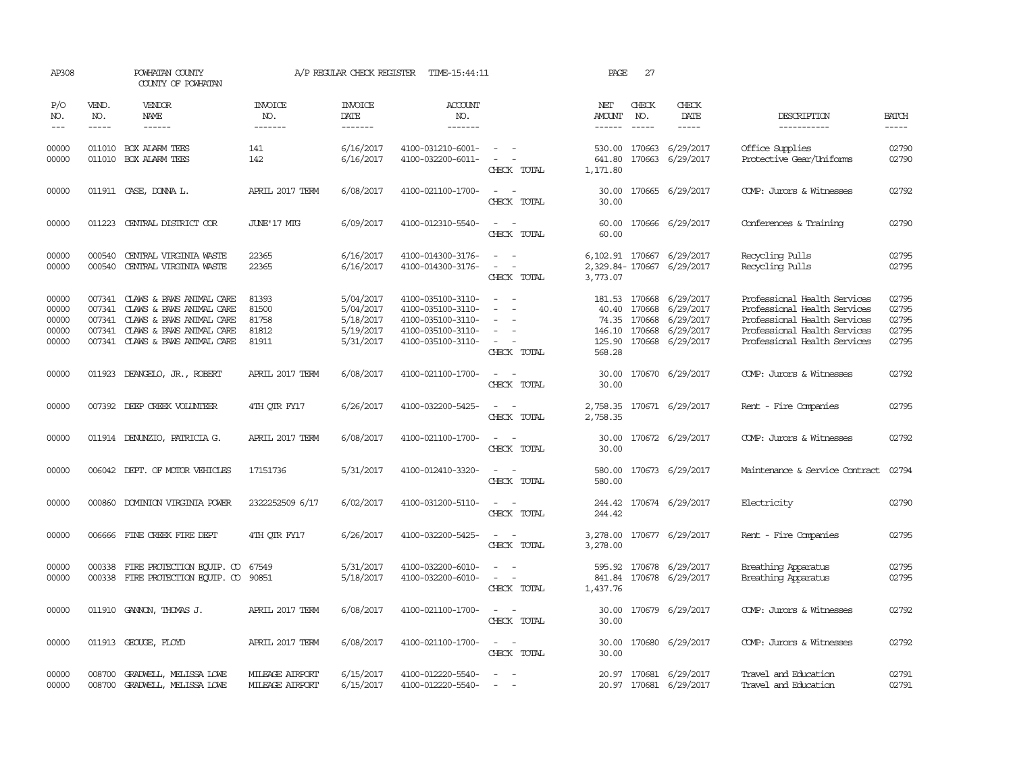| AP308                                     |                             | POWHATAN COUNTY<br>COUNTY OF POWHATAN                                                                                                                                | A/P REGULAR CHECK REGISTER<br>TIME-15:44:11 |                                                               |                                                                                                       | 27<br>PAGE                                                                                                                  |                         |                               |                                                                                                                                   |                                                                                                                                                              |                                           |  |
|-------------------------------------------|-----------------------------|----------------------------------------------------------------------------------------------------------------------------------------------------------------------|---------------------------------------------|---------------------------------------------------------------|-------------------------------------------------------------------------------------------------------|-----------------------------------------------------------------------------------------------------------------------------|-------------------------|-------------------------------|-----------------------------------------------------------------------------------------------------------------------------------|--------------------------------------------------------------------------------------------------------------------------------------------------------------|-------------------------------------------|--|
| P/O<br>NO.<br>$---$                       | VEND.<br>NO.<br>$- - - - -$ | <b>VENDOR</b><br>NAME<br>$- - - - - -$                                                                                                                               | <b>INVOICE</b><br>NO.<br>--------           | <b>INVOICE</b><br>DATE<br>-------                             | ACCOUNT<br>NO.<br>-------                                                                             |                                                                                                                             | NET<br>AMOUNT<br>------ | CHECK<br>NO.<br>$\frac{1}{2}$ | CHECK<br>DATE<br>$- - - - -$                                                                                                      | DESCRIPTION<br>-----------                                                                                                                                   | <b>BATCH</b><br>-----                     |  |
| 00000<br>00000                            |                             | 011010 BOX ALARM TEES<br>011010 BOX ALARM TEES                                                                                                                       | 141<br>142                                  | 6/16/2017<br>6/16/2017                                        | 4100-031210-6001-<br>4100-032200-6011-                                                                | $\sim$ $ -$<br>$\sim$ $ -$<br>CHECK TOTAL                                                                                   | 641.80<br>1,171.80      |                               | 530.00 170663 6/29/2017<br>170663 6/29/2017                                                                                       | Office Supplies<br>Protective Gear/Uniforms                                                                                                                  | 02790<br>02790                            |  |
| 00000                                     |                             | 011911 CASE, DONNA L.                                                                                                                                                | APRIL 2017 TERM                             | 6/08/2017                                                     | 4100-021100-1700-                                                                                     | $\sim$<br>CHECK TOTAL                                                                                                       | 30.00<br>30.00          |                               | 170665 6/29/2017                                                                                                                  | COMP: Jurors & Witnesses                                                                                                                                     | 02792                                     |  |
| 00000                                     | 011223                      | CENTRAL DISTRICT COR                                                                                                                                                 | JUNE'17 MIG                                 | 6/09/2017                                                     | 4100-012310-5540-                                                                                     | $\sim$<br>CHECK TOTAL                                                                                                       | 60.00<br>60.00          |                               | 170666 6/29/2017                                                                                                                  | Conferences & Training                                                                                                                                       | 02790                                     |  |
| 00000<br>00000                            | 000540<br>000540            | CENTRAL VIRGINIA WASTE<br>CENTRAL VIRGINIA WASTE                                                                                                                     | 22365<br>22365                              | 6/16/2017<br>6/16/2017                                        | 4100-014300-3176-<br>4100-014300-3176-                                                                | $\sim$<br>$\sim$<br>$\equiv$<br>$\sim$<br>CHECK TOTAL                                                                       | 3,773.07                |                               | 6, 102.91 170667 6/29/2017<br>2,329.84-170667 6/29/2017                                                                           | Recycling Pulls<br>Recycling Pulls                                                                                                                           | 02795<br>02795                            |  |
| 00000<br>00000<br>00000<br>00000<br>00000 | 007341                      | 007341 CLAWS & PAWS ANIMAL CARE<br>007341 CLAWS & PAWS ANIMAL CARE<br>CLAWS & PAWS ANIMAL CARE<br>007341 CLAWS & PAWS ANIMAL CARE<br>007341 CLAWS & PAWS ANIMAL CARE | 81393<br>81500<br>81758<br>81812<br>81911   | 5/04/2017<br>5/04/2017<br>5/18/2017<br>5/19/2017<br>5/31/2017 | 4100-035100-3110-<br>4100-035100-3110-<br>4100-035100-3110-<br>4100-035100-3110-<br>4100-035100-3110- | $\equiv$<br>$\overline{\phantom{a}}$<br>$\sim$<br>$\sim$ $ -$<br>CHECK TOTAL                                                | 568.28                  |                               | 181.53 170668 6/29/2017<br>40.40 170668 6/29/2017<br>74.35 170668 6/29/2017<br>146.10 170668 6/29/2017<br>125.90 170668 6/29/2017 | Professional Health Services<br>Professional Health Services<br>Professional Health Services<br>Professional Health Services<br>Professional Health Services | 02795<br>02795<br>02795<br>02795<br>02795 |  |
| 00000                                     |                             | 011923 DEANGELO, JR., ROBERT                                                                                                                                         | APRIL 2017 TERM                             | 6/08/2017                                                     | 4100-021100-1700-                                                                                     | $\sim$ $  -$<br>CHECK TOTAL                                                                                                 | 30.00<br>30.00          |                               | 170670 6/29/2017                                                                                                                  | COMP: Jurors & Witnesses                                                                                                                                     | 02792                                     |  |
| 00000                                     |                             | 007392 DEEP CREEK VOLUNTEER                                                                                                                                          | 4TH OTR FY17                                | 6/26/2017                                                     | 4100-032200-5425-                                                                                     | $\sim$<br>CHECK TOTAL                                                                                                       | 2,758.35<br>2,758.35    |                               | 170671 6/29/2017                                                                                                                  | Rent - Fire Companies                                                                                                                                        | 02795                                     |  |
| 00000                                     |                             | 011914 DENUNZIO, PATRICIA G.                                                                                                                                         | APRIL 2017 TERM                             | 6/08/2017                                                     | 4100-021100-1700-                                                                                     | $\omega_{\rm{max}}$ and $\omega_{\rm{max}}$<br>CHECK TOTAL                                                                  | 30.00<br>30.00          |                               | 170672 6/29/2017                                                                                                                  | COMP: Jurors & Witnesses                                                                                                                                     | 02792                                     |  |
| 00000                                     |                             | 006042 DEPT. OF MOTOR VEHICLES                                                                                                                                       | 17151736                                    | 5/31/2017                                                     | 4100-012410-3320-                                                                                     | $\frac{1}{2} \left( \frac{1}{2} \right) \left( \frac{1}{2} \right) = \frac{1}{2} \left( \frac{1}{2} \right)$<br>CHECK TOTAL | 580.00                  |                               | 580.00 170673 6/29/2017                                                                                                           | Maintenance & Service Contract                                                                                                                               | 02794                                     |  |
| 00000                                     | 000860                      | DOMINION VIRGINIA POWER                                                                                                                                              | 2322252509 6/17                             | 6/02/2017                                                     | 4100-031200-5110-                                                                                     | $\sim$ $ -$<br>CHECK TOTAL                                                                                                  | 244.42                  |                               | 244.42 170674 6/29/2017                                                                                                           | Electricity                                                                                                                                                  | 02790                                     |  |
| 00000                                     |                             | 006666 FINE CREEK FIRE DEPT                                                                                                                                          | 4TH QTR FY17                                | 6/26/2017                                                     | 4100-032200-5425-                                                                                     | $\frac{1}{2} \left( \frac{1}{2} \right) \left( \frac{1}{2} \right) = \frac{1}{2} \left( \frac{1}{2} \right)$<br>CHECK TOTAL | 3,278.00                |                               | 3,278.00 170677 6/29/2017                                                                                                         | Rent - Fire Companies                                                                                                                                        | 02795                                     |  |
| 00000<br>00000                            | 000338                      | FIRE PROTECTION EQUIP. CO<br>000338 FIRE PROTECTION EQUIP. CO 90851                                                                                                  | 67549                                       | 5/31/2017<br>5/18/2017                                        | 4100-032200-6010-<br>4100-032200-6010-                                                                | $\sim$<br>$\sim$<br>$\omega_{\rm{max}}$<br>CHECK TOTAL                                                                      | 1,437.76                |                               | 595.92 170678 6/29/2017<br>841.84 170678 6/29/2017                                                                                | Breathing Apparatus<br>Breathing Apparatus                                                                                                                   | 02795<br>02795                            |  |
| 00000                                     |                             | 011910 GANNON, THOMAS J.                                                                                                                                             | APRIL 2017 TERM                             | 6/08/2017                                                     | 4100-021100-1700-                                                                                     | $\sim$ $\sim$<br>CHECK TOTAL                                                                                                | 30.00<br>30.00          |                               | 170679 6/29/2017                                                                                                                  | COMP: Jurors & Witnesses                                                                                                                                     | 02792                                     |  |
| 00000                                     |                             | 011913 GEOUGE, FLOYD                                                                                                                                                 | APRIL 2017 TERM                             | 6/08/2017                                                     | 4100-021100-1700-                                                                                     | $\frac{1}{2} \left( \frac{1}{2} \right) \left( \frac{1}{2} \right) = \frac{1}{2} \left( \frac{1}{2} \right)$<br>CHECK TOTAL | 30.00<br>30.00          |                               | 170680 6/29/2017                                                                                                                  | COMP: Jurors & Witnesses                                                                                                                                     | 02792                                     |  |
| 00000<br>00000                            | 008700                      | 008700 GRADWELL, MELISSA LOWE<br>GRADWELL, MELISSA LOWE                                                                                                              | MILEAGE AIRPORT<br>MILEAGE AIRPORT          | 6/15/2017<br>6/15/2017                                        | 4100-012220-5540-<br>4100-012220-5540-                                                                | $\sim$ $-$<br>$\sim$                                                                                                        |                         |                               | 20.97 170681 6/29/2017<br>20.97 170681 6/29/2017                                                                                  | Travel and Education<br>Travel and Education                                                                                                                 | 02791<br>02791                            |  |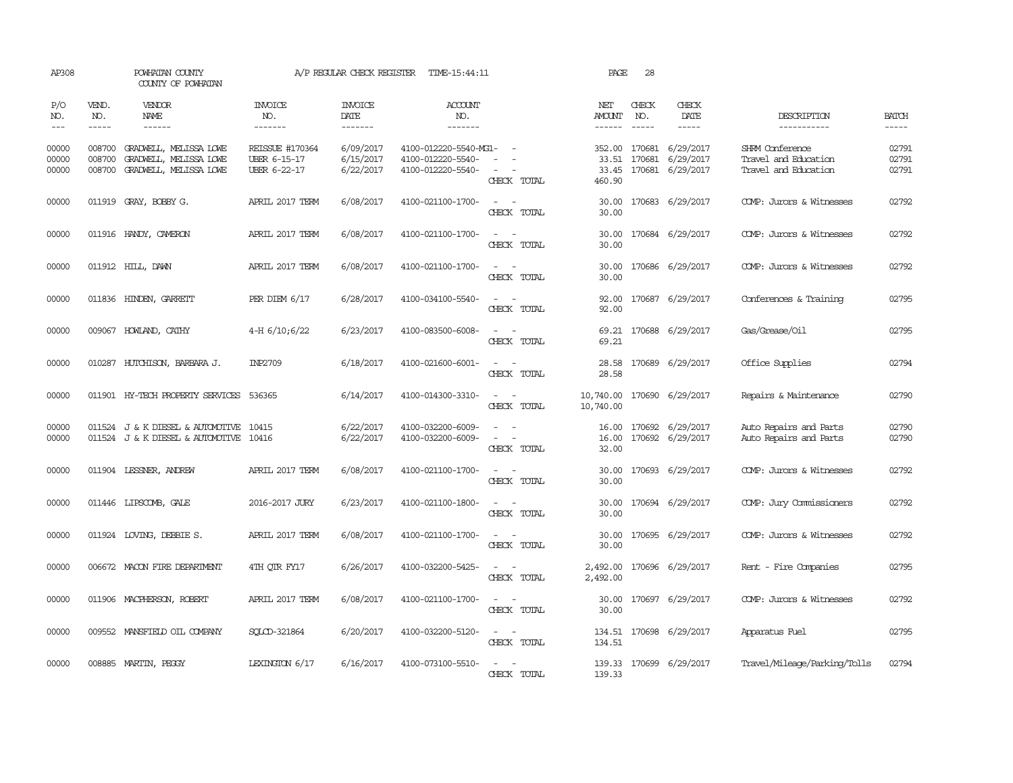| AP308                   |                                                                                                                                                                                                                                                                                                                                                                                                                                                                                                     | POWHATAN COUNTY<br>COUNTY OF POWHATAN                                      |                                                               | A/P REGULAR CHECK REGISTER          | TIME-15:44:11                                                   |                                                                                                                             | PAGE                           | 28                            |                                                         |                                                                 |                         |
|-------------------------|-----------------------------------------------------------------------------------------------------------------------------------------------------------------------------------------------------------------------------------------------------------------------------------------------------------------------------------------------------------------------------------------------------------------------------------------------------------------------------------------------------|----------------------------------------------------------------------------|---------------------------------------------------------------|-------------------------------------|-----------------------------------------------------------------|-----------------------------------------------------------------------------------------------------------------------------|--------------------------------|-------------------------------|---------------------------------------------------------|-----------------------------------------------------------------|-------------------------|
| P/O<br>NO.<br>$---$     | VEND.<br>NO.<br>$\begin{tabular}{ccccc} \multicolumn{2}{c}{} & \multicolumn{2}{c}{} & \multicolumn{2}{c}{} & \multicolumn{2}{c}{} & \multicolumn{2}{c}{} & \multicolumn{2}{c}{} & \multicolumn{2}{c}{} & \multicolumn{2}{c}{} & \multicolumn{2}{c}{} & \multicolumn{2}{c}{} & \multicolumn{2}{c}{} & \multicolumn{2}{c}{} & \multicolumn{2}{c}{} & \multicolumn{2}{c}{} & \multicolumn{2}{c}{} & \multicolumn{2}{c}{} & \multicolumn{2}{c}{} & \multicolumn{2}{c}{} & \multicolumn{2}{c}{} & \mult$ | VENDOR<br>NAME<br>------                                                   | INVOICE<br>NO.<br>-------                                     | <b>INVOICE</b><br>DATE<br>-------   | <b>ACCOUNT</b><br>NO.<br>-------                                |                                                                                                                             | NET<br>AMOUNT<br>$- - - - - -$ | CHECK<br>NO.<br>$\frac{1}{2}$ | CHECK<br>DATE<br>$- - - - -$                            | DESCRIPTION<br>-----------                                      | <b>BATCH</b><br>-----   |
| 00000<br>00000<br>00000 | 008700<br>008700<br>008700                                                                                                                                                                                                                                                                                                                                                                                                                                                                          | GRADWELL, MELISSA LOWE<br>GRADWELL, MELISSA LOWE<br>GRADWELL, MELISSA LOWE | <b>REISSUE #170364</b><br><b>UBER 6-15-17</b><br>UBER 6-22-17 | 6/09/2017<br>6/15/2017<br>6/22/2017 | 4100-012220-5540-MG1-<br>4100-012220-5540-<br>4100-012220-5540- | $\overline{\phantom{a}}$<br>CHECK TOTAL                                                                                     | 352.00<br>33.51<br>460.90      | 170681                        | 170681 6/29/2017<br>6/29/2017<br>33.45 170681 6/29/2017 | SHRM Conference<br>Travel and Education<br>Travel and Education | 02791<br>02791<br>02791 |
| 00000                   |                                                                                                                                                                                                                                                                                                                                                                                                                                                                                                     | 011919 GRAY, BOBBY G.                                                      | APRIL 2017 TERM                                               | 6/08/2017                           | 4100-021100-1700-                                               | $\frac{1}{2} \left( \frac{1}{2} \right) \left( \frac{1}{2} \right) = \frac{1}{2} \left( \frac{1}{2} \right)$<br>CHECK TOTAL | 30.00<br>30.00                 |                               | 170683 6/29/2017                                        | COMP: Jurors & Witnesses                                        | 02792                   |
| 00000                   |                                                                                                                                                                                                                                                                                                                                                                                                                                                                                                     | 011916 HANDY, CAMERON                                                      | APRIL 2017 TERM                                               | 6/08/2017                           | 4100-021100-1700-                                               | $\sim$ $\sim$<br>CHECK TOTAL                                                                                                | 30.00<br>30.00                 |                               | 170684 6/29/2017                                        | COMP: Jurors & Witnesses                                        | 02792                   |
| 00000                   |                                                                                                                                                                                                                                                                                                                                                                                                                                                                                                     | 011912 HILL, DAWN                                                          | APRIL 2017 TERM                                               | 6/08/2017                           | 4100-021100-1700-                                               | $\sim$ $\sim$<br>CHECK TOTAL                                                                                                | 30.00<br>30.00                 |                               | 170686 6/29/2017                                        | COMP: Jurors & Witnesses                                        | 02792                   |
| 00000                   |                                                                                                                                                                                                                                                                                                                                                                                                                                                                                                     | 011836 HINDEN, GARRETT                                                     | PER DIEM $6/17$                                               | 6/28/2017                           | 4100-034100-5540-                                               | $ -$<br>CHECK TOTAL                                                                                                         | 92.00<br>92.00                 |                               | 170687 6/29/2017                                        | Conferences & Training                                          | 02795                   |
| 00000                   |                                                                                                                                                                                                                                                                                                                                                                                                                                                                                                     | 009067 HOWLAND, CATHY                                                      | 4-H $6/10;6/22$                                               | 6/23/2017                           | 4100-083500-6008-                                               | CHECK TOTAL                                                                                                                 | 69.21                          |                               | 69.21 170688 6/29/2017                                  | Gas/Grease/Oil                                                  | 02795                   |
| 00000                   |                                                                                                                                                                                                                                                                                                                                                                                                                                                                                                     | 010287 HUTCHISON, BARBARA J.                                               | INP2709                                                       | 6/18/2017                           | 4100-021600-6001-                                               | CHECK TOTAL                                                                                                                 | 28.58<br>28.58                 |                               | 170689 6/29/2017                                        | Office Supplies                                                 | 02794                   |
| 00000                   |                                                                                                                                                                                                                                                                                                                                                                                                                                                                                                     | 011901 HY-TECH PROPERTY SERVICES                                           | 536365                                                        | 6/14/2017                           | 4100-014300-3310-                                               | $\overline{\phantom{a}}$<br>CHECK TOTAL                                                                                     | 10,740.00<br>10,740.00         |                               | 170690 6/29/2017                                        | Repairs & Maintenance                                           | 02790                   |
| 00000<br>00000          |                                                                                                                                                                                                                                                                                                                                                                                                                                                                                                     | 011524 J & K DIESEL & AUTOMOTIVE<br>011524 J & K DIESEL & AUTOMOTIVE 10416 | 10415                                                         | 6/22/2017<br>6/22/2017              | 4100-032200-6009-<br>4100-032200-6009-                          | $\omega_{\rm{max}}$ and $\omega_{\rm{max}}$<br>$\sim$ 100 $\mu$<br>$\overline{\phantom{a}}$<br>CHECK TOTAL                  | 16.00<br>16.00<br>32.00        |                               | 170692 6/29/2017<br>170692 6/29/2017                    | Auto Repairs and Parts<br>Auto Repairs and Parts                | 02790<br>02790          |
| 00000                   |                                                                                                                                                                                                                                                                                                                                                                                                                                                                                                     | 011904 LESSNER, ANDREW                                                     | APRIL 2017 TERM                                               | 6/08/2017                           | 4100-021100-1700-                                               | CHECK TOTAL                                                                                                                 | 30.00<br>30.00                 |                               | 170693 6/29/2017                                        | COMP: Jurors & Witnesses                                        | 02792                   |
| 00000                   |                                                                                                                                                                                                                                                                                                                                                                                                                                                                                                     | 011446 LIPSCOMB, GALE                                                      | 2016-2017 JURY                                                | 6/23/2017                           | 4100-021100-1800-                                               | $\overline{\phantom{a}}$<br>$\sim$<br>CHECK TOTAL                                                                           | 30.00<br>30.00                 |                               | 170694 6/29/2017                                        | COMP: Jury Commissioners                                        | 02792                   |
| 00000                   |                                                                                                                                                                                                                                                                                                                                                                                                                                                                                                     | 011924 LOVING, DEBBIE S.                                                   | APRIL 2017 TERM                                               | 6/08/2017                           | 4100-021100-1700-                                               | $\frac{1}{2} \left( \frac{1}{2} \right) \left( \frac{1}{2} \right) = \frac{1}{2} \left( \frac{1}{2} \right)$<br>CHECK TOTAL | 30.00<br>30.00                 |                               | 170695 6/29/2017                                        | COMP: Jurors & Witnesses                                        | 02792                   |
| 00000                   |                                                                                                                                                                                                                                                                                                                                                                                                                                                                                                     | 006672 MACON FIRE DEPARTMENT                                               | 4TH OTR FY17                                                  | 6/26/2017                           | 4100-032200-5425-                                               | $\overline{\phantom{a}}$<br>$\sim$<br>CHECK TOTAL                                                                           | 2,492.00<br>2,492.00           |                               | 170696 6/29/2017                                        | Rent - Fire Companies                                           | 02795                   |
| 00000                   |                                                                                                                                                                                                                                                                                                                                                                                                                                                                                                     | 011906 MACPHERSON, ROBERT                                                  | APRIL 2017 TERM                                               | 6/08/2017                           | 4100-021100-1700-                                               | $\frac{1}{2} \left( \frac{1}{2} \right) \left( \frac{1}{2} \right) = \frac{1}{2} \left( \frac{1}{2} \right)$<br>CHECK TOTAL | 30.00<br>30.00                 |                               | 170697 6/29/2017                                        | COMP: Jurors & Witnesses                                        | 02792                   |
| 00000                   |                                                                                                                                                                                                                                                                                                                                                                                                                                                                                                     | 009552 MANSFIELD OIL COMPANY                                               | SOLCD-321864                                                  | 6/20/2017                           | 4100-032200-5120-                                               | $\sim$ $\sim$<br>CHECK TOTAL                                                                                                | 134.51                         |                               | 134.51 170698 6/29/2017                                 | Apparatus Fuel                                                  | 02795                   |
| 00000                   |                                                                                                                                                                                                                                                                                                                                                                                                                                                                                                     | 008885 MARTIN, PEGGY                                                       | LEXINGTON 6/17                                                | 6/16/2017                           | 4100-073100-5510-                                               | CHECK TOTAL                                                                                                                 | 139.33                         |                               | 139.33 170699 6/29/2017                                 | Travel/Mileage/Parking/Tolls                                    | 02794                   |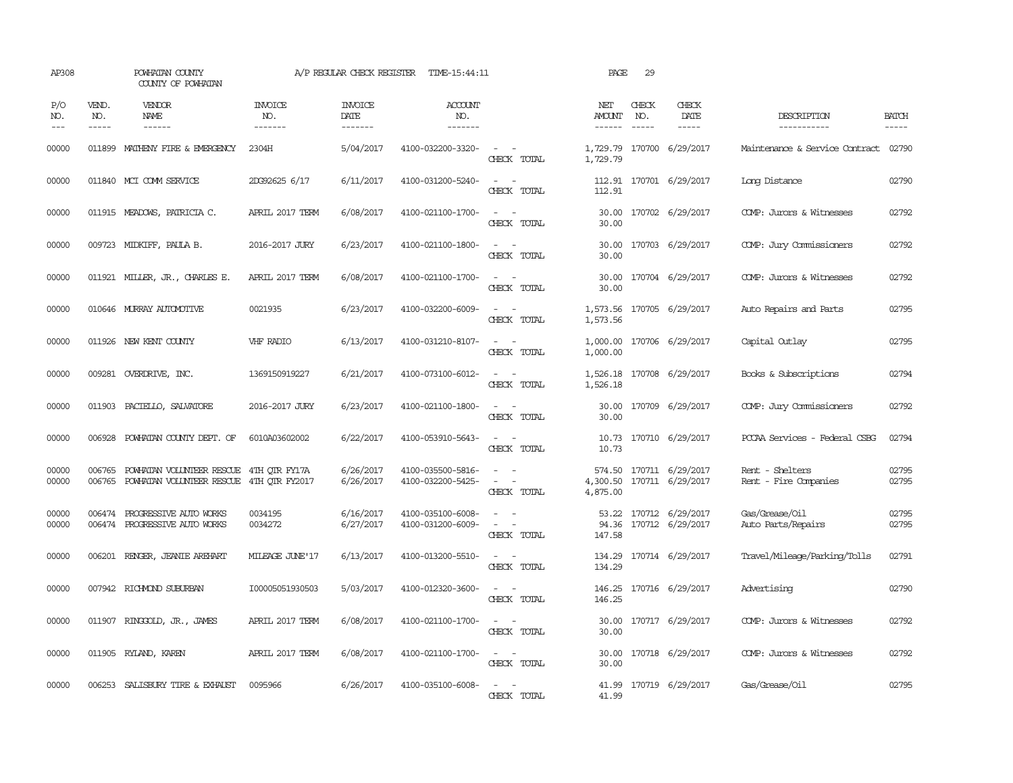| AP308               |                          | POWHATAN COUNTY<br>COUNTY OF POWHATAN                                                      |                                  | A/P REGULAR CHECK REGISTER        | TIME-15:44:11                          |                                                                                                           | PAGE                 | 29                            |                                                  |                                          |                             |
|---------------------|--------------------------|--------------------------------------------------------------------------------------------|----------------------------------|-----------------------------------|----------------------------------------|-----------------------------------------------------------------------------------------------------------|----------------------|-------------------------------|--------------------------------------------------|------------------------------------------|-----------------------------|
| P/O<br>NO.<br>$---$ | VEND.<br>NO.<br>$\cdots$ | <b>VENDOR</b><br>NAME<br>------                                                            | <b>INVOICE</b><br>NO.<br>------- | <b>INVOICE</b><br>DATE<br>------- | ACCOUNT<br>NO.<br>-------              |                                                                                                           | NET<br>AMOUNT        | CHECK<br>NO.<br>$\frac{1}{2}$ | CHECK<br>DATE<br>$- - - - -$                     | DESCRIPTION<br>-----------               | <b>BATCH</b><br>$- - - - -$ |
| 00000               |                          | 011899 MATHENY FIRE & EMERGENCY                                                            | 2304H                            | 5/04/2017                         | 4100-032200-3320-                      | $\sim$ $  -$<br>CHECK TOTAL                                                                               | 1,729.79             |                               | 1,729.79 170700 6/29/2017                        | Maintenance & Service Contract 02790     |                             |
| 00000               |                          | 011840 MCI COMM SERVICE                                                                    | 2DG92625 6/17                    | 6/11/2017                         | 4100-031200-5240-                      | $\sim$ $ \sim$<br>CHECK TOTAL                                                                             | 112.91               |                               | 112.91 170701 6/29/2017                          | Long Distance                            | 02790                       |
| 00000               |                          | 011915 MEADOWS, PATRICIA C.                                                                | APRIL 2017 TERM                  | 6/08/2017                         | 4100-021100-1700-                      | $\sim$ $ \sim$<br>CHECK TOTAL                                                                             | 30.00                |                               | 30.00 170702 6/29/2017                           | COMP: Jurors & Witnesses                 | 02792                       |
| 00000               |                          | 009723 MIDKIFF, PAULA B.                                                                   | 2016-2017 JURY                   | 6/23/2017                         | 4100-021100-1800-                      | $\sim$ $ \sim$<br>CHECK TOTAL                                                                             | 30.00                |                               | 30.00 170703 6/29/2017                           | COMP: Jury Commissioners                 | 02792                       |
| 00000               |                          | 011921 MILLER, JR., CHARLES E.                                                             | APRIL 2017 TERM                  | 6/08/2017                         | 4100-021100-1700-                      | $\sim$<br>$\sim$<br>CHECK TOTAL                                                                           | 30.00<br>30.00       |                               | 170704 6/29/2017                                 | COMP: Jurors & Witnesses                 | 02792                       |
| 00000               |                          | 010646 MURRAY AUTOMOTTVE                                                                   | 0021935                          | 6/23/2017                         | 4100-032200-6009-                      | $\sim$<br>$\sim$<br>CHECK TOTAL                                                                           | 1,573.56<br>1,573.56 |                               | 170705 6/29/2017                                 | Auto Repairs and Parts                   | 02795                       |
| 00000               |                          | 011926 NEW KENT COUNTY                                                                     | VHF RADIO                        | 6/13/2017                         | 4100-031210-8107-                      | $\sim$ $\sim$<br>CHECK TOTAL                                                                              | 1,000.00             |                               | 1,000.00 170706 6/29/2017                        | Capital Outlay                           | 02795                       |
| 00000               |                          | 009281 OVERDRIVE, INC.                                                                     | 1369150919227                    | 6/21/2017                         | 4100-073100-6012-                      | $\sim$ $ \sim$<br>CHECK TOTAL                                                                             | 1,526.18             |                               | 1,526.18 170708 6/29/2017                        | Books & Subscriptions                    | 02794                       |
| 00000               |                          | 011903 PACIELLO, SALVATORE                                                                 | 2016-2017 JURY                   | 6/23/2017                         | 4100-021100-1800-                      | $ -$<br>CHECK TOTAL                                                                                       | 30.00                |                               | 30.00 170709 6/29/2017                           | COMP: Jury Commissioners                 | 02792                       |
| 00000               | 006928                   | POWHATAN COUNTY DEPT. OF                                                                   | 6010A03602002                    | 6/22/2017                         | 4100-053910-5643-                      | $\overline{\phantom{a}}$<br>CHECK TOTAL                                                                   | 10.73<br>10.73       |                               | 170710 6/29/2017                                 | PCCAA Services - Federal CSBG            | 02794                       |
| 00000<br>00000      | 006765                   | POWHATAN VOLUNTEER RESCUE 4TH OTR FY17A<br>006765 POWHATAN VOLUNTEER RESCUE 4TH OTR FY2017 |                                  | 6/26/2017<br>6/26/2017            | 4100-035500-5816-<br>4100-032200-5425- | $\omega_{\rm{max}}$ and $\omega_{\rm{max}}$<br>$\omega_{\rm{max}}$ and $\omega_{\rm{max}}$<br>CHECK TOTAL | 574.50<br>4,875.00   |                               | 170711 6/29/2017<br>4,300.50 170711 6/29/2017    | Rent - Shelters<br>Rent - Fire Companies | 02795<br>02795              |
| 00000<br>00000      | 006474                   | PROGRESSIVE AUTO WORKS<br>006474 PROGRESSIVE AUTO WORKS                                    | 0034195<br>0034272               | 6/16/2017<br>6/27/2017            | 4100-035100-6008-<br>4100-031200-6009- | $\sim$<br>$\sim$<br>CHECK TOTAL                                                                           | 147.58               |                               | 53.22 170712 6/29/2017<br>94.36 170712 6/29/2017 | Gas/Grease/Oil<br>Auto Parts/Repairs     | 02795<br>02795              |
| 00000               | 006201                   | RENGER, JEANIE AREHART                                                                     | MILEAGE JUNE'17                  | 6/13/2017                         | 4100-013200-5510-                      | $\overline{\phantom{a}}$<br>CHECK TOTAL                                                                   | 134.29<br>134.29     |                               | 170714 6/29/2017                                 | Travel/Mileage/Parking/Tolls             | 02791                       |
| 00000               |                          | 007942 RICHMOND SUBURBAN                                                                   | I00005051930503                  | 5/03/2017                         | 4100-012320-3600-                      | $\overline{\phantom{a}}$<br>CHECK TOTAL                                                                   | 146.25<br>146.25     |                               | 170716 6/29/2017                                 | Advertising                              | 02790                       |
| 00000               |                          | 011907 RINGGOLD, JR., JAMES                                                                | APRIL 2017 TERM                  | 6/08/2017                         | 4100-021100-1700-                      | $\sim$<br>$\sim$<br>CHECK TOTAL                                                                           | 30.00                |                               | 30.00 170717 6/29/2017                           | COMP: Jurors & Witnesses                 | 02792                       |
| 00000               |                          | 011905 RYLAND, KAREN                                                                       | APRIL 2017 TERM                  | 6/08/2017                         | 4100-021100-1700-                      | $\sim$ $ \sim$<br>CHECK TOTAL                                                                             | 30.00                |                               | 30.00 170718 6/29/2017                           | COMP: Jurors & Witnesses                 | 02792                       |
| 00000               |                          | 006253 SALISBURY TIRE & EXHAUST                                                            | 0095966                          | 6/26/2017                         | 4100-035100-6008-                      | $\sim$<br>$\sim$<br>CHECK TOTAL                                                                           | 41.99                |                               | 41.99 170719 6/29/2017                           | Gas/Grease/Oil                           | 02795                       |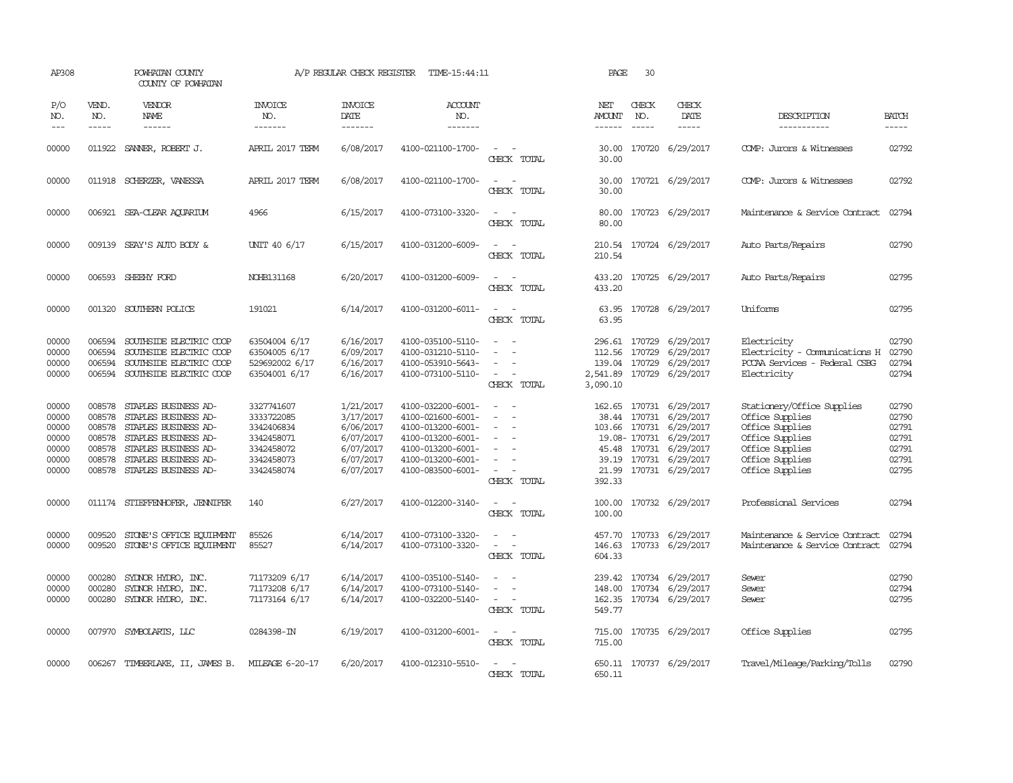| AP308                                                       |                                                          | POWHATAN COUNTY<br>COUNTY OF POWHATAN                                                                                                                                       |                                                                                                | A/P REGULAR CHECK REGISTER                                                              | TIME-15:44:11                                                                                                                                   |                                                                                                                             | PAGE                                | 30                            |                                                                                                                                                                                      |                                                                                                                                              |                                                             |
|-------------------------------------------------------------|----------------------------------------------------------|-----------------------------------------------------------------------------------------------------------------------------------------------------------------------------|------------------------------------------------------------------------------------------------|-----------------------------------------------------------------------------------------|-------------------------------------------------------------------------------------------------------------------------------------------------|-----------------------------------------------------------------------------------------------------------------------------|-------------------------------------|-------------------------------|--------------------------------------------------------------------------------------------------------------------------------------------------------------------------------------|----------------------------------------------------------------------------------------------------------------------------------------------|-------------------------------------------------------------|
| P/O<br>NO.<br>$---$                                         | VEND.<br>NO.<br>$- - - - -$                              | VENDOR<br>NAME<br>$- - - - - -$                                                                                                                                             | INVOICE<br>NO.<br>-------                                                                      | <b>INVOICE</b><br>DATE<br>-------                                                       | ACCOUNT<br>NO.<br>$- - - - - - -$                                                                                                               |                                                                                                                             | NET<br><b>AMOUNT</b><br>------      | CHECK<br>NO.<br>$\frac{1}{2}$ | CHECK<br>DATE<br>$- - - - -$                                                                                                                                                         | DESCRIPTION<br>-----------                                                                                                                   | <b>BATCH</b><br>-----                                       |
| 00000                                                       | 011922                                                   | SANNER, ROBERT J.                                                                                                                                                           | APRIL 2017 TERM                                                                                | 6/08/2017                                                                               | 4100-021100-1700-                                                                                                                               | CHECK TOTAL                                                                                                                 | 30.00<br>30.00                      |                               | 170720 6/29/2017                                                                                                                                                                     | COMP: Jurors & Witnesses                                                                                                                     | 02792                                                       |
| 00000                                                       |                                                          | 011918 SCHERZER, VANESSA                                                                                                                                                    | APRIL 2017 TERM                                                                                | 6/08/2017                                                                               | 4100-021100-1700-                                                                                                                               | $\sim$<br>CHECK TOTAL                                                                                                       | 30.00<br>30.00                      |                               | 170721 6/29/2017                                                                                                                                                                     | COMP: Jurors & Witnesses                                                                                                                     | 02792                                                       |
| 00000                                                       |                                                          | 006921 SEA-CLEAR AQUARIUM                                                                                                                                                   | 4966                                                                                           | 6/15/2017                                                                               | 4100-073100-3320-                                                                                                                               | $\equiv$<br>CHECK TOTAL                                                                                                     | 80.00<br>80.00                      |                               | 170723 6/29/2017                                                                                                                                                                     | Maintenance & Service Contract                                                                                                               | 02794                                                       |
| 00000                                                       |                                                          | 009139 SEAY'S AUTO BODY &                                                                                                                                                   | UNIT 40 6/17                                                                                   | 6/15/2017                                                                               | 4100-031200-6009-                                                                                                                               | $\sim$<br>CHECK TOTAL                                                                                                       | 210.54                              |                               | 210.54 170724 6/29/2017                                                                                                                                                              | Auto Parts/Repairs                                                                                                                           | 02790                                                       |
| 00000                                                       |                                                          | 006593 SHEEHY FORD                                                                                                                                                          | NOHB131168                                                                                     | 6/20/2017                                                                               | 4100-031200-6009-                                                                                                                               | $\sim$<br>CHECK TOTAL                                                                                                       | 433.20                              |                               | 433.20 170725 6/29/2017                                                                                                                                                              | Auto Parts/Repairs                                                                                                                           | 02795                                                       |
| 00000                                                       |                                                          | 001320 SOUTHERN POLICE                                                                                                                                                      | 191021                                                                                         | 6/14/2017                                                                               | 4100-031200-6011-                                                                                                                               | CHECK TOTAL                                                                                                                 | 63.95                               |                               | 63.95 170728 6/29/2017                                                                                                                                                               | Uniforms                                                                                                                                     | 02795                                                       |
| 00000<br>00000<br>00000<br>00000                            | 006594<br>006594<br>006594                               | SOUTHSIDE ELECTRIC COOP<br>SOUTHSIDE ELECTRIC COOP<br>SOUTHSIDE ELECTRIC COOP<br>006594 SOUTHSIDE ELECTRIC COOP                                                             | 63504004 6/17<br>63504005 6/17<br>529692002 6/17<br>63504001 6/17                              | 6/16/2017<br>6/09/2017<br>6/16/2017<br>6/16/2017                                        | 4100-035100-5110-<br>4100-031210-5110-<br>4100-053910-5643-<br>4100-073100-5110-                                                                | $\sim$<br>$\sim$<br>$\sim$<br>CHECK TOTAL                                                                                   | 112.56<br>139.04 170729<br>3,090.10 | 170729                        | 296.61 170729 6/29/2017<br>6/29/2017<br>6/29/2017<br>2,541.89 170729 6/29/2017                                                                                                       | Electricity<br>Electricity - Comunications H<br>PCCAA Services - Federal CSBG<br>Electricity                                                 | 02790<br>02790<br>02794<br>02794                            |
| 00000<br>00000<br>00000<br>00000<br>00000<br>00000<br>00000 | 008578<br>008578<br>008578<br>008578<br>008578<br>008578 | STAPLES BUSINESS AD-<br>STAPLES BUSINESS AD-<br>STAPLES BUSINESS AD-<br>STAPLES BUSINESS AD-<br>STAPLES BUSINESS AD-<br>STAPLES BUSINESS AD-<br>008578 STAPLES BUSINESS AD- | 3327741607<br>3333722085<br>3342406834<br>3342458071<br>3342458072<br>3342458073<br>3342458074 | 1/21/2017<br>3/17/2017<br>6/06/2017<br>6/07/2017<br>6/07/2017<br>6/07/2017<br>6/07/2017 | 4100-032200-6001-<br>4100-021600-6001-<br>4100-013200-6001-<br>4100-013200-6001-<br>4100-013200-6001-<br>4100-013200-6001-<br>4100-083500-6001- | $\overline{\phantom{a}}$<br>$\equiv$<br>$\sim$<br>$\overline{\phantom{a}}$<br>$\sim$<br>CHECK TOTAL                         | 392.33                              |                               | 162.65 170731 6/29/2017<br>38.44 170731 6/29/2017<br>103.66 170731 6/29/2017<br>19.08-170731 6/29/2017<br>45.48 170731 6/29/2017<br>39.19 170731 6/29/2017<br>21.99 170731 6/29/2017 | Stationery/Office Supplies<br>Office Supplies<br>Office Supplies<br>Office Supplies<br>Office Supplies<br>Office Supplies<br>Office Supplies | 02790<br>02790<br>02791<br>02791<br>02791<br>02791<br>02795 |
| 00000                                                       |                                                          | 011174 STIEFFENHOFER, JENNIFER                                                                                                                                              | 140                                                                                            | 6/27/2017                                                                               | 4100-012200-3140-                                                                                                                               | $\overline{\phantom{a}}$<br>$\sim$<br>CHECK TOTAL                                                                           | 100.00<br>100.00                    |                               | 170732 6/29/2017                                                                                                                                                                     | Professional Services                                                                                                                        | 02794                                                       |
| 00000<br>00000                                              | 009520<br>009520                                         | STONE'S OFFICE EQUIPMENT<br>STONE'S OFFICE EQUIPMENT                                                                                                                        | 85526<br>85527                                                                                 | 6/14/2017<br>6/14/2017                                                                  | 4100-073100-3320-<br>4100-073100-3320-                                                                                                          | $\sim$<br>$\equiv$<br>CHECK TOTAL                                                                                           | 457.70<br>146.63<br>604.33          |                               | 170733 6/29/2017<br>170733 6/29/2017                                                                                                                                                 | Maintenance & Service Contract<br>Maintenance & Service Contract                                                                             | 02794<br>02794                                              |
| 00000<br>00000<br>00000                                     | 000280<br>000280<br>000280                               | SYDNOR HYDRO, INC.<br>SYDNOR HYDRO, INC.<br>SYDNOR HYDRO, INC.                                                                                                              | 71173209 6/17<br>71173208 6/17<br>71173164 6/17                                                | 6/14/2017<br>6/14/2017<br>6/14/2017                                                     | 4100-035100-5140-<br>4100-073100-5140-<br>4100-032200-5140-                                                                                     | $\overline{\phantom{a}}$<br>CHECK TOTAL                                                                                     | 148.00<br>549.77                    |                               | 239.42 170734 6/29/2017<br>170734 6/29/2017<br>162.35 170734 6/29/2017                                                                                                               | Sewer<br>Sewer<br>Sewer                                                                                                                      | 02790<br>02794<br>02795                                     |
| 00000                                                       |                                                          | 007970 SYMBOLARTS, LLC                                                                                                                                                      | 0284398-IN                                                                                     | 6/19/2017                                                                               | 4100-031200-6001-                                                                                                                               | $\frac{1}{2} \left( \frac{1}{2} \right) \left( \frac{1}{2} \right) = \frac{1}{2} \left( \frac{1}{2} \right)$<br>CHECK TOTAL | 715.00                              |                               | 715.00 170735 6/29/2017                                                                                                                                                              | Office Supplies                                                                                                                              | 02795                                                       |
| 00000                                                       |                                                          | 006267 TIMBERLAKE, II, JAMES B.                                                                                                                                             | MILEAGE 6-20-17                                                                                | 6/20/2017                                                                               | 4100-012310-5510-                                                                                                                               | CHECK TOTAL                                                                                                                 | 650.11                              |                               | 650.11 170737 6/29/2017                                                                                                                                                              | Travel/Mileage/Parking/Tolls                                                                                                                 | 02790                                                       |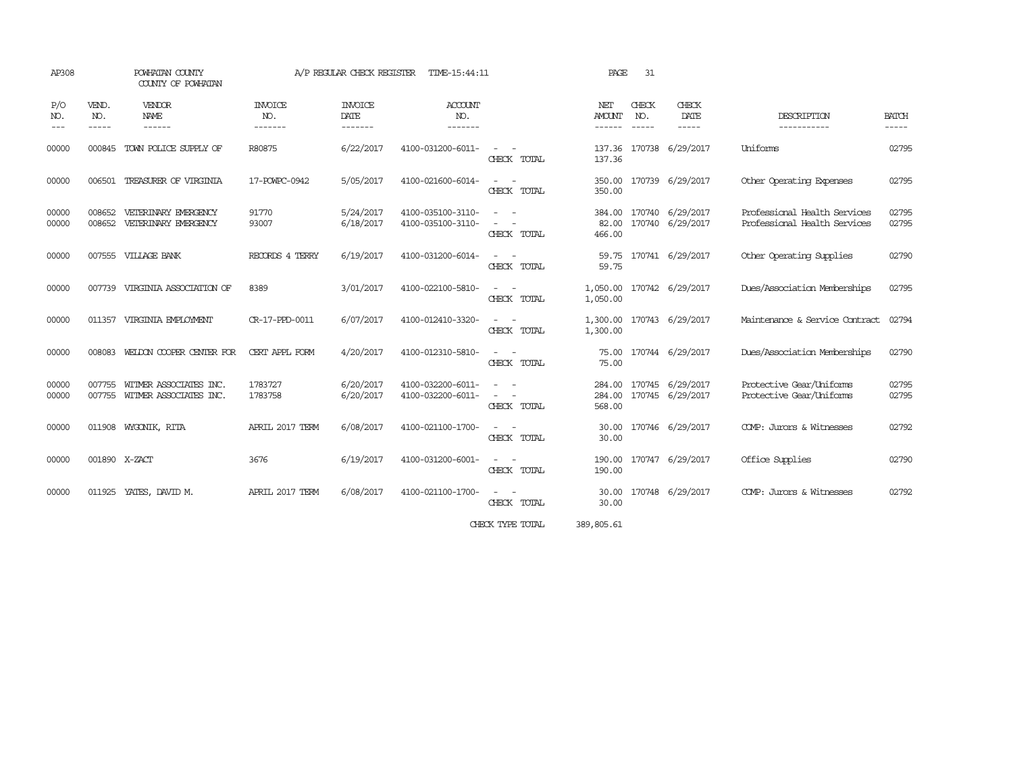| AP308                       |                                                                                                                                                                                                                                                                                                                                                                                                                                                                                            | POWHATAN COUNTY<br>COUNTY OF POWHATAN                   |                           | A/P REGULAR CHECK REGISTER        | TIME-15:44:11                          | 31<br>PAGE                                                                                                                               |                         |              |                                                    |                                                              |                       |
|-----------------------------|--------------------------------------------------------------------------------------------------------------------------------------------------------------------------------------------------------------------------------------------------------------------------------------------------------------------------------------------------------------------------------------------------------------------------------------------------------------------------------------------|---------------------------------------------------------|---------------------------|-----------------------------------|----------------------------------------|------------------------------------------------------------------------------------------------------------------------------------------|-------------------------|--------------|----------------------------------------------------|--------------------------------------------------------------|-----------------------|
| P/O<br>NO.<br>$\frac{1}{2}$ | VEND.<br>NO.<br>$\frac{1}{2} \left( \frac{1}{2} \right) \left( \frac{1}{2} \right) \left( \frac{1}{2} \right) \left( \frac{1}{2} \right) \left( \frac{1}{2} \right) \left( \frac{1}{2} \right) \left( \frac{1}{2} \right) \left( \frac{1}{2} \right) \left( \frac{1}{2} \right) \left( \frac{1}{2} \right) \left( \frac{1}{2} \right) \left( \frac{1}{2} \right) \left( \frac{1}{2} \right) \left( \frac{1}{2} \right) \left( \frac{1}{2} \right) \left( \frac{1}{2} \right) \left( \frac$ | VENDOR<br>NAME<br>------                                | INVOICE<br>NO.<br>------- | <b>INVOICE</b><br>DATE<br>------- | <b>ACCOUNT</b><br>NO.<br>-------       |                                                                                                                                          | NET<br>AMOUNT<br>------ | CHECK<br>NO. | CHECK<br>DATE<br>$\frac{1}{2}$                     | DESCRIPTION<br>-----------                                   | <b>BATCH</b><br>----- |
| 00000                       |                                                                                                                                                                                                                                                                                                                                                                                                                                                                                            | 000845 TOWN POLICE SUPPLY OF                            | R80875                    | 6/22/2017                         | 4100-031200-6011-                      | $\sim$ 100 $\mu$<br>CHECK TOTAL                                                                                                          | 137.36                  |              | 137.36 170738 6/29/2017                            | Uniforms                                                     | 02795                 |
| 00000                       | 006501                                                                                                                                                                                                                                                                                                                                                                                                                                                                                     | TREASURER OF VIRGINIA                                   | 17-POWPC-0942             | 5/05/2017                         | 4100-021600-6014-                      | $\frac{1}{2} \left( \frac{1}{2} \right) \left( \frac{1}{2} \right) \left( \frac{1}{2} \right)$<br>CHECK TOTAL                            | 350.00<br>350.00        |              | 170739 6/29/2017                                   | Other Operating Expenses                                     | 02795                 |
| 00000<br>00000              | 008652<br>008652                                                                                                                                                                                                                                                                                                                                                                                                                                                                           | VETERINARY EMERGENCY<br>VETERINARY EMERGENCY            | 91770<br>93007            | 5/24/2017<br>6/18/2017            | 4100-035100-3110-<br>4100-035100-3110- | $\frac{1}{2} \left( \frac{1}{2} \right) \left( \frac{1}{2} \right) \left( \frac{1}{2} \right)$<br>$\sim$ $-$<br>CHECK TOTAL              | 466.00                  |              | 384.00 170740 6/29/2017<br>82.00 170740 6/29/2017  | Professional Health Services<br>Professional Health Services | 02795<br>02795        |
| 00000                       |                                                                                                                                                                                                                                                                                                                                                                                                                                                                                            | 007555 VILLAGE BANK                                     | RECORDS 4 TERRY           | 6/19/2017                         | 4100-031200-6014-                      | $\sim 100$<br>CHECK TOTAL                                                                                                                | 59.75                   |              | 59.75 170741 6/29/2017                             | Other Operating Supplies                                     | 02790                 |
| 00000                       |                                                                                                                                                                                                                                                                                                                                                                                                                                                                                            | 007739 VIRGINIA ASSOCIATION OF                          | 8389                      | 3/01/2017                         | 4100-022100-5810-                      | $\frac{1}{2} \left( \frac{1}{2} \right) \left( \frac{1}{2} \right) \left( \frac{1}{2} \right) \left( \frac{1}{2} \right)$<br>CHECK TOTAL | 1,050.00                |              | 1,050.00 170742 6/29/2017                          | Dues/Association Memberships                                 | 02795                 |
| 00000                       |                                                                                                                                                                                                                                                                                                                                                                                                                                                                                            | 011357 VIRGINIA EMPLOYMENT                              | CR-17-PPD-0011            | 6/07/2017                         | 4100-012410-3320-                      | $\sim$ $ \sim$<br>CHECK TOTAL                                                                                                            | 1,300.00                |              | 1,300.00 170743 6/29/2017                          | Maintenance & Service Contract                               | 02794                 |
| 00000                       | 008083                                                                                                                                                                                                                                                                                                                                                                                                                                                                                     | WELDON COOPER CENTER FOR                                | CERT APPL FORM            | 4/20/2017                         | 4100-012310-5810-                      | $\sim$ 100 $\mu$<br>CHECK TOTAL                                                                                                          | 75.00                   |              | 75.00 170744 6/29/2017                             | Dues/Association Memberships                                 | 02790                 |
| 00000<br>00000              | 007755                                                                                                                                                                                                                                                                                                                                                                                                                                                                                     | WITMER ASSOCIATES INC.<br>007755 WITMER ASSOCIATES INC. | 1783727<br>1783758        | 6/20/2017<br>6/20/2017            | 4100-032200-6011-<br>4100-032200-6011- | $\sim$ 100 $\mu$<br>$\sim$<br>CHECK TOTAL                                                                                                | 568.00                  |              | 284.00 170745 6/29/2017<br>284.00 170745 6/29/2017 | Protective Gear/Uniforms<br>Protective Gear/Uniforms         | 02795<br>02795        |
| 00000                       |                                                                                                                                                                                                                                                                                                                                                                                                                                                                                            | 011908 WYGONIK, RITA                                    | APRIL 2017 TERM           | 6/08/2017                         | 4100-021100-1700-                      | CHECK TOTAL                                                                                                                              | 30.00<br>30.00          |              | 170746 6/29/2017                                   | COMP: Jurors & Witnesses                                     | 02792                 |
| 00000                       |                                                                                                                                                                                                                                                                                                                                                                                                                                                                                            | 001890 X-ZACT                                           | 3676                      | 6/19/2017                         | 4100-031200-6001-                      | $\sim$ $ -$<br>CHECK TOTAL                                                                                                               | 190.00                  |              | 190.00 170747 6/29/2017                            | Office Supplies                                              | 02790                 |
| 00000                       |                                                                                                                                                                                                                                                                                                                                                                                                                                                                                            | 011925 YATES, DAVID M.                                  | APRIL 2017 TERM           | 6/08/2017                         | 4100-021100-1700-                      | $\sim$ 100 $\mu$<br>CHECK TOTAL                                                                                                          | 30.00                   |              | 30.00 170748 6/29/2017                             | COMP: Jurors & Witnesses                                     | 02792                 |

CHECK TYPE TOTAL 389,805.61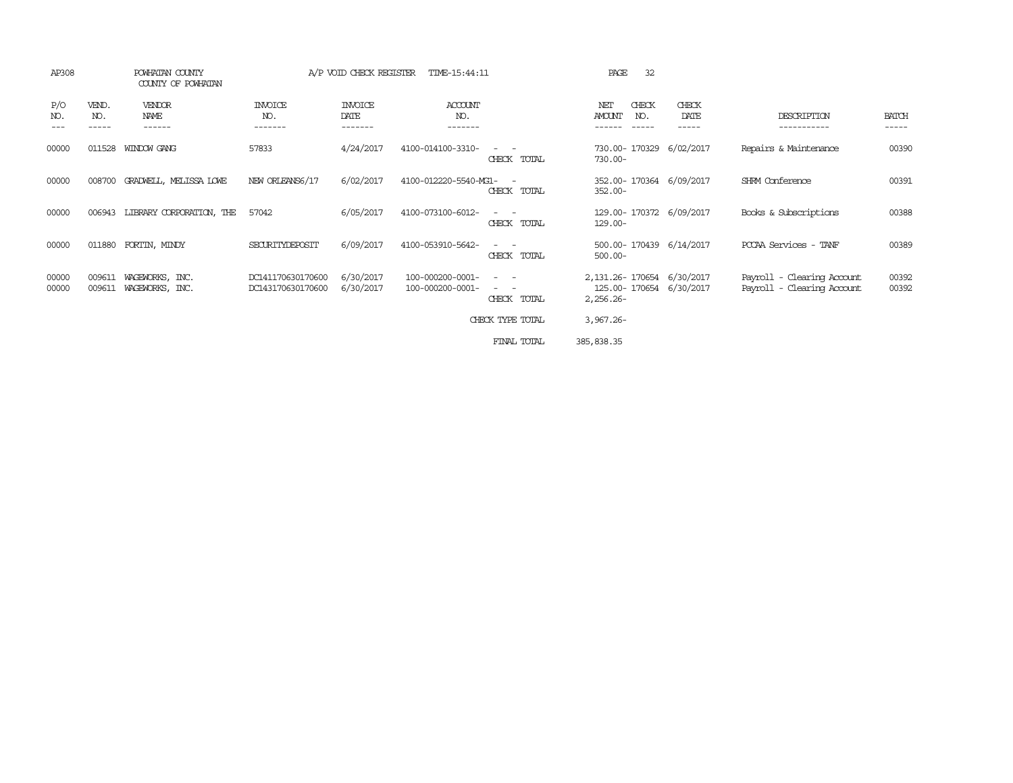| AP308                             |                       | POWHATAN COUNTY<br>COUNTY OF POWHATAN |                                        | A/P VOID CHECK REGISTER           | TIME-15:44:11                        |                                                                                                                                          | 32<br>PAGE                                                              |                        |                                                          |                       |
|-----------------------------------|-----------------------|---------------------------------------|----------------------------------------|-----------------------------------|--------------------------------------|------------------------------------------------------------------------------------------------------------------------------------------|-------------------------------------------------------------------------|------------------------|----------------------------------------------------------|-----------------------|
| P/O<br>NO.<br>$\qquad \qquad - -$ | VEND.<br>NO.<br>----- | <b>VENDOR</b><br>NAME<br>------       | <b>INVOICE</b><br>NO.<br>-------       | <b>INVOICE</b><br>DATE<br>------- | <b>ACCOUNT</b><br>NO.<br>-------     |                                                                                                                                          | CHECK<br>NET<br>AMOUNT<br>NO.<br>$- - - - -$<br>------                  | CHECK<br>DATE<br>----- | DESCRIPTION<br>-----------                               | <b>BATCH</b><br>----- |
| 00000                             | 011528                | WINDOW GANG                           | 57833                                  | 4/24/2017                         | 4100-014100-3310-                    | CHECK TOTAL                                                                                                                              | 730.00- 170329<br>$730.00 -$                                            | 6/02/2017              | Repairs & Maintenance                                    | 00390                 |
| 00000                             | 008700                | GRADWELL, MELISSA LOWE                | NEW ORLEANS6/17                        | 6/02/2017                         | 4100-012220-5540-MG1-                | CHECK TOTAL                                                                                                                              | 352.00-170364 6/09/2017<br>$352.00 -$                                   |                        | SHRM Conference                                          | 00391                 |
| 00000                             | 006943                | LIBRARY CORPORATION, THE              | 57042                                  | 6/05/2017                         | 4100-073100-6012-                    | $\frac{1}{2} \left( \frac{1}{2} \right) \left( \frac{1}{2} \right) \left( \frac{1}{2} \right) \left( \frac{1}{2} \right)$<br>CHECK TOTAL | 129.00-170372 6/09/2017<br>129.00-                                      |                        | Books & Subscriptions                                    | 00388                 |
| 00000                             |                       | 011880 FORTIN, MINDY                  | SECURITYDEPOSIT                        | 6/09/2017                         | 4100-053910-5642-                    | CHECK TOTAL                                                                                                                              | 500.00-170439 6/14/2017<br>$500.00 -$                                   |                        | PCCAA Services - TANF                                    | 00389                 |
| 00000<br>00000                    | 009611<br>009611      | WAGEWORKS, INC.<br>WAGEWORKS, INC.    | DC141170630170600<br>DC143170630170600 | 6/30/2017<br>6/30/2017            | 100-000200-0001-<br>100-000200-0001- | $ -$<br>$\frac{1}{2} \left( \frac{1}{2} \right) \left( \frac{1}{2} \right) = \frac{1}{2} \left( \frac{1}{2} \right)$<br>CHECK TOTAL      | 2, 131.26 - 170654 6/30/2017<br>125.00-170654 6/30/2017<br>$2,256.26 -$ |                        | Payroll - Clearing Account<br>Payroll - Clearing Account | 00392<br>00392        |
|                                   |                       |                                       |                                        |                                   |                                      | CHECK TYPE TOTAL                                                                                                                         | $3,967.26 -$                                                            |                        |                                                          |                       |
|                                   |                       |                                       |                                        |                                   |                                      | FINAL TOTAL                                                                                                                              | 385, 838.35                                                             |                        |                                                          |                       |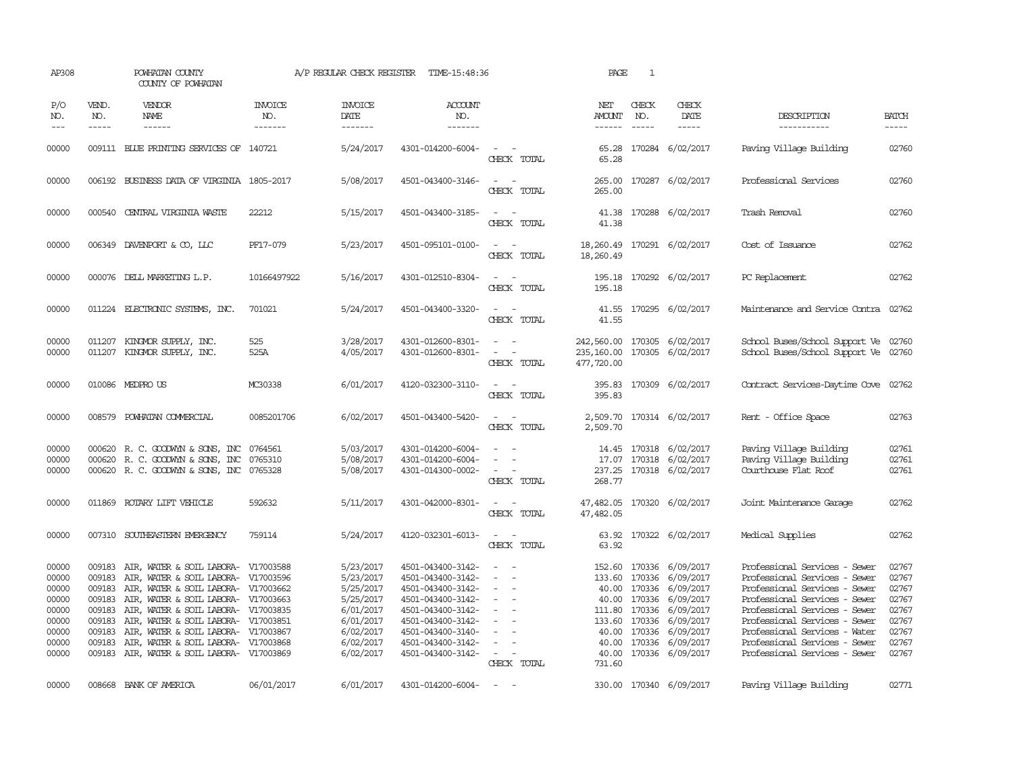| AP308              |                             | POWHATAN COUNTY<br>COUNTY OF POWHATAN                                      |                                  | A/P REGULAR CHECK REGISTER               | TIME-15:48:36                          |                                                                                                                             | PAGE                                    | $\mathbf{1}$                |                                                  |                                                                  |                             |
|--------------------|-----------------------------|----------------------------------------------------------------------------|----------------------------------|------------------------------------------|----------------------------------------|-----------------------------------------------------------------------------------------------------------------------------|-----------------------------------------|-----------------------------|--------------------------------------------------|------------------------------------------------------------------|-----------------------------|
| P/O<br>NO.<br>$ -$ | VEND.<br>NO.<br>$- - - - -$ | <b>VENDOR</b><br><b>NAME</b><br>$- - - - - -$                              | <b>INVOICE</b><br>NO.<br>------- | <b>INVOICE</b><br><b>DATE</b><br>------- | <b>ACCOUNT</b><br>NO.<br>-------       |                                                                                                                             | NET<br>AMOUNT<br>$- - - - - -$          | CHECK<br>NO.<br>$- - - - -$ | CHECK<br>DATE<br>$- - - - -$                     | DESCRIPTION<br>-----------                                       | <b>BATCH</b><br>$- - - - -$ |
| 00000              |                             | 009111 BLUE PRINTING SERVICES OF 140721                                    |                                  | 5/24/2017                                | 4301-014200-6004-                      | $\sim$<br>CHECK TOTAL                                                                                                       | 65.28<br>65.28                          |                             | 170284 6/02/2017                                 | Paving Village Building                                          | 02760                       |
| 00000              |                             | 006192 BUSINESS DATA OF VIRGINIA 1805-2017                                 |                                  | 5/08/2017                                | 4501-043400-3146-                      | CHECK TOTAL                                                                                                                 | 265.00                                  |                             | 265.00 170287 6/02/2017                          | Professional Services                                            | 02760                       |
| 00000              |                             | 000540 CENTRAL VIRGINIA WASTE                                              | 22212                            | 5/15/2017                                | 4501-043400-3185-                      | $ -$<br>CHECK TOTAL                                                                                                         | 41.38<br>41.38                          |                             | 170288 6/02/2017                                 | Trash Removal                                                    | 02760                       |
| 00000              |                             | 006349 DAVENPORT & CO, LLC                                                 | PF17-079                         | 5/23/2017                                | 4501-095101-0100-                      | $\sim$ 100 $\sim$<br>CHECK TOTAL                                                                                            | 18,260.49 170291 6/02/2017<br>18,260.49 |                             |                                                  | Cost of Issuance                                                 | 02762                       |
| 00000              |                             | 000076 DELL MARKETING L.P.                                                 | 10166497922                      | 5/16/2017                                | 4301-012510-8304-                      | $\overline{\phantom{a}}$<br>CHECK TOTAL                                                                                     | 195.18                                  |                             | 195.18 170292 6/02/2017                          | PC Replacement                                                   | 02762                       |
| 00000              |                             | 011224 ELECTRONIC SYSTEMS, INC.                                            | 701021                           | 5/24/2017                                | 4501-043400-3320-                      | $\overline{\phantom{a}}$<br>$\sim$<br>CHECK TOTAL                                                                           | 41.55<br>41.55                          |                             | 170295 6/02/2017                                 | Maintenance and Service Contra                                   | 02762                       |
| 00000<br>00000     | 011207<br>011207            | KINGMOR SUPPLY, INC.<br>KINGMOR SUPPLY, INC.                               | 525<br>525A                      | 3/28/2017<br>4/05/2017                   | 4301-012600-8301-<br>4301-012600-8301- | $\overline{\phantom{a}}$<br>$\overline{\phantom{a}}$<br>CHECK TOTAL                                                         | 242,560.00<br>235,160.00<br>477,720.00  |                             | 170305 6/02/2017<br>170305 6/02/2017             | School Buses/School Support Ve<br>School Buses/School Support Ve | 02760<br>02760              |
| 00000              |                             | 010086 MEDPROUS                                                            | MC30338                          | 6/01/2017                                | 4120-032300-3110-                      | $\sim$<br>CHECK TOTAL                                                                                                       | 395.83<br>395.83                        |                             | 170309 6/02/2017                                 | Contract Services-Daytime Cove                                   | 02762                       |
| 00000              |                             | 008579 POWHATAN COMMERCIAL                                                 | 0085201706                       | 6/02/2017                                | 4501-043400-5420-                      | $\frac{1}{2} \left( \frac{1}{2} \right) \left( \frac{1}{2} \right) = \frac{1}{2} \left( \frac{1}{2} \right)$<br>CHECK TOTAL | 2,509.70                                |                             | 2,509.70 170314 6/02/2017                        | Rent - Office Space                                              | 02763                       |
| 00000              |                             | 000620 R. C. GOODWYN & SONS, INC                                           | 0764561                          | 5/03/2017                                | 4301-014200-6004-                      | $\equiv$                                                                                                                    |                                         |                             | 14.45 170318 6/02/2017                           | Paving Village Building                                          | 02761                       |
| 00000              | 000620                      | R. C. GOODWYN & SONS, INC                                                  | 0765310                          | 5/08/2017                                | 4301-014200-6004-                      | $\overline{\phantom{a}}$<br>$\overline{\phantom{a}}$                                                                        | 17.07                                   |                             | 170318 6/02/2017                                 | Paving Village Building                                          | 02761                       |
| 00000              |                             | 000620 R. C. GOODWYN & SONS, INC                                           | 0765328                          | 5/08/2017                                | 4301-014300-0002-                      | $\sim$<br>CHECK TOTAL                                                                                                       | 237.25<br>268.77                        |                             | 170318 6/02/2017                                 | Courthouse Flat Roof                                             | 02761                       |
| 00000              | 011869                      | ROTARY LIFT VEHICLE                                                        | 592632                           | 5/11/2017                                | 4301-042000-8301-                      | $\overline{\phantom{a}}$<br>CHECK TOTAL                                                                                     | 47,482.05<br>47,482.05                  |                             | 170320 6/02/2017                                 | Joint Maintenance Garage                                         | 02762                       |
| 00000              |                             | 007310 SOUTHEASTERN EMERGENCY                                              | 759114                           | 5/24/2017                                | 4120-032301-6013-                      | $\sim$ $-$<br>CHECK TOTAL                                                                                                   | 63.92                                   |                             | 63.92 170322 6/02/2017                           | Medical Supplies                                                 | 02762                       |
| 00000              | 009183                      | AIR, WATER & SOIL LABORA- V17003588                                        |                                  | 5/23/2017                                | 4501-043400-3142-                      | $\overline{\phantom{a}}$                                                                                                    |                                         |                             | 152.60 170336 6/09/2017                          | Professional Services - Sewer                                    | 02767                       |
| 00000              | 009183                      | AIR, WATER & SOIL LABORA- V17003596                                        |                                  | 5/23/2017                                | 4501-043400-3142-                      | $\overline{\phantom{a}}$                                                                                                    | 133.60                                  | 170336                      | 6/09/2017                                        | Professional Services - Sewer                                    | 02767                       |
| 00000              | 009183                      | AIR, WATER & SOIL LABORA- V17003662                                        |                                  | 5/25/2017                                | 4501-043400-3142-                      | $\overline{\phantom{a}}$                                                                                                    |                                         |                             | 40.00 170336 6/09/2017                           | Professional Services - Sewer                                    | 02767                       |
| 00000              | 009183                      | AIR, WATER & SOIL LABORA- V17003663                                        |                                  | 5/25/2017                                | 4501-043400-3142-                      | $\sim$                                                                                                                      | 40.00                                   |                             | 170336 6/09/2017                                 | Professional Services - Sewer                                    | 02767                       |
| 00000              | 009183                      | AIR, WATER & SOIL LABORA- V17003835                                        |                                  | 6/01/2017                                | 4501-043400-3142-                      | $\sim$                                                                                                                      |                                         |                             | 111.80 170336 6/09/2017                          | Professional Services - Sewer                                    | 02767                       |
| 00000              | 009183                      | AIR, WATER & SOIL LABORA- V17003851                                        |                                  | 6/01/2017                                | 4501-043400-3142-                      | $\sim$                                                                                                                      |                                         | 133.60 170336               | 6/09/2017                                        | Professional Services - Sewer                                    | 02767                       |
| 00000<br>00000     | 009183<br>009183            | AIR, WATER & SOIL LABORA- V17003867<br>AIR, WATER & SOIL LABORA- V17003868 |                                  | 6/02/2017<br>6/02/2017                   | 4501-043400-3140-<br>4501-043400-3142- | $\overline{\phantom{a}}$<br>$\sim$                                                                                          |                                         |                             | 40.00 170336 6/09/2017<br>40.00 170336 6/09/2017 | Professional Services - Water<br>Professional Services - Sewer   | 02767<br>02767              |
| 00000              |                             | 009183 AIR, WATER & SOIL LABORA- V17003869                                 |                                  | 6/02/2017                                | 4501-043400-3142-                      | $\overline{\phantom{a}}$                                                                                                    |                                         |                             | 40.00 170336 6/09/2017                           | Professional Services - Sewer                                    | 02767                       |
|                    |                             |                                                                            |                                  |                                          |                                        | CHECK TOTAL                                                                                                                 | 731.60                                  |                             |                                                  |                                                                  |                             |
| 00000              |                             | 008668 BANK OF AMERICA                                                     | 06/01/2017                       | 6/01/2017                                | 4301-014200-6004-                      | $\sim$                                                                                                                      |                                         |                             | 330.00 170340 6/09/2017                          | Paving Village Building                                          | 02771                       |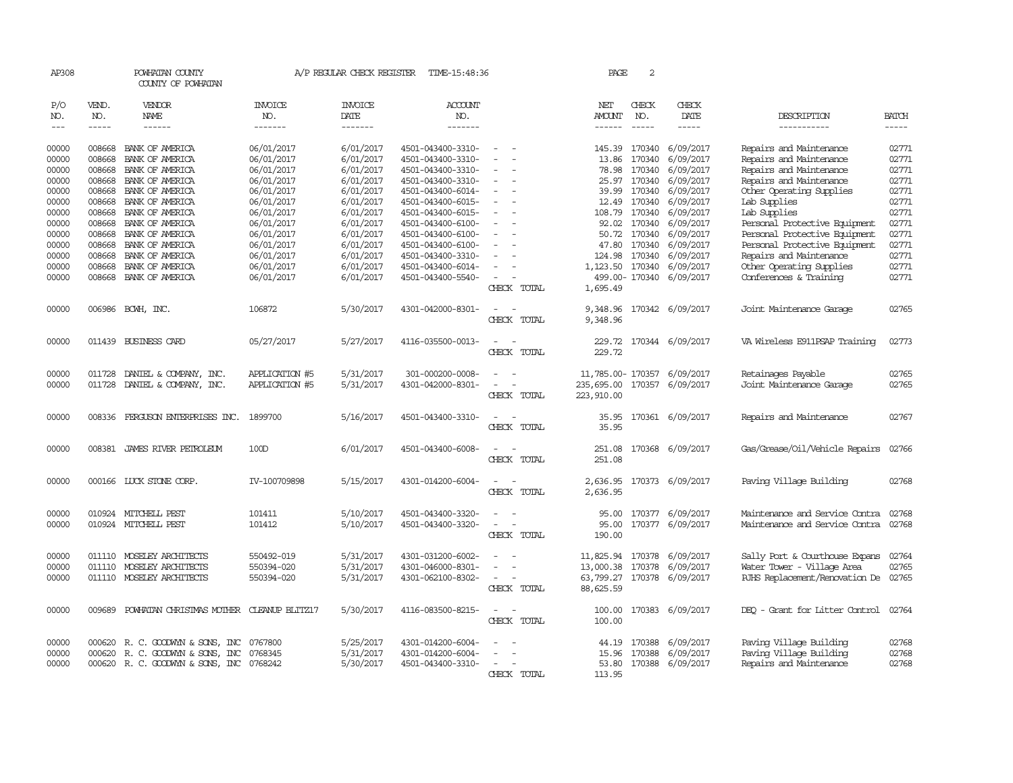| AP308               |                       | POWHATAN COUNTY<br>COUNTY OF POWHATAN            |                                  | A/P REGULAR CHECK REGISTER               | TIME-15:48:36                          |                                                                     | PAGE                                                       | 2                             |                                      |                                                    |                       |
|---------------------|-----------------------|--------------------------------------------------|----------------------------------|------------------------------------------|----------------------------------------|---------------------------------------------------------------------|------------------------------------------------------------|-------------------------------|--------------------------------------|----------------------------------------------------|-----------------------|
| P/O<br>NO.<br>$---$ | VEND.<br>NO.<br>----- | VENDOR<br>NAME<br>$- - - - - -$                  | <b>INVOICE</b><br>NO.<br>------- | <b>INVOICE</b><br><b>DATE</b><br>------- | <b>ACCOUNT</b><br>NO.<br>-------       |                                                                     | NET<br><b>AMOUNT</b><br>$- - - - - -$                      | CHECK<br>NO.<br>$\frac{1}{2}$ | CHECK<br>DATE<br>-----               | DESCRIPTION<br>-----------                         | <b>BATCH</b><br>----- |
| 00000               | 008668                | BANK OF AMERICA                                  | 06/01/2017                       | 6/01/2017                                | 4501-043400-3310-                      |                                                                     | 145.39                                                     | 170340                        | 6/09/2017                            | Repairs and Maintenance                            | 02771                 |
| 00000               | 008668                | BANK OF AMERICA                                  | 06/01/2017                       | 6/01/2017                                | 4501-043400-3310-                      | $\overline{\phantom{a}}$                                            | 13.86                                                      | 170340                        | 6/09/2017                            | Repairs and Maintenance                            | 02771                 |
| 00000               | 008668                | BANK OF AMERICA                                  | 06/01/2017                       | 6/01/2017                                | 4501-043400-3310-                      |                                                                     | 78.98                                                      | 170340                        | 6/09/2017                            | Repairs and Maintenance                            | 02771                 |
| 00000               | 008668                | BANK OF AMERICA                                  | 06/01/2017                       | 6/01/2017                                | 4501-043400-3310-                      | $\equiv$                                                            |                                                            | 25.97 170340                  | 6/09/2017                            | Repairs and Maintenance                            | 02771                 |
| 00000               | 008668                | BANK OF AMERICA                                  | 06/01/2017                       | 6/01/2017                                | 4501-043400-6014-                      |                                                                     | 39.99                                                      | 170340                        | 6/09/2017                            | Other Operating Supplies                           | 02771                 |
| 00000               | 008668                | BANK OF AMERICA                                  | 06/01/2017                       | 6/01/2017                                | 4501-043400-6015-                      |                                                                     | 12.49                                                      | 170340                        | 6/09/2017                            | Lab Supplies                                       | 02771                 |
| 00000               |                       | 008668 BANK OF AMERICA                           | 06/01/2017                       | 6/01/2017                                | 4501-043400-6015-                      | $\overline{\phantom{a}}$<br>$\overline{\phantom{a}}$                | 108.79 170340                                              |                               | 6/09/2017                            | Lab Supplies                                       | 02771                 |
| 00000               |                       | 008668 BANK OF AMERICA                           | 06/01/2017                       | 6/01/2017                                | 4501-043400-6100-                      |                                                                     | 92.02                                                      | 170340                        | 6/09/2017                            | Personal Protective Equipment                      | 02771                 |
| 00000               | 008668                | BANK OF AMERICA                                  | 06/01/2017                       | 6/01/2017                                | 4501-043400-6100-                      |                                                                     | 50.72                                                      | 170340                        | 6/09/2017                            | Personal Protective Equipment                      | 02771                 |
| 00000               | 008668                | BANK OF AMERICA                                  | 06/01/2017                       | 6/01/2017                                | 4501-043400-6100-                      | $\sim$                                                              | 47.80                                                      | 170340                        | 6/09/2017                            | Personal Protective Equipment                      | 02771                 |
| 00000               | 008668                | BANK OF AMERICA                                  | 06/01/2017                       | 6/01/2017                                | 4501-043400-3310-                      |                                                                     | 124.98                                                     | 170340                        | 6/09/2017                            | Repairs and Maintenance                            | 02771                 |
| 00000<br>00000      | 008668                | BANK OF AMERICA<br>008668 BANK OF AMERICA        | 06/01/2017<br>06/01/2017         | 6/01/2017<br>6/01/2017                   | 4501-043400-6014-                      |                                                                     | 1,123.50 170340                                            |                               | 6/09/2017<br>499.00-170340 6/09/2017 | Other Operating Supplies<br>Conferences & Training | 02771<br>02771        |
|                     |                       |                                                  |                                  |                                          | 4501-043400-5540-                      | CHECK TOTAL                                                         | 1,695.49                                                   |                               |                                      |                                                    |                       |
| 00000               |                       | 006986 BCWH, INC.                                | 106872                           | 5/30/2017                                | 4301-042000-8301-                      | $\sim$<br>CHECK TOTAL                                               | 9,348.96<br>9,348.96                                       |                               | 170342 6/09/2017                     | Joint Maintenance Garage                           | 02765                 |
| 00000               |                       | 011439 BUSINESS CARD                             | 05/27/2017                       | 5/27/2017                                | 4116-035500-0013-                      | $\sim$<br>$\overline{\phantom{a}}$<br>CHECK TOTAL                   | 229.72                                                     |                               | 229.72 170344 6/09/2017              | VA Wireless E911PSAP Training                      | 02773                 |
| 00000<br>00000      | 011728<br>011728      | DANIEL & COMPANY, INC.<br>DANIEL & COMPANY, INC. | APPLICATION #5<br>APPLICATION #5 | 5/31/2017<br>5/31/2017                   | 301-000200-0008-<br>4301-042000-8301-  | $\overline{\phantom{a}}$<br>$\overline{\phantom{a}}$                | 11,785.00- 170357 6/09/2017<br>235,695.00 170357 6/09/2017 |                               |                                      | Retainages Payable<br>Joint Maintenance Garage     | 02765<br>02765        |
|                     |                       |                                                  |                                  |                                          |                                        | CHECK TOTAL                                                         | 223,910.00                                                 |                               |                                      |                                                    |                       |
| 00000               |                       | 008336 FERGUSON ENTERPRISES INC. 1899700         |                                  | 5/16/2017                                | 4501-043400-3310-                      | $\sim$<br>CHECK TOTAL                                               | 35.95                                                      |                               | 35.95 170361 6/09/2017               | Repairs and Maintenance                            | 02767                 |
| 00000               |                       | 008381 JAMES RIVER PETROLEUM                     | 100D                             | 6/01/2017                                | 4501-043400-6008-                      | $\sim$<br>CHECK TOTAL                                               | 251.08                                                     |                               | 251.08 170368 6/09/2017              | Gas/Grease/Oil/Vehicle Repairs                     | 02766                 |
| 00000               |                       | 000166 LUCK STONE CORP.                          | IV-100709898                     | 5/15/2017                                | 4301-014200-6004-                      | $\overline{a}$<br>$\sim$<br>CHECK TOTAL                             | 2,636.95<br>2,636.95                                       |                               | 170373 6/09/2017                     | Paving Village Building                            | 02768                 |
| 00000               |                       | 010924 MITCHELL PEST                             | 101411                           | 5/10/2017                                | 4501-043400-3320-                      |                                                                     | 95.00                                                      | 170377                        | 6/09/2017                            | Maintenance and Service Contra                     | 02768                 |
| 00000               |                       | 010924 MITCHELL PEST                             | 101412                           | 5/10/2017                                | 4501-043400-3320-                      | CHECK TOTAL                                                         | 95.00<br>190.00                                            |                               | 170377 6/09/2017                     | Maintenance and Service Contra                     | 02768                 |
| 00000               |                       | 011110 MOSELEY ARCHITECTS                        | 550492-019                       | 5/31/2017                                | 4301-031200-6002-                      | $\sim$                                                              | 11,825.94                                                  | 170378                        | 6/09/2017                            | Sally Port & Courthouse Expans                     | 02764                 |
| 00000<br>00000      | 011110                | MOSELEY ARCHITECTS<br>011110 MOSELEY ARCHITECTS  | 550394-020                       | 5/31/2017                                | 4301-046000-8301-<br>4301-062100-8302- | $\sim$<br>$\overline{\phantom{a}}$                                  | 13,000.38                                                  | 170378<br>170378              | 6/09/2017<br>6/09/2017               | Water Tower - Village Area                         | 02765                 |
|                     |                       |                                                  | 550394-020                       | 5/31/2017                                |                                        | CHECK TOTAL                                                         | 63,799.27<br>88,625.59                                     |                               |                                      | RJHS Replacement/Renovation De 02765               |                       |
| 00000               | 009689                | POWHATAN CHRISTMAS MOTHER CLEANUP BLITZ17        |                                  | 5/30/2017                                | 4116-083500-8215-                      | $\overline{\phantom{a}}$<br>$\overline{\phantom{a}}$<br>CHECK TOTAL | 100.00<br>100.00                                           |                               | 170383 6/09/2017                     | DEO - Grant for Litter Control                     | 02764                 |
| 00000               | 000620                | R. C. GOODWYN & SONS, INC                        | 0767800                          | 5/25/2017                                | 4301-014200-6004-                      |                                                                     |                                                            | 44.19 170388                  | 6/09/2017                            | Paving Village Building                            | 02768                 |
| 00000               | 000620                | R. C. GOODWIN & SONS, INC                        | 0768345                          | 5/31/2017                                | 4301-014200-6004-                      |                                                                     | 15.96                                                      | 170388                        | 6/09/2017                            | Paving Village Building                            | 02768                 |
| 00000               |                       | 000620 R. C. GOODWYN & SONS, INC 0768242         |                                  | 5/30/2017                                | 4501-043400-3310-                      | $\overline{\phantom{a}}$<br>$\overline{\phantom{a}}$                | 53.80                                                      | 170388                        | 6/09/2017                            | Repairs and Maintenance                            | 02768                 |
|                     |                       |                                                  |                                  |                                          |                                        | CHECK TOTAL                                                         | 113.95                                                     |                               |                                      |                                                    |                       |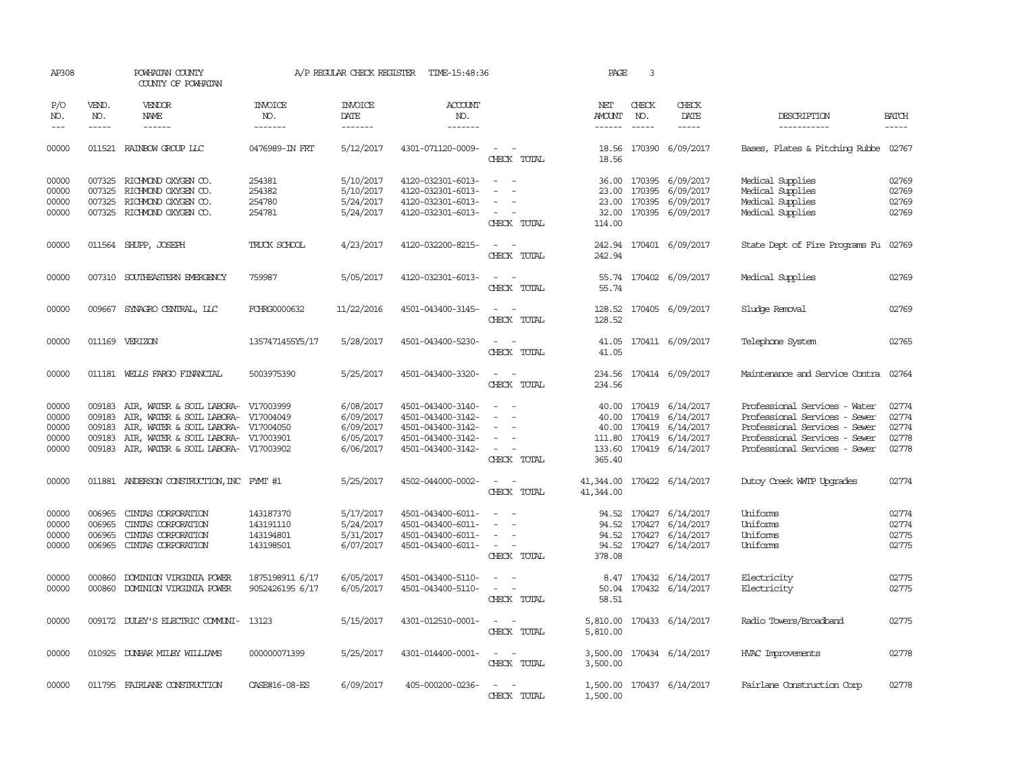| AP308                                     |                                      | POWHATAN COUNTY<br>COUNTY OF POWHATAN                                                                                                                                                                  |                                                  | A/P REGULAR CHECK REGISTER                                    | TIME-15:48:36                                                                                         |                                                                                                                             | PAGE                                    | 3                           |                                                                                                      |                                                                                                                                                                   |                                           |
|-------------------------------------------|--------------------------------------|--------------------------------------------------------------------------------------------------------------------------------------------------------------------------------------------------------|--------------------------------------------------|---------------------------------------------------------------|-------------------------------------------------------------------------------------------------------|-----------------------------------------------------------------------------------------------------------------------------|-----------------------------------------|-----------------------------|------------------------------------------------------------------------------------------------------|-------------------------------------------------------------------------------------------------------------------------------------------------------------------|-------------------------------------------|
| P/O<br>NO.<br>$\frac{1}{2}$               | VEND.<br>NO.<br>$- - - - -$          | <b>VENDOR</b><br><b>NAME</b><br>------                                                                                                                                                                 | INVOICE<br>NO.<br>-------                        | <b>INVOICE</b><br>DATE<br>-------                             | <b>ACCOUNT</b><br>NO.<br>-------                                                                      |                                                                                                                             | NET<br>AMOUNT<br>$- - - - - -$          | CHECK<br>NO.<br>$- - - - -$ | CHECK<br>DATE<br>-----                                                                               | DESCRIPTION<br>-----------                                                                                                                                        | <b>BATCH</b><br>$- - - - -$               |
| 00000                                     |                                      | 011521 RAINBOW GROUP LLC                                                                                                                                                                               | 0476989-IN FRT                                   | 5/12/2017                                                     | 4301-071120-0009-                                                                                     | $\sim$ $\sim$<br>CHECK TOTAL                                                                                                | 18.56                                   |                             | 18.56 170390 6/09/2017                                                                               | Bases, Plates & Pitching Rubbe 02767                                                                                                                              |                                           |
| 00000<br>00000<br>00000<br>00000          | 007325<br>007325                     | 007325 RICHMOND OXYGEN CO.<br>RICHMOND OXYGEN CO.<br>RICHMOND OXYGEN CO.<br>007325 RICHMOND OXYGEN CO.                                                                                                 | 254381<br>254382<br>254780<br>254781             | 5/10/2017<br>5/10/2017<br>5/24/2017<br>5/24/2017              | 4120-032301-6013-<br>4120-032301-6013-<br>4120-032301-6013-<br>4120-032301-6013-                      | $\sim$<br>$\overline{a}$<br>$\overline{\phantom{a}}$<br>$\overline{\phantom{a}}$<br>$\sim$ $-$<br>$\sim$<br>CHECK TOTAL     | 23.00<br>114.00                         | 23.00 170395<br>170395      | 36.00 170395 6/09/2017<br>6/09/2017<br>6/09/2017<br>32.00 170395 6/09/2017                           | Medical Supplies<br>Medical Supplies<br>Medical Supplies<br>Medical Supplies                                                                                      | 02769<br>02769<br>02769<br>02769          |
| 00000                                     |                                      | 011564 SHUPP, JOSEPH                                                                                                                                                                                   | TRUCK SCHOOL                                     | 4/23/2017                                                     | 4120-032200-8215-                                                                                     | CHECK TOTAL                                                                                                                 | 242.94                                  |                             | 242.94 170401 6/09/2017                                                                              | State Dept of Fire Programs Fu                                                                                                                                    | 02769                                     |
| 00000                                     |                                      | 007310 SOUTHEASTERN EMERGENCY                                                                                                                                                                          | 759987                                           | 5/05/2017                                                     | 4120-032301-6013-                                                                                     | $\overline{\phantom{a}}$<br>- -<br>CHECK TOTAL                                                                              | 55.74<br>55.74                          |                             | 170402 6/09/2017                                                                                     | Medical Supplies                                                                                                                                                  | 02769                                     |
| 00000                                     |                                      | 009667 SYNAGRO CENTRAL, LLC                                                                                                                                                                            | FCHRG0000632                                     | 11/22/2016                                                    | 4501-043400-3145-                                                                                     | $\frac{1}{2} \left( \frac{1}{2} \right) \left( \frac{1}{2} \right) = \frac{1}{2} \left( \frac{1}{2} \right)$<br>CHECK TOTAL | 128.52<br>128.52                        |                             | 170405 6/09/2017                                                                                     | Sludge Removal                                                                                                                                                    | 02769                                     |
| 00000                                     |                                      | 011169 VERIZON                                                                                                                                                                                         | 1357471455Y5/17                                  | 5/28/2017                                                     | 4501-043400-5230-                                                                                     | CHECK TOTAL                                                                                                                 | 41.05                                   |                             | 41.05 170411 6/09/2017                                                                               | Telephone System                                                                                                                                                  | 02765                                     |
| 00000                                     |                                      | 011181 WELLS FARGO FINANCIAL                                                                                                                                                                           | 5003975390                                       | 5/25/2017                                                     | 4501-043400-3320-                                                                                     | CHECK TOTAL                                                                                                                 | 234.56                                  |                             | 234.56 170414 6/09/2017                                                                              | Maintenance and Service Contra                                                                                                                                    | 02764                                     |
| 00000<br>00000<br>00000<br>00000<br>00000 | 009183<br>009183<br>009183<br>009183 | AIR, WATER & SOIL LABORA- V17003999<br>AIR, WATER & SOIL LABORA- V17004049<br>AIR, WATER & SOIL LABORA- V17004050<br>AIR, WATER & SOIL LABORA- V17003901<br>009183 AIR, WATER & SOIL LABORA- V17003902 |                                                  | 6/08/2017<br>6/09/2017<br>6/09/2017<br>6/05/2017<br>6/06/2017 | 4501-043400-3140-<br>4501-043400-3142-<br>4501-043400-3142-<br>4501-043400-3142-<br>4501-043400-3142- | $\sim$<br>$\sim$<br>$\sim$<br>CHECK TOTAL                                                                                   | 40.00<br>111.80<br>365.40               | 170419<br>40.00 170419      | 40.00 170419 6/14/2017<br>6/14/2017<br>6/14/2017<br>170419 6/14/2017<br>133.60 170419 6/14/2017      | Professional Services - Water<br>Professional Services - Sewer<br>Professional Services - Sewer<br>Professional Services - Sewer<br>Professional Services - Sewer | 02774<br>02774<br>02774<br>02778<br>02778 |
| 00000                                     |                                      | 011881 ANDERSON CONSTRUCTION, INC PYMT #1                                                                                                                                                              |                                                  | 5/25/2017                                                     | 4502-044000-0002-                                                                                     | $\sim$<br>CHECK TOTAL                                                                                                       | 41,344.00 170422 6/14/2017<br>41,344.00 |                             |                                                                                                      | Dutoy Creek WITP Upgrades                                                                                                                                         | 02774                                     |
| 00000<br>00000<br>00000<br>00000          | 006965<br>006965<br>006965           | CINIAS CORPORATION<br>CINTAS CORPORATION<br>CINIAS CORPORATION<br>006965 CINTAS CORPORATION                                                                                                            | 143187370<br>143191110<br>143194801<br>143198501 | 5/17/2017<br>5/24/2017<br>5/31/2017<br>6/07/2017              | 4501-043400-6011-<br>4501-043400-6011-<br>4501-043400-6011-<br>4501-043400-6011-                      | $\overline{\phantom{a}}$<br>$\sim$<br>$\overline{\phantom{a}}$<br>CHECK TOTAL                                               | 378.08                                  |                             | 94.52 170427 6/14/2017<br>94.52 170427 6/14/2017<br>94.52 170427 6/14/2017<br>94.52 170427 6/14/2017 | Uniforms<br>Uniforms<br>Uniforms<br>Uniforms                                                                                                                      | 02774<br>02774<br>02775<br>02775          |
| 00000<br>00000                            | 000860<br>000860                     | DOMINION VIRGINIA POWER<br>DOMINION VIRGINIA POWER                                                                                                                                                     | 1875198911 6/17<br>9052426195 6/17               | 6/05/2017<br>6/05/2017                                        | 4501-043400-5110-<br>4501-043400-5110-                                                                | $\overline{\phantom{a}}$<br>CHECK TOTAL                                                                                     | 50.04<br>58.51                          |                             | 8.47 170432 6/14/2017<br>170432 6/14/2017                                                            | Electricity<br>Electricity                                                                                                                                        | 02775<br>02775                            |
| 00000                                     |                                      | 009172 DULEY'S ELECTRIC COMUNI- 13123                                                                                                                                                                  |                                                  | 5/15/2017                                                     | 4301-012510-0001-                                                                                     | $\sim$<br>$\overline{\phantom{a}}$<br>CHECK TOTAL                                                                           | 5,810.00                                |                             | 5,810.00 170433 6/14/2017                                                                            | Radio Towers/Broadband                                                                                                                                            | 02775                                     |
| 00000                                     |                                      | 010925 DUNBAR MILBY WILLIAMS                                                                                                                                                                           | 000000071399                                     | 5/25/2017                                                     | 4301-014400-0001-                                                                                     | $\overline{\phantom{a}}$<br>CHECK TOTAL                                                                                     | 3,500.00                                |                             | 3,500.00 170434 6/14/2017                                                                            | HVAC Improvements                                                                                                                                                 | 02778                                     |
| 00000                                     |                                      | 011795 FAIRLANE CONSTRUCTION                                                                                                                                                                           | CASE#16-08-ES                                    | 6/09/2017                                                     | 405-000200-0236-                                                                                      | $\overline{\phantom{a}}$<br>CHECK TOTAL                                                                                     | 1,500.00                                |                             | 1,500.00 170437 6/14/2017                                                                            | Fairlane Construction Corp                                                                                                                                        | 02778                                     |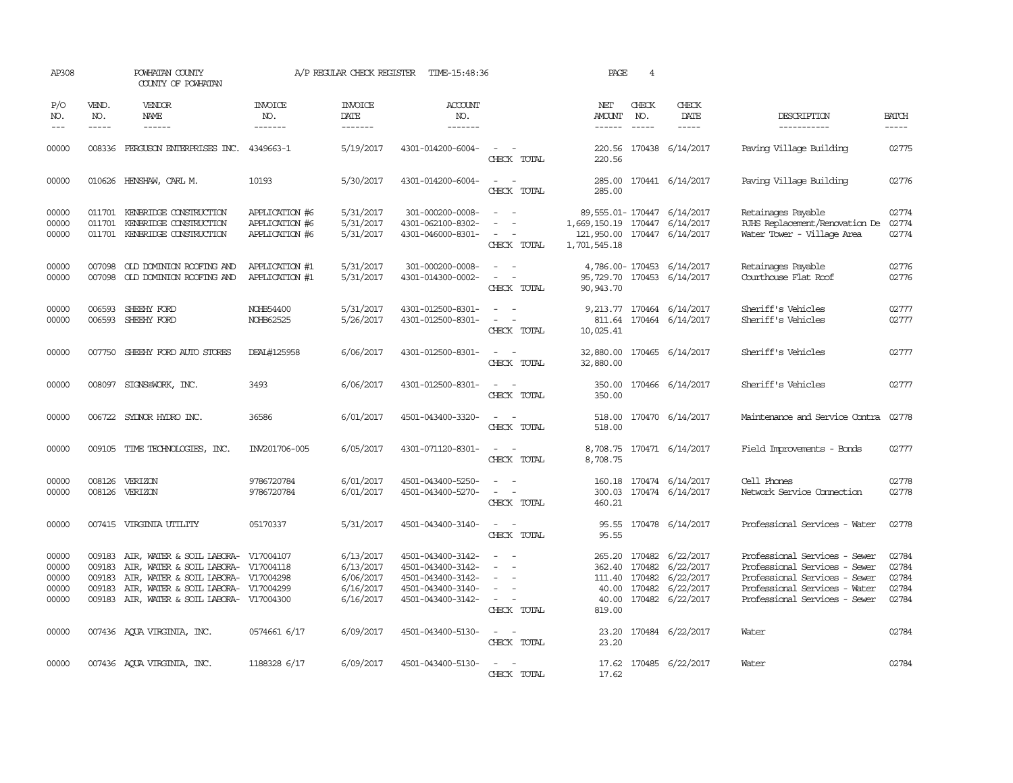| AP308                                     |                             | POWHATAN COUNTY<br>COUNTY OF POWHATAN                                                                                                                                                                      |                                                    | A/P REGULAR CHECK REGISTER                                    | TIME-15:48:36                                                                                         |                                                                                                               | PAGE                                                                                                        | $\overline{4}$                |                                                                                          |                                                                                                                                                                   |                                           |
|-------------------------------------------|-----------------------------|------------------------------------------------------------------------------------------------------------------------------------------------------------------------------------------------------------|----------------------------------------------------|---------------------------------------------------------------|-------------------------------------------------------------------------------------------------------|---------------------------------------------------------------------------------------------------------------|-------------------------------------------------------------------------------------------------------------|-------------------------------|------------------------------------------------------------------------------------------|-------------------------------------------------------------------------------------------------------------------------------------------------------------------|-------------------------------------------|
| P/O<br>NO.<br>$\frac{1}{2}$               | VEND.<br>NO.<br>$- - - - -$ | VENDOR<br>NAME<br>$- - - - - -$                                                                                                                                                                            | INVOICE<br>NO.<br>-------                          | <b>INVOICE</b><br>DATE<br>$- - - - - - -$                     | ACCOUNT<br>NO.<br>$- - - - - - -$                                                                     |                                                                                                               | NET<br>AMOUNT<br>$- - - - - -$                                                                              | CHECK<br>NO.                  | CHECK<br>DATE<br>$- - - - -$                                                             | DESCRIPTION<br>-----------                                                                                                                                        | <b>BATCH</b>                              |
| 00000                                     |                             | 008336 FERGUSON ENTERPRISES INC.                                                                                                                                                                           | 4349663-1                                          | 5/19/2017                                                     | 4301-014200-6004-                                                                                     | CHECK TOTAL                                                                                                   | 220.56<br>220.56                                                                                            |                               | 170438 6/14/2017                                                                         | Paving Village Building                                                                                                                                           | 02775                                     |
| 00000                                     |                             | 010626 HENSHAW, CARL M.                                                                                                                                                                                    | 10193                                              | 5/30/2017                                                     | 4301-014200-6004-                                                                                     | $\sim$<br>$\sim$<br>CHECK TOTAL                                                                               | 285.00<br>285.00                                                                                            |                               | 170441 6/14/2017                                                                         | Paving Village Building                                                                                                                                           | 02776                                     |
| 00000<br>00000<br>00000                   |                             | 011701 KENBRIDGE CONSTRUCTION<br>011701 KENBRIDGE CONSTRUCTION<br>011701 KENBRIDGE CONSTRUCTION                                                                                                            | APPLICATION #6<br>APPLICATION #6<br>APPLICATION #6 | 5/31/2017<br>5/31/2017<br>5/31/2017                           | 301-000200-0008-<br>4301-062100-8302-<br>4301-046000-8301-                                            | $\omega_{\rm{max}}$ and $\omega_{\rm{max}}$<br>$\sim$<br>$\sim$<br>$\sim$ $ -$<br>CHECK TOTAL                 | 89, 555.01-170447 6/14/2017<br>1,669,150.19 170447 6/14/2017<br>121,950.00 170447 6/14/2017<br>1,701,545.18 |                               |                                                                                          | Retainages Payable<br>RJHS Replacement/Renovation De<br>Water Tower - Village Area                                                                                | 02774<br>02774<br>02774                   |
| 00000<br>00000                            |                             | 007098 OLD DOMINION ROOFING AND<br>007098 OLD DOMINION ROOFING AND                                                                                                                                         | APPLICATION #1<br>APPLICATION #1                   | 5/31/2017<br>5/31/2017                                        | 301-000200-0008-<br>4301-014300-0002-                                                                 | $\sim$<br>$\overline{\phantom{a}}$<br>$\omega_{\rm{max}}$ and $\omega_{\rm{max}}$<br>CHECK TOTAL              | 95,729.70 170453 6/14/2017<br>90, 943.70                                                                    |                               | 4,786.00-170453 6/14/2017                                                                | Retainages Payable<br>Courthouse Flat Roof                                                                                                                        | 02776<br>02776                            |
| 00000<br>00000                            | 006593<br>006593            | SHEEHY FORD<br>SHEEHY FORD                                                                                                                                                                                 | NOHB54400<br>NOHB62525                             | 5/31/2017<br>5/26/2017                                        | 4301-012500-8301-<br>4301-012500-8301-                                                                | $\omega_{\rm{max}}$ and $\omega_{\rm{max}}$<br>$\sim$<br>$\sim$<br>CHECK TOTAL                                | 811.64<br>10,025.41                                                                                         |                               | 9,213.77 170464 6/14/2017<br>170464 6/14/2017                                            | Sheriff's Vehicles<br>Sheriff's Vehicles                                                                                                                          | 02777<br>02777                            |
| 00000                                     |                             | 007750 SHEEHY FORD AUTO STORES                                                                                                                                                                             | DEAL#125958                                        | 6/06/2017                                                     | 4301-012500-8301-                                                                                     | $\omega_{\rm{max}}$ and $\omega_{\rm{max}}$<br>CHECK TOTAL                                                    | 32,880.00 170465 6/14/2017<br>32,880.00                                                                     |                               |                                                                                          | Sheriff's Vehicles                                                                                                                                                | 02777                                     |
| 00000                                     |                             | 008097 SIGNS@WORK, INC.                                                                                                                                                                                    | 3493                                               | 6/06/2017                                                     | 4301-012500-8301-                                                                                     | $\omega_{\rm{max}}$ and $\omega_{\rm{max}}$<br>CHECK TOTAL                                                    | 350.00                                                                                                      |                               | 350.00 170466 6/14/2017                                                                  | Sheriff's Vehicles                                                                                                                                                | 02777                                     |
| 00000                                     |                             | 006722 SYDNOR HYDRO INC.                                                                                                                                                                                   | 36586                                              | 6/01/2017                                                     | 4501-043400-3320-                                                                                     | $\sim$ $ \sim$<br>CHECK TOTAL                                                                                 | 518.00                                                                                                      |                               | 518.00 170470 6/14/2017                                                                  | Maintenance and Service Contra                                                                                                                                    | 02778                                     |
| 00000                                     |                             | 009105 TIME TECHNOLOGIES, INC.                                                                                                                                                                             | IN/201706-005                                      | 6/05/2017                                                     | 4301-071120-8301-                                                                                     | $\sim$ $ \sim$<br>CHECK TOTAL                                                                                 | 8,708.75                                                                                                    |                               | 8,708.75 170471 6/14/2017                                                                | Field Improvements - Bonds                                                                                                                                        | 02777                                     |
| 00000<br>00000                            |                             | 008126 VERIZON<br>008126 VERIZON                                                                                                                                                                           | 9786720784<br>9786720784                           | 6/01/2017<br>6/01/2017                                        | 4501-043400-5250-<br>4501-043400-5270-                                                                | $\sim$<br>$\sim$<br>$\omega_{\rm{max}}$<br>CHECK TOTAL                                                        | 460.21                                                                                                      |                               | 160.18 170474 6/14/2017<br>300.03 170474 6/14/2017                                       | Cell Phones<br>Network Service Connection                                                                                                                         | 02778<br>02778                            |
| 00000                                     |                             | 007415 VIRGINIA UTILITY                                                                                                                                                                                    | 05170337                                           | 5/31/2017                                                     | 4501-043400-3140-                                                                                     | $\frac{1}{2} \left( \frac{1}{2} \right) \left( \frac{1}{2} \right) \left( \frac{1}{2} \right)$<br>CHECK TOTAL | 95.55                                                                                                       |                               | 95.55 170478 6/14/2017                                                                   | Professional Services - Water                                                                                                                                     | 02778                                     |
| 00000<br>00000<br>00000<br>00000<br>00000 | 009183<br>009183            | AIR, WATER & SOIL LABORA- V17004107<br>009183 AIR, WATER & SOIL LABORA- V17004118<br>009183 AIR, WATER & SOIL LABORA- V17004298<br>AIR, WATER & SOIL LABORA-<br>009183 AIR, WATER & SOIL LABORA- V17004300 | V17004299                                          | 6/13/2017<br>6/13/2017<br>6/06/2017<br>6/16/2017<br>6/16/2017 | 4501-043400-3142-<br>4501-043400-3142-<br>4501-043400-3142-<br>4501-043400-3140-<br>4501-043400-3142- | $\sim$<br>$\sim$<br>$\sim$<br>$\overline{\phantom{a}}$<br>$\sim$<br>CHECK TOTAL                               | 362.40 170482<br>819.00                                                                                     | 111.40 170482<br>40.00 170482 | 265.20 170482 6/22/2017<br>6/22/2017<br>6/22/2017<br>6/22/2017<br>40.00 170482 6/22/2017 | Professional Services - Sewer<br>Professional Services - Sewer<br>Professional Services - Sewer<br>Professional Services - Water<br>Professional Services - Sewer | 02784<br>02784<br>02784<br>02784<br>02784 |
| 00000                                     |                             | 007436 AQUA VIRGINIA, INC.                                                                                                                                                                                 | 0574661 6/17                                       | 6/09/2017                                                     | 4501-043400-5130-                                                                                     | $\sim$ 100 $\sim$ 100 $\sim$<br>CHECK TOTAL                                                                   | 23.20                                                                                                       |                               | 23.20 170484 6/22/2017                                                                   | Water                                                                                                                                                             | 02784                                     |
| 00000                                     |                             | 007436 AQUA VIRGINIA, INC.                                                                                                                                                                                 | 1188328 6/17                                       | 6/09/2017                                                     | 4501-043400-5130-                                                                                     | CHECK TOTAL                                                                                                   | 17.62                                                                                                       |                               | 17.62 170485 6/22/2017                                                                   | Water                                                                                                                                                             | 02784                                     |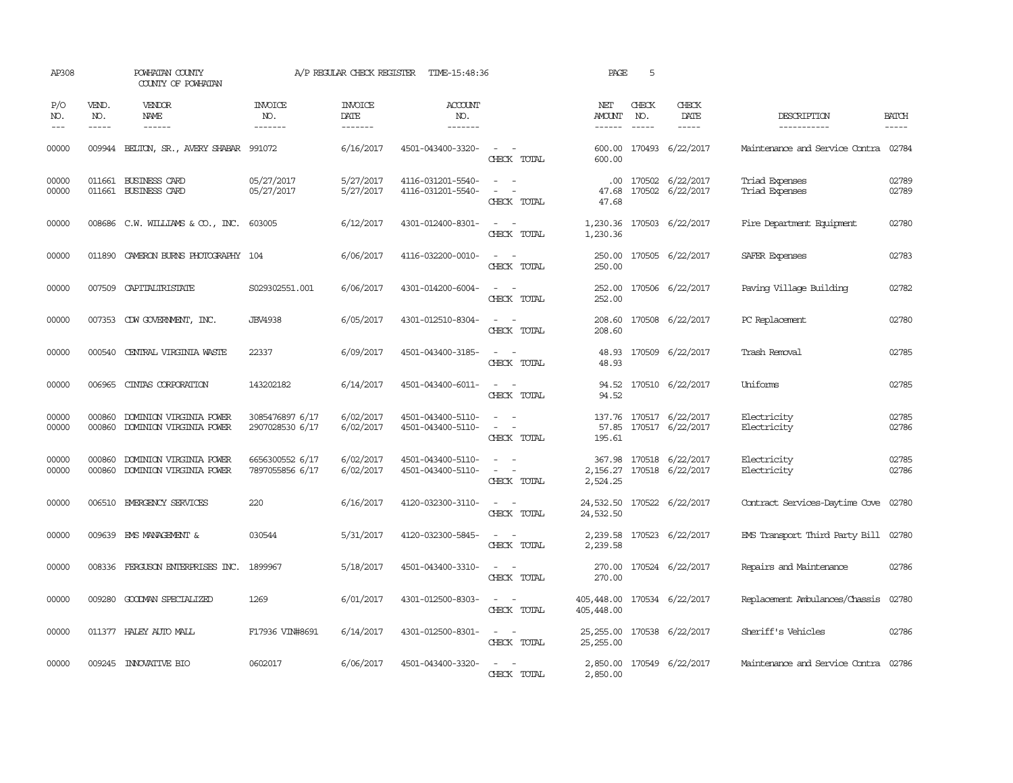| AP308              |                               | POWHATAN COUNTY<br>COUNTY OF POWHATAN              |                                    | A/P REGULAR CHECK REGISTER        | TIME-15:48:36                          |                                                                                                                                          | PAGE                                     | 5            |                                                |                                      |                             |
|--------------------|-------------------------------|----------------------------------------------------|------------------------------------|-----------------------------------|----------------------------------------|------------------------------------------------------------------------------------------------------------------------------------------|------------------------------------------|--------------|------------------------------------------------|--------------------------------------|-----------------------------|
| P/O<br>NO.<br>$ -$ | VEND.<br>NO.<br>$\frac{1}{2}$ | VENDOR<br><b>NAME</b><br>------                    | INVOICE<br>NO.<br>-------          | <b>INVOICE</b><br>DATE<br>------- | <b>ACCOUNT</b><br>NO.<br>-------       |                                                                                                                                          | NET<br>AMOUNT<br>------                  | CHECK<br>NO. | CHECK<br>DATE<br>$- - - - -$                   | DESCRIPTION<br>-----------           | <b>BATCH</b><br>$- - - - -$ |
| 00000              | 009944                        | BELTON, SR., AVERY SHABAR                          | 991072                             | 6/16/2017                         | 4501-043400-3320-                      | $\overline{\phantom{a}}$<br>CHECK TOTAL                                                                                                  | 600.00<br>600.00                         |              | 170493 6/22/2017                               | Maintenance and Service Contra       | 02784                       |
| 00000<br>00000     |                               | 011661 BUSINESS CARD<br>011661 BUSINESS CARD       | 05/27/2017<br>05/27/2017           | 5/27/2017<br>5/27/2017            | 4116-031201-5540-<br>4116-031201-5540- | $\sim$ 100 $\sim$<br>$\sim$ 100 $\sim$<br>CHECK TOTAL                                                                                    | $.00 \,$<br>47.68                        |              | 170502 6/22/2017<br>47.68 170502 6/22/2017     | Triad Expenses<br>Triad Expenses     | 02789<br>02789              |
| 00000              |                               | 008686 C.W. WILLIAMS & CO., INC. 603005            |                                    | 6/12/2017                         | 4301-012400-8301-                      | $\frac{1}{2} \left( \frac{1}{2} \right) \left( \frac{1}{2} \right) \left( \frac{1}{2} \right) \left( \frac{1}{2} \right)$<br>CHECK TOTAL | 1,230.36                                 |              | 1,230.36 170503 6/22/2017                      | Fire Department Equipment            | 02780                       |
| 00000              | 011890                        | CAMERON BURNS PHOTOGRAPHY 104                      |                                    | 6/06/2017                         | 4116-032200-0010-                      | $\equiv$<br>CHECK TOTAL                                                                                                                  | 250.00<br>250.00                         |              | 170505 6/22/2017                               | SAFER Expenses                       | 02783                       |
| 00000              | 007509                        | CAPITALIRISTATE                                    | S029302551.001                     | 6/06/2017                         | 4301-014200-6004-                      | $\sim$<br>$\overline{\phantom{a}}$<br>CHECK TOTAL                                                                                        | 252.00<br>252.00                         |              | 170506 6/22/2017                               | Paving Village Building              | 02782                       |
| 00000              |                               | 007353 CDW GOVERNMENT, INC.                        | <b>JBV4938</b>                     | 6/05/2017                         | 4301-012510-8304-                      | $\overline{\phantom{a}}$<br>CHECK TOTAL                                                                                                  | 208.60<br>208.60                         |              | 170508 6/22/2017                               | PC Replacement                       | 02780                       |
| 00000              | 000540                        | CENTRAL VIRGINIA WASTE                             | 22337                              | 6/09/2017                         | 4501-043400-3185-                      | $\frac{1}{2} \left( \frac{1}{2} \right) \left( \frac{1}{2} \right) \left( \frac{1}{2} \right) \left( \frac{1}{2} \right)$<br>CHECK TOTAL | 48.93<br>48.93                           |              | 170509 6/22/2017                               | Trash Removal                        | 02785                       |
| 00000              | 006965                        | CINIAS CORPORATION                                 | 143202182                          | 6/14/2017                         | 4501-043400-6011-                      | $\frac{1}{2} \left( \frac{1}{2} \right) \left( \frac{1}{2} \right) \left( \frac{1}{2} \right) \left( \frac{1}{2} \right)$<br>CHECK TOTAL | 94.52<br>94.52                           |              | 170510 6/22/2017                               | Uniforms                             | 02785                       |
| 00000<br>00000     | 000860<br>000860              | DOMINION VIRGINIA POWER<br>DOMINION VIRGINIA POWER | 3085476897 6/17<br>2907028530 6/17 | 6/02/2017<br>6/02/2017            | 4501-043400-5110-<br>4501-043400-5110- | $\sim$<br>$\sim$<br>$\sim$<br>CHECK TOTAL                                                                                                | 57.85<br>195.61                          |              | 137.76 170517 6/22/2017<br>170517 6/22/2017    | Electricity<br>Electricity           | 02785<br>02786              |
| 00000<br>00000     | 000860<br>000860              | DOMINION VIRGINIA POWER<br>DOMINION VIRGINIA POWER | 6656300552 6/17<br>7897055856 6/17 | 6/02/2017<br>6/02/2017            | 4501-043400-5110-<br>4501-043400-5110- | $\overline{\phantom{a}}$<br>$\sim$<br>$\sim$ 100 $\sim$<br>CHECK TOTAL                                                                   | 367.98<br>2,524.25                       |              | 170518 6/22/2017<br>2, 156.27 170518 6/22/2017 | Electricity<br>Electricity           | 02785<br>02786              |
| 00000              |                               | 006510 EMERGENCY SERVICES                          | 220                                | 6/16/2017                         | 4120-032300-3110-                      | $\overline{\phantom{a}}$<br>$\sim$<br>CHECK TOTAL                                                                                        | 24,532.50<br>24,532.50                   |              | 170522 6/22/2017                               | Contract Services-Daytime Cove       | 02780                       |
| 00000              |                               | 009639 EMS MANAGEMENT &                            | 030544                             | 5/31/2017                         | 4120-032300-5845-                      | $\frac{1}{2} \left( \frac{1}{2} \right) \left( \frac{1}{2} \right) = \frac{1}{2} \left( \frac{1}{2} \right)$<br>CHECK TOTAL              | 2,239.58<br>2,239.58                     |              | 170523 6/22/2017                               | EMS Transport Third Party Bill       | 02780                       |
| 00000              |                               | 008336 FERGUSON ENTERPRISES INC. 1899967           |                                    | 5/18/2017                         | 4501-043400-3310-                      | $\overline{\phantom{a}}$<br>$\sim$<br>CHECK TOTAL                                                                                        | 270.00<br>270.00                         |              | 170524 6/22/2017                               | Repairs and Maintenance              | 02786                       |
| 00000              | 009280                        | GOODMAN SPECIALIZED                                | 1269                               | 6/01/2017                         | 4301-012500-8303-                      | $\frac{1}{2} \left( \frac{1}{2} \right) \left( \frac{1}{2} \right) = \frac{1}{2} \left( \frac{1}{2} \right)$<br>CHECK TOTAL              | 405,448.00<br>405,448.00                 |              | 170534 6/22/2017                               | Replacement Ambulances/Chassis       | 02780                       |
| 00000              |                               | 011377 HALEY AUTO MALL                             | F17936 VIN#8691                    | 6/14/2017                         | 4301-012500-8301-                      | $ -$<br>CHECK TOTAL                                                                                                                      | 25, 255.00 170538 6/22/2017<br>25,255.00 |              |                                                | Sheriff's Vehicles                   | 02786                       |
| 00000              |                               | 009245 INNOVATIVE BIO                              | 0602017                            | 6/06/2017                         | 4501-043400-3320-                      | CHECK TOTAL                                                                                                                              | 2,850.00                                 |              | 2,850.00 170549 6/22/2017                      | Maintenance and Service Contra 02786 |                             |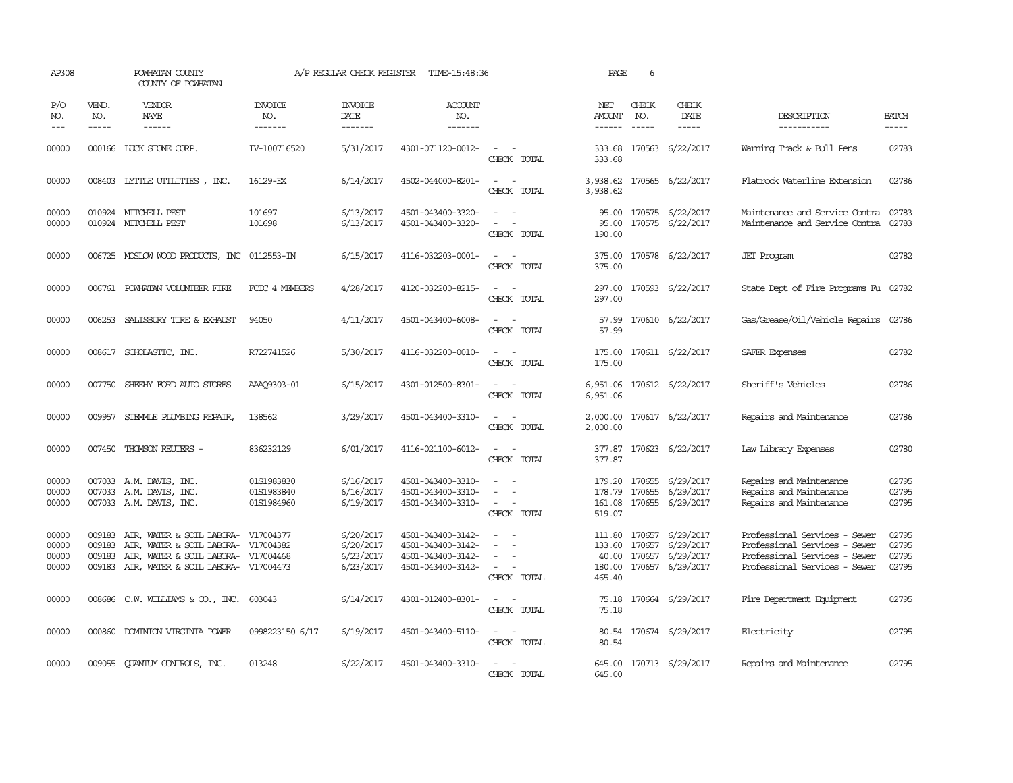| AP308                            |                               | POWHATAN COUNTY<br>COUNTY OF POWHATAN                                                                                                                 |                                        | A/P REGULAR CHECK REGISTER                       | TIME-15:48:36                                                                    |                                                                                                                             | PAGE                                          | 6                                    |                                                  |                                                                                                                                  |                                  |
|----------------------------------|-------------------------------|-------------------------------------------------------------------------------------------------------------------------------------------------------|----------------------------------------|--------------------------------------------------|----------------------------------------------------------------------------------|-----------------------------------------------------------------------------------------------------------------------------|-----------------------------------------------|--------------------------------------|--------------------------------------------------|----------------------------------------------------------------------------------------------------------------------------------|----------------------------------|
| P/O<br>NO.<br>$---$              | VEND.<br>NO.<br>$\frac{1}{2}$ | VENDOR<br>NAME<br>$\frac{1}{2}$                                                                                                                       | INVOICE<br>NO.<br>-------              | <b>INVOICE</b><br>DATE<br>-------                | <b>ACCOUNT</b><br>NO.<br>-------                                                 |                                                                                                                             | NET<br>AMOUNT<br>$- - - - - -$                | CHECK<br>NO.                         | CHECK<br>DATE<br>$- - - - -$                     | DESCRIPTION<br>-----------                                                                                                       | <b>BATCH</b><br>$- - - - -$      |
| 00000                            |                               | 000166 LUCK STONE CORP.                                                                                                                               | IV-100716520                           | 5/31/2017                                        | 4301-071120-0012-                                                                | CHECK TOTAL                                                                                                                 | 333.68<br>333.68                              |                                      | 170563 6/22/2017                                 | Warning Track & Bull Pens                                                                                                        | 02783                            |
| 00000                            |                               | 008403 LYTTLE UTILITIES, INC.                                                                                                                         | 16129-EX                               | 6/14/2017                                        | 4502-044000-8201-                                                                | CHECK TOTAL                                                                                                                 | 3,938.62<br>3,938.62                          |                                      | 170565 6/22/2017                                 | Flatrock Waterline Extension                                                                                                     | 02786                            |
| 00000<br>00000                   |                               | 010924 MITCHELL PEST<br>010924 MITCHELL PEST                                                                                                          | 101697<br>101698                       | 6/13/2017<br>6/13/2017                           | 4501-043400-3320-<br>4501-043400-3320-                                           | $\overline{\phantom{a}}$<br>$\sim$<br>$\sim$<br>CHECK TOTAL                                                                 | 95.00<br>95.00<br>190.00                      |                                      | 170575 6/22/2017<br>170575 6/22/2017             | Maintenance and Service Contra<br>Maintenance and Service Contra                                                                 | 02783<br>02783                   |
| 00000                            |                               | 006725 MOSLOW WOOD PRODUCTS, INC                                                                                                                      | 0112553-IN                             | 6/15/2017                                        | 4116-032203-0001-                                                                | CHECK TOTAL                                                                                                                 | 375.00<br>375.00                              |                                      | 170578 6/22/2017                                 | <b>JET</b> Program                                                                                                               | 02782                            |
| 00000                            |                               | 006761 POWHATAN VOLUNTEER FIRE                                                                                                                        | FCIC 4 MEMBERS                         | 4/28/2017                                        | 4120-032200-8215-                                                                | $\sim$<br>$\overline{\phantom{a}}$<br>CHECK TOTAL                                                                           | 297.00<br>297.00                              |                                      | 170593 6/22/2017                                 | State Dept of Fire Programs Fu 02782                                                                                             |                                  |
| 00000                            |                               | 006253 SALISBURY TIRE & EXHAUST                                                                                                                       | 94050                                  | 4/11/2017                                        | 4501-043400-6008-                                                                | CHECK TOTAL                                                                                                                 | 57.99<br>57.99                                |                                      | 170610 6/22/2017                                 | Gas/Grease/Oil/Vehicle Repairs                                                                                                   | 02786                            |
| 00000                            |                               | 008617 SCHOLASTIC, INC.                                                                                                                               | R722741526                             | 5/30/2017                                        | 4116-032200-0010-                                                                | $\sim$ 10 $\sim$ 10 $\sim$<br>CHECK TOTAL                                                                                   | 175.00<br>175.00                              |                                      | 170611 6/22/2017                                 | SAFER Expenses                                                                                                                   | 02782                            |
| 00000                            |                               | 007750 SHEEHY FORD AUTO STORES                                                                                                                        | AAA09303-01                            | 6/15/2017                                        | 4301-012500-8301-                                                                | $\frac{1}{2} \left( \frac{1}{2} \right) \left( \frac{1}{2} \right) = \frac{1}{2} \left( \frac{1}{2} \right)$<br>CHECK TOTAL | 6,951.06<br>6,951.06                          |                                      | 170612 6/22/2017                                 | Sheriff's Vehicles                                                                                                               | 02786                            |
| 00000                            |                               | 009957 STEMMLE PLUMBING REPAIR,                                                                                                                       | 138562                                 | 3/29/2017                                        | 4501-043400-3310-                                                                | CHECK TOTAL                                                                                                                 | 2,000.00<br>2,000.00                          |                                      | 170617 6/22/2017                                 | Repairs and Maintenance                                                                                                          | 02786                            |
| 00000                            |                               | 007450 THOMSON REUTERS -                                                                                                                              | 836232129                              | 6/01/2017                                        | 4116-021100-6012-                                                                | $\sim$ 10 $\sim$<br>CHECK TOTAL                                                                                             | 377.87<br>377.87                              |                                      | 170623 6/22/2017                                 | Law Library Expenses                                                                                                             | 02780                            |
| 00000<br>00000<br>00000          | 007033                        | A.M. DAVIS, INC.<br>007033 A.M. DAVIS, INC.<br>007033 A.M. DAVIS, INC.                                                                                | 01S1983830<br>01S1983840<br>01S1984960 | 6/16/2017<br>6/16/2017<br>6/19/2017              | 4501-043400-3310-<br>4501-043400-3310-<br>4501-043400-3310-                      | $\equiv$<br>$\overline{\phantom{a}}$<br>CHECK TOTAL                                                                         | 179.20<br>178.79<br>161.08<br>519.07          | 170655<br>170655                     | 6/29/2017<br>6/29/2017<br>170655 6/29/2017       | Repairs and Maintenance<br>Repairs and Maintenance<br>Repairs and Maintenance                                                    | 02795<br>02795<br>02795          |
| 00000<br>00000<br>00000<br>00000 | 009183<br>009183<br>009183    | AIR, WATER & SOIL LABORA- V17004377<br>AIR, WATER & SOIL LABORA-<br>AIR, WATER & SOIL LABORA- V17004468<br>009183 AIR, WATER & SOIL LABORA- V17004473 | V17004382                              | 6/20/2017<br>6/20/2017<br>6/23/2017<br>6/23/2017 | 4501-043400-3142-<br>4501-043400-3142-<br>4501-043400-3142-<br>4501-043400-3142- | $\equiv$<br>CHECK TOTAL                                                                                                     | 111.80<br>133.60<br>40.00<br>180.00<br>465.40 | 170657<br>170657<br>170657<br>170657 | 6/29/2017<br>6/29/2017<br>6/29/2017<br>6/29/2017 | Professional Services - Sewer<br>Professional Services - Sewer<br>Professional Services - Sewer<br>Professional Services - Sewer | 02795<br>02795<br>02795<br>02795 |
| 00000                            |                               | 008686 C.W. WILLIAMS & CO., INC.                                                                                                                      | 603043                                 | 6/14/2017                                        | 4301-012400-8301-                                                                | $\frac{1}{2} \left( \frac{1}{2} \right) \left( \frac{1}{2} \right) = \frac{1}{2} \left( \frac{1}{2} \right)$<br>CHECK TOTAL | 75.18<br>75.18                                |                                      | 170664 6/29/2017                                 | Fire Department Equipment                                                                                                        | 02795                            |
| 00000                            |                               | 000860 DOMINION VIRGINIA POWER                                                                                                                        | 0998223150 6/17                        | 6/19/2017                                        | 4501-043400-5110-                                                                | $\omega_{\rm{max}}$ , $\omega_{\rm{max}}$<br>CHECK TOTAL                                                                    | 80.54                                         |                                      | 80.54 170674 6/29/2017                           | Electricity                                                                                                                      | 02795                            |
| 00000                            |                               | 009055 QUANTUM CONTROLS, INC.                                                                                                                         | 013248                                 | 6/22/2017                                        | 4501-043400-3310-                                                                | CHECK TOTAL                                                                                                                 | 645.00                                        |                                      | 645.00 170713 6/29/2017                          | Repairs and Maintenance                                                                                                          | 02795                            |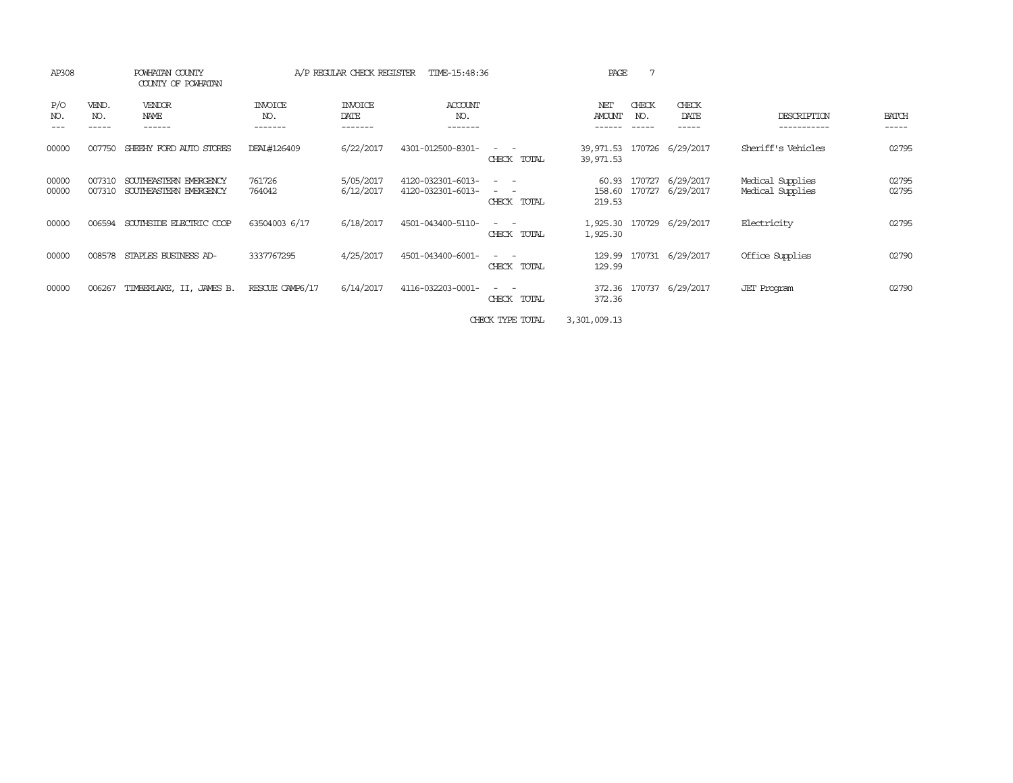| AP308             |                       | POWHATAN COUNTY<br>COUNTY OF POWHATAN            |                           | A/P REGULAR CHECK REGISTER        | TIME-15:48:36                          |                                                                                                                             | PAGE                      | 7                     |                           |                                      |                       |
|-------------------|-----------------------|--------------------------------------------------|---------------------------|-----------------------------------|----------------------------------------|-----------------------------------------------------------------------------------------------------------------------------|---------------------------|-----------------------|---------------------------|--------------------------------------|-----------------------|
| P/O<br>NO.<br>--- | VEND.<br>NO.<br>----- | VENDOR<br>NAME<br>------                         | INVOICE<br>NO.<br>------- | <b>INVOICE</b><br>DATE<br>------- | ACCOUNT<br>NO.<br>-------              |                                                                                                                             | NET<br>AMOUNT             | CHECK<br>NO.<br>----- | CHECK<br>DATE<br>-----    | DESCRIPTION<br>-----------           | <b>BATCH</b><br>----- |
| 00000             | 007750                | SHEEHY FORD AUTO STORES                          | DEAL#126409               | 6/22/2017                         | 4301-012500-8301-                      | $\frac{1}{2} \left( \frac{1}{2} \right) \left( \frac{1}{2} \right) = \frac{1}{2} \left( \frac{1}{2} \right)$<br>CHECK TOTAL | 39,971.53<br>39,971.53    |                       | 170726 6/29/2017          | Sheriff's Vehicles                   | 02795                 |
| 00000<br>00000    | 007310<br>007310      | SOUTHEASTERN EMERGENCY<br>SOUTHEASTERN EMERGENCY | 761726<br>764042          | 5/05/2017<br>6/12/2017            | 4120-032301-6013-<br>4120-032301-6013- | $ -$<br>$\sim$ $-$<br>CHECK TOTAL                                                                                           | 60.93<br>158.60<br>219.53 | 170727<br>170727      | 6/29/2017<br>6/29/2017    | Medical Supplies<br>Medical Supplies | 02795<br>02795        |
| 00000             | 006594                | SOUTHSIDE ELECTRIC COOP                          | 63504003 6/17             | 6/18/2017                         | 4501-043400-5110-                      | $ -$<br>CHECK TOTAL                                                                                                         | 1,925.30                  |                       | 1,925.30 170729 6/29/2017 | Electricity                          | 02795                 |
| 00000             | 008578                | STAPLES BUSINESS AD-                             | 3337767295                | 4/25/2017                         | 4501-043400-6001-                      | $\sim$ 100 $\sim$<br>CHECK TOTAL                                                                                            | 129.99<br>129.99          |                       | 170731 6/29/2017          | Office Supplies                      | 02790                 |
| 00000             | 006267                | TIMBERLAKE, II, JAMES B.                         | RESCUE CAMP6/17           | 6/14/2017                         | 4116-032203-0001-                      | $ -$<br>CHECK<br>TOTAL                                                                                                      | 372.36                    | 372.36 170737         | 6/29/2017                 | <b>JET</b> Program                   | 02790                 |
|                   |                       |                                                  |                           |                                   |                                        |                                                                                                                             |                           |                       |                           |                                      |                       |

CHECK TYPE TOTAL 3,301,009.13